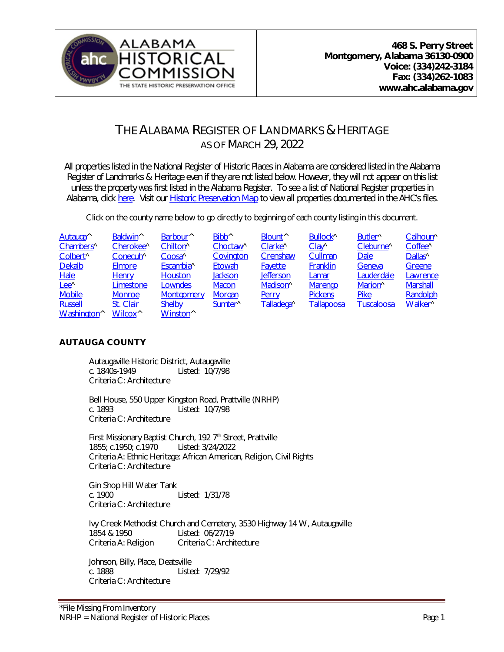

# THE ALABAMA REGISTER OF LANDMARKS & HERITAGE AS OF MARCH 29, 2022

*All properties listed in the National Register of Historic Places in Alabama are considered listed in the Alabama Register of Landmarks & Heritage even if they are not listed below. However, they will not appear on this list unless the property was first listed in the Alabama Register. To see a list of National Register properties in Alabama, click [here.](http://ahc.alabama.gov/nationalregisterPDFs/NR%20Properties%20in%20Al.pdf) Visit our [Historic Preservation Map](https://ahc.alabama.gov/historicpreservationmap.aspx) to view all properties documented in the AHC's files.* 

Click on the county name below to go directly to beginning of each county listing in this document.

<span id="page-0-1"></span>

| Autauga <sup>^</sup>    | Baldwin <sup>^</sup>  | Barbour <sup>^</sup> | Bibb <sup>^</sup>    | Blount <sup>^</sup>  | Bullock^          | Butler <sup>^</sup>   | Calhoun <sup>^</sup> |
|-------------------------|-----------------------|----------------------|----------------------|----------------------|-------------------|-----------------------|----------------------|
| Chambers <sup>^</sup>   | Cherokee <sup>^</sup> | Chilton <sup>^</sup> | Choctaw <sup>^</sup> | Clarke^              | $Clay^{\wedge}$   | Cleburne <sup>^</sup> | Coffee <sup>^</sup>  |
| Colbert <sup>^</sup>    | Conecuh^              | Coosa <sup>^</sup>   | Covington            | Crenshaw             | Cullman           | <b>Dale</b>           | Dallas <sup>^</sup>  |
| <b>Dekalb</b>           | <b>Elmore</b>         | Escambia^            | Etowah               | <b>Fayette</b>       | Franklin          | Geneva                | Greene               |
| <b>Hale</b>             | <b>Henry</b>          | <b>Houston</b>       | <b>Jackson</b>       | <b>Jefferson</b>     | Lamar             | Lauderdale            | Lawrence             |
| Lee <sup>^</sup>        | Limestone             | Lowndes              | <b>Macon</b>         | Madison <sup>^</sup> | <b>Marengo</b>    | Marion <sup>^</sup>   | <b>Marshall</b>      |
| <b>Mobile</b>           | <b>Monroe</b>         | Montgomery           | Morgan               | Perry                | <b>Pickens</b>    | <b>Pike</b>           | Randolph             |
| <b>Russell</b>          | St. Clair             | <b>Shelby</b>        | Sumter <sup>^</sup>  | Talladega^           | <b>Tallapoosa</b> | <b>Tuscaloosa</b>     | Walker <sup>^</sup>  |
| Washington <sup>^</sup> | Wilcox <sup>^</sup>   | Winston <sup>^</sup> |                      |                      |                   |                       |                      |

# <span id="page-0-0"></span>**AUTAUGA COUNTY**

Autaugaville Historic District, Autaugaville c. 1840s-1949 Listed: 10/7/98 Criteria C: Architecture

Bell House, 550 Upper Kingston Road, Prattville (NRHP) c. 1893 Listed: 10/7/98 Criteria C: Architecture

First Missionary Baptist Church, 192 7<sup>th</sup> Street, Prattville 1855; c.1950; c.1970 Listed: 3/24/2022 Criteria A: Ethnic Heritage: African American, Religion, Civil Rights Criteria C: Architecture

Gin Shop Hill Water Tank c. 1900 Listed: 1/31/78 Criteria C: Architecture

Ivy Creek Methodist Church and Cemetery, 3530 Highway 14 W, Autaugaville 1854 & 1950 Listed: 06/27/19 Criteria A: Religion Criteria C: Architecture

Johnson, Billy, Place, Deatsville c. 1888 Listed: 7/29/92 Criteria C: Architecture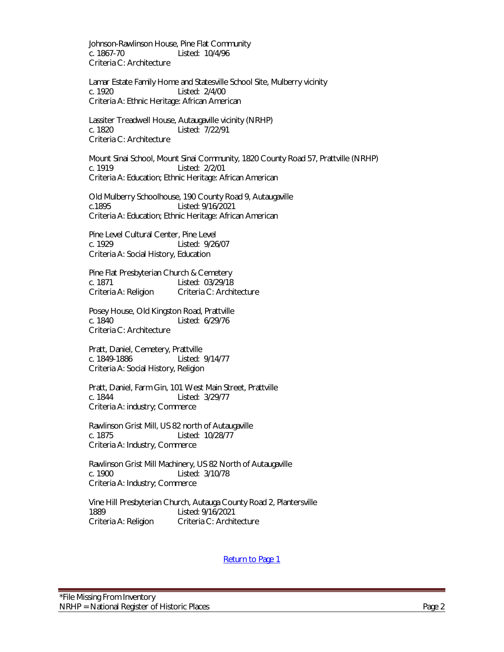Johnson-Rawlinson House, Pine Flat Community c. 1867-70 Listed: 10/4/96 Criteria C: Architecture

Lamar Estate Family Home and Statesville School Site, Mulberry vicinity c. 1920 Listed: 2/4/00 Criteria A: Ethnic Heritage: African American

Lassiter Treadwell House, Autaugaville vicinity (NRHP) c. 1820 Listed: 7/22/91 Criteria C: Architecture

Mount Sinai School, Mount Sinai Community, 1820 County Road 57, Prattville (NRHP) c. 1919 Listed: 2/2/01 Criteria A: Education; Ethnic Heritage: African American

Old Mulberry Schoolhouse, 190 County Road 9, Autaugaville c.1895 Listed: 9/16/2021 Criteria A: Education; Ethnic Heritage: African American

Pine Level Cultural Center, Pine Level c. 1929 Listed: 9/26/07 Criteria A: Social History, Education

[Pine](http://ahc.alabama.gov/Alabama%20Register%20Properties/Autauga%20County/AL.AutaugaCounty.PoseyHouseOCR.pdf) Flat Presbyterian Church & Cemetery c. 1871 Listed: 03/29/18 Criteria A: Religion Criteria C: Architecture

Posey House, Old Kingston Road, Prattville c. 1840 Listed: 6/29/76 Criteria C: Architecture

Pratt, Daniel, Cemetery, Prattville c. 1849-1886 Listed: 9/14/77 Criteria A: Social History, Religion

Pratt, Daniel, Farm Gin, 101 West Main Street, Prattville c. 1844 Listed: 3/29/77 Criteria A: industry; Commerce

Rawlinson Grist Mill, US 82 north of Autaugaville c. 1875 Listed: 10/28/77 Criteria A: Industry, Commerce

Rawlinson Grist Mill Machinery, US 82 North of Autaugaville c. 1900 Listed: 3/10/78 Criteria A: Industry; Commerce

Vine Hill Presbyterian Church, Autauga County Road 2, Plantersville Listed: 9/16/2021 Criteria A: Religion Criteria C: Architecture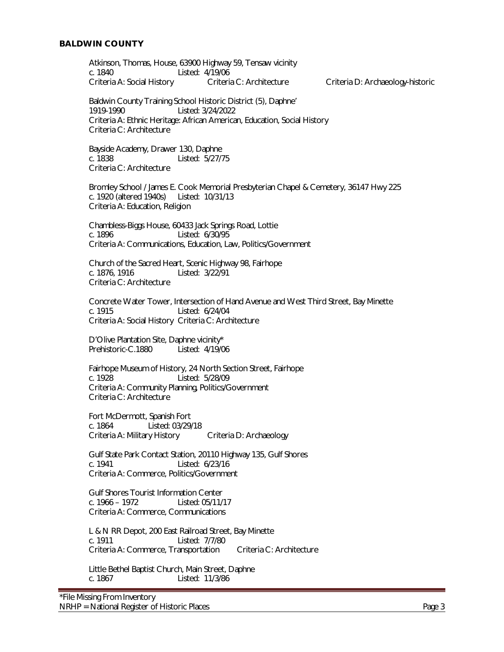#### <span id="page-2-0"></span>**BALDWIN COUNTY**

Atkinson, Thomas, House, 63900 Highway 59, Tensaw vicinity c. 1840 Listed: 4/19/06 Criteria A: Social History Criteria C: Architecture Criteria D: Archaeology-historic

Baldwin County Training School Historic District (5), Daphne' 1919-1990 Listed: 3/24/2022 Criteria A: Ethnic Heritage: African American, Education, Social History Criteria C: Architecture

Bayside Academy, Drawer 130, Daphne c. 1838 Listed: 5/27/75 Criteria C: Architecture

Bromley School / James E. Cook Memorial Presbyterian Chapel & Cemetery, 36147 Hwy 225 c. 1920 (altered 1940s) Listed: 10/31/13 Criteria A: Education, Religion

Chambless-Biggs House, 60433 Jack Springs Road, Lottie c. 1896 Listed: 6/30/95 Criteria A: Communications, Education, Law, Politics/Government

Church of the Sacred Heart, Scenic Highway 98, Fairhope c. 1876, 1916 Listed: 3/22/91 Criteria C: Architecture

Concrete Water Tower, Intersection of Hand Avenue and West Third Street, Bay Minette c. 1915 Listed: 6/24/04 Criteria A: Social History Criteria C: Architecture

D'Olive Plantation Site, Daphne vicinity\* Prehistoric-C.1880 Listed: 4/19/06

Fairhope Museum of History, 24 North Section Street, Fairhope c. 1928 Listed: 5/28/09 Criteria A: Community Planning, Politics/Government Criteria C: Architecture

Fort McDermott, Spanish Fort c. 1864 Listed: 03/29/18 Criteria A: Military History Criteria D: Archaeology

Gulf State Park Contact Station, 20110 Highway 135, Gulf Shores c. 1941 Listed: 6/23/16 Criteria A: Commerce, Politics/Government

Gulf Shores Tourist Information Center c. 1966 – 1972 Listed: 05/11/17 Criteria A: Commerce, Communications

L & N RR Depot, 200 East Railroad Street, Bay Minette c. 1911 Listed: 7/7/80 Criteria A: Commerce, Transportation Criteria C: Architecture

Little Bethel Baptist Church, Main Street, Daphne c. 1867 Listed: 11/3/86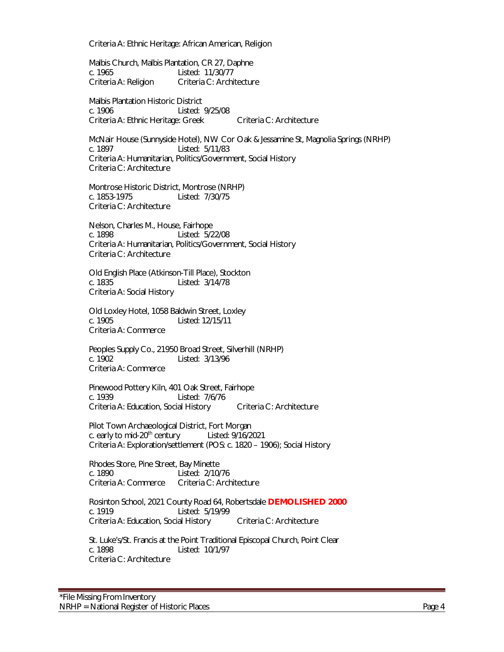Criteria A: Ethnic Heritage: African American, Religion

Malbis Church, Malbis Plantation, CR 27, Daphne c. 1965 Listed: 11/30/77 Criteria A: Religion Criteria C: Architecture

Malbis Plantation Historic District c. 1906 Listed: 9/25/08 Criteria A: Ethnic Heritage: Greek Criteria C: Architecture

McNair House (Sunnyside Hotel), NW Cor Oak & Jessamine St, Magnolia Springs (NRHP) c. 1897 Listed: 5/11/83 Criteria A: Humanitarian, Politics/Government, Social History Criteria C: Architecture

Montrose Historic District, Montrose (NRHP) c. 1853-1975 Listed: 7/30/75 Criteria C: Architecture

Nelson, Charles M., House, Fairhope c. 1898 Listed: 5/22/08 Criteria A: Humanitarian, Politics/Government, Social History Criteria C: Architecture

Old English Place (Atkinson-Till Place), Stockton c. 1835 Listed: 3/14/78 Criteria A: Social History

Old Loxley Hotel, 1058 Baldwin Street, Loxley c. 1905 Listed: 12/15/11 Criteria A: Commerce

Peoples Supply Co., 21950 Broad Street, Silverhill (NRHP) c. 1902 Listed: 3/13/96 Criteria A: Commerce

Pinewood Pottery Kiln, 401 Oak Street, Fairhope c. 1939 Listed: 7/6/76 Criteria A: Education, Social History Criteria C: Architecture

Pilot Town Archaeological District, Fort Morgan c. early to mid-20<sup>th</sup> century Listed:  $9/16/2021$ Criteria A: Exploration/settlement (POS: c. 1820 – 1906); Social History

Rhodes Store, Pine Street, Bay Minette c. 1890 Listed: 2/10/76 Criteria A: Commerce Criteria C: Architecture

Rosinton School, 2021 County Road 64, Robertsdale **DEMOLISHED 2000** Listed: 5/19/99 Criteria A: Education, Social History Criteria C: Architecture

St. Luke's/St. Francis at the Point Traditional Episcopal Church, Point Clear c. 1898 Listed: 10/1/97 Criteria C: Architecture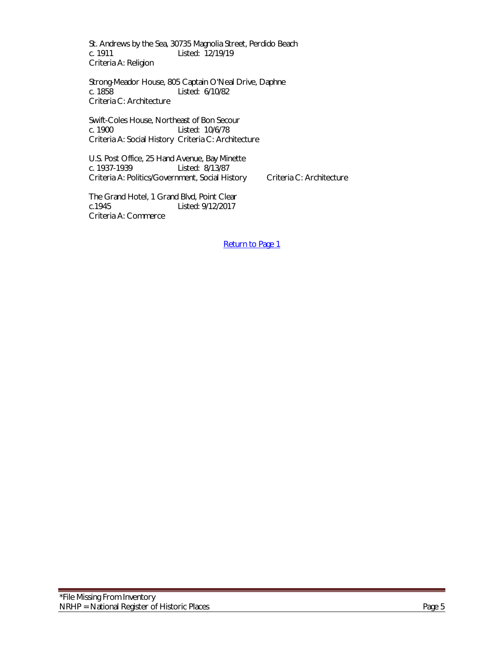St. Andrews by the Sea, 30735 Magnolia Street, Perdido Beach c. 1911 Listed: 12/19/19 Criteria A: Religion

Strong-Meador House, 805 Captain O'Neal Drive, Daphne c. 1858 Listed: 6/10/82 Criteria C: Architecture

Swift-Coles House, Northeast of Bon Secour c. 1900 Listed: 10/6/78 Criteria A: Social History Criteria C: Architecture

U.S. Post Office, 25 Hand Avenue, Bay Minette<br>c. 1937-1939 Listed: 8/13/87 Listed: 8/13/87 Criteria A: Politics/Government, Social History Criteria C: Architecture

The Grand Hotel, 1 Grand Blvd, Point Clear c.1945 Listed: 9/12/2017 Criteria A: Commerce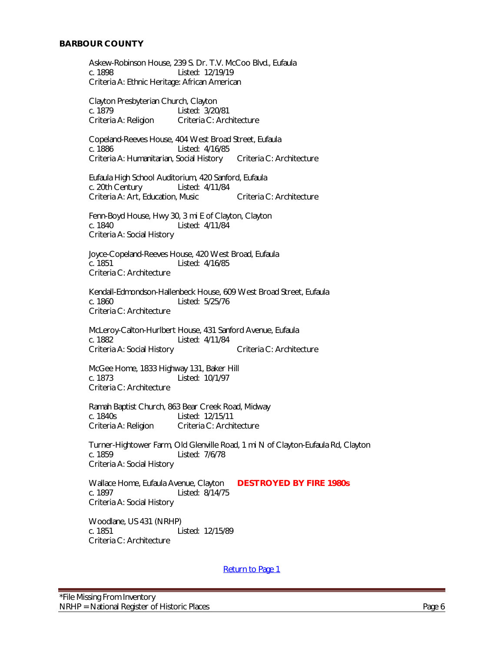<span id="page-5-0"></span>Askew-Robinson House, 239 S. Dr. T.V. McCoo Blvd., Eufaula c. 1898 Listed: 12/19/19 Criteria A: Ethnic Heritage: African American

Clayton Presbyterian Church, Clayton c. 1879 Listed: 3/20/81 Criteria A: Religion Criteria C: Architecture

Copeland-Reeves House, 404 West Broad Street, Eufaula Listed: 4/16/85 Criteria A: Humanitarian, Social History Criteria C: Architecture

Eufaula High School Auditorium, 420 Sanford, Eufaula c. 20th Century Listed: 4/11/84 Criteria A: Art, Education, Music Criteria C: Architecture

Fenn-Boyd House, Hwy 30, 3 mi E of Clayton, Clayton c. 1840 Listed: 4/11/84 Criteria A: Social History

Joyce-Copeland-Reeves House, 420 West Broad, Eufaula Listed: 4/16/85 Criteria C: Architecture

Kendall-Edmondson-Hallenbeck House, 609 West Broad Street, Eufaula c. 1860 Listed: 5/25/76 Criteria C: Architecture

McLeroy-Calton-Hurlbert House, 431 Sanford Avenue, Eufaula c. 1882 Listed: 4/11/84 Criteria A: Social History Criteria C: Architecture

McGee Home, 1833 Highway 131, Baker Hill c. 1873 Listed: 10/1/97 Criteria C: Architecture

Ramah Baptist Church, 863 Bear Creek Road, Midway c. 1840s<br>Criteria A: Religion Criteria C: Archi Criteria C: Architecture

Turner-Hightower Farm, Old Glenville Road, 1 mi N of Clayton-Eufaula Rd, Clayton c. 1859 Listed: 7/6/78 Criteria A: Social History

Wallace Home, Eufaula Avenue, Clayton **DESTROYED BY FIRE 1980s** c. 1897 Listed: 8/14/75 Criteria A: Social History

Woodlane, US 431 (NRHP) c. 1851 Listed: 12/15/89 Criteria C: Architecture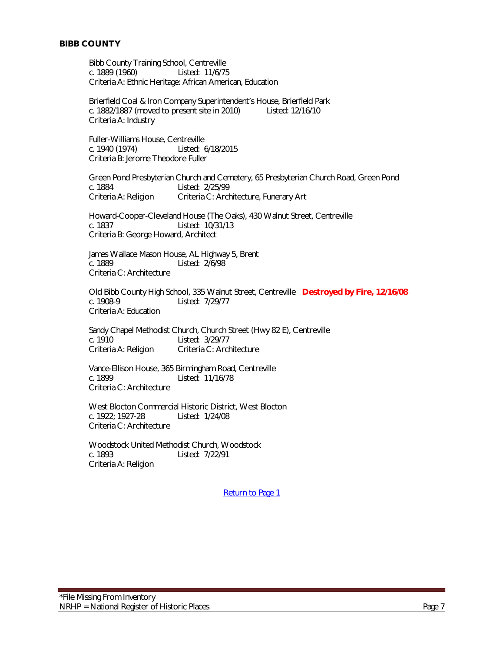# <span id="page-6-0"></span>**BIBB COUNTY**

Bibb County Training School, Centreville c. 1889 (1960) Listed: 11/6/75 Criteria A: Ethnic Heritage: African American, Education

Brierfield Coal & Iron Company Superintendent's House, Brierfield Park c. 1882/1887 (moved to present site in 2010) Listed: 12/16/10 Criteria A: Industry

Fuller-Williams House, Centreville c. 1940 (1974) Listed: 6/18/2015 Criteria B: Jerome Theodore Fuller

Green Pond Presbyterian Church and Cemetery, 65 Presbyterian Church Road, Green Pond c. 1884 Listed: 2/25/99 Criteria A: Religion Criteria C: Architecture, Funerary Art

Howard-Cooper-Cleveland House (The Oaks), 430 Walnut Street, Centreville c. 1837 Listed: 10/31/13 Criteria B: George Howard, Architect

James Wallace Mason House, AL Highway 5, Brent<br>c. 1889<br>Listed: 2/6/98 Listed: 2/6/98 Criteria C: Architecture

Old Bibb County High School, 335 Walnut Street, Centreville **Destroyed by Fire, 12/16/08** Listed: 7/29/77 Criteria A: Education

Sandy Chapel Methodist Church, Church Street (Hwy 82 E), Centreville c. 1910 Listed: 3/29/77 Criteria A: Religion Criteria C: Architecture

Vance-Ellison House, 365 Birmingham Road, Centreville c. 1899 Listed: 11/16/78 Criteria C: Architecture

West Blocton Commercial Historic District, West Blocton<br>c. 1922; 1927-28 Listed: 1/24/08 c. 1922; 1927-28 Criteria C: Architecture

Woodstock United Methodist Church, Woodstock c. 1893 Listed: 7/22/91 Criteria A: Religion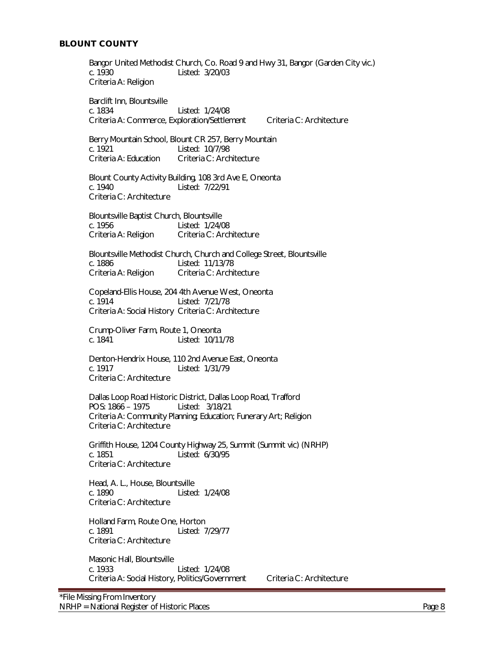<span id="page-7-0"></span>Bangor United Methodist Church, Co. Road 9 and Hwy 31, Bangor (Garden City vic.) c. 1930 Listed: 3/20/03 Criteria A: Religion Barclift Inn, Blountsville c. 1834 Listed: 1/24/08 Criteria A: Commerce, Exploration/Settlement Criteria C: Architecture Berry Mountain School, Blount CR 257, Berry Mountain<br>c. 1921 Listed: 10/7/98 Criteria A: Education Criteria C: Architecture Blount County Activity Building, 108 3rd Ave E, Oneonta c. 1940 Listed: 7/22/91 Criteria C: Architecture Blountsville Baptist Church, Blountsville c. 1956 Listed: 1/24/08 Criteria A: Religion Criteria C: Architecture Blountsville Methodist Church, Church and College Street, Blountsville<br>c. 1886<br>
Listed: 11/13/78 Listed: 11/13/78 Criteria A: Religion Criteria C: Architecture Copeland-Ellis House, 204 4th Avenue West, Oneonta c. 1914 Listed: 7/21/78 Criteria A: Social History Criteria C: Architecture Crump-Oliver Farm, Route 1, Oneonta c. 1841 Listed: 10/11/78 Denton-Hendrix House, 110 2nd Avenue East, Oneonta Listed: 1/31/79 Criteria C: Architecture Dallas Loop Road Historic District, Dallas Loop Road, Trafford POS: 1866 – 1975 Listed: 3/18/21 Criteria A: Community Planning; Education; Funerary Art; Religion Criteria C: Architecture Griffith House, 1204 County Highway 25, Summit (Summit vic) (NRHP) c. 1851 Listed: 6/30/95 Criteria C: Architecture Head, A. L., House, Blountsville c. 1890 Listed: 1/24/08 Criteria C: Architecture Holland Farm, Route One, Horton c. 1891 Listed: 7/29/77 Criteria C: Architecture Masonic Hall, Blountsville c. 1933 Listed: 1/24/08 Criteria A: Social History, Politics/Government Criteria C: Architecture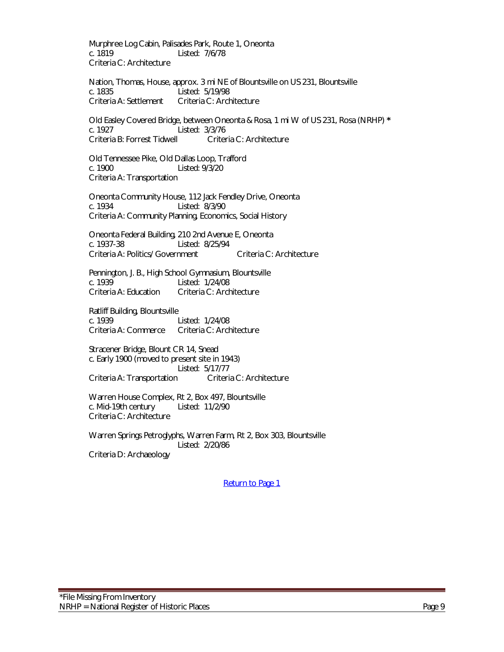Murphree Log Cabin, Palisades Park, Route 1, Oneonta c. 1819 Listed: 7/6/78 Criteria C: Architecture

Nation, Thomas, House, approx. 3 mi NE of Blountsville on US 231, Blountsville c. 1835 Listed: 5/19/98 Criteria A: Settlement Criteria C: Architecture

Old Easley Covered Bridge, between Oneonta & Rosa, 1 mi W of US 231, Rosa (NRHP) **\*** c. 1927 Listed: 3/3/76 Criteria B: Forrest Tidwell Criteria C: Architecture

Old Tennessee Pike, Old Dallas Loop, Trafford c. 1900 Listed: 9/3/20 Criteria A: Transportation

Oneonta Community House, 112 Jack Fendley Drive, Oneonta c. 1934 Listed: 8/3/90 Criteria A: Community Planning, Economics, Social History

Oneonta Federal Building, 210 2nd Avenue E, Oneonta c. 1937-38 Listed: 8/25/94 Criteria A: Politics/ Government Criteria C: Architecture

Pennington, J. B., High School Gymnasium, Blountsville Listed: 1/24/08 Criteria A: Education Criteria C: Architecture

Ratliff Building, Blountsville c. 1939 Listed: 1/24/08 Criteria A: Commerce Criteria C: Architecture

Stracener Bridge, Blount CR 14, Snead c. Early 1900 (moved to present site in 1943) Listed: 5/17/77 Criteria A: Transportation Criteria C: Architecture

Warren House Complex, Rt 2, Box 497, Blountsville<br>c. Mid-19th century Listed: 11/2/90 c. Mid-19th century Criteria C: Architecture

Warren Springs Petroglyphs, Warren Farm, Rt 2, Box 303, Blountsville Listed: 2/20/86 Criteria D: Archaeology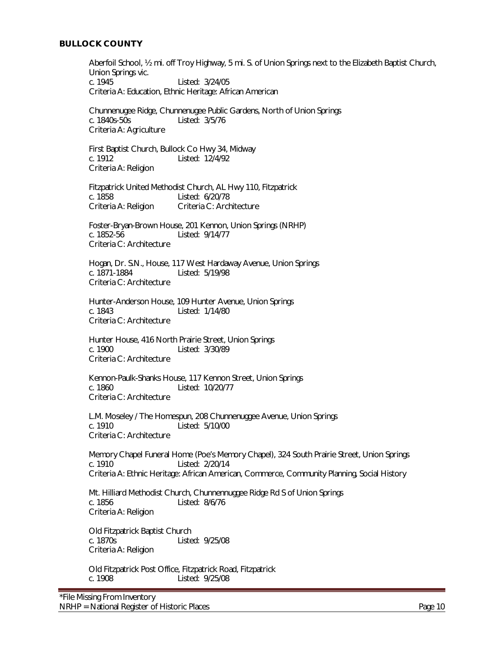#### <span id="page-9-0"></span>**BULLOCK COUNTY**

Aberfoil School, ½ mi. off Troy Highway, 5 mi. S. of Union Springs next to the Elizabeth Baptist Church, Union Springs vic. c. 1945 Listed: 3/24/05 Criteria A: Education, Ethnic Heritage: African American

Chunnenugee Ridge, Chunnenugee Public Gardens, North of Union Springs c. 1840s-50s Listed: 3/5/76 Criteria A: Agriculture

First Baptist Church, Bullock Co Hwy 34, Midway c. 1912 Listed: 12/4/92 Criteria A: Religion

Fitzpatrick United Methodist Church, AL Hwy 110, Fitzpatrick c. 1858 Listed: 6/20/78 Criteria A: Religion Criteria C: Architecture

Foster-Bryan-Brown House, 201 Kennon, Union Springs (NRHP) c. 1852-56 Listed: 9/14/77 Criteria C: Architecture

Hogan, Dr. S.N., House, 117 West Hardaway Avenue, Union Springs c. 1871-1884 Listed: 5/19/98 Criteria C: Architecture

Hunter-Anderson House, 109 Hunter Avenue, Union Springs c. 1843 Listed: 1/14/80 Criteria C: Architecture

Hunter House, 416 North Prairie Street, Union Springs c. 1900 Listed: 3/30/89 Criteria C: Architecture

Kennon-Paulk-Shanks House, 117 Kennon Street, Union Springs Listed: 10/20/77 Criteria C: Architecture

L.M. Moseley / The Homespun, 208 Chunnenuggee Avenue, Union Springs Listed: 5/10/00 Criteria C: Architecture

Memory Chapel Funeral Home (Poe's Memory Chapel), 324 South Prairie Street, Union Springs c. 1910 Listed: 2/20/14 Criteria A: Ethnic Heritage: African American, Commerce, Community Planning, Social History

Mt. Hilliard Methodist Church, Chunnennuggee Ridge Rd S of Union Springs c. 1856 Listed: 8/6/76 Criteria A: Religion

Old Fitzpatrick Baptist Church c. 1870s Listed: 9/25/08 Criteria A: Religion

Old Fitzpatrick Post Office, Fitzpatrick Road, Fitzpatrick c. 1908 Listed: 9/25/08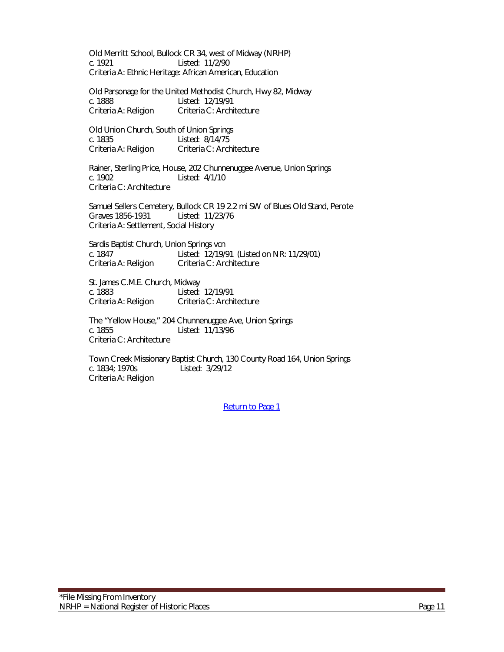Old Merritt School, Bullock CR 34, west of Midway (NRHP) c. 1921 Listed: 11/2/90 Criteria A: Ethnic Heritage: African American, Education

Old Parsonage for the United Methodist Church, Hwy 82, Midway c. 1888 Listed: 12/19/91 Criteria A: Religion Criteria C: Architecture

Old Union Church, South of Union Springs c. 1835 Listed: 8/14/75<br>Criteria A: Religion Criteria C: Arch Criteria C: Architecture

Rainer, Sterling Price, House, 202 Chunnenuggee Avenue, Union Springs c. 1902 Listed: 4/1/10 Criteria C: Architecture

Samuel Sellers Cemetery, Bullock CR 19 2.2 mi SW of Blues Old Stand, Perote Graves 1856-1931 Listed: 11/23/76 Criteria A: Settlement, Social History

Sardis Baptist Church, Union Springs vcn c. 1847 <br>Criteria A: Religion Criteria C: Architecture Criteria C: Architecture

St. James C.M.E. Church, Midway c. 1883 Listed: 12/19/91 Criteria A: Religion Criteria C: Architecture

The "Yellow House," 204 Chunnenuggee Ave, Union Springs c. 1855 Listed: 11/13/96 Criteria C: Architecture

Town Creek Missionary Baptist Church, 130 County Road 164, Union Springs c. 1834; 1970s Listed: 3/29/12 Criteria A: Religion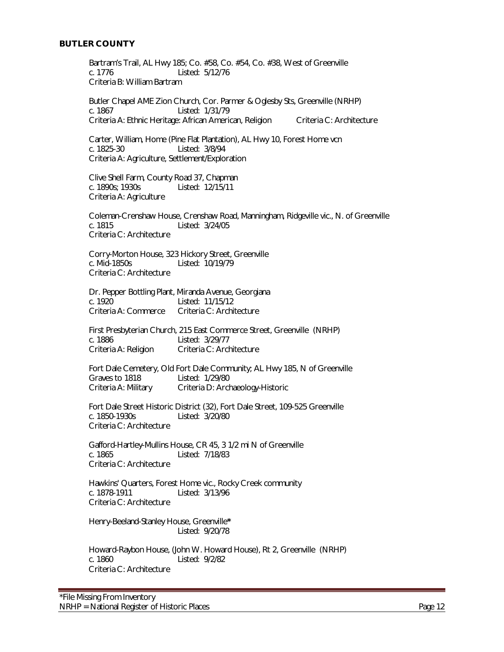#### <span id="page-11-0"></span>**BUTLER COUNTY**

Bartram's Trail, AL Hwy 185; Co. #58, Co. #54, Co. #38, West of Greenville c. 1776 Listed: 5/12/76 Criteria B: William Bartram

Butler Chapel AME Zion Church, Cor. Parmer & Oglesby Sts, Greenville (NRHP) c. 1867 Listed: 1/31/79 Criteria A: Ethnic Heritage: African American, Religion Criteria C: Architecture

Carter, William, Home (Pine Flat Plantation), AL Hwy 10, Forest Home vcn c. 1825-30 Listed: 3/8/94 Criteria A: Agriculture, Settlement/Exploration

Clive Shell Farm, County Road 37, Chapman c. 1890s; 1930s Listed: 12/15/11 Criteria A: Agriculture

Coleman-Crenshaw House, Crenshaw Road, Manningham, Ridgeville vic., N. of Greenville c. 1815 Listed: 3/24/05 Criteria C: Architecture

Corry-Morton House, 323 Hickory Street, Greenville Listed: 10/19/79 Criteria C: Architecture

Dr. Pepper Bottling Plant, Miranda Avenue, Georgiana c. 1920 Listed: 11/15/12 Criteria A: Commerce Criteria C: Architecture

First Presbyterian Church, 215 East Commerce Street, Greenville (NRHP) c. 1886 Listed: 3/29/77 Criteria A: Religion Criteria C: Architecture

Fort Dale Cemetery, Old Fort Dale Community; AL Hwy 185, N of Greenville Graves to 1818 Listed: 1/29/80<br>Criteria A: Military Criteria D: Arcl Criteria D: Archaeology-Historic

Fort Dale Street Historic District (32), Fort Dale Street, 109-525 Greenville c. 1850-1930s Listed: 3/20/80 Criteria C: Architecture

Gafford-Hartley-Mullins House, CR 45, 3 1/2 mi N of Greenville c. 1865 Listed: 7/18/83 Criteria C: Architecture

Hawkins' Quarters, Forest Home vic., Rocky Creek community c. 1878-1911 Listed: 3/13/96 Criteria C: Architecture

Henry-Beeland-Stanley House, Greenville**\*** Listed: 9/20/78

Howard-Raybon House, (John W. Howard House), Rt 2, Greenville (NRHP) c. 1860 Listed: 9/2/82 Criteria C: Architecture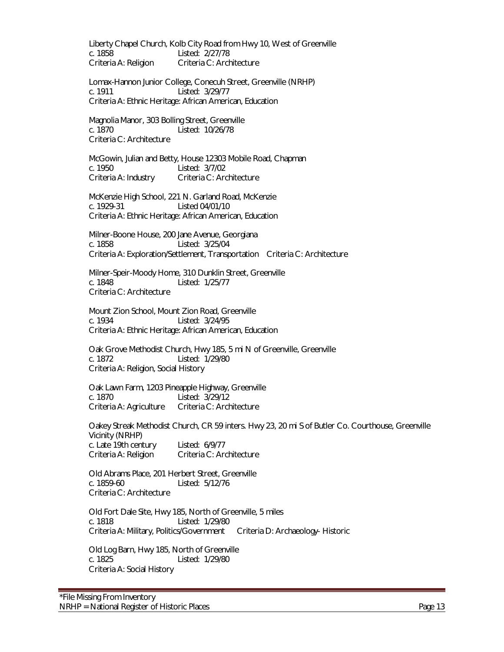Liberty Chapel Church, Kolb City Road from Hwy 10, West of Greenville c. 1858 Listed: 2/27/78 Criteria A: Religion Criteria C: Architecture

Lomax-Hannon Junior College, Conecuh Street, Greenville (NRHP) c. 1911 Listed: 3/29/77 Criteria A: Ethnic Heritage: African American, Education

Magnolia Manor, 303 Bolling Street, Greenville c. 1870 Listed: 10/26/78 Criteria C: Architecture

McGowin, Julian and Betty, House 12303 Mobile Road, Chapman c. 1950 Listed: 3/7/02 Criteria A: Industry Criteria C: Architecture

McKenzie High School, 221 N. Garland Road, McKenzie c. 1929-31 Listed 04/01/10 Criteria A: Ethnic Heritage: African American, Education

Milner-Boone House, 200 Jane Avenue, Georgiana c. 1858 Listed: 3/25/04 Criteria A: Exploration/Settlement, Transportation Criteria C: Architecture

Milner-Speir-Moody Home, 310 Dunklin Street, Greenville Listed: 1/25/77 Criteria C: Architecture

Mount Zion School, Mount Zion Road, Greenville c. 1934 Listed: 3/24/95 Criteria A: Ethnic Heritage: African American, Education

Oak Grove Methodist Church, Hwy 185, 5 mi N of Greenville, Greenville c. 1872 Listed: 1/29/80 Criteria A: Religion, Social History

Oak Lawn Farm, 1203 Pineapple Highway, Greenville c. 1870 Listed: 3/29/12 Criteria A: Agriculture Criteria C: Architecture

Oakey Streak Methodist Church, CR 59 inters. Hwy 23, 20 mi S of Butler Co. Courthouse, Greenville Vicinity (NRHP) c. Late 19th century Listed: 6/9/77 Criteria A: Religion Criteria C: Architecture

Old Abrams Place, 201 Herbert Street, Greenville c. 1859-60 Listed: 5/12/76 Criteria C: Architecture

Old Fort Dale Site, Hwy 185, North of Greenville, 5 miles c. 1818 Listed: 1/29/80 Criteria A: Military, Politics/Government Criteria D: Archaeology- Historic

Old Log Barn, Hwy 185, North of Greenville c. 1825 Listed: 1/29/80 Criteria A: Social History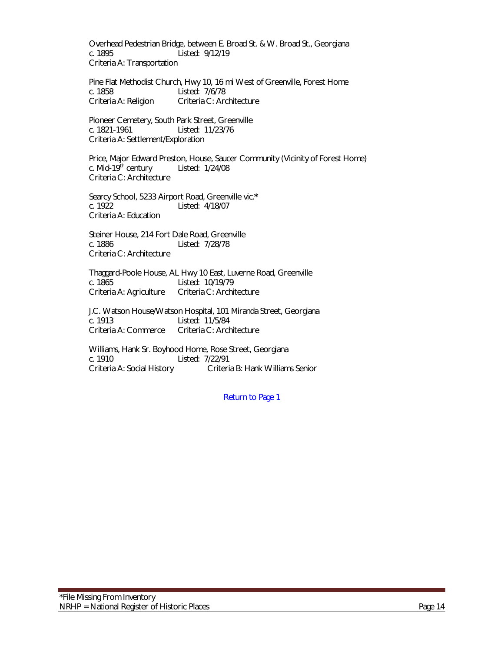Overhead Pedestrian Bridge, between E. Broad St. & W. Broad St., Georgiana c. 1895 Listed: 9/12/19 Criteria A: Transportation

Pine Flat Methodist Church, Hwy 10, 16 mi West of Greenville, Forest Home c. 1858 Listed: 7/6/78 Criteria A: Religion Criteria C: Architecture

Pioneer Cemetery, South Park Street, Greenville c. 1821-1961 Listed: 11/23/76 Criteria A: Settlement/Exploration

Price, Major Edward Preston, House, Saucer Community (Vicinity of Forest Home)<br>c. Mid-19<sup>th</sup> century Listed: 1/24/08 c. Mid-19 $th$  century Criteria C: Architecture

Searcy School, 5233 Airport Road, Greenville vic.**\*** c. 1922 Listed: 4/18/07 Criteria A: Education

Steiner House, 214 Fort Dale Road, Greenville c. 1886 Listed: 7/28/78 Criteria C: Architecture

Thaggard-Poole House, AL Hwy 10 East, Luverne Road, Greenville Listed: 10/19/79 Criteria A: Agriculture Criteria C: Architecture

 J.C. Watson House/Watson Hospital, 101 Miranda Street, Georgiana c. 1913 Listed: 11/5/84 Criteria A: Commerce Criteria C: Architecture

Williams, Hank Sr. Boyhood Home, Rose Street, Georgiana c. 1910 Listed: 7/22/91 Criteria A: Social History Criteria B: Hank Williams Senior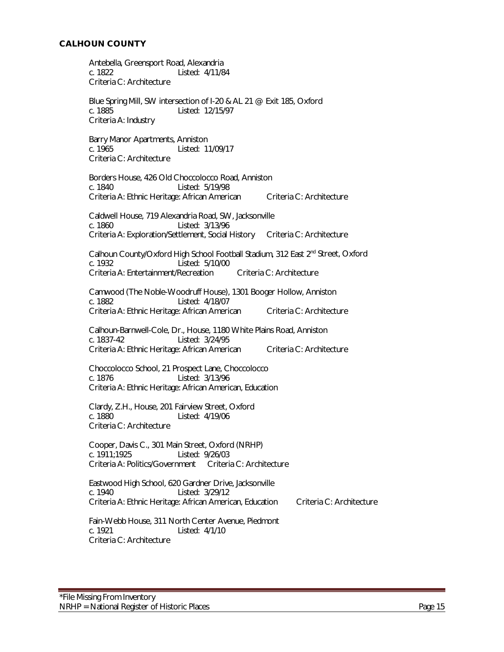<span id="page-14-0"></span>Antebella, Greensport Road, Alexandria c. 1822 Listed: 4/11/84 Criteria C: Architecture Blue Spring Mill, SW intersection of I-20 & AL 21 @ Exit 185, Oxford c. 1885 Listed: 12/15/97 Criteria A: Industry Barry Manor Apartments, Anniston<br>c. 1965 [17] Listed: 11 Listed: 11/09/17 Criteria C: Architecture Borders House, 426 Old Choccolocco Road, Anniston c. 1840 Listed: 5/19/98 Criteria A: Ethnic Heritage: African American Criteria C: Architecture Caldwell House, 719 Alexandria Road, SW, Jacksonville c. 1860 Listed: 3/13/96 Criteria A: Exploration/Settlement, Social History Criteria C: Architecture Calhoun County/Oxford High School Football Stadium, 312 East 2<sup>nd</sup> Street, Oxford C. 1932 Listed: 5/10/00 Criteria A: Entertainment/Recreation Criteria C: Architecture Camwood (The Noble-Woodruff House), 1301 Booger Hollow, Anniston c. 1882 Listed: 4/18/07 Criteria A: Ethnic Heritage: African American Criteria C: Architecture Calhoun-Barnwell-Cole, Dr., House, 1180 White Plains Road, Anniston c. 1837-42 Listed: 3/24/95 Criteria A: Ethnic Heritage: African American Criteria C: Architecture Choccolocco School, 21 Prospect Lane, Choccolocco c. 1876 Listed: 3/13/96 Criteria A: Ethnic Heritage: African American, Education Clardy, Z.H., House, 201 Fairview Street, Oxford c. 1880 Listed: 4/19/06 Criteria C: Architecture Cooper, Davis C., 301 Main Street, Oxford (NRHP) c. 1911;1925 Listed: 9/26/03 Criteria A: Politics/Government Criteria C: Architecture Eastwood High School, 620 Gardner Drive, Jacksonville c. 1940 Listed: 3/29/12 Criteria A: Ethnic Heritage: African American, Education Criteria C: Architecture Fain-Webb House, 311 North Center Avenue, Piedmont c. 1921 Listed: 4/1/10 Criteria C: Architecture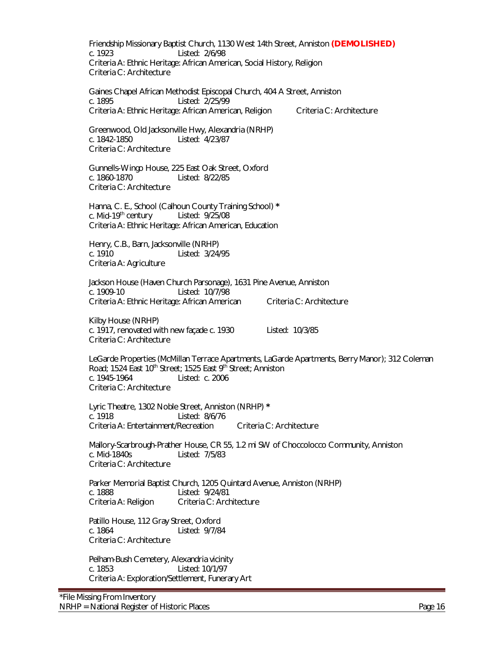Friendship Missionary Baptist Church, 1130 West 14th Street, Anniston **(DEMOLISHED)** Listed: 2/6/98 Criteria A: Ethnic Heritage: African American, Social History, Religion Criteria C: Architecture

Gaines Chapel African Methodist Episcopal Church, 404 A Street, Anniston c. 1895 Listed: 2/25/99 Criteria A: Ethnic Heritage: African American, Religion Criteria C: Architecture

Greenwood, Old Jacksonville Hwy, Alexandria (NRHP) c. 1842-1850 Listed: 4/23/87 Criteria C: Architecture

Gunnells-Wingo House, 225 East Oak Street, Oxford c. 1860-1870 Listed: 8/22/85 Criteria C: Architecture

Hanna, C. E., School (Calhoun County Training School) **\*** c. Mid-19<sup>th</sup> century Criteria A: Ethnic Heritage: African American, Education

Henry, C.B., Barn, Jacksonville (NRHP) c. 1910 Listed: 3/24/95 Criteria A: Agriculture

Jackson House (Haven Church Parsonage), 1631 Pine Avenue, Anniston c. 1909-10 Listed: 10/7/98 Criteria A: Ethnic Heritage: African American Criteria C: Architecture

Kilby House (NRHP) c. 1917, renovated with new façade c. 1930 Listed: 10/3/85 Criteria C: Architecture

LeGarde Properties (McMillan Terrace Apartments, LaGarde Apartments, Berry Manor); 312 Coleman Road; 1524 East 10<sup>th</sup> Street; 1525 East 9<sup>th</sup> Street; Anniston c. 1945-1964 Listed: c. 2006 Criteria C: Architecture

Lyric Theatre, 1302 Noble Street, Anniston (NRHP) **\*** c. 1918 Listed: 8/6/76 Criteria A: Entertainment/Recreation Criteria C: Architecture

Mallory-Scarbrough-Prather House, CR 55, 1.2 mi SW of Choccolocco Community, Anniston c. Mid-1840s Listed: 7/5/83 Criteria C: Architecture

Parker Memorial Baptist Church, 1205 Quintard Avenue, Anniston (NRHP) c. 1888 Listed: 9/24/81 Criteria A: Religion Criteria C: Architecture

Patillo House, 112 Gray Street, Oxford c. 1864 Listed: 9/7/84 Criteria C: Architecture

Pelham-Bush Cemetery, Alexandria vicinity c. 1853 Listed: 10/1/97 Criteria A: Exploration/Settlement, Funerary Art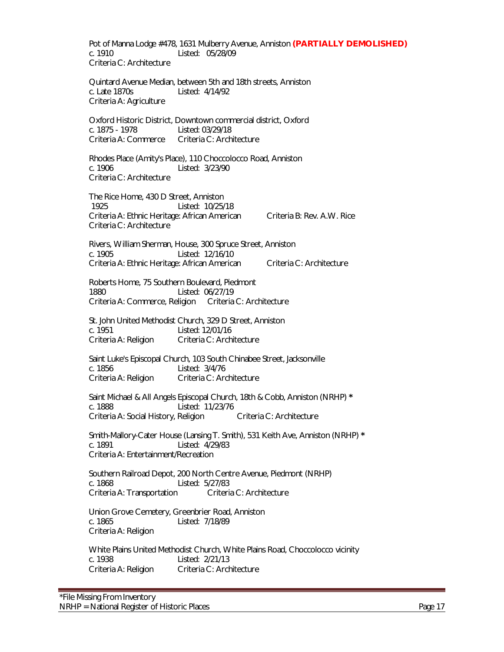Pot of Manna Lodge #478, 1631 Mulberry Avenue, Anniston **(PARTIALLY DEMOLISHED)** Listed: 05/28/09 Criteria C: Architecture

Quintard Avenue Median, between 5th and 18th streets, Anniston c. Late 1870s Listed: 4/14/92 Criteria A: Agriculture

Oxford Historic District, Downtown commercial district, Oxford c. 1875 - 1978 Listed: 03/29/18 Criteria A: Commerce Criteria C: Architecture

Rhodes Place (Amity's Place), 110 Choccolocco Road, Anniston c. 1906 Listed: 3/23/90 Criteria C: Architecture

The Rice Home, 430 D Street, Anniston 1925 Listed: 10/25/18 Criteria A: Ethnic Heritage: African American Criteria B: Rev. A.W. Rice Criteria C: Architecture

Rivers, William Sherman, House, 300 Spruce Street, Anniston c. 1905 Listed: 12/16/10 Criteria A: Ethnic Heritage: African American Criteria C: Architecture

Roberts Home, 75 Southern Boulevard, Piedmont 1880 Listed: 06/27/19 Criteria A: Commerce, Religion Criteria C: Architecture

St. John United Methodist Church, 329 D Street, Anniston c. 1951 Listed: 12/01/16 Criteria A: Religion Criteria C: Architecture

Saint Luke's Episcopal Church, 103 South Chinabee Street, Jacksonville c. 1856 Listed: 3/4/76 Criteria A: Religion Criteria C: Architecture

Saint Michael & All Angels Episcopal Church, 18th & Cobb, Anniston (NRHP) **\*** c. 1888 Listed: 11/23/76 Criteria A: Social History, Religion Criteria C: Architecture

Smith-Mallory-Cater House (Lansing T. Smith), 531 Keith Ave, Anniston (NRHP) **\*** c. 1891 Listed: 4/29/83 Criteria A: Entertainment/Recreation

Southern Railroad Depot, 200 North Centre Avenue, Piedmont (NRHP) c. 1868 Listed: 5/27/83 Criteria A: Transportation Criteria C: Architecture

Union Grove Cemetery, Greenbrier Road, Anniston c. 1865 Listed: 7/18/89 Criteria A: Religion

White Plains United Methodist Church, White Plains Road, Choccolocco vicinity c. 1938 Listed: 2/21/13 Criteria A: Religion Criteria C: Architecture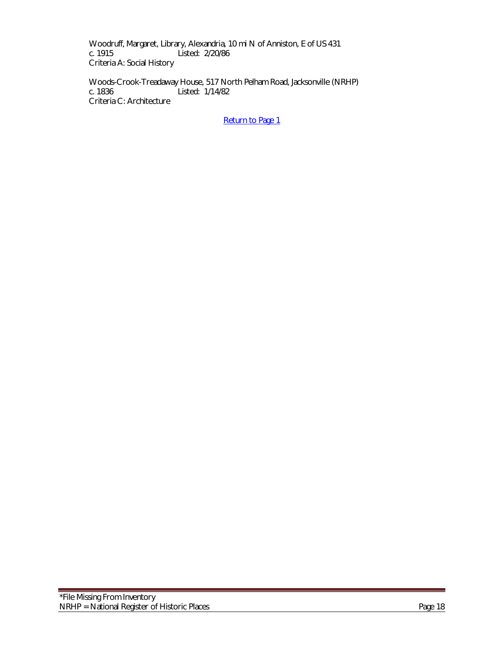Woodruff, Margaret, Library, Alexandria, 10 mi N of Anniston, E of US 431 c. 1915 Listed:  $2/20/86$ Listed: 2/20/86 Criteria A: Social History

Woods-Crook-Treadaway House, 517 North Pelham Road, Jacksonville (NRHP)<br>c. 1836 Listed: 1/14/82 Listed: 1/14/82 Criteria C: Architecture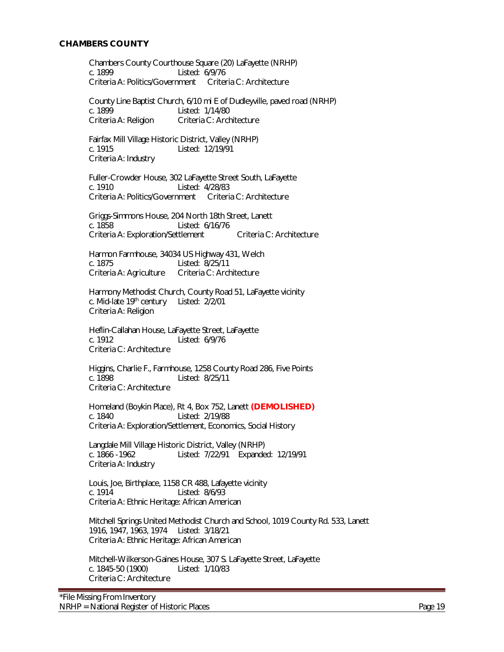#### <span id="page-18-0"></span>**CHAMBERS COUNTY**

Chambers County Courthouse Square (20) LaFayette (NRHP) c. 1899 Listed: 6/9/76 Criteria A: Politics/Government Criteria C: Architecture

County Line Baptist Church, 6/10 mi E of Dudleyville, paved road (NRHP) c. 1899 Listed: 1/14/80 Criteria A: Religion Criteria C: Architecture

Fairfax Mill Village Historic District, Valley (NRHP) c. 1915 Listed: 12/19/91 Criteria A: Industry

Fuller-Crowder House, 302 LaFayette Street South, LaFayette c. 1910 Listed: 4/28/83 Criteria A: Politics/Government Criteria C: Architecture

Griggs-Simmons House, 204 North 18th Street, Lanett c. 1858 Listed: 6/16/76 Criteria A: Exploration/Settlement Criteria C: Architecture

Harmon Farmhouse, 34034 US Highway 431, Welch Listed: 8/25/11<br>Criteria C: Architecture Criteria A: Agriculture

Harmony Methodist Church, County Road 51, LaFayette vicinity c. Mid-late 19<sup>th</sup> century Listed: 2/2/01 Criteria A: Religion

Heflin-Callahan House, LaFayette Street, LaFayette c. 1912 Listed: 6/9/76 Criteria C: Architecture

Higgins, Charlie F., Farmhouse, 1258 County Road 286, Five Points c. 1898 Listed: 8/25/11 Criteria C: Architecture

Homeland (Boykin Place), Rt 4, Box 752, Lanett **(DEMOLISHED)** c. 1840 Listed: 2/19/88 Criteria A: Exploration/Settlement, Economics, Social History

Langdale Mill Village Historic District, Valley (NRHP) c. 1866 -1962 Listed: 7/22/91 Expanded: 12/19/91 Criteria A: Industry

Louis, Joe, Birthplace, 1158 CR 488, Lafayette vicinity c. 1914 Listed: 8/6/93 Criteria A: Ethnic Heritage: African American

Mitchell Springs United Methodist Church and School, 1019 County Rd. 533, Lanett 1916, 1947, 1963, 1974 Listed: 3/18/21 Criteria A: Ethnic Heritage: African American

Mitchell-Wilkerson-Gaines House, 307 S. LaFayette Street, LaFayette c. 1845-50 (1900) Listed: 1/10/83 Criteria C: Architecture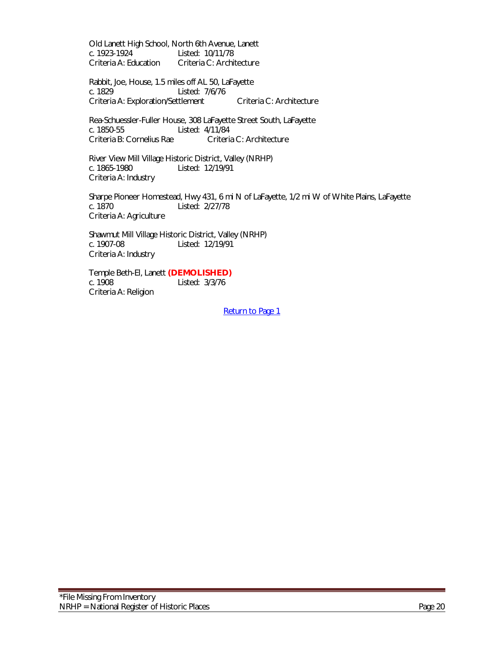Old Lanett High School, North 6th Avenue, Lanett c. 1923-1924 Listed: 10/11/78<br>Criteria A: Education Criteria C: Archi Criteria C: Architecture

Rabbit, Joe, House, 1.5 miles off AL 50, LaFayette c. 1829 Listed: 7/6/76 Criteria A: Exploration/Settlement Criteria C: Architecture

Rea-Schuessler-Fuller House, 308 LaFayette Street South, LaFayette Listed: 4/11/84<br>Criteria C: Architecture Criteria B: Cornelius Rae

 River View Mill Village Historic District, Valley (NRHP) c. 1865-1980 Listed: 12/19/91 Criteria A: Industry

Sharpe Pioneer Homestead, Hwy 431, 6 mi N of LaFayette, 1/2 mi W of White Plains, LaFayette c. 1870 Listed: 2/27/78 Criteria A: Agriculture

Shawmut Mill Village Historic District, Valley (NRHP) c. 1907-08 Listed: 12/19/91 Criteria A: Industry

Temple Beth-El, Lanett **(DEMOLISHED)** Listed: 3/3/76 Criteria A: Religion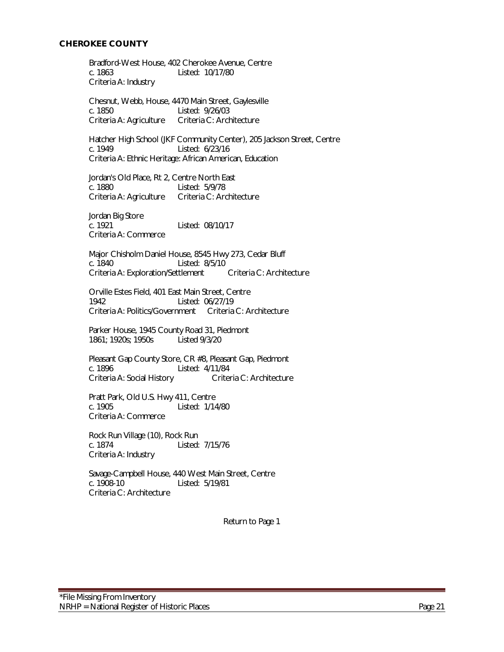### <span id="page-20-0"></span>**CHEROKEE COUNTY**

Bradford-West House, 402 Cherokee Avenue, Centre c. 1863 Listed: 10/17/80 Criteria A: Industry

Chesnut, Webb, House, 4470 Main Street, Gaylesville c. 1850 Listed: 9/26/03 Criteria A: Agriculture Criteria C: Architecture

Hatcher High School (JKF Community Center), 205 Jackson Street, Centre<br>c. 1949 Listed: 6/23/16 Listed: 6/23/16 Criteria A: Ethnic Heritage: African American, Education

Jordan's Old Place, Rt 2, Centre North East c. 1880 Listed: 5/9/78 Criteria A: Agriculture Criteria C: Architecture

Jordan Big Store c. 1921 Listed: 08/10/17 Criteria A: Commerce

Major Chisholm Daniel House, 8545 Hwy 273, Cedar Bluff Listed: 8/5/10<br>ttlement Criteria C: Architecture Criteria A: Exploration/Settlement

Orville Estes Field, 401 East Main Street, Centre 1942 Listed: 06/27/19 Criteria A: Politics/Government Criteria C: Architecture

Parker House, 1945 County Road 31, Piedmont 1861; 1920s; 1950s Listed 9/3/20

Pleasant Gap County Store, CR #8, Pleasant Gap, Piedmont c. 1896 Listed: 4/11/84 Criteria A: Social History Criteria C: Architecture

Pratt Park, Old U.S. Hwy 411, Centre c. 1905 Listed: 1/14/80 Criteria A: Commerce

Rock Run Village (10), Rock Run c. 1874 Listed: 7/15/76 Criteria A: Industry

Savage-Campbell House, 440 West Main Street, Centre c. 1908-10 Listed: 5/19/81 Criteria C: Architecture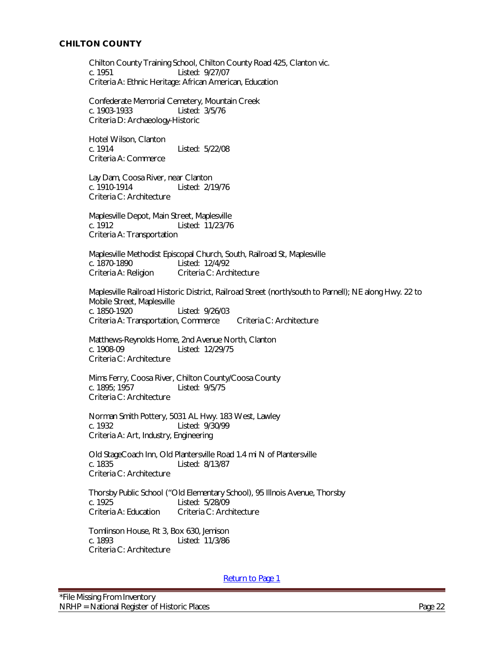<span id="page-21-0"></span>Chilton County Training School, Chilton County Road 425, Clanton vic. c. 1951 Listed: 9/27/07 Criteria A: Ethnic Heritage: African American, Education

Confederate Memorial Cemetery, Mountain Creek c. 1903-1933 Listed: 3/5/76 Criteria D: Archaeology-Historic

Hotel Wilson, Clanton<br>c. 1914 Listed: 5/22/08 Criteria A: Commerce

Lay Dam, Coosa River, near Clanton c. 1910-1914 Listed: 2/19/76 Criteria C: Architecture

Maplesville Depot, Main Street, Maplesville c. 1912 Listed: 11/23/76 Criteria A: Transportation

Maplesville Methodist Episcopal Church, South, Railroad St, Maplesville Listed: 12/4/92 Criteria A: Religion Criteria C: Architecture

Maplesville Railroad Historic District, Railroad Street (north/south to Parnell); NE along Hwy. 22 to Mobile Street, Maplesville c. 1850-1920 Listed: 9/26/03 Criteria A: Transportation, Commerce Criteria C: Architecture

Matthews-Reynolds Home, 2nd Avenue North, Clanton c. 1908-09 Listed: 12/29/75 Criteria C: Architecture

Mims Ferry, Coosa River, Chilton County/Coosa County Listed: 9/5/75 Criteria C: Architecture

Norman Smith Pottery, 5031 AL Hwy. 183 West, Lawley c. 1932 Listed: 9/30/99 Criteria A: Art, Industry, Engineering

Old StageCoach Inn, Old Plantersville Road 1.4 mi N of Plantersville c. 1835 Listed: 8/13/87 Criteria C: Architecture

Thorsby Public School ("Old Elementary School), 95 Illnois Avenue, Thorsby c. 1925 Listed: 5/28/09<br>Criteria A: Education Criteria C: Arch Criteria C: Architecture

Tomlinson House, Rt 3, Box 630, Jemison c. 1893 Listed: 11/3/86 Criteria C: Architecture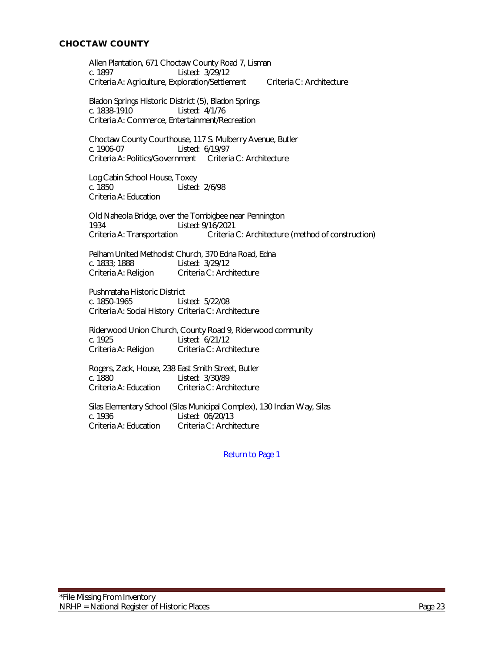# <span id="page-22-0"></span>**CHOCTAW COUNTY**

Allen Plantation, 671 Choctaw County Road 7, Lisman c. 1897 Listed: 3/29/12 Criteria A: Agriculture, Exploration/Settlement Criteria C: Architecture

Bladon Springs Historic District (5), Bladon Springs c. 1838-1910 Listed: 4/1/76 Criteria A: Commerce, Entertainment/Recreation

Choctaw County Courthouse, 117 S. Mulberry Avenue, Butler Listed: 6/19/97 Criteria A: Politics/Government Criteria C: Architecture

Log Cabin School House, Toxey c. 1850 Listed: 2/6/98 Criteria A: Education

Old Naheola Bridge, over the Tombigbee near Pennington 1934 Listed: 9/16/2021 Criteria A: Transportation Criteria C: Architecture (method of construction)

Pelham United Methodist Church, 370 Edna Road, Edna<br>c. 1833: 1888 Listed: 3/29/12 Listed: 3/29/12 Criteria A: Religion Criteria C: Architecture

Pushmataha Historic District c. 1850-1965 Listed: 5/22/08 Criteria A: Social History Criteria C: Architecture

Riderwood Union Church, County Road 9, Riderwood community c. 1925 Listed: 6/21/12 Criteria A: Religion Criteria C: Architecture

Rogers, Zack, House, 238 East Smith Street, Butler c. 1880<br>Criteria A: Education Criteria C: Arch Criteria C: Architecture

Silas Elementary School (Silas Municipal Complex), 130 Indian Way, Silas c. 1936 Listed: 06/20/13<br>Criteria A: Education Criteria C: Archi Criteria C: Architecture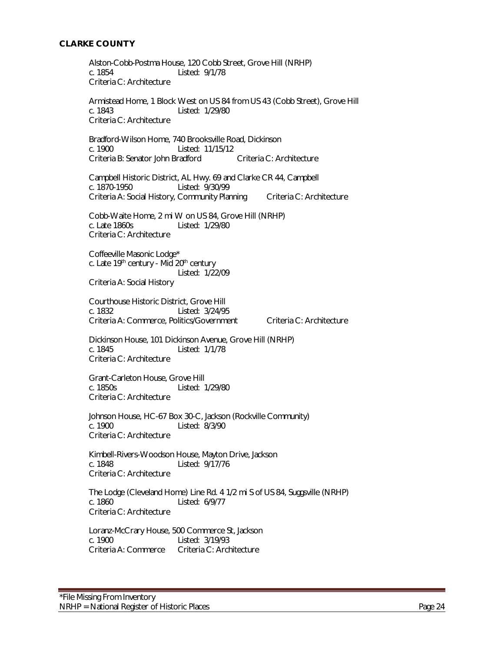### <span id="page-23-0"></span>**CLARKE COUNTY**

Alston-Cobb-Postma House, 120 Cobb Street, Grove Hill (NRHP) c. 1854 Listed: 9/1/78 Criteria C: Architecture

Armistead Home, 1 Block West on US 84 from US 43 (Cobb Street), Grove Hill c. 1843 Listed: 1/29/80 Criteria C: Architecture

Bradford-Wilson Home, 740 Brooksville Road, Dickinson Listed: 11/15/12 Criteria B: Senator John Bradford Criteria C: Architecture

Campbell Historic District, AL Hwy. 69 and Clarke CR 44, Campbell c. 1870-1950 Listed: 9/30/99 Criteria A: Social History, Community Planning Criteria C: Architecture

Cobb-Waite Home, 2 mi W on US 84, Grove Hill (NRHP) c. Late 1860s Listed: 1/29/80 Criteria C: Architecture

Coffeeville Masonic Lodge\* c. Late  $19<sup>th</sup>$  century - Mid  $20<sup>th</sup>$  century Listed: 1/22/09 Criteria A: Social History

Courthouse Historic District, Grove Hill c. 1832 Listed: 3/24/95 Criteria A: Commerce, Politics/Government Criteria C: Architecture

Dickinson House, 101 Dickinson Avenue, Grove Hill (NRHP) c. 1845 Listed: 1/1/78 Criteria C: Architecture

Grant-Carleton House, Grove Hill<br>C. 1850s [15ted: 1850s] Listed: 1/29/80 Criteria C: Architecture

Johnson House, HC-67 Box 30-C, Jackson (Rockville Community) c. 1900 Listed: 8/3/90 Criteria C: Architecture

Kimbell-Rivers-Woodson House, Mayton Drive, Jackson c. 1848 Listed: 9/17/76 Criteria C: Architecture

The Lodge (Cleveland Home) Line Rd. 4 1/2 mi S of US 84, Suggsville (NRHP) c. 1860 Listed: 6/9/77 Criteria C: Architecture

Loranz-McCrary House, 500 Commerce St, Jackson c. 1900 Listed: 3/19/93 Criteria A: Commerce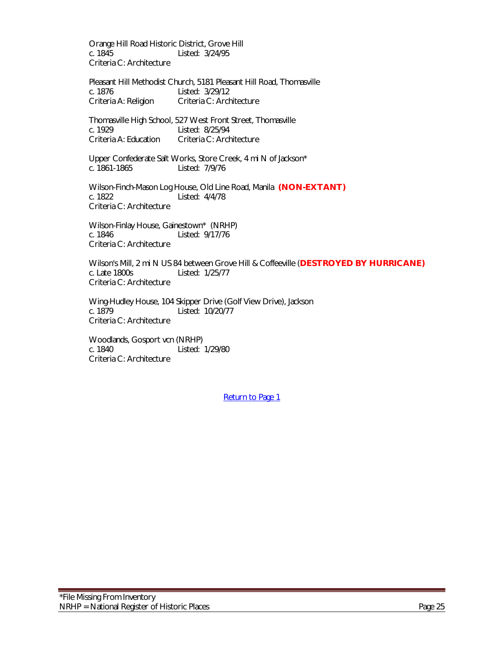Orange Hill Road Historic District, Grove Hill c. 1845 Listed: 3/24/95 Criteria C: Architecture

Pleasant Hill Methodist Church, 5181 Pleasant Hill Road, Thomasville c. 1876 Listed: 3/29/12 Criteria A: Religion Criteria C: Architecture

Thomasville High School, 527 West Front Street, Thomasville c. 1929 Listed: 8/25/94<br>Criteria A: Education Criteria C: Arch Criteria C: Architecture

Upper Confederate Salt Works, Store Creek, 4 mi N of Jackson\*<br>c. 1861-1865 Listed: 7/9/76 Listed: 7/9/76

Wilson-Finch-Mason Log House, Old Line Road, Manila **(NON-EXTANT)**<br>c. 1822 **Mart Lines** Listed: 4/4/78 Listed: 4/4/78 Criteria C: Architecture

Wilson-Finlay House, Gainestown\* (NRHP) c. 1846 Listed: 9/17/76 Criteria C: Architecture

Wilson's Mill, 2 mi N US 84 between Grove Hill & Coffeeville (**DESTROYED BY HURRICANE)** c. Late 1800s Listed: 1/25/77 Criteria C: Architecture

Wing-Hudley House, 104 Skipper Drive (Golf View Drive), Jackson<br>c. 1879 Listed: 10/20/77 Listed: 10/20/77 Criteria C: Architecture

Woodlands, Gosport vcn (NRHP) c. 1840 Listed: 1/29/80 Criteria C: Architecture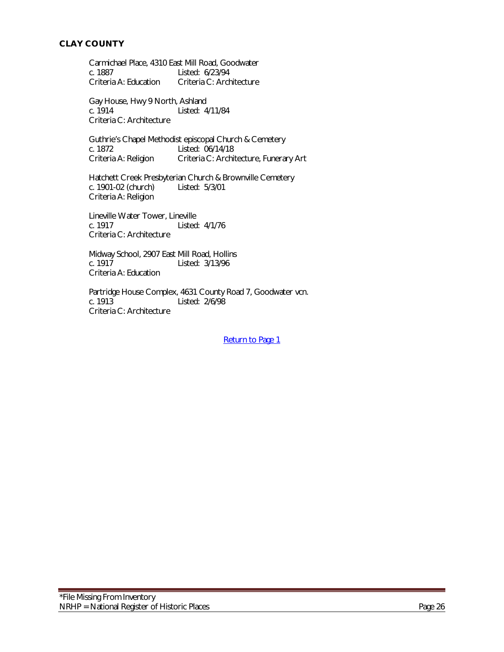<span id="page-25-0"></span>Carmichael Place, 4310 East Mill Road, Goodwater<br>c. 1887 Listed: 6/23/94 c. 1887 Listed: 6/23/94<br>Criteria A: Education Criteria C: Arch Criteria C: Architecture

Gay House, Hwy 9 North, Ashland c. 1914 Listed: 4/11/84 Criteria C: Architecture

Guthrie's Chapel Methodist episcopal Church & Cemetery<br>c. 1872 Listed: 06/14/18 c. 1872 Listed: 06/14/18<br>Criteria A: Religion Criteria C: Archi Criteria C: Architecture, Funerary Art

Hatchett Creek Presbyterian Church & Brownville Cemetery<br>c. 1901-02 (church) Listed: 5/3/01 c. 1901-02 (church) Criteria A: Religion

Lineville Water Tower, Lineville c. 1917 Listed: 4/1/76 Criteria C: Architecture

Midway School, 2907 East Mill Road, Hollins<br>c. 1917 Listed: 3/13/96 Listed: 3/13/96 Criteria A: Education

Partridge House Complex, 4631 County Road 7, Goodwater vcn.<br>c. 1913 Listed: 2/6/98 Listed: 2/6/98 Criteria C: Architecture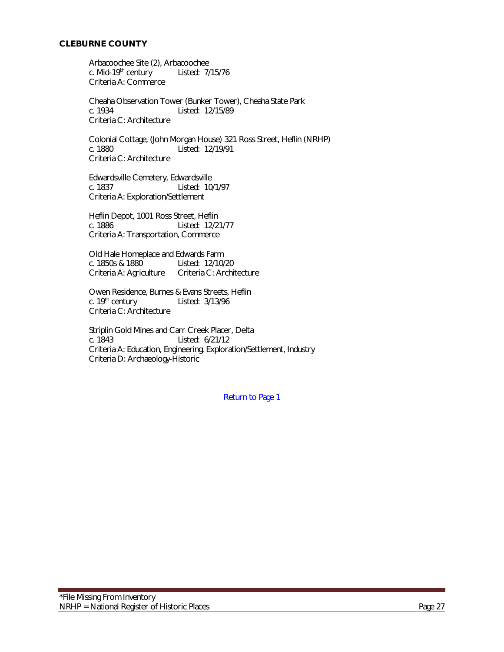# <span id="page-26-0"></span>**CLEBURNE COUNTY**

Arbacoochee Site (2), Arbacoochee<br>c. Mid-19<sup>th</sup> century Listed: 7/15/76 c. Mid-19<sup>th</sup> century Criteria A: Commerce

Cheaha Observation Tower (Bunker Tower), Cheaha State Park<br>c. 1934 – Listed: 12/15/89 Listed: 12/15/89 Criteria C: Architecture

Colonial Cottage, (John Morgan House) 321 Ross Street, Heflin (NRHP) Listed: 12/19/91 Criteria C: Architecture

Edwardsville Cemetery, Edwardsville c. 1837 Listed: 10/1/97 Criteria A: Exploration/Settlement

Heflin Depot, 1001 Ross Street, Heflin c. 1886 Listed: 12/21/77 Criteria A: Transportation, Commerce

Old Hale Homeplace and Edwards Farm<br>c. 1850s & 1880 Listed: 12/10/ Listed: 12/10/20 Criteria A: Agriculture Criteria C: Architecture

Owen Residence, Burnes & Evans Streets, Heflin<br>c. 19<sup>th</sup> century Listed: 3/13/96 Listed: 3/13/96 Criteria C: Architecture

Striplin Gold Mines and Carr Creek Placer, Delta c. 1843 Listed: 6/21/12 Criteria A: Education, Engineering, Exploration/Settlement, Industry Criteria D: Archaeology-Historic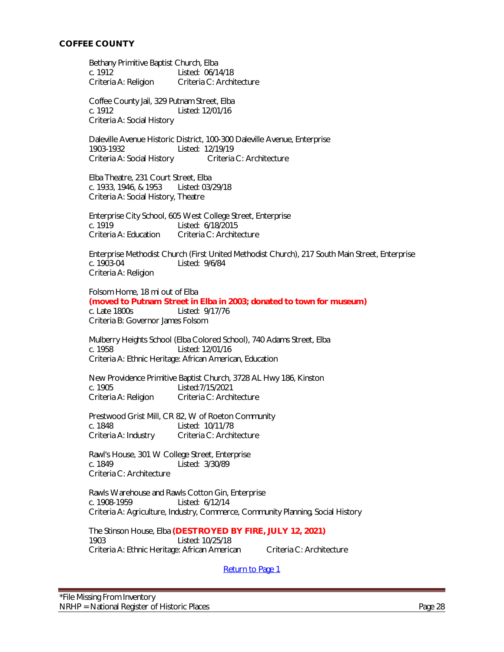<span id="page-27-0"></span>Bethany Primitive Baptist Church, Elba c. 1912 Listed: 06/14/18 Criteria A: Religion Criteria C: Architecture

Coffee County Jail, 329 Putnam Street, Elba c. 1912 Listed: 12/01/16 Criteria A: Social History

Daleville Avenue Historic District, 100-300 Daleville Avenue, Enterprise 1903-1932 Listed: 12/19/19 Criteria A: Social History Criteria C: Architecture

Elba Theatre, 231 Court Street, Elba c. 1933, 1946, & 1953 Listed: 03/29/18 Criteria A: Social History, Theatre

Enterprise City School, 605 West College Street, Enterprise c. 1919 Listed: 6/18/2015 Criteria A: Education Criteria C: Architecture

Enterprise Methodist Church (First United Methodist Church), 217 South Main Street, Enterprise<br>c. 1903-04 Listed: 9/6/84 Listed: 9/6/84 Criteria A: Religion

Folsom Home, 18 mi out of Elba **(moved to Putnam Street in Elba in 2003; donated to town for museum)** c. Late 1800s Listed: 9/17/76 Criteria B: Governor James Folsom

Mulberry Heights School (Elba Colored School), 740 Adams Street, Elba c. 1958 Listed: 12/01/16 Criteria A: Ethnic Heritage: African American, Education

New Providence Primitive Baptist Church, 3728 AL Hwy 186, Kinston Listed: 7/15/2021 Criteria A: Religion Criteria C: Architecture

Prestwood Grist Mill, CR 82, W of Roeton Community c. 1848 Listed: 10/11/78 Criteria A: Industry Criteria C: Architecture

Rawl's House, 301 W College Street, Enterprise c. 1849 Listed: 3/30/89 Criteria C: Architecture

Rawls Warehouse and Rawls Cotton Gin, Enterprise c. 1908-1959 Listed: 6/12/14 Criteria A: Agriculture, Industry, Commerce, Community Planning, Social History

The Stinson House, Elba **(DESTROYED BY FIRE, JULY 12, 2021)** 1903 Listed: 10/25/18 Criteria A: Ethnic Heritage: African American Criteria C: Architecture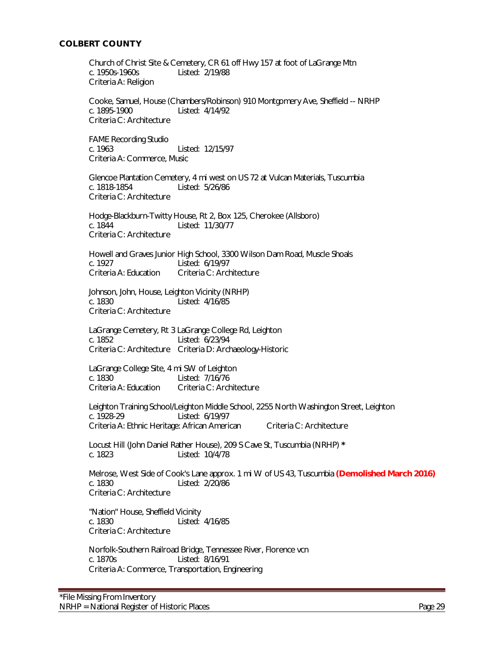# <span id="page-28-0"></span>**COLBERT COUNTY**

Church of Christ Site & Cemetery, CR 61 off Hwy 157 at foot of LaGrange Mtn c. 1950s-1960s Listed: 2/19/88 Criteria A: Religion

Cooke, Samuel, House (Chambers/Robinson) 910 Montgomery Ave, Sheffield -- NRHP c. 1895-1900 Listed: 4/14/92 Criteria C: Architecture

FAME Recording Studio c. 1963 Listed: 12/15/97 Criteria A: Commerce, Music

Glencoe Plantation Cemetery, 4 mi west on US 72 at Vulcan Materials, Tuscumbia c. 1818-1854 Listed: 5/26/86 Criteria C: Architecture

Hodge-Blackburn-Twitty House, Rt 2, Box 125, Cherokee (Allsboro) c. 1844 Listed: 11/30/77 Criteria C: Architecture

Howell and Graves Junior High School, 3300 Wilson Dam Road, Muscle Shoals<br>c. 1927 c. 1927 Listed: 6/19/97<br>Criteria A: Education Criteria C: Arch Criteria C: Architecture

Johnson, John, House, Leighton Vicinity (NRHP) c. 1830 Listed: 4/16/85 Criteria C: Architecture

LaGrange Cemetery, Rt 3 LaGrange College Rd, Leighton c. 1852 Listed: 6/23/94 Criteria C: Architecture Criteria D: Archaeology-Historic

LaGrange College Site, 4 mi SW of Leighton c. 1830 Listed: 7/16/76<br>Criteria A: Education Criteria C: Arch Criteria C: Architecture

Leighton Training School/Leighton Middle School, 2255 North Washington Street, Leighton<br>c. 1928-29<br> Listed: 6/19/97 Criteria A: Ethnic Heritage: African American Criteria C: Architecture

Locust Hill (John Daniel Rather House), 209 S Cave St, Tuscumbia (NRHP) **\*** c. 1823 Listed: 10/4/78

Melrose, West Side of Cook's Lane approx. 1 mi W of US 43, Tuscumbia **(Demolished March 2016)** c. 1830 Listed: 2/20/86 Criteria C: Architecture

"Nation" House, Sheffield Vicinity c. 1830 Listed: 4/16/85 Criteria C: Architecture

Norfolk-Southern Railroad Bridge, Tennessee River, Florence vcn c. 1870s Listed: 8/16/91 Criteria A: Commerce, Transportation, Engineering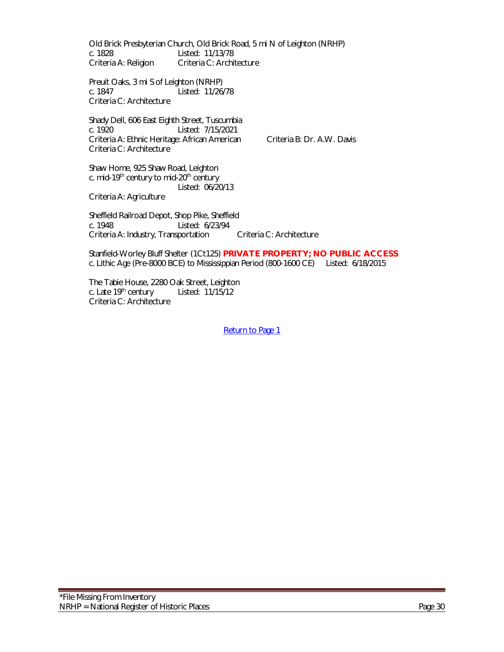Old Brick Presbyterian Church, Old Brick Road, 5 mi N of Leighton (NRHP) c. 1828 Listed: 11/13/78<br>Criteria A: Religion Criteria C: Archi Criteria C: Architecture

Preuit Oaks, 3 mi S of Leighton (NRHP) c. 1847 Listed: 11/26/78 Criteria C: Architecture

Shady Dell, 606 East Eighth Street, Tuscumbia c. 1920 Listed: 7/15/2021 Criteria A: Ethnic Heritage: African American Criteria B: Dr. A.W. Davis Criteria C: Architecture

Shaw Home, 925 Shaw Road, Leighton c. mid-19<sup>th</sup> century to mid-20<sup>th</sup> century Listed: 06/20/13

Criteria A: Agriculture

Sheffield Railroad Depot, Shop Pike, Sheffield c. 1948 Listed: 6/23/94 Criteria A: Industry, Transportation Criteria C: Architecture

Stanfield-Worley Bluff Shelter (1Ct125) **PRIVATE PROPERTY; NO PUBLIC ACCESS** c. Lithic Age (Pre-8000 BCE) to Mississippian Period (800-1600 CE) Listed: 6/18/2015

The Tabie House, 2280 Oak Street, Leighton c. Late 19th century Listed: 11/15/12 Criteria C: Architecture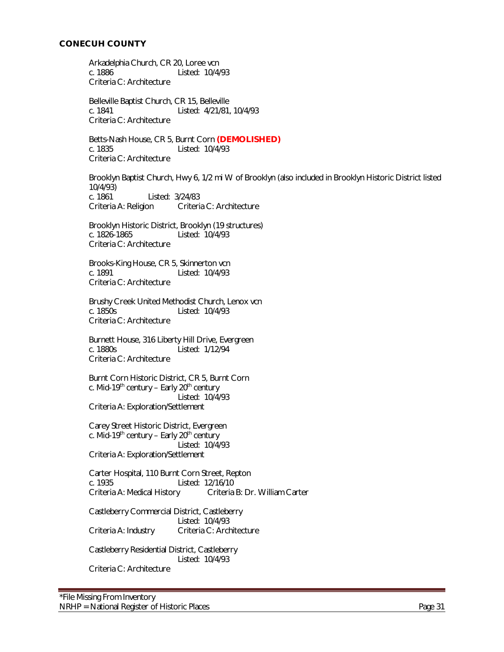<span id="page-30-0"></span>Arkadelphia Church, CR 20, Loree vcn c. 1886 Listed: 10/4/93 Criteria C: Architecture

Belleville Baptist Church, CR 15, Belleville c. 1841 Listed: 4/21/81, 10/4/93 Criteria C: Architecture

Betts-Nash House, CR 5, Burnt Corn **(DEMOLISHED)** c. 1835 Listed: 10/4/93 Criteria C: Architecture

Brooklyn Baptist Church, Hwy 6, 1/2 mi W of Brooklyn (also included in Brooklyn Historic District listed 10/4/93) c. 1861 Listed: 3/24/83 Criteria A: Religion Criteria C: Architecture

Brooklyn Historic District, Brooklyn (19 structures) c. 1826-1865 Listed: 10/4/93 Criteria C: Architecture

Brooks-King House, CR 5, Skinnerton vcn c. 1891 Listed: 10/4/93 Criteria C: Architecture

Brushy Creek United Methodist Church, Lenox vcn c. 1850s Listed: 10/4/93 Criteria C: Architecture

Burnett House, 316 Liberty Hill Drive, Evergreen c. 1880s Listed: 1/12/94 Criteria C: Architecture

Burnt Corn Historic District, CR 5, Burnt Corn c. Mid-19<sup>th</sup> century – Early 20<sup>th</sup> century Listed: 10/4/93 Criteria A: Exploration/Settlement

Carey Street Historic District, Evergreen c. Mid-19<sup>th</sup> century – Early 20<sup>th</sup> century Listed: 10/4/93 Criteria A: Exploration/Settlement

Carter Hospital, 110 Burnt Corn Street, Repton c. 1935 Listed: 12/16/10<br>Criteria A: Medical History Criteria Criteria B: Dr. William Carter

Castleberry Commercial District, Castleberry Listed: 10/4/93 Criteria A: Industry Criteria C: Architecture

Castleberry Residential District, Castleberry Listed: 10/4/93 Criteria C: Architecture

\*File Missing From Inventory NRHP = National Register of Historic Places **Page 31** Page 31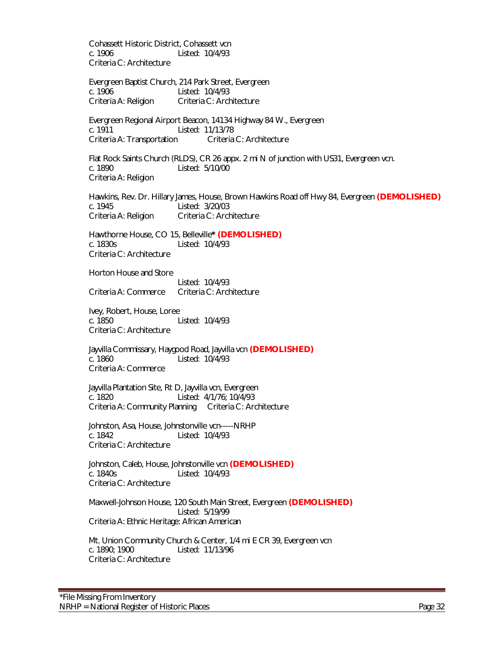Cohassett Historic District, Cohassett vcn c. 1906 Listed: 10/4/93 Criteria C: Architecture

Evergreen Baptist Church, 214 Park Street, Evergreen c. 1906 Listed: 10/4/93 Criteria A: Religion Criteria C: Architecture

Evergreen Regional Airport Beacon, 14134 Highway 84 W., Evergreen c. 1911 Listed: 11/13/78 Criteria A: Transportation Criteria C: Architecture

Flat Rock Saints Church (RLDS), CR 26 appx. 2 mi N of junction with US31, Evergreen vcn. c. 1890 Listed: 5/10/00 Criteria A: Religion

Hawkins, Rev. Dr. Hillary James, House, Brown Hawkins Road off Hwy 84, Evergreen **(DEMOLISHED)** c. 1945 Listed: 3/20/03 Criteria A: Religion Criteria C: Architecture

Hawthorne House, CO 15, Belleville**\* (DEMOLISHED)** c. 1830s Listed: 10/4/93 Criteria C: Architecture

Horton House and Store

Listed: 10/4/93 Criteria A: Commerce Criteria C: Architecture

Ivey, Robert, House, Loree c. 1850 Listed: 10/4/93 Criteria C: Architecture

Jayvilla Commissary, Haygood Road, Jayvilla vcn **(DEMOLISHED)** c. 1860 Listed: 10/4/93 Criteria A: Commerce

Jayvilla Plantation Site, Rt D, Jayvilla vcn, Evergreen c. 1820 Listed: 4/1/76; 10/4/93 Criteria A: Community Planning Criteria C: Architecture

Johnston, Asa, House, Johnstonville vcn-----NRHP c. 1842 Listed: 10/4/93 Criteria C: Architecture

Johnston, Caleb, House, Johnstonville vcn **(DEMOLISHED)** c. 1840s Listed: 10/4/93 Criteria C: Architecture

Maxwell-Johnson House, 120 South Main Street, Evergreen **(DEMOLISHED)** Listed: 5/19/99 Criteria A: Ethnic Heritage: African American

Mt. Union Community Church & Center, 1/4 mi E CR 39, Evergreen vcn c. 1890; 1900 Listed: 11/13/96 Criteria C: Architecture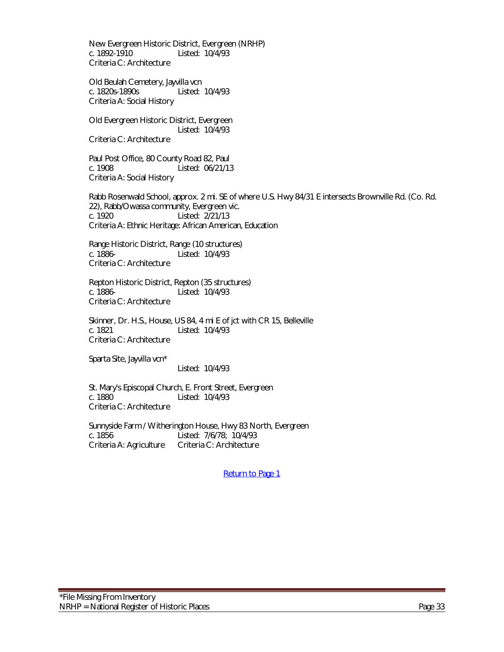New Evergreen Historic District, Evergreen (NRHP) c. 1892-1910 Listed: 10/4/93 Criteria C: Architecture

Old Beulah Cemetery, Jayvilla vcn c. 1820s-1890s Listed: 10/4/93 Criteria A: Social History

Old Evergreen Historic District, Evergreen Listed: 10/4/93 Criteria C: Architecture

Paul Post Office, 80 County Road 82, Paul c. 1908 Listed: 06/21/13 Criteria A: Social History

Rabb Rosenwald School, approx. 2 mi. SE of where U.S. Hwy 84/31 E intersects Brownville Rd. (Co. Rd. 22), Rabb/Owassa community, Evergreen vic. Listed: 2/21/13 Criteria A: Ethnic Heritage: African American, Education

Range Historic District, Range (10 structures) c. 1886- Listed: 10/4/93 Criteria C: Architecture

Repton Historic District, Repton (35 structures) c. 1886- Listed: 10/4/93 Criteria C: Architecture

Skinner, Dr. H.S., House, US 84, 4 mi E of jct with CR 15, Belleville c. 1821 Listed: 10/4/93 Criteria C: Architecture

Sparta Site, Jayvilla vcn\*

Listed: 10/4/93

St. Mary's Episcopal Church, E. Front Street, Evergreen c. 1880 Listed: 10/4/93 Criteria C: Architecture

Sunnyside Farm / Witherington House, Hwy 83 North, Evergreen c. 1856<br>Criteria A: Agriculture Criteria C: Architecture Criteria C: Architecture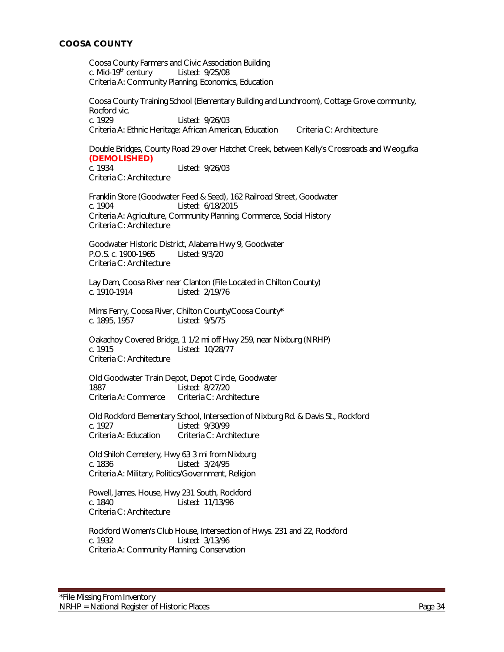# <span id="page-33-0"></span>**COOSA COUNTY**

Coosa County Farmers and Civic Association Building c. Mid-19th century Listed: 9/25/08 Criteria A: Community Planning, Economics, Education

Coosa County Training School (Elementary Building and Lunchroom), Cottage Grove community, Rocford vic. c. 1929 Listed: 9/26/03 Criteria A: Ethnic Heritage: African American, Education Criteria C: Architecture

Double Bridges, County Road 29 over Hatchet Creek, between Kelly's Crossroads and Weogufka **(DEMOLISHED)** Listed: 9/26/03

Criteria C: Architecture

Franklin Store (Goodwater Feed & Seed), 162 Railroad Street, Goodwater c. 1904 Listed: 6/18/2015 Criteria A: Agriculture, Community Planning, Commerce, Social History Criteria C: Architecture

Goodwater Historic District, Alabama Hwy 9, Goodwater P.O.S. c. 1900-1965 Listed: 9/3/20 Criteria C: Architecture

Lay Dam, Coosa River near Clanton (File Located in Chilton County) c. 1910-1914 Listed: 2/19/76

Mims Ferry, Coosa River, Chilton County/Coosa County**\*** Listed: 9/5/75

Oakachoy Covered Bridge, 1 1/2 mi off Hwy 259, near Nixburg (NRHP) c. 1915 Listed: 10/28/77 Criteria C: Architecture

Old Goodwater Train Depot, Depot Circle, Goodwater Listed: 8/27/20 Criteria A: Commerce Criteria C: Architecture

Old Rockford Elementary School, Intersection of Nixburg Rd. & Davis St., Rockford<br>c. 1927 <br>C. 1927 Listed: 9/30/99 Criteria A: Education Criteria C: Architecture

Old Shiloh Cemetery, Hwy 63 3 mi from Nixburg c. 1836 Listed: 3/24/95 Criteria A: Military, Politics/Government, Religion

Powell, James, House, Hwy 231 South, Rockford c. 1840 Listed: 11/13/96 Criteria C: Architecture

Rockford Women's Club House, Intersection of Hwys. 231 and 22, Rockford c. 1932 Listed: 3/13/96 Criteria A: Community Planning, Conservation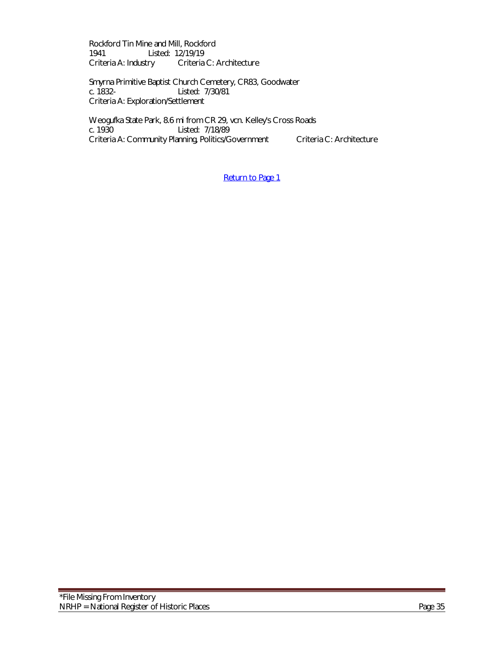Rockford Tin Mine and Mill, Rockford<br>1941 Listed: 12/19/19 1941 Listed: 12/19/19<br>Criteria A: Industry Criteria Criteria C: Architecture

Smyrna Primitive Baptist Church Cemetery, CR83, Goodwater Listed: 7/30/81 Criteria A: Exploration/Settlement

Weogufka State Park, 8.6 mi from CR 29, vcn. Kelley's Cross Roads<br>c. 1930 Listed: 7/18/89 Listed: 7/18/89 Criteria A: Community Planning, Politics/Government Criteria C: Architecture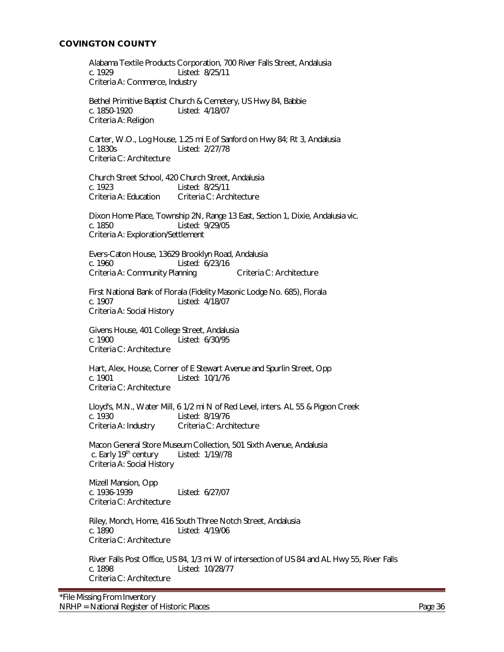# <span id="page-35-0"></span>**COVINGTON COUNTY**

Alabama Textile Products Corporation, 700 River Falls Street, Andalusia c. 1929 Listed: 8/25/11 Criteria A: Commerce, Industry

Bethel Primitive Baptist Church & Cemetery, US Hwy 84, Babbie c. 1850-1920 Listed: 4/18/07 Criteria A: Religion

 Carter, W.O., Log House, 1.25 mi E of Sanford on Hwy 84; Rt 3, Andalusia c. 1830s Listed: 2/27/78 Criteria C: Architecture

Church Street School, 420 Church Street, Andalusia c. 1923 Listed: 8/25/11 Criteria A: Education Criteria C: Architecture

Dixon Home Place, Township 2N, Range 13 East, Section 1, Dixie, Andalusia vic. c. 1850 Listed: 9/29/05 Criteria A: Exploration/Settlement

Evers-Caton House, 13629 Brooklyn Road, Andalusia<br>c. 1960 – Listed: 6/23/16 Listed: 6/23/16 Criteria A: Community Planning Criteria C: Architecture

First National Bank of Florala (Fidelity Masonic Lodge No. 685), Florala c. 1907 Listed: 4/18/07 Criteria A: Social History

Givens House, 401 College Street, Andalusia c. 1900 Listed: 6/30/95 Criteria C: Architecture

Hart, Alex, House, Corner of E Stewart Avenue and Spurlin Street, Opp c. 1901 Listed: 10/1/76 Criteria C: Architecture

Lloyd's, M.N., Water Mill, 6 1/2 mi N of Red Level, inters. AL 55 & Pigeon Creek c. 1930 Listed: 8/19/76 Criteria A: Industry Criteria C: Architecture

 Macon General Store Museum Collection, 501 Sixth Avenue, Andalusia c. Early 19th century Listed: 1/19//78 Criteria A: Social History

Mizell Mansion, Opp<br>c. 1936-1939 Listed: 6/27/07 Criteria C: Architecture

Riley, Monch, Home, 416 South Three Notch Street, Andalusia c. 1890 Listed: 4/19/06 Criteria C: Architecture

River Falls Post Office, US 84, 1/3 mi W of intersection of US 84 and AL Hwy 55, River Falls c. 1898 Listed: 10/28/77 Criteria C: Architecture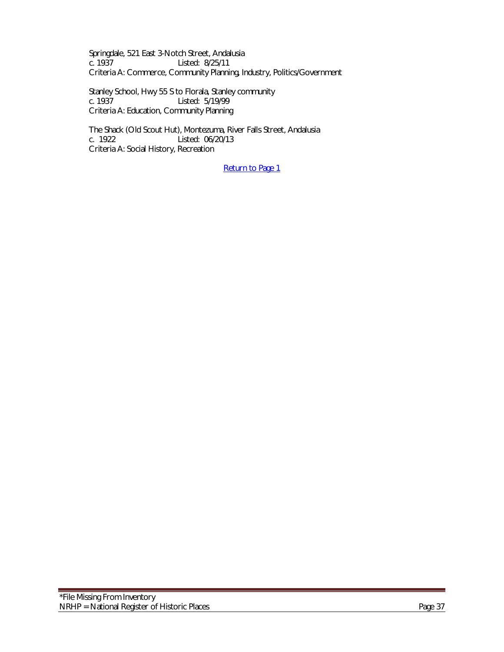Springdale, 521 East 3-Notch Street, Andalusia Listed: 8/25/11 Criteria A: Commerce, Community Planning, Industry, Politics/Government

Stanley School, Hwy 55 S to Florala, Stanley community<br>c. 1937 Listed: 5/19/99 Listed: 5/19/99 Criteria A: Education, Community Planning

The Shack (Old Scout Hut), Montezuma, River Falls Street, Andalusia<br>c. 1922 Listed: 06/20/13 Listed: 06/20/13 Criteria A: Social History, Recreation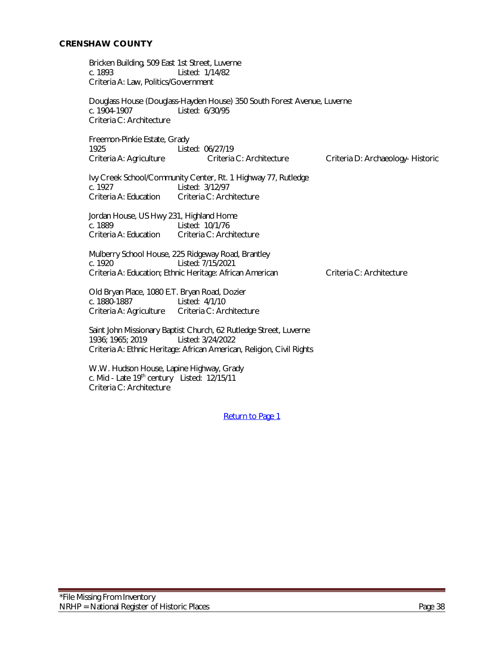Bricken Building, 509 East 1st Street, Luverne c. 1893 Listed: 1/14/82 Criteria A: Law, Politics/Government

Douglass House (Douglass-Hayden House) 350 South Forest Avenue, Luverne c. 1904-1907 Listed: 6/30/95 Criteria C: Architecture

Freemon-Pinkie Estate, Grady<br>1925 List Listed: 06/27/19 Criteria A: Agriculture Criteria C: Architecture Criteria D: Archaeology- Historic

Ivy Creek School/Community Center, Rt. 1 Highway 77, Rutledge c. 1927 Listed: 3/12/97<br>Criteria A: Education Criteria C: Arch Criteria C: Architecture

Jordan House, US Hwy 231, Highland Home c. 1889 Listed: 10/1/76 Criteria A: Education Criteria C: Architecture

Mulberry School House, 225 Ridgeway Road, Brantley Listed: 7/15/2021 Criteria A: Education; Ethnic Heritage: African American Criteria C: Architecture

Old Bryan Place, 1080 E.T. Bryan Road, Dozier c. 1880-1887 Listed: 4/1/10 Criteria A: Agriculture Criteria C: Architecture

Saint John Missionary Baptist Church, 62 Rutledge Street, Luverne 1936; 1965; 2019 Listed: 3/24/2022 Criteria A: Ethnic Heritage: African American, Religion, Civil Rights

W.W. Hudson House, Lapine Highway, Grady c. Mid - Late 19<sup>th</sup> century Listed: 12/15/11 Criteria C: Architecture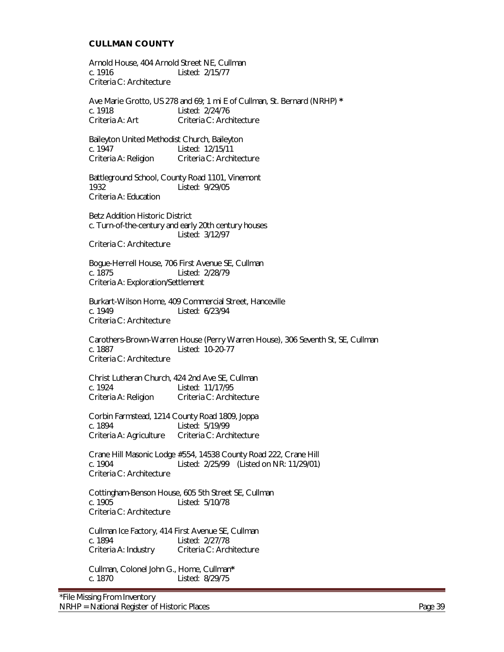#### **CULLMAN COUNTY**

Arnold House, 404 Arnold Street NE, Cullman c. 1916 Listed: 2/15/77 Criteria C: Architecture

Ave Marie Grotto, US 278 and 69; 1 mi E of Cullman, St. Bernard (NRHP) **\*** c. 1918 Listed: 2/24/76 Criteria A: Art Criteria C: Architecture

Baileyton United Methodist Church, Baileyton Listed: 12/15/11 Criteria A: Religion Criteria C: Architecture

Battleground School, County Road 1101, Vinemont 1932 Listed: 9/29/05 Criteria A: Education

Betz Addition Historic District c. Turn-of-the-century and early 20th century houses Listed: 3/12/97 Criteria C: Architecture

Bogue-Herrell House, 706 First Avenue SE, Cullman c. 1875 Listed: 2/28/79 Criteria A: Exploration/Settlement

Burkart-Wilson Home, 409 Commercial Street, Hanceville c. 1949 Listed: 6/23/94 Criteria C: Architecture

Carothers-Brown-Warren House (Perry Warren House), 306 Seventh St, SE, Cullman c. 1887 Listed: 10-20-77 Criteria C: Architecture

Christ Lutheran Church, 424 2nd Ave SE, Cullman Listed: 11/17/95 Criteria A: Religion Criteria C: Architecture

Corbin Farmstead, 1214 County Road 1809, Joppa c. 1894 Listed: 5/19/99 Criteria A: Agriculture Criteria C: Architecture

Crane Hill Masonic Lodge #554, 14538 County Road 222, Crane Hill c. 1904 Listed: 2/25/99 (Listed on NR: 11/29/01) Criteria C: Architecture

Cottingham-Benson House, 605 5th Street SE, Cullman c. 1905 Listed: 5/10/78 Criteria C: Architecture

Cullman Ice Factory, 414 First Avenue SE, Cullman c. 1894 Listed: 2/27/78 Criteria A: Industry Criteria C: Architecture

 Cullman, Colonel John G., Home, Cullman**\*** Listed: 8/29/75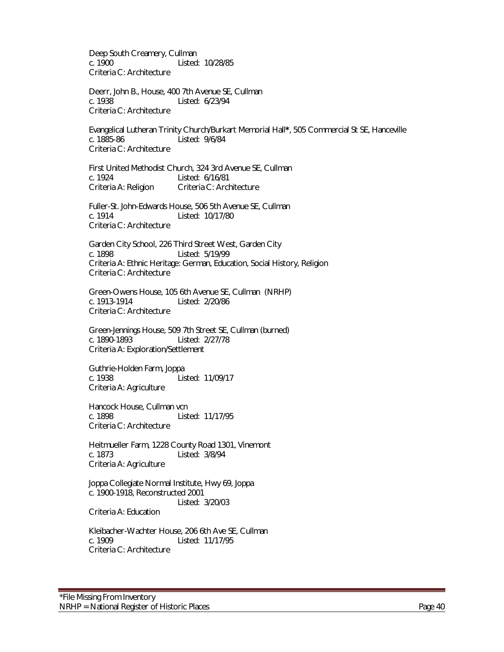Deep South Creamery, Cullman c. 1900 Listed: 10/28/85 Criteria C: Architecture

Deerr, John B., House, 400 7th Avenue SE, Cullman c. 1938 Listed: 6/23/94 Criteria C: Architecture

Evangelical Lutheran Trinity Church/Burkart Memorial Hall**\***, 505 Commercial St SE, Hanceville c. 1885-86 Listed: 9/6/84 Criteria C: Architecture

First United Methodist Church, 324 3rd Avenue SE, Cullman c. 1924 Listed: 6/16/81 Criteria A: Religion Criteria C: Architecture

Fuller-St. John-Edwards House, 506 5th Avenue SE, Cullman c. 1914 Listed: 10/17/80 Criteria C: Architecture

Garden City School, 226 Third Street West, Garden City c. 1898 Listed: 5/19/99 Criteria A: Ethnic Heritage: German, Education, Social History, Religion Criteria C: Architecture

Green-Owens House, 105 6th Avenue SE, Cullman (NRHP) c. 1913-1914 Listed: 2/20/86 Criteria C: Architecture

Green-Jennings House, 509 7th Street SE, Cullman (burned) c. 1890-1893 Listed: 2/27/78 Criteria A: Exploration/Settlement

Guthrie-Holden Farm, Joppa c. 1938 Listed: 11/09/17 Criteria A: Agriculture

Hancock House, Cullman vcn c. 1898 Listed: 11/17/95 Criteria C: Architecture

Heitmueller Farm, 1228 County Road 1301, Vinemont c. 1873 Listed: 3/8/94 Criteria A: Agriculture

Joppa Collegiate Normal Institute, Hwy 69, Joppa c. 1900-1918, Reconstructed 2001 Listed: 3/20/03

Criteria A: Education

Kleibacher-Wachter House, 206 6th Ave SE, Cullman c. 1909 Listed: 11/17/95 Criteria C: Architecture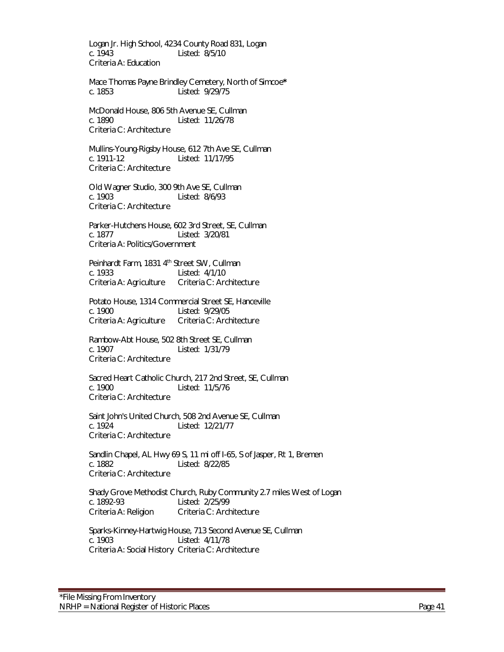Logan Jr. High School, 4234 County Road 831, Logan c. 1943 Listed: 8/5/10 Criteria A: Education

Mace Thomas Payne Brindley Cemetery, North of Simcoe**\*** c. 1853 Listed: 9/29/75

McDonald House, 806 5th Avenue SE, Cullman<br>c. 1890 – Listed: 11/26/78 Listed: 11/26/78 Criteria C: Architecture

Mullins-Young-Rigsby House, 612 7th Ave SE, Cullman c. 1911-12 Listed: 11/17/95 Criteria C: Architecture

Old Wagner Studio, 300 9th Ave SE, Cullman c. 1903 Listed: 8/6/93 Criteria C: Architecture

Parker-Hutchens House, 602 3rd Street, SE, Cullman c. 1877 Listed: 3/20/81 Criteria A: Politics/Government

Peinhardt Farm, 1831 4<sup>th</sup> Street SW, Cullman c. 1933 Listed: 4/1/10 Criteria A: Agriculture

Potato House, 1314 Commercial Street SE, Hanceville c. 1900 Listed: 9/29/05 Criteria A: Agriculture Criteria C: Architecture

Rambow-Abt House, 502 8th Street SE, Cullman<br>c. 1907 Listed: 1/31/79 Listed: 1/31/79 Criteria C: Architecture

Sacred Heart Catholic Church, 217 2nd Street, SE, Cullman<br>c 1900 - Listed: 11/5/76 Listed: 11/5/76 Criteria C: Architecture

Saint John's United Church, 508 2nd Avenue SE, Cullman c. 1924 Listed: 12/21/77 Criteria C: Architecture

Sandlin Chapel, AL Hwy 69 S, 11 mi off I-65, S of Jasper, Rt 1, Bremen c. 1882 Listed: 8/22/85 Criteria C: Architecture

Shady Grove Methodist Church, Ruby Community 2.7 miles West of Logan c. 1892-93 Listed: 2/25/99 Criteria A: Religion Criteria C: Architecture

Sparks-Kinney-Hartwig House, 713 Second Avenue SE, Cullman c. 1903 Listed: 4/11/78 Criteria A: Social History Criteria C: Architecture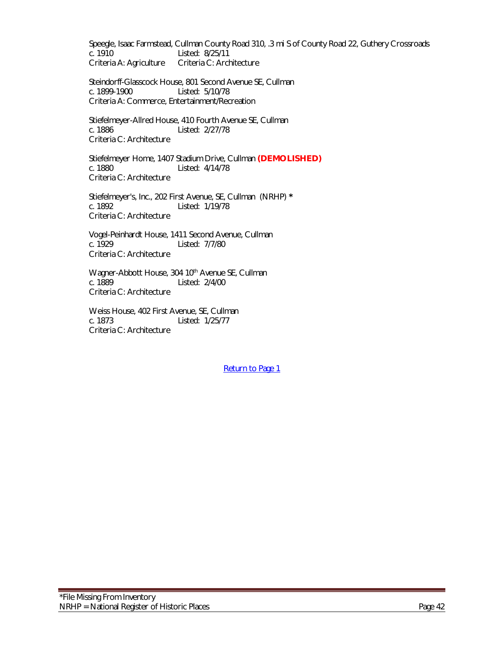Speegle, Isaac Farmstead, Cullman County Road 310, .3 mi S of County Road 22, Guthery Crossroads c. 1910 Listed: 8/25/11 Criteria A: Agriculture Criteria C: Architecture

Steindorff-Glasscock House, 801 Second Avenue SE, Cullman c. 1899-1900 Listed: 5/10/78 Criteria A: Commerce, Entertainment/Recreation

Stiefelmeyer-Allred House, 410 Fourth Avenue SE, Cullman c. 1886 Listed: 2/27/78 Criteria C: Architecture

Stiefelmeyer Home, 1407 Stadium Drive, Cullman **(DEMOLISHED)** c. 1880 Listed: 4/14/78 Criteria C: Architecture

Stiefelmeyer's, Inc., 202 First Avenue, SE, Cullman (NRHP) **\*** c. 1892 Listed: 1/19/78 Criteria C: Architecture

Vogel-Peinhardt House, 1411 Second Avenue, Cullman Listed: 7/7/80 Criteria C: Architecture

Wagner-Abbott House, 304 10<sup>th</sup> Avenue SE, Cullman c. 1889 Listed: 2/4/00 Criteria C: Architecture

Weiss House, 402 First Avenue, SE, Cullman c. 1873 Listed: 1/25/77 Criteria C: Architecture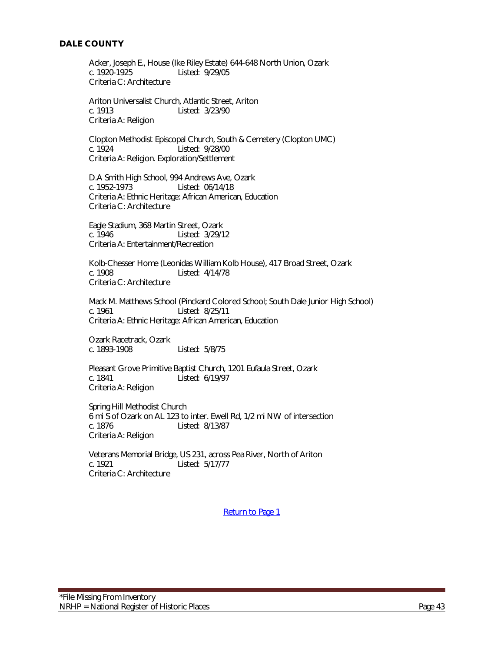### **DALE COUNTY**

Acker, Joseph E., House (Ike Riley Estate) 644-648 North Union, Ozark c. 1920-1925 Listed: 9/29/05 Criteria C: Architecture

Ariton Universalist Church, Atlantic Street, Ariton c. 1913 Listed: 3/23/90 Criteria A: Religion

Clopton Methodist Episcopal Church, South & Cemetery (Clopton UMC) Listed: 9/28/00 Criteria A: Religion. Exploration/Settlement

D.A Smith High School, 994 Andrews Ave, Ozark c. 1952-1973 Listed: 06/14/18 Criteria A: Ethnic Heritage: African American, Education Criteria C: Architecture

Eagle Stadium, 368 Martin Street, Ozark c. 1946 Listed: 3/29/12 Criteria A: Entertainment/Recreation

Kolb-Chesser Home (Leonidas William Kolb House), 417 Broad Street, Ozark c. 1908 Listed: 4/14/78 Criteria C: Architecture

Mack M. Matthews School (Pinckard Colored School; South Dale Junior High School) c. 1961 Listed: 8/25/11 Criteria A: Ethnic Heritage: African American, Education

Ozark Racetrack, Ozark c. 1893-1908 Listed: 5/8/75

Pleasant Grove Primitive Baptist Church, 1201 Eufaula Street, Ozark c. 1841 Listed: 6/19/97 Criteria A: Religion

Spring Hill Methodist Church 6 mi S of Ozark on AL 123 to inter. Ewell Rd, 1/2 mi NW of intersection Listed: 8/13/87 Criteria A: Religion

Veterans Memorial Bridge, US 231, across Pea River, North of Ariton c. 1921 Listed: 5/17/77 Criteria C: Architecture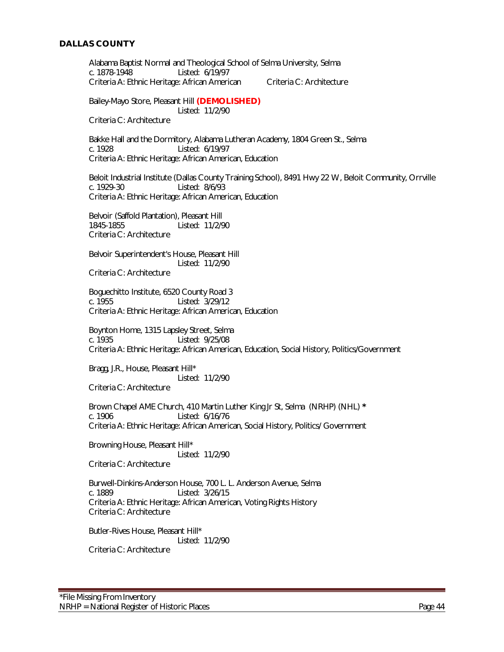#### **DALLAS COUNTY**

Alabama Baptist Normal and Theological School of Selma University, Selma c. 1878-1948 Listed: 6/19/97 Criteria A: Ethnic Heritage: African American Criteria C: Architecture Bailey-Mayo Store, Pleasant Hill **(DEMOLISHED)** Listed: 11/2/90 Criteria C: Architecture Bakke Hall and the Dormitory, Alabama Lutheran Academy, 1804 Green St., Selma c. 1928 Listed: 6/19/97 Criteria A: Ethnic Heritage: African American, Education Beloit Industrial Institute (Dallas County Training School), 8491 Hwy 22 W, Beloit Community, Orrville c. 1929-30 Listed: 8/6/93 Criteria A: Ethnic Heritage: African American, Education Belvoir (Saffold Plantation), Pleasant Hill 1845-1855 Listed: 11/2/90 Criteria C: Architecture Belvoir Superintendent's House, Pleasant Hill Listed: 11/2/90 Criteria C: Architecture Boguechitto Institute, 6520 County Road 3 c. 1955 Listed: 3/29/12 Criteria A: Ethnic Heritage: African American, Education Boynton Home, 1315 Lapsley Street, Selma c. 1935 Listed: 9/25/08 Criteria A: Ethnic Heritage: African American, Education, Social History, Politics/Government Bragg, J.R., House, Pleasant Hill\* Listed: 11/2/90 Criteria C: Architecture Brown Chapel AME Church, 410 Martin Luther King Jr St, Selma (NRHP) (NHL) **\*** c. 1906 Listed: 6/16/76 Criteria A: Ethnic Heritage: African American, Social History, Politics/ Government Browning House, Pleasant Hill\* Listed: 11/2/90 Criteria C: Architecture Burwell-Dinkins-Anderson House, 700 L. L. Anderson Avenue, Selma c. 1889 Listed: 3/26/15 Criteria A: Ethnic Heritage: African American, Voting Rights History Criteria C: Architecture Butler-Rives House, Pleasant Hill\* Listed: 11/2/90 Criteria C: Architecture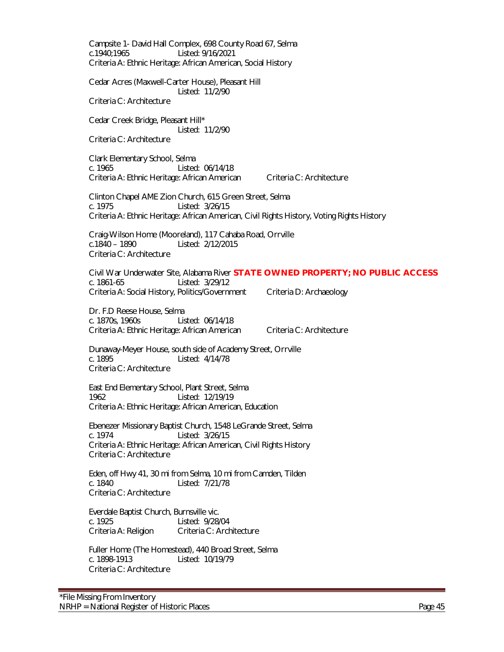Campsite 1- David Hall Complex, 698 County Road 67, Selma c.1940;1965 Listed: 9/16/2021 Criteria A: Ethnic Heritage: African American, Social History Cedar Acres (Maxwell-Carter House), Pleasant Hill Listed: 11/2/90 Criteria C: Architecture Cedar Creek Bridge, Pleasant Hill\* Listed: 11/2/90 Criteria C: Architecture Clark Elementary School, Selma c. 1965 Listed: 06/14/18 Criteria A: Ethnic Heritage: African American Criteria C: Architecture Clinton Chapel AME Zion Church, 615 Green Street, Selma c. 1975 Listed: 3/26/15 Criteria A: Ethnic Heritage: African American, Civil Rights History, Voting Rights History Craig-Wilson Home (Mooreland), 117 Cahaba Road, Orrville c.1840 – 1890 Listed: 2/12/2015 Criteria C: Architecture Civil War Underwater Site, Alabama River **STATE OWNED PROPERTY; NO PUBLIC ACCESS** c. 1861-65 Listed: 3/29/12 Criteria A: Social History, Politics/Government Criteria D: Archaeology Dr. F.D Reese House, Selma c. 1870s, 1960s Listed: 06/14/18 Criteria A: Ethnic Heritage: African American Criteria C: Architecture Dunaway-Meyer House, south side of Academy Street, Orrville c. 1895 Listed: 4/14/78 Criteria C: Architecture East End Elementary School, Plant Street, Selma 1962 Listed: 12/19/19 Criteria A: Ethnic Heritage: African American, Education Ebenezer Missionary Baptist Church, 1548 LeGrande Street, Selma c. 1974 Listed: 3/26/15 Criteria A: Ethnic Heritage: African American, Civil Rights History Criteria C: Architecture Eden, off Hwy 41, 30 mi from Selma, 10 mi from Camden, Tilden c. 1840 Listed: 7/21/78 Criteria C: Architecture Everdale Baptist Church, Burnsville vic. c. 1925 Listed: 9/28/04 Criteria A: Religion Criteria C: Architecture Fuller Home (The Homestead), 440 Broad Street, Selma c. 1898-1913 Listed: 10/19/79 Criteria C: Architecture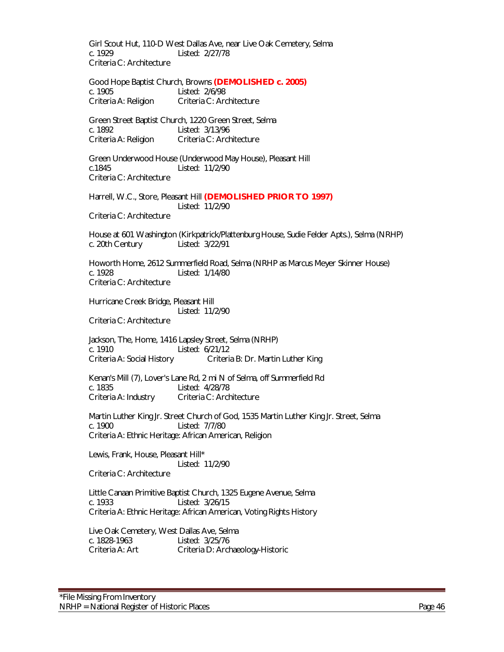Girl Scout Hut, 110-D West Dallas Ave, near Live Oak Cemetery, Selma c. 1929 Listed: 2/27/78 Criteria C: Architecture

Good Hope Baptist Church, Browns **(DEMOLISHED c. 2005)** c. 1905 Listed: 2/6/98 Criteria A: Religion Criteria C: Architecture

Green Street Baptist Church, 1220 Green Street, Selma c. 1892 Listed: 3/13/96 Criteria A: Religion Criteria C: Architecture

Green Underwood House (Underwood May House), Pleasant Hill c.1845 Listed: 11/2/90 Criteria C: Architecture

Harrell, W.C., Store, Pleasant Hill **(DEMOLISHED PRIOR TO 1997)** Listed: 11/2/90

Criteria C: Architecture

House at 601 Washington (Kirkpatrick/Plattenburg House, Sudie Felder Apts.), Selma (NRHP) c. 20th Century Listed: 3/22/91

Howorth Home, 2612 Summerfield Road, Selma (NRHP as Marcus Meyer Skinner House) c. 1928 Listed: 1/14/80 Criteria C: Architecture

Hurricane Creek Bridge, Pleasant Hill Listed: 11/2/90

Criteria C: Architecture

Jackson, The, Home, 1416 Lapsley Street, Selma (NRHP) c. 1910 Listed: 6/21/12 Criteria A: Social History Criteria B: Dr. Martin Luther King

Kenan's Mill (7), Lover's Lane Rd, 2 mi N of Selma, off Summerfield Rd c. 1835 Listed: 4/28/78 Criteria A: Industry Criteria C: Architecture

Martin Luther King Jr. Street Church of God, 1535 Martin Luther King Jr. Street, Selma c. 1900 Listed: 7/7/80 Criteria A: Ethnic Heritage: African American, Religion

Lewis, Frank, House, Pleasant Hill\* Listed: 11/2/90 Criteria C: Architecture

Little Canaan Primitive Baptist Church, 1325 Eugene Avenue, Selma c. 1933 Listed: 3/26/15 Criteria A: Ethnic Heritage: African American, Voting Rights History

Live Oak Cemetery, West Dallas Ave, Selma c. 1828-1963 Listed: 3/25/76 Criteria A: Art Criteria D: Archaeology-Historic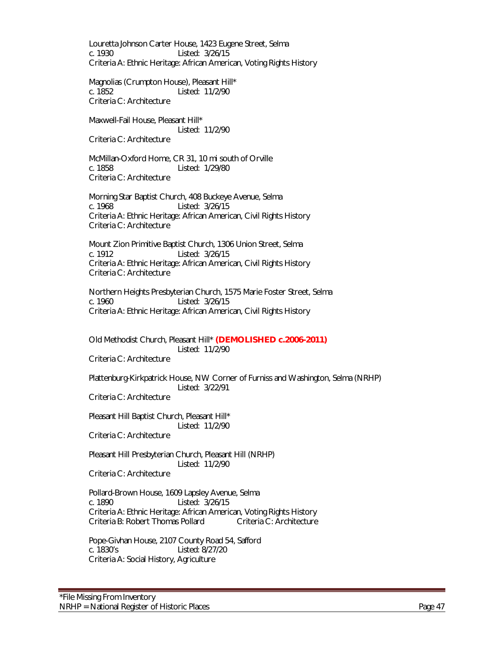Louretta Johnson Carter House, 1423 Eugene Street, Selma c. 1930 Listed: 3/26/15 Criteria A: Ethnic Heritage: African American, Voting Rights History

Magnolias (Crumpton House), Pleasant Hill\* c. 1852 Listed: 11/2/90 Criteria C: Architecture

Maxwell-Fail House, Pleasant Hill\* Listed: 11/2/90 Criteria C: Architecture

McMillan-Oxford Home, CR 31, 10 mi south of Orville c. 1858 Listed: 1/29/80 Criteria C: Architecture

Morning Star Baptist Church, 408 Buckeye Avenue, Selma c. 1968 Listed: 3/26/15 Criteria A: Ethnic Heritage: African American, Civil Rights History Criteria C: Architecture

Mount Zion Primitive Baptist Church, 1306 Union Street, Selma c. 1912 Listed: 3/26/15 Criteria A: Ethnic Heritage: African American, Civil Rights History Criteria C: Architecture

Northern Heights Presbyterian Church, 1575 Marie Foster Street, Selma c. 1960 Listed: 3/26/15 Criteria A: Ethnic Heritage: African American, Civil Rights History

Old Methodist Church, Pleasant Hill\* **(DEMOLISHED c.2006-2011)** Listed: 11/2/90

Criteria C: Architecture

Plattenburg-Kirkpatrick House, NW Corner of Furniss and Washington, Selma (NRHP) Listed: 3/22/91

Criteria C: Architecture

Pleasant Hill Baptist Church, Pleasant Hill\* Listed: 11/2/90

Criteria C: Architecture

Pleasant Hill Presbyterian Church, Pleasant Hill (NRHP) Listed: 11/2/90

Criteria C: Architecture

Pollard-Brown House, 1609 Lapsley Avenue, Selma c. 1890 Listed: 3/26/15 Criteria A: Ethnic Heritage: African American, Voting Rights History Criteria B: Robert Thomas Pollard Criteria C: Architecture

Pope-Givhan House, 2107 County Road 54, Safford c. 1830's Listed: 8/27/20 Criteria A: Social History, Agriculture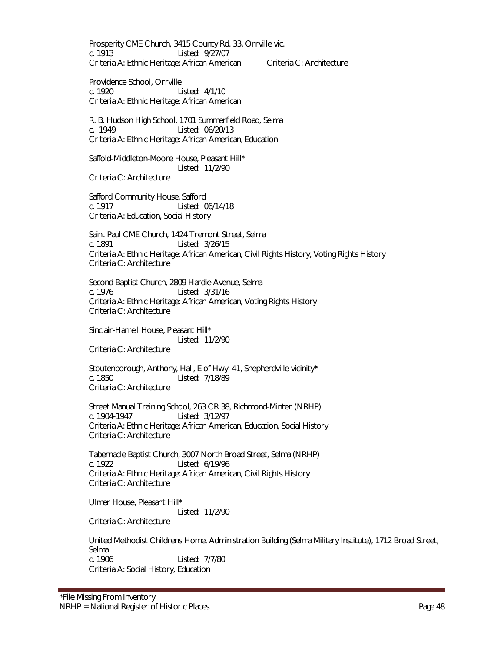Prosperity CME Church, 3415 County Rd. 33, Orrville vic. c. 1913 Listed: 9/27/07 Criteria A: Ethnic Heritage: African American Criteria C: Architecture

Providence School, Orrville c. 1920 Listed: 4/1/10 Criteria A: Ethnic Heritage: African American

R. B. Hudson High School, 1701 Summerfield Road, Selma c. 1949 Listed: 06/20/13 Criteria A: Ethnic Heritage: African American, Education

Saffold-Middleton-Moore House, Pleasant Hill\* Listed: 11/2/90 Criteria C: Architecture

Safford Community House, Safford c. 1917 Listed: 06/14/18 Criteria A: Education, Social History

Saint Paul CME Church, 1424 Tremont Street, Selma c. 1891 Listed: 3/26/15 Criteria A: Ethnic Heritage: African American, Civil Rights History, Voting Rights History Criteria C: Architecture

Second Baptist Church, 2809 Hardie Avenue, Selma c. 1976 Listed: 3/31/16 Criteria A: Ethnic Heritage: African American, Voting Rights History Criteria C: Architecture

Sinclair-Harrell House, Pleasant Hill\* Listed: 11/2/90 Criteria C: Architecture

Stoutenborough, Anthony, Hall, E of Hwy. 41, Shepherdville vicinity**\*** c. 1850 Listed: 7/18/89 Criteria C: Architecture

Street Manual Training School, 263 CR 38, Richmond-Minter (NRHP) c. 1904-1947 Listed: 3/12/97 Criteria A: Ethnic Heritage: African American, Education, Social History Criteria C: Architecture

Tabernacle Baptist Church, 3007 North Broad Street, Selma (NRHP) c. 1922 Listed: 6/19/96 Criteria A: Ethnic Heritage: African American, Civil Rights History Criteria C: Architecture

Ulmer House, Pleasant Hill\* Listed: 11/2/90

Criteria C: Architecture

United Methodist Childrens Home, Administration Building (Selma Military Institute), 1712 Broad Street, Selma c. 1906 Listed: 7/7/80 Criteria A: Social History, Education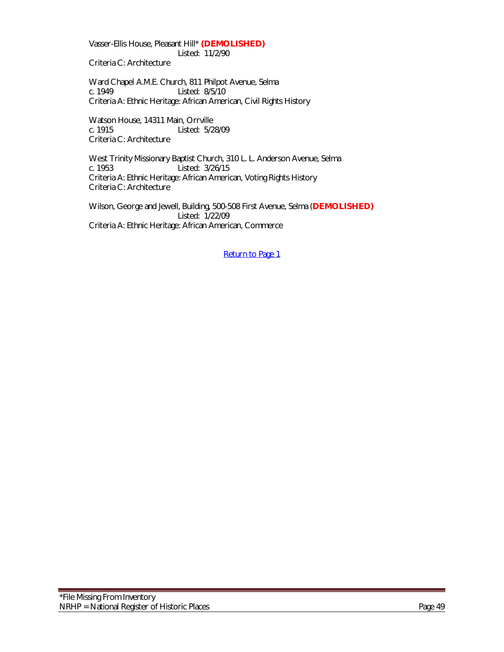Vasser-Ellis House, Pleasant Hill\* **(DEMOLISHED)** Listed: 11/2/90

Criteria C: Architecture

Ward Chapel A.M.E. Church, 811 Philpot Avenue, Selma c. 1949 Listed: 8/5/10 Criteria A: Ethnic Heritage: African American, Civil Rights History

Watson House, 14311 Main, Orrville<br>c. 1915 Listed: 5/2 Listed: 5/28/09 Criteria C: Architecture

West Trinity Missionary Baptist Church, 310 L. L. Anderson Avenue, Selma c. 1953 Listed: 3/26/15 Criteria A: Ethnic Heritage: African American, Voting Rights History Criteria C: Architecture

Wilson, George and Jewell, Building, 500-508 First Avenue, Selma (**DEMOLISHED)** Listed: 1/22/09 Criteria A: Ethnic Heritage: African American, Commerce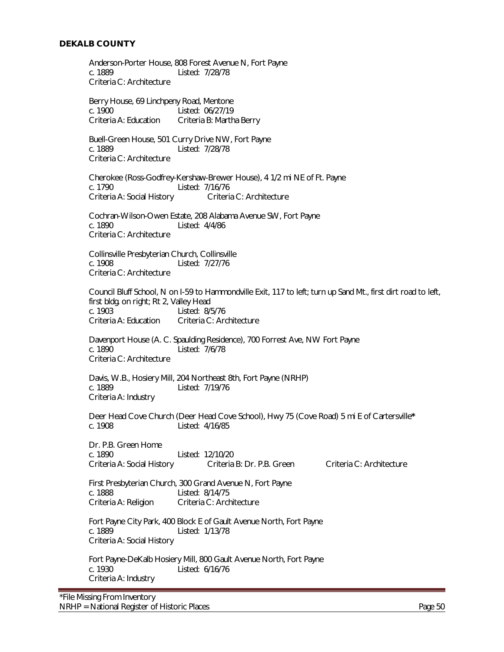Anderson-Porter House, 808 Forest Avenue N, Fort Payne c. 1889 Listed: 7/28/78 Criteria C: Architecture

Berry House, 69 Linchpeny Road, Mentone c. 1900 Listed: 06/27/19 Criteria A: Education Criteria B: Martha Berry

Buell-Green House, 501 Curry Drive NW, Fort Payne c. 1889 Listed: 7/28/78 Criteria C: Architecture

Cherokee (Ross-Godfrey-Kershaw-Brewer House), 4 1/2 mi NE of Ft. Payne c. 1790 Listed: 7/16/76 Criteria A: Social History Criteria C: Architecture

Cochran-Wilson-Owen Estate, 208 Alabama Avenue SW, Fort Payne c. 1890 Listed: 4/4/86 Criteria C: Architecture

Collinsville Presbyterian Church, Collinsville<br>c. 1908 Listed: 7/27/76 Listed: 7/27/76 Criteria C: Architecture

Council Bluff School, N on I-59 to Hammondville Exit, 117 to left; turn up Sand Mt., first dirt road to left, first bldg. on right; Rt 2, Valley Head c. 1903 Listed: 8/5/76 Criteria A: Education Criteria C: Architecture

Davenport House (A. C. Spaulding Residence), 700 Forrest Ave, NW Fort Payne c. 1890 Listed: 7/6/78 Criteria C: Architecture

Davis, W.B., Hosiery Mill, 204 Northeast 8th, Fort Payne (NRHP)<br>c. 1889<br>Listed: 7/19/76 Listed: 7/19/76 Criteria A: Industry

Deer Head Cove Church (Deer Head Cove School), Hwy 75 (Cove Road) 5 mi E of Cartersville**\*** c. 1908 Listed: 4/16/85

Dr. P.B. Green Home c. 1890 Listed: 12/10/20 Criteria A: Social History Criteria B: Dr. P.B. Green Criteria C: Architecture

First Presbyterian Church, 300 Grand Avenue N, Fort Payne c. 1888 Listed: 8/14/75 Criteria A: Religion Criteria C: Architecture

Fort Payne City Park, 400 Block E of Gault Avenue North, Fort Payne c. 1889 Listed: 1/13/78 Criteria A: Social History

Fort Payne-DeKalb Hosiery Mill, 800 Gault Avenue North, Fort Payne c. 1930 Listed: 6/16/76 Criteria A: Industry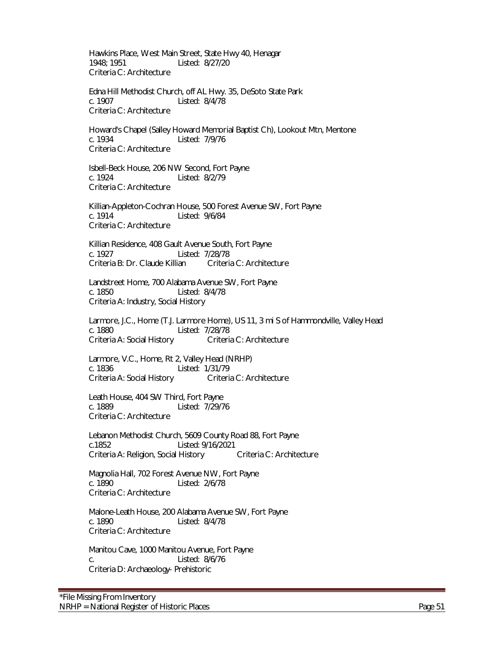Hawkins Place, West Main Street, State Hwy 40, Henagar 1948; 1951 Listed: 8/27/20 Criteria C: Architecture

 Edna Hill Methodist Church, off AL Hwy. 35, DeSoto State Park c. 1907 Listed: 8/4/78 Criteria C: Architecture

Howard's Chapel (Salley Howard Memorial Baptist Ch), Lookout Mtn, Mentone c. 1934 Listed: 7/9/76 Criteria C: Architecture

Isbell-Beck House, 206 NW Second, Fort Payne c. 1924 Listed: 8/2/79 Criteria C: Architecture

Killian-Appleton-Cochran House, 500 Forest Avenue SW, Fort Payne c. 1914 Listed: 9/6/84 Criteria C: Architecture

Killian Residence, 408 Gault Avenue South, Fort Payne c. 1927 Listed: 7/28/78<br>Criteria B: Dr. Claude Killian Criteria C: Architecture Criteria B: Dr. Claude Killian

Landstreet Home, 700 Alabama Avenue SW, Fort Payne c. 1850 Listed: 8/4/78 Criteria A: Industry, Social History

Larmore, J.C., Home (T.J. Larmore Home), US 11, 3 mi S of Hammondville, Valley Head c. 1880 Listed: 7/28/78 Criteria A: Social History Criteria C: Architecture

Larmore, V.C., Home, Rt 2, Valley Head (NRHP) c. 1836 Listed: 1/31/79 Criteria A: Social History Criteria C: Architecture

Leath House, 404 SW Third, Fort Payne<br>C. 1889 Listed: 7/29/7 Listed: 7/29/76 Criteria C: Architecture

Lebanon Methodist Church, 5609 County Road 88, Fort Payne c.1852 Listed: 9/16/2021 Criteria A: Religion, Social History Criteria C: Architecture

Magnolia Hall, 702 Forest Avenue NW, Fort Payne c. 1890 Listed: 2/6/78 Criteria C: Architecture

Malone-Leath House, 200 Alabama Avenue SW, Fort Payne c. 1890 Listed: 8/4/78 Criteria C: Architecture

Manitou Cave, 1000 Manitou Avenue, Fort Payne c. Listed: 8/6/76 Criteria D: Archaeology- Prehistoric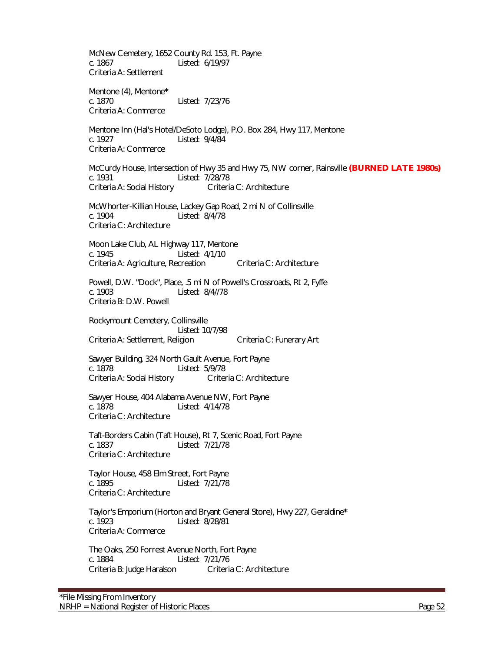McNew Cemetery, 1652 County Rd. 153, Ft. Payne c. 1867 Listed: 6/19/97 Criteria A: Settlement Mentone (4), Mentone**\*** c. 1870 Listed: 7/23/76 Criteria A: Commerce Mentone Inn (Hal's Hotel/DeSoto Lodge), P.O. Box 284, Hwy 117, Mentone c. 1927 Listed: 9/4/84 Criteria A: Commerce McCurdy House, Intersection of Hwy 35 and Hwy 75, NW corner, Rainsville **(BURNED LATE 1980s)** Listed: 7/28/78 Criteria A: Social History Criteria C: Architecture McWhorter-Killian House, Lackey Gap Road, 2 mi N of Collinsville c. 1904 Listed: 8/4/78 Criteria C: Architecture Moon Lake Club, AL Highway 117, Mentone c. 1945 Listed: 4/1/10 Criteria A: Agriculture, Recreation Criteria C: Architecture Powell, D.W. "Dock", Place, .5 mi N of Powell's Crossroads, Rt 2, Fyffe c. 1903 Listed: 8/4//78 Criteria B: D.W. Powell Rockymount Cemetery, Collinsville Listed: 10/7/98 Criteria A: Settlement, Religion Criteria C: Funerary Art Sawyer Building, 324 North Gault Avenue, Fort Payne Listed: 5/9/78 Criteria A: Social History Criteria C: Architecture Sawyer House, 404 Alabama Avenue NW, Fort Payne Listed: 4/14/78 Criteria C: Architecture Taft-Borders Cabin (Taft House), Rt 7, Scenic Road, Fort Payne c. 1837 Listed: 7/21/78 Criteria C: Architecture Taylor House, 458 Elm Street, Fort Payne c. 1895 Listed: 7/21/78 Criteria C: Architecture Taylor's Emporium (Horton and Bryant General Store), Hwy 227, Geraldine**\*** Listed: 8/28/81 Criteria A: Commerce The Oaks, 250 Forrest Avenue North, Fort Payne c. 1884 Listed: 7/21/76<br>Criteria B: Judge Haralson Criteria C: Architecture Criteria B: Judge Haralson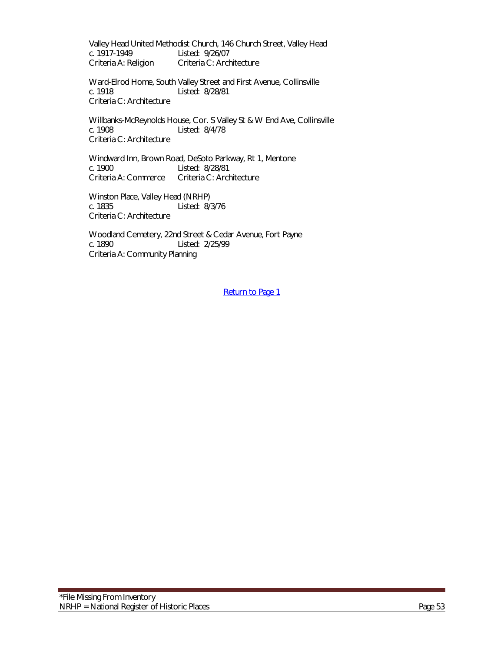Valley Head United Methodist Church, 146 Church Street, Valley Head c. 1917-1949 Listed: 9/26/07 Criteria A: Religion Criteria C: Architecture

Ward-Elrod Home, South Valley Street and First Avenue, Collinsville c. 1918 Listed: 8/28/81 Criteria C: Architecture

Willbanks-McReynolds House, Cor. S Valley St & W End Ave, Collinsville c. 1908 Listed: 8/4/78 Criteria C: Architecture

Windward Inn, Brown Road, DeSoto Parkway, Rt 1, Mentone c. 1900 Listed: 8/28/81<br>Criteria A: Commerce Criteria C: Arch Criteria C: Architecture

Winston Place, Valley Head (NRHP) c. 1835 Listed: 8/3/76 Criteria C: Architecture

Woodland Cemetery, 22nd Street & Cedar Avenue, Fort Payne Listed: 2/25/99 Criteria A: Community Planning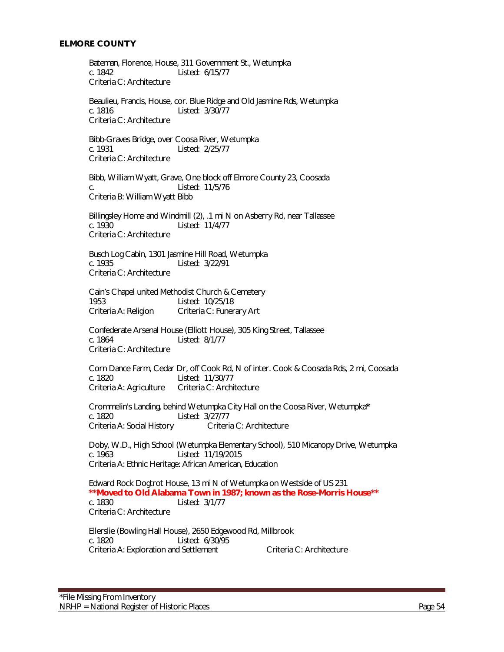#### **ELMORE COUNTY**

 Bateman, Florence, House, 311 Government St., Wetumpka c. 1842 Listed: 6/15/77 Criteria C: Architecture

 Beaulieu, Francis, House, cor. Blue Ridge and Old Jasmine Rds, Wetumpka c. 1816 Listed: 3/30/77 Criteria C: Architecture

Bibb-Graves Bridge, over Coosa River, Wetumpka c. 1931 Listed: 2/25/77 Criteria C: Architecture

 Bibb, William Wyatt, Grave, One block off Elmore County 23, Coosada c. Listed: 11/5/76 Criteria B: William Wyatt Bibb

Billingsley Home and Windmill (2), .1 mi N on Asberry Rd, near Tallassee c. 1930 Listed: 11/4/77 Criteria C: Architecture

Busch Log Cabin, 1301 Jasmine Hill Road, Wetumpka Listed: 3/22/91 Criteria C: Architecture

Cain's Chapel united Methodist Church & Cemetery 1953 Listed: 10/25/18 Criteria A: Religion Criteria C: Funerary Art

Confederate Arsenal House (Elliott House), 305 King Street, Tallassee c. 1864 Listed: 8/1/77 Criteria C: Architecture

Corn Dance Farm, Cedar Dr, off Cook Rd, N of inter. Cook & Coosada Rds, 2 mi, Coosada c. 1820 Listed: 11/30/77<br>Criteria A: Agriculture Criteria C: Architecture Criteria A: Agriculture

Crommelin's Landing, behind Wetumpka City Hall on the Coosa River, Wetumpka**\*** c. 1820<br>Criteria A: Social History Criteria C: Architecture Criteria A: Social History

Doby, W.D., High School (Wetumpka Elementary School), 510 Micanopy Drive, Wetumpka c. 1963 Listed: 11/19/2015 Criteria A: Ethnic Heritage: African American, Education

Edward Rock Dogtrot House, 13 mi N of Wetumpka on Westside of US 231 **\*\*Moved to Old Alabama Town in 1987; known as the Rose-Morris House\*\*** c. 1830 Listed: 3/1/77 Criteria C: Architecture

Ellerslie (Bowling Hall House), 2650 Edgewood Rd, Millbrook c. 1820 Listed: 6/30/95 Criteria A: Exploration and Settlement Criteria C: Architecture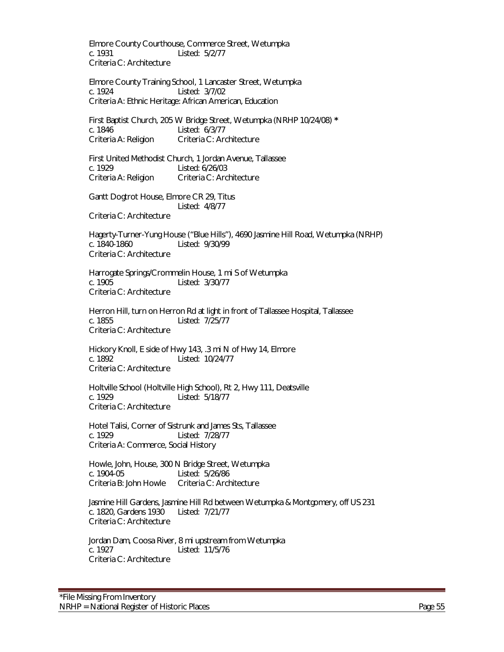Elmore County Courthouse, Commerce Street, Wetumpka c. 1931 Listed: 5/2/77 Criteria C: Architecture

Elmore County Training School, 1 Lancaster Street, Wetumpka c. 1924 Listed: 3/7/02 Criteria A: Ethnic Heritage: African American, Education

First Baptist Church, 205 W Bridge Street, Wetumpka (NRHP 10/24/08) **\*** c. 1846 Listed: 6/3/77 Criteria A: Religion Criteria C: Architecture

First United Methodist Church, 1 Jordan Avenue, Tallassee c. 1929 Listed: 6/26/03 Criteria A: Religion Criteria C: Architecture

Gantt Dogtrot House, Elmore CR 29, Titus Listed: 4/8/77 Criteria C: Architecture

Hagerty-Turner-Yung House ("Blue Hills"), 4690 Jasmine Hill Road, Wetumpka (NRHP) Listed: 9/30/99 Criteria C: Architecture

Harrogate Springs/Crommelin House, 1 mi S of Wetumpka Listed: 3/30/77 Criteria C: Architecture

Herron Hill, turn on Herron Rd at light in front of Tallassee Hospital, Tallassee c. 1855 Listed: 7/25/77 Criteria C: Architecture

Hickory Knoll, E side of Hwy 143, .3 mi N of Hwy 14, Elmore c. 1892 Listed: 10/24/77 Criteria C: Architecture

Holtville School (Holtville High School), Rt 2, Hwy 111, Deatsville c. 1929 Listed: 5/18/77 Criteria C: Architecture

Hotel Talisi, Corner of Sistrunk and James Sts, Tallassee c. 1929 Listed: 7/28/77 Criteria A: Commerce, Social History

 Howle, John, House, 300 N Bridge Street, Wetumpka c. 1904-05 Listed: 5/26/86 Criteria B: John Howle Criteria C: Architecture

Jasmine Hill Gardens, Jasmine Hill Rd between Wetumpka & Montgomery, off US 231 c. 1820, Gardens 1930 Listed: 7/21/77 Criteria C: Architecture

Jordan Dam, Coosa River, 8 mi upstream from Wetumpka c. 1927 Listed: 11/5/76 Criteria C: Architecture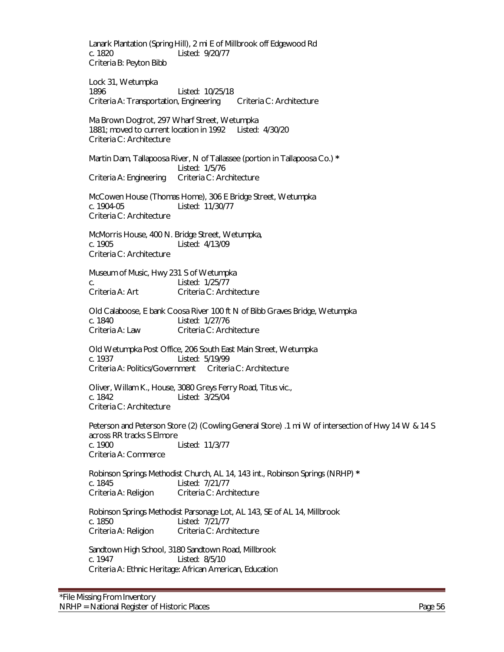Lanark Plantation (Spring Hill), 2 mi E of Millbrook off Edgewood Rd c. 1820 Listed: 9/20/77 Criteria B: Peyton Bibb

Lock 31, Wetumpka 1896 Listed: 10/25/18 Criteria A: Transportation, Engineering Criteria C: Architecture

Ma Brown Dogtrot, 297 Wharf Street, Wetumpka 1881; moved to current location in 1992 Listed: 4/30/20 Criteria C: Architecture

Martin Dam, Tallapoosa River, N of Tallassee (portion in Tallapoosa Co.) **\*** Listed: 1/5/76 Criteria A: Engineering Criteria C: Architecture

McCowen House (Thomas Home), 306 E Bridge Street, Wetumpka c. 1904-05 Listed: 11/30/77 Criteria C: Architecture

McMorris House, 400 N. Bridge Street, Wetumpka, c. 1905 Listed: 4/13/09 Criteria C: Architecture

Museum of Music, Hwy 231 S of Wetumpka c. Listed: 1/25/77 Criteria A: Art Criteria C: Architecture

Old Calaboose, E bank Coosa River 100 ft N of Bibb Graves Bridge, Wetumpka c. 1840 Listed: 1/27/76 Criteria A: Law Criteria C: Architecture

Old Wetumpka Post Office, 206 South East Main Street, Wetumpka c. 1937 Listed: 5/19/99 Criteria A: Politics/Government Criteria C: Architecture

Oliver, Willam K., House, 3080 Greys Ferry Road, Titus vic., c. 1842 Listed: 3/25/04 Criteria C: Architecture

Peterson and Peterson Store (2) (Cowling General Store) .1 mi W of intersection of Hwy 14 W & 14 S across RR tracks S Elmore<br>c. 1900 Listed: 11/3/77 Criteria A: Commerce

Robinson Springs Methodist Church, AL 14, 143 int., Robinson Springs (NRHP) **\*** c. 1845 Listed: 7/21/77 Criteria A: Religion Criteria C: Architecture

Robinson Springs Methodist Parsonage Lot, AL 143, SE of AL 14, Millbrook c. 1850 Listed: 7/21/77 Criteria A: Religion Criteria C: Architecture

Sandtown High School, 3180 Sandtown Road, Millbrook c. 1947 Listed: 8/5/10 Criteria A: Ethnic Heritage: African American, Education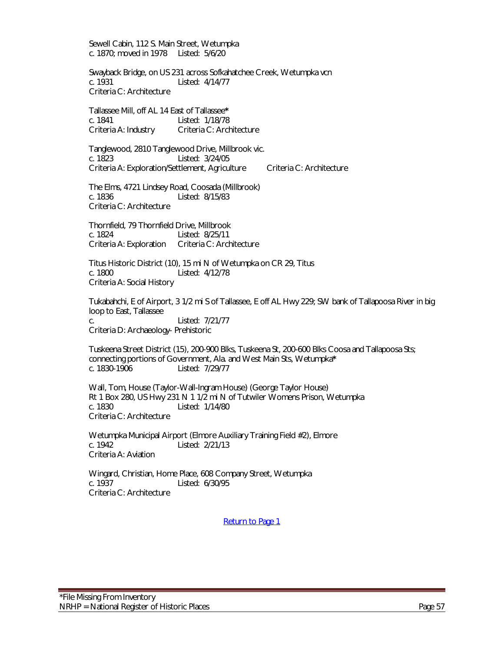Sewell Cabin, 112 S. Main Street, Wetumpka c. 1870; moved in 1978 Listed: 5/6/20

Swayback Bridge, on US 231 across Sofkahatchee Creek, Wetumpka vcn c. 1931 Listed: 4/14/77 Criteria C: Architecture

Tallassee Mill, off AL 14 East of Tallassee**\*** c. 1841 Listed: 1/18/78 Criteria A: Industry Criteria C: Architecture

Tanglewood, 2810 Tanglewood Drive, Millbrook vic. c. 1823 Listed: 3/24/05 Criteria A: Exploration/Settlement, Agriculture Criteria C: Architecture

The Elms, 4721 Lindsey Road, Coosada (Millbrook) c. 1836 Listed: 8/15/83 Criteria C: Architecture

Thornfield, 79 Thornfield Drive, Millbrook c. 1824<br>Criteria A: Exploration Criteria C: Architecture Criteria A: Exploration

Titus Historic District (10), 15 mi N of Wetumpka on CR 29, Titus c. 1800 Listed: 4/12/78 Criteria A: Social History

Tukabahchi, E of Airport, 3 1/2 mi S of Tallassee, E off AL Hwy 229; SW bank of Tallapoosa River in big loop to East, Tallassee c. Listed: 7/21/77

Criteria D: Archaeology- Prehistoric

Tuskeena Street District (15), 200-900 Blks, Tuskeena St, 200-600 Blks Coosa and Tallapoosa Sts; connecting portions of Government, Ala. and West Main Sts, Wetumpka**\*** Listed: 7/29/77

Wall, Tom, House (Taylor-Wall-Ingram House) (George Taylor House) Rt 1 Box 280, US Hwy 231 N 1 1/2 mi N of Tutwiler Womens Prison, Wetumpka Listed: 1/14/80 Criteria C: Architecture

Wetumpka Municipal Airport (Elmore Auxiliary Training Field #2), Elmore Listed: 2/21/13 Criteria A: Aviation

Wingard, Christian, Home Place, 608 Company Street, Wetumpka c. 1937 Listed: 6/30/95 Criteria C: Architecture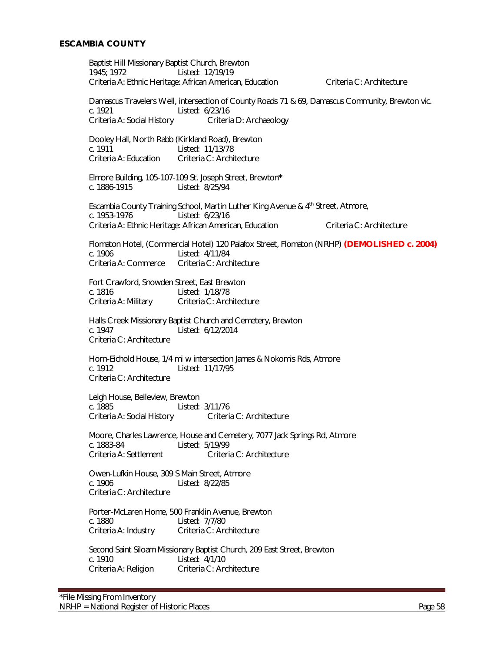Baptist Hill Missionary Baptist Church, Brewton 1945; 1972 Listed: 12/19/19 Criteria A: Ethnic Heritage: African American, Education Criteria C: Architecture Damascus Travelers Well, intersection of County Roads 71 & 69, Damascus Community, Brewton vic. c. 1921 Listed: 6/23/16 Criteria A: Social History Criteria D: Archaeology Dooley Hall, North Rabb (Kirkland Road), Brewton Listed: 11/13/78 Criteria A: Education Criteria C: Architecture Elmore Building, 105-107-109 St. Joseph Street, Brewton**\*** c. 1886-1915 Listed: 8/25/94 Escambia County Training School, Martin Luther King Avenue & 4<sup>th</sup> Street, Atmore, c. 1953-1976 Listed: 6/23/16 Criteria A: Ethnic Heritage: African American, Education Criteria C: Architecture Flomaton Hotel, (Commercial Hotel) 120 Palafox Street, Flomaton (NRHP) **(DEMOLISHED c. 2004)** c. 1906 <br>Criteria A: Commerce Criteria C: Arch Criteria C: Architecture Fort Crawford, Snowden Street, East Brewton c. 1816 Listed: 1/18/78 Criteria A: Military Criteria C: Architecture Halls Creek Missionary Baptist Church and Cemetery, Brewton c. 1947 Listed: 6/12/2014 Criteria C: Architecture Horn-Eichold House, 1/4 mi w intersection James & Nokomis Rds, Atmore c. 1912 Listed: 11/17/95 Criteria C: Architecture Leigh House, Belleview, Brewton<br>c. 1885 Listed: 3/11/76<br>Criteria C: Architecture Criteria A: Social History Moore, Charles Lawrence, House and Cemetery, 7077 Jack Springs Rd, Atmore c. 1883-84 Listed: 5/19/99 Criteria A: Settlement Criteria C: Architecture Owen-Lufkin House, 309 S Main Street, Atmore c. 1906 Listed: 8/22/85 Criteria C: Architecture Porter-McLaren Home, 500 Franklin Avenue, Brewton c. 1880 Listed: 7/7/80<br>Criteria A: Industry Criteria C: Arq Criteria C: Architecture Second Saint Siloam Missionary Baptist Church, 209 East Street, Brewton c. 1910 Listed: 4/1/10<br>Criteria A: Religion Criteria C: Ard Criteria C: Architecture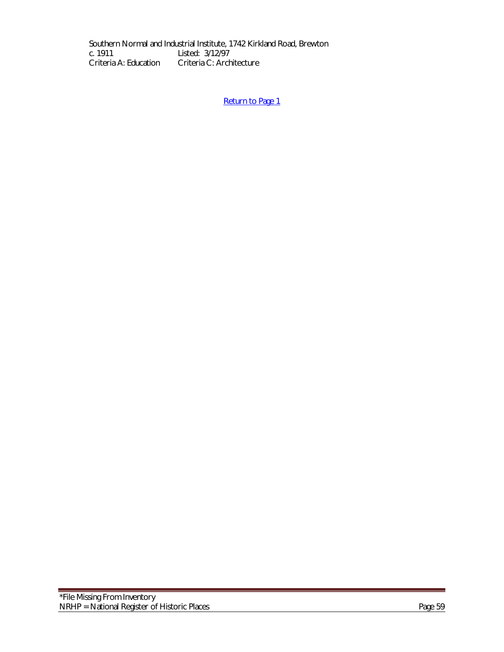Southern Normal and Industrial Institute, 1742 Kirkland Road, Brewton c. 1911 Listed: 3/12/97 c. 1911 Listed: 3/12/97<br>Criteria A: Education Criteria C: Arch Criteria C: Architecture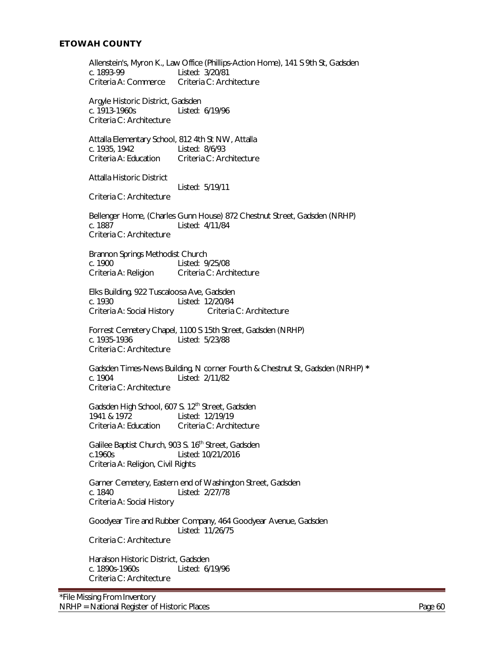Allenstein's, Myron K., Law Office (Phillips-Action Home), 141 S 9th St, Gadsden c. 1893-99<br>Criteria A: Commerce Criteria C: Architecture Criteria A: Commerce Argyle Historic District, Gadsden c. 1913-1960s Listed: 6/19/96 Criteria C: Architecture Attalla Elementary School, 812 4th St NW, Attalla c. 1935, 1942 Listed: 8/6/93 Criteria A: Education Criteria C: Architecture Attalla Historic District Listed: 5/19/11 Criteria C: Architecture Bellenger Home, (Charles Gunn House) 872 Chestnut Street, Gadsden (NRHP) c. 1887 Listed: 4/11/84 Criteria C: Architecture Brannon Springs Methodist Church<br>c. 1900 Listed: 9 Listed: 9/25/08 Criteria A: Religion Criteria C: Architecture Elks Building, 922 Tuscaloosa Ave, Gadsden c. 1930 Listed: 12/20/84 Criteria A: Social History Criteria C: Architecture Forrest Cemetery Chapel, 1100 S 15th Street, Gadsden (NRHP) c. 1935-1936 Listed: 5/23/88 Criteria C: Architecture Gadsden Times-News Building, N corner Fourth & Chestnut St, Gadsden (NRHP) **\*** c. 1904 Listed: 2/11/82 Criteria C: Architecture Gadsden High School, 607 S.  $12^{th}$  Street, Gadsden<br>1941 & 1972 Listed:  $12/19/19$ Listed: 12/19/19 Criteria A: Education Criteria C: Architecture Galilee Baptist Church, 903 S. 16<sup>th</sup> Street, Gadsden c.1960s Listed: 10/21/2016 Criteria A: Religion, Civil Rights Garner Cemetery, Eastern end of Washington Street, Gadsden c. 1840 Listed: 2/27/78 Criteria A: Social History Goodyear Tire and Rubber Company, 464 Goodyear Avenue, Gadsden Listed: 11/26/75 Criteria C: Architecture Haralson Historic District, Gadsden c. 1890s-1960s Listed: 6/19/96 Criteria C: Architecture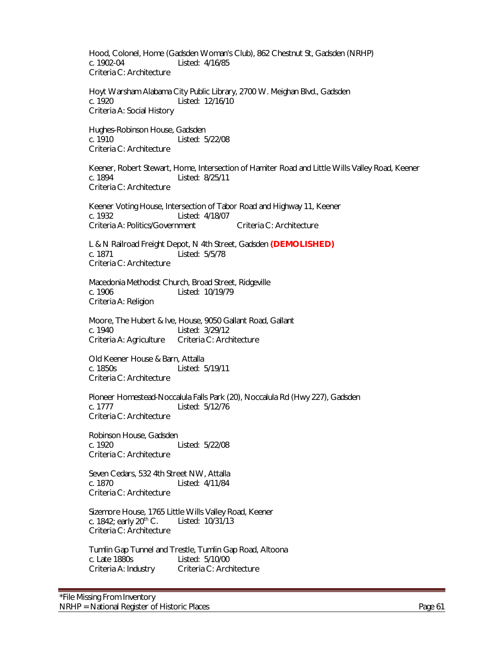Hood, Colonel, Home (Gadsden Woman's Club), 862 Chestnut St, Gadsden (NRHP) c. 1902-04 Listed: 4/16/85 Criteria C: Architecture

Hoyt Warsham Alabama City Public Library, 2700 W. Meighan Blvd., Gadsden c. 1920 Listed: 12/16/10 Criteria A: Social History

Hughes-Robinson House, Gadsden c. 1910 Listed: 5/22/08 Criteria C: Architecture

Keener, Robert Stewart, Home, Intersection of Hamiter Road and Little Wills Valley Road, Keener<br>c. 1894 **Start Little 186** 18/25/11 Listed: 8/25/11 Criteria C: Architecture

Keener Voting House, Intersection of Tabor Road and Highway 11, Keener c. 1932 Listed: 4/18/07 Criteria A: Politics/Government Criteria C: Architecture

L & N Railroad Freight Depot, N 4th Street, Gadsden **(DEMOLISHED)** c. 1871 Listed: 5/5/78 Criteria C: Architecture

Macedonia Methodist Church, Broad Street, Ridgeville c. 1906 Listed: 10/19/79 Criteria A: Religion

Moore, The Hubert & Ive, House, 9050 Gallant Road, Gallant c. 1940 <br>Criteria A: Agriculture Criteria C: Architecture Criteria A: Agriculture

Old Keener House & Barn, Attalla c. 1850s Listed: 5/19/11 Criteria C: Architecture

Pioneer Homestead-Noccalula Falls Park (20), Noccalula Rd (Hwy 227), Gadsden c. 1777 Listed: 5/12/76 Criteria C: Architecture

Robinson House, Gadsden<br>c. 1920 Listed: 5/22/08 Criteria C: Architecture

Seven Cedars, 532 4th Street NW, Attalla c. 1870 Listed: 4/11/84 Criteria C: Architecture

Sizemore House, 1765 Little Wills Valley Road, Keener<br>c. 1842; early 20<sup>th</sup> C. Listed: 10/31/13 c. 1842; early  $20<sup>th</sup>$  C. Criteria C: Architecture

Tumlin Gap Tunnel and Trestle, Tumlin Gap Road, Altoona c. Late 1880s Listed: 5/10/00 Criteria A: Industry Criteria C: Architecture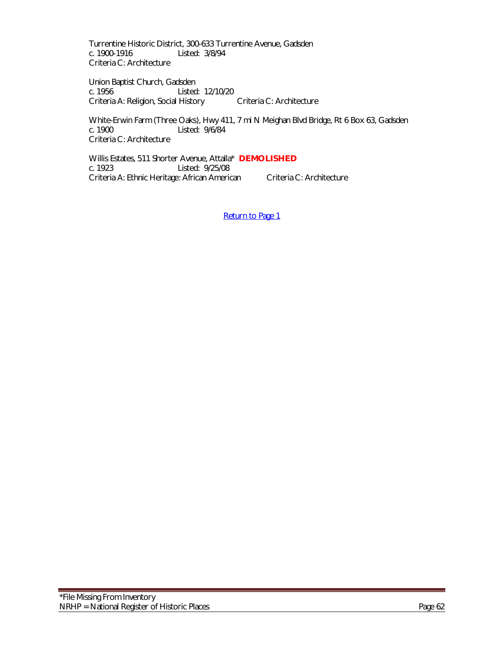Turrentine Historic District, 300-633 Turrentine Avenue, Gadsden c. 1900-1916 Listed: 3/8/94 Criteria C: Architecture

Union Baptist Church, Gadsden c. 1956 Listed: 12/10/20 Criteria A: Religion, Social History Criteria C: Architecture

White-Erwin Farm (Three Oaks), Hwy 411, 7 mi N Meighan Blvd Bridge, Rt 6 Box 63, Gadsden c. 1900<br>c. 1900 Listed: 9/6/84 Listed: 9/6/84 Criteria C: Architecture

Willis Estates, 511 Shorter Avenue, Attalla\* **DEMOLISHED** c. 1923 Listed: 9/25/08 Criteria A: Ethnic Heritage: African American Criteria C: Architecture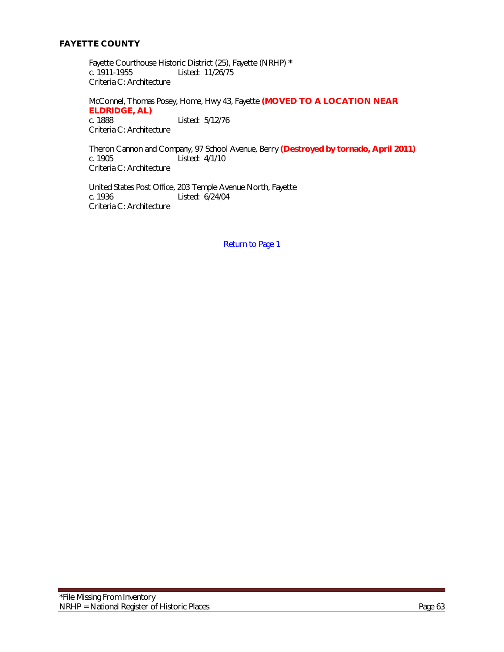## **FAYETTE COUNTY**

Fayette Courthouse Historic District (25), Fayette (NRHP) **\*** Listed: 11/26/75 Criteria C: Architecture

McConnel, Thomas Posey, Home, Hwy 43, Fayette **(MOVED TO A LOCATION NEAR ELDRIDGE, AL)** Listed: 5/12/76 Criteria C: Architecture

Theron Cannon and Company, 97 School Avenue, Berry **(Destroyed by tornado, April 2011)**  $\overline{\phantom{a}}$  Listed: 4/1/10 Criteria C: Architecture

United States Post Office, 203 Temple Avenue North, Fayette c. 1936<br>
Listed: 6/24/04 Listed: 6/24/04 Criteria C: Architecture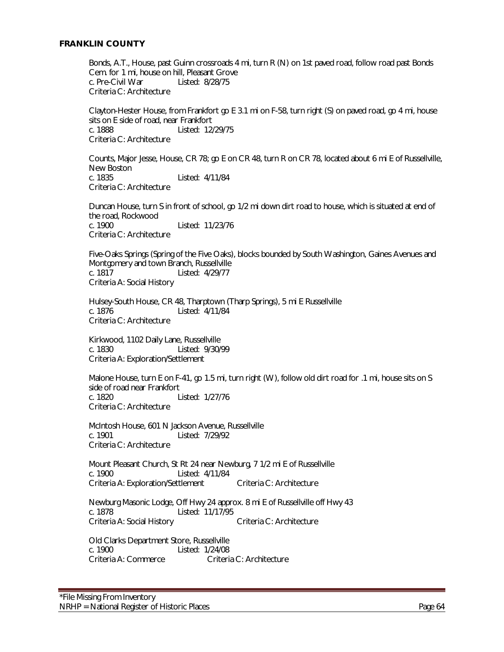#### **FRANKLIN COUNTY**

Bonds, A.T., House, past Guinn crossroads 4 mi, turn R (N) on 1st paved road, follow road past Bonds Cem. for 1 mi, house on hill, Pleasant Grove c. Pre-Civil War Listed: 8/28/75 Criteria C: Architecture

Clayton-Hester House, from Frankfort go E 3.1 mi on F-58, turn right (S) on paved road, go 4 mi, house sits on E side of road, near Frankfort c. 1888 Listed: 12/29/75 Criteria C: Architecture

Counts, Major Jesse, House, CR 78; go E on CR 48, turn R on CR 78, located about 6 mi E of Russellville, New Boston c. 1835 Listed: 4/11/84 Criteria C: Architecture

Duncan House, turn S in front of school, go 1/2 mi down dirt road to house, which is situated at end of the road, Rockwood c. 1900 Listed: 11/23/76 Criteria C: Architecture

Five-Oaks Springs (Spring of the Five Oaks), blocks bounded by South Washington, Gaines Avenues and Montgomery and town Branch, Russellville c. 1817 Listed: 4/29/77 Criteria A: Social History

Hulsey-South House, CR 48, Tharptown (Tharp Springs), 5 mi E Russellville c. 1876 Listed: 4/11/84 Criteria C: Architecture

Kirkwood, 1102 Daily Lane, Russellville c. 1830 Listed: 9/30/99 Criteria A: Exploration/Settlement

Malone House, turn E on F-41, go 1.5 mi, turn right (W), follow old dirt road for .1 mi, house sits on S side of road near Frankfort c. 1820 Listed: 1/27/76 Criteria C: Architecture

McIntosh House, 601 N Jackson Avenue, Russellville c. 1901 Listed: 7/29/92 Criteria C: Architecture

Mount Pleasant Church, St Rt 24 near Newburg, 7 1/2 mi E of Russellville c. 1900 Listed: 4/11/84 Criteria A: Exploration/Settlement Criteria C: Architecture

Newburg Masonic Lodge, Off Hwy 24 approx. 8 mi E of Russellville off Hwy 43 c. 1878 Listed: 11/17/95 Criteria A: Social History Criteria C: Architecture

Old Clarks Department Store, Russellville c. 1900 Listed: 1/24/08 Criteria A: Commerce Criteria C: Architecture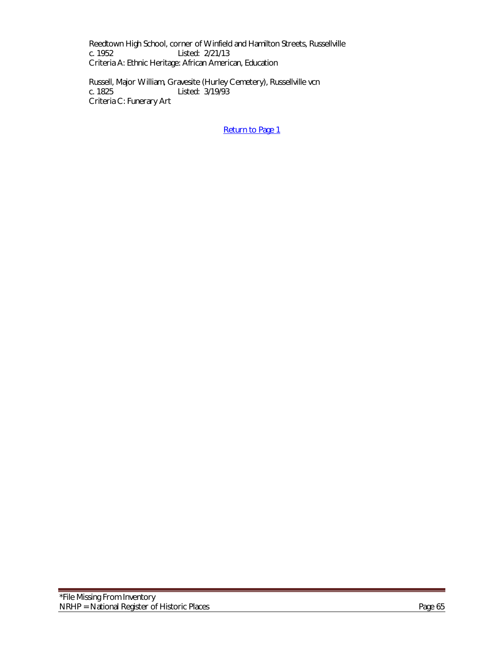Reedtown High School, corner of Winfield and Hamilton Streets, Russellville<br>c. 1952 Listed: 2/21/13 Listed: 2/21/13 Criteria A: Ethnic Heritage: African American, Education

Russell, Major William, Gravesite (Hurley Cemetery), Russellville vcn c. 1825 Listed: 3/19/93 Criteria C: Funerary Art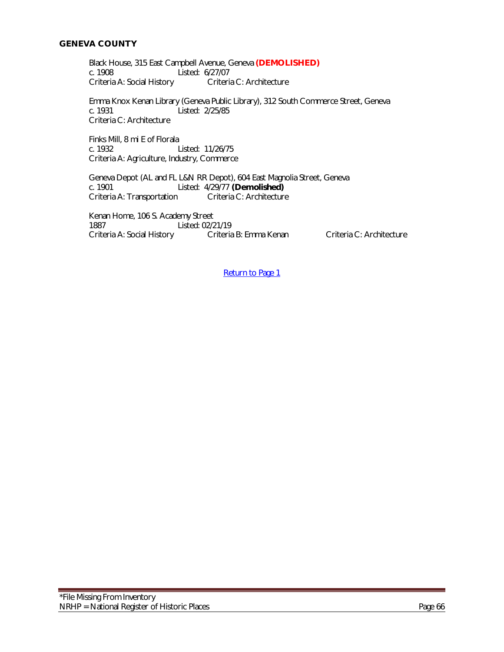#### **GENEVA COUNTY**

Black House, 315 East Campbell Avenue, Geneva **(DEMOLISHED)** Listed: 6/27/07<br>Criteria C: Architecture Criteria A: Social History

Emma Knox Kenan Library (Geneva Public Library), 312 South Commerce Street, Geneva c. 1931 Listed: 2/25/85 Criteria C: Architecture

Finks Mill, 8 mi E of Florala Listed: 11/26/75 Criteria A: Agriculture, Industry, Commerce

Geneva Depot (AL and FL L&N RR Depot), 604 East Magnolia Street, Geneva c. 1901 Listed: 4/29/77 **(Demolished)** Criteria A: Transportation

Kenan Home, 106 S. Academy Street 1887 Listed: 02/21/19 Criteria A: Social History Criteria B: Emma Kenan Criteria C: Architecture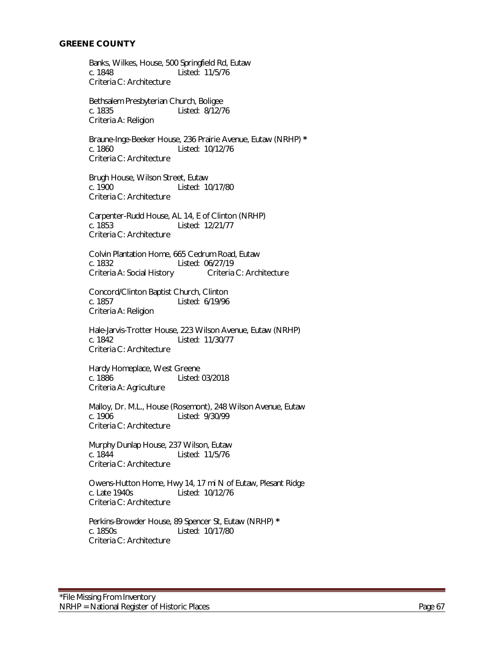#### **GREENE COUNTY**

Banks, Wilkes, House, 500 Springfield Rd, Eutaw c. 1848 Listed: 11/5/76 Criteria C: Architecture

Bethsalem Presbyterian Church, Boligee c. 1835 Listed: 8/12/76 Criteria A: Religion

Braune-Inge-Beeker House, 236 Prairie Avenue, Eutaw (NRHP) **\*** c. 1860 Listed: 10/12/76 Criteria C: Architecture

Brugh House, Wilson Street, Eutaw c. 1900 Listed: 10/17/80 Criteria C: Architecture

Carpenter-Rudd House, AL 14, E of Clinton (NRHP) c. 1853 Listed: 12/21/77 Criteria C: Architecture

Colvin Plantation Home, 665 Cedrum Road, Eutaw Listed: 06/27/19<br>Criteria C: Architecture Criteria A: Social History

Concord/Clinton Baptist Church, Clinton c. 1857 Listed: 6/19/96 Criteria A: Religion

Hale-Jarvis-Trotter House, 223 Wilson Avenue, Eutaw (NRHP) c. 1842 Listed: 11/30/77 Criteria C: Architecture

Hardy Homeplace, West Greene c. 1886 Listed: 03/2018 Criteria A: Agriculture

Malloy, Dr. M.L., House (Rosemont), 248 Wilson Avenue, Eutaw<br>c. 1906 **Listed: 9/30/99** Listed: 9/30/99 Criteria C: Architecture

Murphy Dunlap House, 237 Wilson, Eutaw c. 1844 Listed: 11/5/76 Criteria C: Architecture

Owens-Hutton Home, Hwy 14, 17 mi N of Eutaw, Plesant Ridge c. Late 1940s Listed: 10/12/76 Criteria C: Architecture

Perkins-Browder House, 89 Spencer St, Eutaw (NRHP) **\*** c. 1850s Listed: 10/17/80 Criteria C: Architecture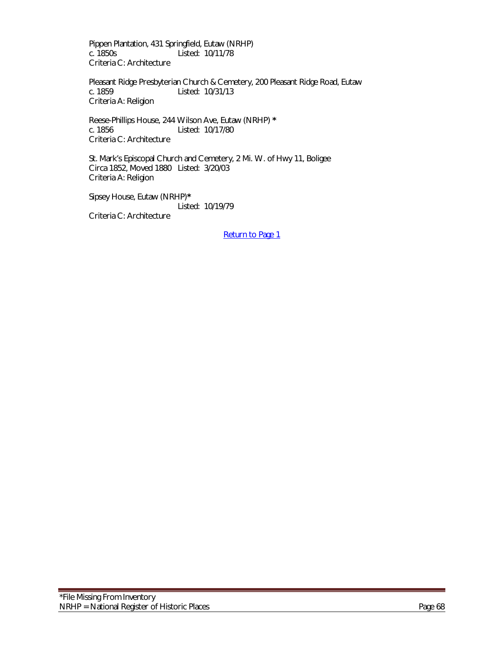Pippen Plantation, 431 Springfield, Eutaw (NRHP) c. 1850s Listed: 10/11/78 Criteria C: Architecture

Pleasant Ridge Presbyterian Church & Cemetery, 200 Pleasant Ridge Road, Eutaw c. 1859 Listed: 10/31/13 Criteria A: Religion

Reese-Phillips House, 244 Wilson Ave, Eutaw (NRHP) **\*** c. 1856 Listed: 10/17/80 Criteria C: Architecture

St. Mark's Episcopal Church and Cemetery, 2 Mi. W. of Hwy 11, Boligee Circa 1852, Moved 1880 Listed: 3/20/03 Criteria A: Religion

Sipsey House, Eutaw (NRHP)**\*** Listed: 10/19/79 Criteria C: Architecture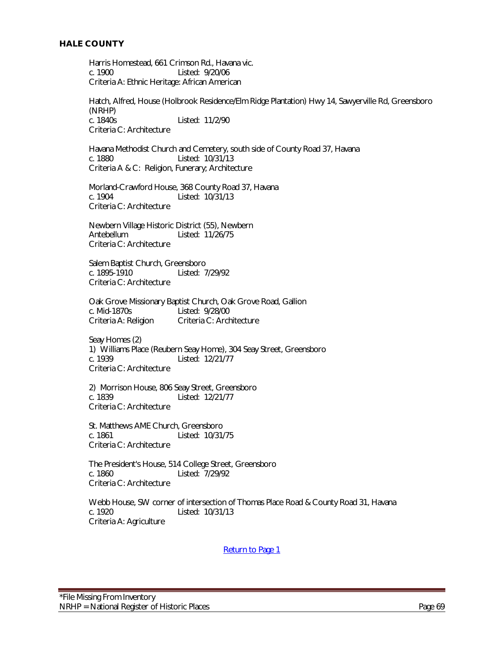Harris Homestead, 661 Crimson Rd., Havana vic. c. 1900 Listed: 9/20/06 Criteria A: Ethnic Heritage: African American

Hatch, Alfred, House (Holbrook Residence/Elm Ridge Plantation) Hwy 14, Sawyerville Rd, Greensboro (NRHP) c. 1840s Listed: 11/2/90 Criteria C: Architecture

Havana Methodist Church and Cemetery, south side of County Road 37, Havana c. 1880 Listed: 10/31/13 Criteria A & C: Religion, Funerary; Architecture

Morland-Crawford House, 368 County Road 37, Havana c. 1904 Listed: 10/31/13 Criteria C: Architecture

Newbern Village Historic District (55), Newbern Antebellum Listed: 11/26/75 Criteria C: Architecture

Salem Baptist Church, Greensboro c. 1895-1910 Listed: 7/29/92 Criteria C: Architecture

Oak Grove Missionary Baptist Church, Oak Grove Road, Gallion c. Mid-1870s Listed: 9/28/00 Criteria A: Religion Criteria C: Architecture

Seay Homes (2) 1) Williams Place (Reubern Seay Home), 304 Seay Street, Greensboro c. 1939 Listed: 12/21/77 Criteria C: Architecture

2) Morrison House, 806 Seay Street, Greensboro c. 1839 Listed: 12/21/77 Criteria C: Architecture

St. Matthews AME Church, Greensboro c. 1861 Listed: 10/31/75 Criteria C: Architecture

The President's House, 514 College Street, Greensboro c. 1860 Listed: 7/29/92 Criteria C: Architecture

Webb House, SW corner of intersection of Thomas Place Road & County Road 31, Havana<br>c. 1920 <br> Listed: 10/31/13 Criteria A: Agriculture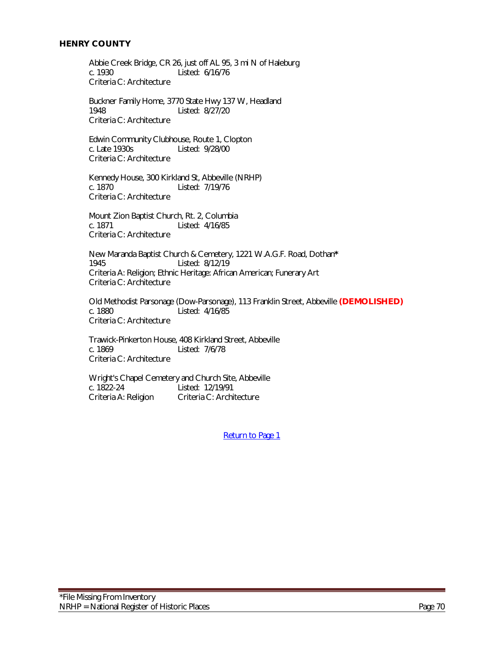Abbie Creek Bridge, CR 26, just off AL 95, 3 mi N of Haleburg Listed: 6/16/76 Criteria C: Architecture

Buckner Family Home, 3770 State Hwy 137 W, Headland 1948 Listed: 8/27/20 Criteria C: Architecture

Edwin Community Clubhouse, Route 1, Clopton<br>c. Late 1930s Listed: 9/28/00 Listed: 9/28/00 Criteria C: Architecture

Kennedy House, 300 Kirkland St, Abbeville (NRHP) c. 1870 Listed: 7/19/76 Criteria C: Architecture

Mount Zion Baptist Church, Rt. 2, Columbia c. 1871 Listed: 4/16/85 Criteria C: Architecture

New Maranda Baptist Church & Cemetery, 1221 W.A.G.F. Road, Dothan**\*** Listed: 8/12/19 Criteria A: Religion; Ethnic Heritage: African American; Funerary Art Criteria C: Architecture

Old Methodist Parsonage (Dow-Parsonage), 113 Franklin Street, Abbeville **(DEMOLISHED)** c. 1880 Listed: 4/16/85 Criteria C: Architecture

Trawick-Pinkerton House, 408 Kirkland Street, Abbeville c. 1869 Listed: 7/6/78 Criteria C: Architecture

Wright's Chapel Cemetery and Church Site, Abbeville<br>c. 1822-24 Listed: 12/19/91 Listed: 12/19/91 Criteria A: Religion Criteria C: Architecture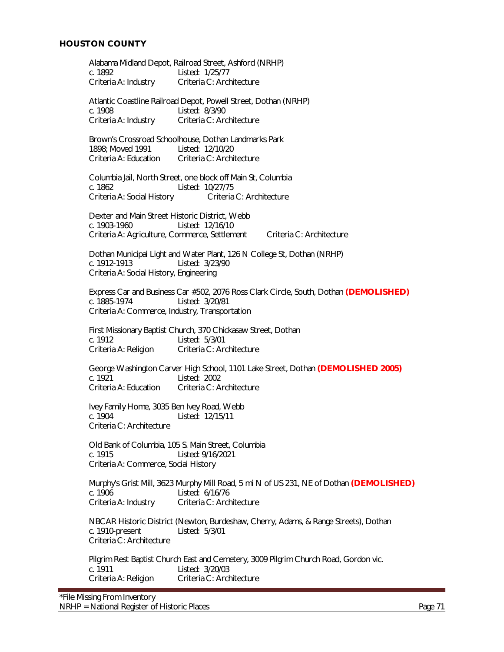Alabama Midland Depot, Railroad Street, Ashford (NRHP) c. 1892 Listed: 1/25/77 Criteria A: Industry Criteria C: Architecture Atlantic Coastline Railroad Depot, Powell Street, Dothan (NRHP) c. 1908 Listed: 8/3/90 Criteria A: Industry Criteria C: Architecture Brown's Crossroad Schoolhouse, Dothan Landmarks Park 1898; Moved 1991 Listed: 12/10/20 Criteria A: Education Criteria C: Architecture Columbia Jail, North Street, one block off Main St, Columbia c. 1862 Listed: 10/27/75 Criteria A: Social History Criteria C: Architecture Dexter and Main Street Historic District, Webb c. 1903-1960 Listed: 12/16/10 Criteria A: Agriculture, Commerce, Settlement Criteria C: Architecture Dothan Municipal Light and Water Plant, 126 N College St, Dothan (NRHP)<br>c. 1912-1913 Listed: 3/23/90 Listed: 3/23/90 Criteria A: Social History, Engineering Express Car and Business Car #502, 2076 Ross Clark Circle, South, Dothan **(DEMOLISHED)** c. 1885-1974 Listed: 3/20/81 Criteria A: Commerce, Industry, Transportation First Missionary Baptist Church, 370 Chickasaw Street, Dothan c. 1912 Listed: 5/3/01<br>Criteria A: Religion Criteria C: Ard Criteria C: Architecture George Washington Carver High School, 1101 Lake Street, Dothan **(DEMOLISHED 2005)** c. 1921 Listed: 2002<br>Criteria A: Education Criteria C: A Criteria C: Architecture Ivey Family Home, 3035 Ben Ivey Road, Webb Listed: 12/15/11 Criteria C: Architecture Old Bank of Columbia, 105 S. Main Street, Columbia c. 1915 Listed: 9/16/2021 Criteria A: Commerce, Social History Murphy's Grist Mill, 3623 Murphy Mill Road, 5 mi N of US 231, NE of Dothan **(DEMOLISHED)** c. 1906 Listed: 6/16/76 Criteria A: Industry Criteria C: Architecture NBCAR Historic District (Newton, Burdeshaw, Cherry, Adams, & Range Streets), Dothan c. 1910-present Listed: 5/3/01 Criteria C: Architecture Pilgrim Rest Baptist Church East and Cemetery, 3009 Pilgrim Church Road, Gordon vic. c. 1911 Listed: 3/20/03 Criteria A: Religion Criteria C: Architecture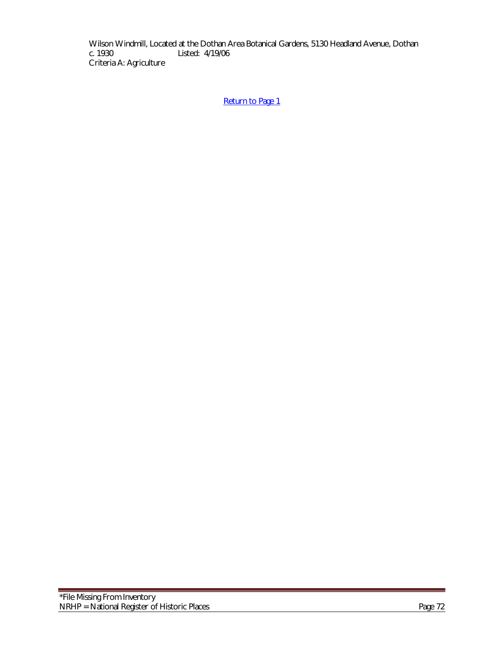Wilson Windmill, Located at the Dothan Area Botanical Gardens, 5130 Headland Avenue, Dothan c. 1930 Listed: 4/19/06 Listed: 4/19/06 Criteria A: Agriculture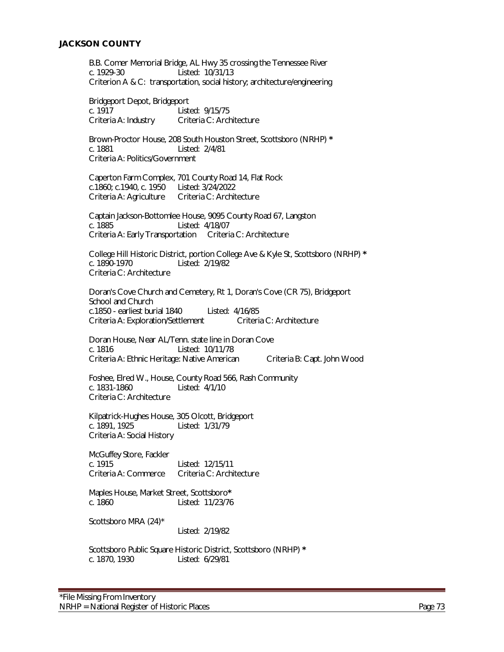B.B. Comer Memorial Bridge, AL Hwy 35 crossing the Tennessee River c. 1929-30 Listed: 10/31/13 Criterion A & C: transportation, social history; architecture/engineering

Bridgeport Depot, Bridgeport c. 1917 Listed: 9/15/75 Criteria A: Industry Criteria C: Architecture

Brown-Proctor House, 208 South Houston Street, Scottsboro (NRHP) **\*** c. 1881 Listed: 2/4/81 Criteria A: Politics/Government

Caperton Farm Complex, 701 County Road 14, Flat Rock c.1860; c.1940, c. 1950 Listed: 3/24/2022 Criteria A: Agriculture Criteria C: Architecture

Captain Jackson-Bottomlee House, 9095 County Road 67, Langston c. 1885 Listed: 4/18/07 Criteria A: Early Transportation Criteria C: Architecture

College Hill Historic District, portion College Ave & Kyle St, Scottsboro (NRHP) **\*** Listed: 2/19/82 Criteria C: Architecture

Doran's Cove Church and Cemetery, Rt 1, Doran's Cove (CR 75), Bridgeport School and Church c.1850 - earliest burial 1840 Listed: 4/16/85 Criteria A: Exploration/Settlement Criteria C: Architecture

 Doran House, Near AL/Tenn. state line in Doran Cove c. 1816 Listed: 10/11/78 Criteria A: Ethnic Heritage: Native American Criteria B: Capt. John Wood

Foshee, Elred W., House, County Road 566, Rash Community Listed: 4/1/10 Criteria C: Architecture

Kilpatrick-Hughes House, 305 Olcott, Bridgeport Listed: 1/31/79 Criteria A: Social History

McGuffey Store, Fackler c. 1915 Listed: 12/15/11 Criteria A: Commerce Criteria C: Architecture

Maples House, Market Street, Scottsboro**\*** c. 1860 Listed: 11/23/76

Scottsboro MRA (24)\*

Listed: 2/19/82

Scottsboro Public Square Historic District, Scottsboro (NRHP) **\*** c. 1870, 1930 Listed: 6/29/81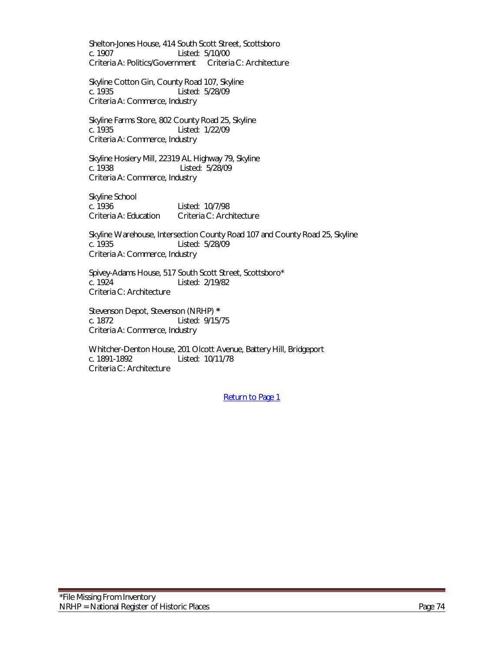Shelton-Jones House, 414 South Scott Street, Scottsboro c. 1907 Listed: 5/10/00 Criteria A: Politics/Government Criteria C: Architecture

Skyline Cotton Gin, County Road 107, Skyline c. 1935 Listed: 5/28/09 Criteria A: Commerce, Industry

Skyline Farms Store, 802 County Road 25, Skyline c. 1935 Listed: 1/22/09 Criteria A: Commerce, Industry

Skyline Hosiery Mill, 22319 AL Highway 79, Skyline c. 1938 Listed: 5/28/09 Criteria A: Commerce, Industry

Skyline School c. 1936 Listed: 10/7/98 Criteria A: Education Criteria C: Architecture

Skyline Warehouse, Intersection County Road 107 and County Road 25, Skyline<br>c. 1935 Listed: 5/28/09 Listed: 5/28/09 Criteria A: Commerce, Industry

Spivey-Adams House, 517 South Scott Street, Scottsboro\*<br>C. 1924 Listed: 2/19/82 Listed: 2/19/82 Criteria C: Architecture

Stevenson Depot, Stevenson (NRHP) **\*** Listed: 9/15/75 Criteria A: Commerce, Industry

Whitcher-Denton House, 201 Olcott Avenue, Battery Hill, Bridgeport c. 1891-1892 Listed: 10/11/78 Criteria C: Architecture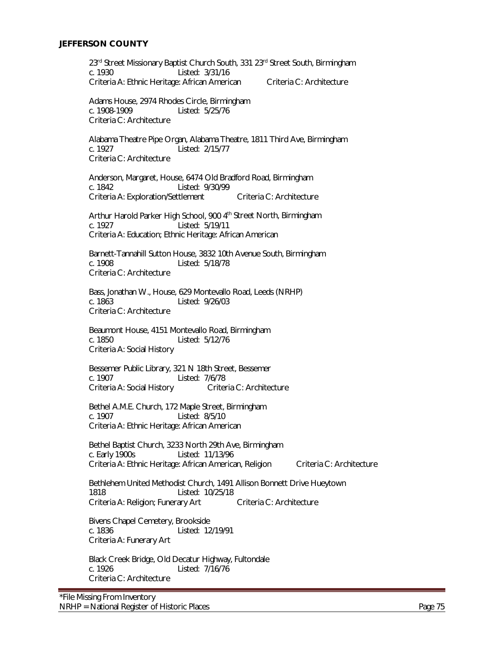23rd Street Missionary Baptist Church South, 331 23rd Street South, Birmingham c. 1930 Listed: 3/31/16 Criteria A: Ethnic Heritage: African American Criteria C: Architecture

Adams House, 2974 Rhodes Circle, Birmingham c. 1908-1909 Listed: 5/25/76 Criteria C: Architecture

Alabama Theatre Pipe Organ, Alabama Theatre, 1811 Third Ave, Birmingham Listed: 2/15/77 Criteria C: Architecture

Anderson, Margaret, House, 6474 Old Bradford Road, Birmingham c. 1842 Listed: 9/30/99 Criteria A: Exploration/Settlement Criteria C: Architecture

Arthur Harold Parker High School, 900 4<sup>th</sup> Street North, Birmingham c. 1927 Listed: 5/19/11 Criteria A: Education; Ethnic Heritage: African American

Barnett-Tannahill Sutton House, 3832 10th Avenue South, Birmingham<br>c. 1908 - Listed: 5/18/78 Listed: 5/18/78 Criteria C: Architecture

Bass, Jonathan W., House, 629 Montevallo Road, Leeds (NRHP) c. 1863 Listed: 9/26/03 Criteria C: Architecture

Beaumont House, 4151 Montevallo Road, Birmingham c. 1850 Listed: 5/12/76 Criteria A: Social History

Bessemer Public Library, 321 N 18th Street, Bessemer c. 1907 Listed: 7/6/78 Criteria A: Social History

Bethel A.M.E. Church, 172 Maple Street, Birmingham c. 1907 Listed: 8/5/10 Criteria A: Ethnic Heritage: African American

Bethel Baptist Church, 3233 North 29th Ave, Birmingham c. Early 1900s Listed: 11/13/96 Criteria A: Ethnic Heritage: African American, Religion Criteria C: Architecture

Bethlehem United Methodist Church, 1491 Allison Bonnett Drive Hueytown 1818 Listed: 10/25/18 Criteria A: Religion; Funerary Art Criteria C: Architecture

Bivens Chapel Cemetery, Brookside c. 1836 Listed: 12/19/91 Criteria A: Funerary Art

Black Creek Bridge, Old Decatur Highway, Fultondale c. 1926 Listed: 7/16/76 Criteria C: Architecture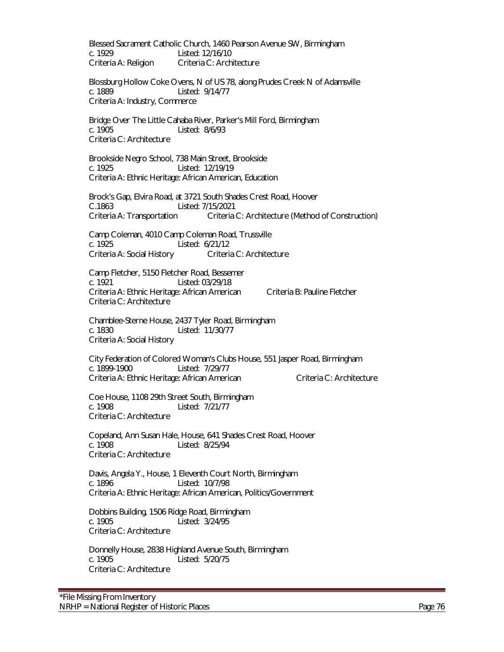Blessed Sacrament Catholic Church, 1460 Pearson Avenue SW, Birmingham c. 1929 Listed: 12/16/10 Criteria A: Religion Criteria C: Architecture

Blossburg Hollow Coke Ovens, N of US 78, along Prudes Creek N of Adamsville c. 1889 Listed: 9/14/77 Criteria A: Industry, Commerce

Bridge Over The Little Cahaba River, Parker's Mill Ford, Birmingham c. 1905 Listed: 8/6/93 Criteria C: Architecture

Brookside Negro School, 738 Main Street, Brookside c. 1925 Listed: 12/19/19 Criteria A: Ethnic Heritage: African American, Education

Brock's Gap, Elvira Road, at 3721 South Shades Crest Road, Hoover C.1863 Listed: 7/15/2021 Criteria A: Transportation Criteria C: Architecture (Method of Construction)

Camp Coleman, 4010 Camp Coleman Road, Trussville c. 1925 Listed: 6/21/12 Criteria A: Social History Criteria C: Architecture

Camp Fletcher, 5150 Fletcher Road, Bessemer c. 1921 Listed: 03/29/18 Criteria A: Ethnic Heritage: African American Criteria B: Pauline Fletcher Criteria C: Architecture

Chamblee-Sterne House, 2437 Tyler Road, Birmingham c. 1830 Listed: 11/30/77 Criteria A: Social History

City Federation of Colored Woman's Clubs House, 551 Jasper Road, Birmingham c. 1899-1900 Listed: 7/29/77 Criteria A: Ethnic Heritage: African American Criteria C: Architecture

Coe House, 1108 29th Street South, Birmingham c. 1908 Listed: 7/21/77 Criteria C: Architecture

Copeland, Ann Susan Hale, House, 641 Shades Crest Road, Hoover<br>c. 1908 - Listed: 8/25/94 Listed: 8/25/94 Criteria C: Architecture

Davis, Angela Y., House, 1 Eleventh Court North, Birmingham c. 1896 Listed: 10/7/98 Criteria A: Ethnic Heritage: African American, Politics/Government

Dobbins Building, 1506 Ridge Road, Birmingham c. 1905 Listed: 3/24/95 Criteria C: Architecture

Donnelly House, 2838 Highland Avenue South, Birmingham c. 1905 Listed: 5/20/75 Criteria C: Architecture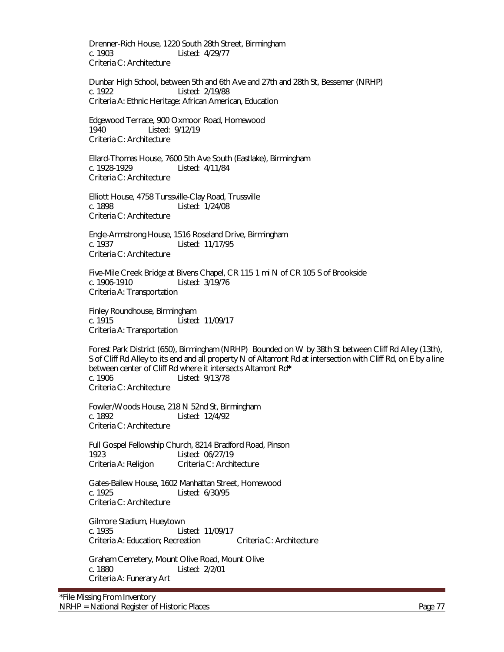Drenner-Rich House, 1220 South 28th Street, Birmingham c. 1903 Listed: 4/29/77 Criteria C: Architecture

Dunbar High School, between 5th and 6th Ave and 27th and 28th St, Bessemer (NRHP) c. 1922 Listed: 2/19/88 Criteria A: Ethnic Heritage: African American, Education

Edgewood Terrace, 900 Oxmoor Road, Homewood Listed: 9/12/19 Criteria C: Architecture

Ellard-Thomas House, 7600 5th Ave South (Eastlake), Birmingham c. 1928-1929 Listed: 4/11/84 Criteria C: Architecture

Elliott House, 4758 Turssville-Clay Road, Trussville c. 1898 Listed: 1/24/08 Criteria C: Architecture

Engle-Armstrong House, 1516 Roseland Drive, Birmingham Listed: 11/17/95 Criteria C: Architecture

Five-Mile Creek Bridge at Bivens Chapel, CR 115 1 mi N of CR 105 S of Brookside c. 1906-1910 Listed: 3/19/76 Criteria A: Transportation

Finley Roundhouse, Birmingham c. 1915 Listed: 11/09/17 Criteria A: Transportation

Forest Park District (650), Birmingham (NRHP) Bounded on W by 38th St between Cliff Rd Alley (13th), S of Cliff Rd Alley to its end and all property N of Altamont Rd at intersection with Cliff Rd, on E by a line between center of Cliff Rd where it intersects Altamont Rd**\*** c. 1906 Listed: 9/13/78 Criteria C: Architecture

Fowler/Woods House, 218 N 52nd St, Birmingham c. 1892 Listed: 12/4/92 Criteria C: Architecture

Full Gospel Fellowship Church, 8214 Bradford Road, Pinson 1923 Listed: 06/27/19 Criteria A: Religion Criteria C: Architecture

Gates-Ballew House, 1602 Manhattan Street, Homewood c. 1925 Listed: 6/30/95 Criteria C: Architecture

Gilmore Stadium, Hueytown c. 1935 Listed: 11/09/17 Criteria A: Education: Recreation Criteria C: Architecture

Graham Cemetery, Mount Olive Road, Mount Olive c. 1880 Listed: 2/2/01 Criteria A: Funerary Art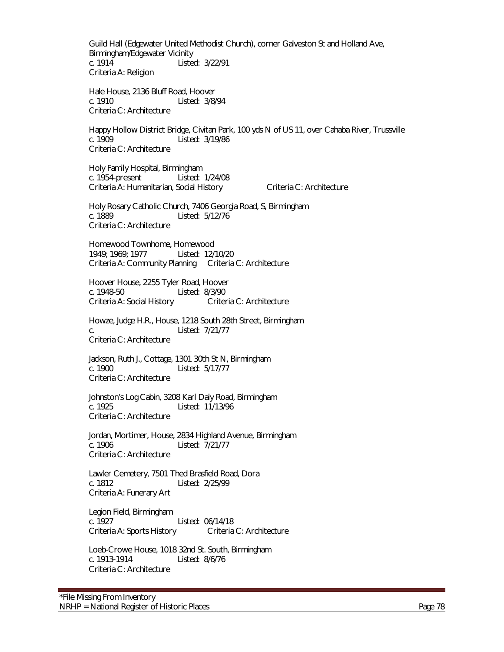Guild Hall (Edgewater United Methodist Church), corner Galveston St and Holland Ave, Birmingham/Edgewater Vicinity c. 1914 Listed: 3/22/91 Criteria A: Religion

Hale House, 2136 Bluff Road, Hoover c. 1910 Listed: 3/8/94 Criteria C: Architecture

Happy Hollow District Bridge, Civitan Park, 100 yds N of US 11, over Cahaba River, Trussville c. 1909 Listed: 3/19/86 Criteria C: Architecture

Holy Family Hospital, Birmingham c. 1954-present Listed: 1/24/08 Criteria A: Humanitarian, Social History Criteria C: Architecture

Holy Rosary Catholic Church, 7406 Georgia Road, S, Birmingham c. 1889 Listed: 5/12/76 Criteria C: Architecture

Homewood Townhome, Homewood 1949; 1969; 1977 Listed: 12/10/20 Criteria A: Community Planning Criteria C: Architecture

Hoover House, 2255 Tyler Road, Hoover c. 1948-50 Listed: 8/3/90 Criteria A: Social History Criteria C: Architecture

Howze, Judge H.R., House, 1218 South 28th Street, Birmingham c. Listed: 7/21/77 Criteria C: Architecture

Jackson, Ruth J., Cottage, 1301 30th St N, Birmingham c. 1900 Listed: 5/17/77 Criteria C: Architecture

Johnston's Log Cabin, 3208 Karl Daly Road, Birmingham c. 1925 Listed: 11/13/96 Criteria C: Architecture

 Jordan, Mortimer, House, 2834 Highland Avenue, Birmingham Listed: 7/21/77 Criteria C: Architecture

Lawler Cemetery, 7501 Thed Brasfield Road, Dora c. 1812 Listed: 2/25/99 Criteria A: Funerary Art

Legion Field, Birmingham c. 1927 Listed: 06/14/18<br>Criteria A: Sports History Criteria C: Architecture Criteria A: Sports History

Loeb-Crowe House, 1018 32nd St. South, Birmingham c. 1913-1914 Listed: 8/6/76 Criteria C: Architecture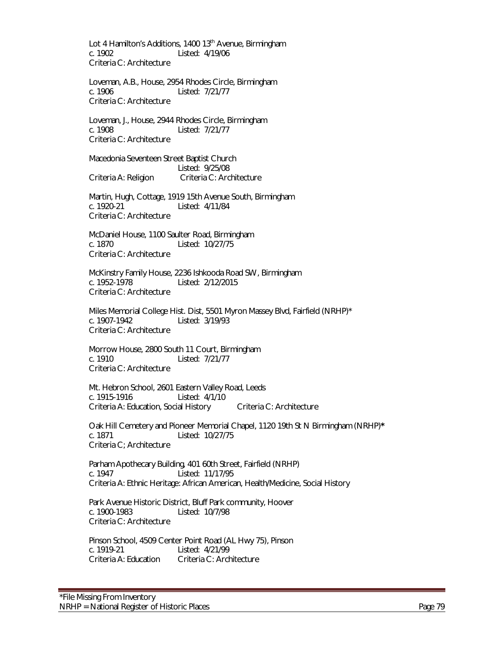Lot 4 Hamilton's Additions, 1400 13<sup>th</sup> Avenue, Birmingham c. 1902 Listed: 4/19/06 Criteria C: Architecture

Loveman, A.B., House, 2954 Rhodes Circle, Birmingham c. 1906 Listed: 7/21/77 Criteria C: Architecture

 Loveman, J., House, 2944 Rhodes Circle, Birmingham c. 1908 Listed: 7/21/77 Criteria C: Architecture

Macedonia Seventeen Street Baptist Church Listed: 9/25/08 Criteria A: Religion Criteria C: Architecture

 Martin, Hugh, Cottage, 1919 15th Avenue South, Birmingham c. 1920-21 Listed: 4/11/84 Criteria C: Architecture

McDaniel House, 1100 Saulter Road, Birmingham Listed: 10/27/75 Criteria C: Architecture

McKinstry Family House, 2236 Ishkooda Road SW, Birmingham c. 1952-1978<br>
Listed: 2/12/2015 Listed: 2/12/2015 Criteria C: Architecture

Miles Memorial College Hist. Dist, 5501 Myron Massey Blvd, Fairfield (NRHP)\* c. 1907-1942 Listed: 3/19/93 Criteria C: Architecture

Morrow House, 2800 South 11 Court, Birmingham c. 1910 Listed: 7/21/77 Criteria C: Architecture

Mt. Hebron School, 2601 Eastern Valley Road, Leeds c. 1915-1916 Listed: 4/1/10 Criteria A: Education, Social History Criteria C: Architecture

Oak Hill Cemetery and Pioneer Memorial Chapel, 1120 19th St N Birmingham (NRHP)**\*** c. 1871 Listed: 10/27/75 Criteria C; Architecture

Parham Apothecary Building, 401 60th Street, Fairfield (NRHP) c. 1947 Listed: 11/17/95 Criteria A: Ethnic Heritage: African American, Health/Medicine, Social History

Park Avenue Historic District, Bluff Park community, Hoover c. 1900-1983 Listed: 10/7/98 Criteria C: Architecture

Pinson School, 4509 Center Point Road (AL Hwy 75), Pinson c. 1919-21 Listed: 4/21/99 Criteria A: Education Criteria C: Architecture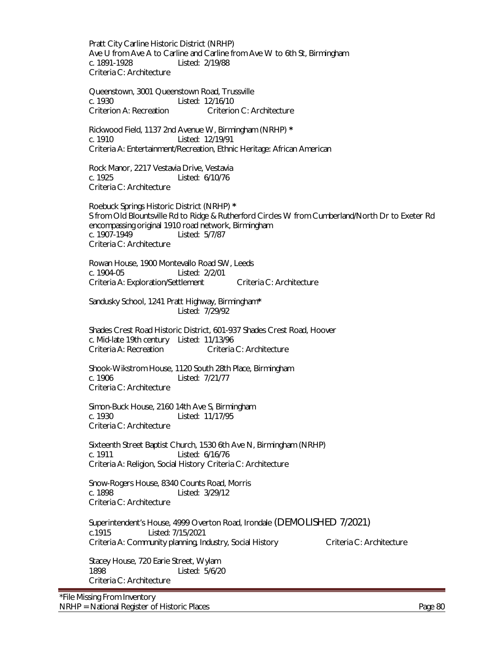Pratt City Carline Historic District (NRHP) Ave U from Ave A to Carline and Carline from Ave W to 6th St, Birmingham c. 1891-1928 Listed: 2/19/88 Criteria C: Architecture

Queenstown, 3001 Queenstown Road, Trussville c. 1930 Listed: 12/16/10 Criterion A: Recreation Criterion C: Architecture

Rickwood Field, 1137 2nd Avenue W, Birmingham (NRHP) **\*** c. 1910 Listed: 12/19/91 Criteria A: Entertainment/Recreation, Ethnic Heritage: African American

 Rock Manor, 2217 Vestavia Drive, Vestavia c. 1925 Listed: 6/10/76 Criteria C: Architecture

Roebuck Springs Historic District (NRHP) **\*** S from Old Blountsville Rd to Ridge & Rutherford Circles W from Cumberland/North Dr to Exeter Rd encompassing original 1910 road network, Birmingham c. 1907-1949 Listed: 5/7/87 Criteria C: Architecture

Rowan House, 1900 Montevallo Road SW, Leeds c. 1904-05 Listed: 2/2/01 Criteria A: Exploration/Settlement Criteria C: Architecture

Sandusky School, 1241 Pratt Highway, Birmingham**\*** Listed: 7/29/92

Shades Crest Road Historic District, 601-937 Shades Crest Road, Hoover c. Mid-late 19th century Listed: 11/13/96 Criteria A: Recreation Criteria C: Architecture

Shook-Wikstrom House, 1120 South 28th Place, Birmingham c. 1906 Listed: 7/21/77 Criteria C: Architecture

Simon-Buck House, 2160 14th Ave S, Birmingham c. 1930 Listed: 11/17/95 Criteria C: Architecture

Sixteenth Street Baptist Church, 1530 6th Ave N, Birmingham (NRHP) c. 1911 Listed: 6/16/76 Criteria A: Religion, Social History Criteria C: Architecture

Snow-Rogers House, 8340 Counts Road, Morris c. 1898 Listed: 3/29/12 Criteria C: Architecture

Superintendent's House, 4999 Overton Road, Irondale (DEMOLISHED 7/2021) c.1915 Listed: 7/15/2021 Criteria A: Community planning, Industry, Social History Criteria C: Architecture

Stacey House, 720 Earie Street, Wylam<br>1898 - Listed: 5/6/20 Listed: 5/6/20 Criteria C: Architecture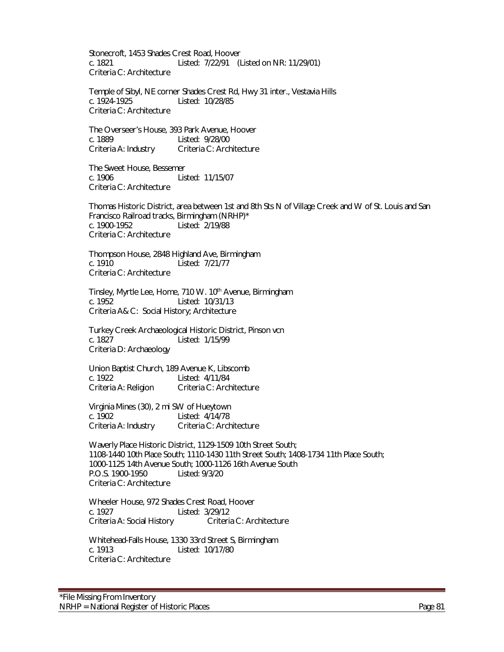Stonecroft, 1453 Shades Crest Road, Hoover c. 1821 Listed: 7/22/91 (Listed on NR: 11/29/01) Criteria C: Architecture

Temple of Sibyl, NE corner Shades Crest Rd, Hwy 31 inter., Vestavia Hills c. 1924-1925 Listed: 10/28/85 Criteria C: Architecture

The Overseer's House, 393 Park Avenue, Hoover c. 1889<br>Criteria A: Industry Criteria C: Arch Criteria C: Architecture

The Sweet House, Bessemer c. 1906 Listed: 11/15/07 Criteria C: Architecture

Thomas Historic District, area between 1st and 8th Sts N of Village Creek and W of St. Louis and San Francisco Railroad tracks, Birmingham (NRHP)\* c. 1900-1952 Listed: 2/19/88 Criteria C: Architecture

Thompson House, 2848 Highland Ave, Birmingham Listed: 7/21/77 Criteria C: Architecture

Tinsley, Myrtle Lee, Home, 710 W. 10<sup>th</sup> Avenue, Birmingham c. 1952 Listed: 10/31/13 Criteria A& C: Social History; Architecture

Turkey Creek Archaeological Historic District, Pinson vcn c. 1827 Listed: 1/15/99 Criteria D: Archaeology

Union Baptist Church, 189 Avenue K, Libscomb c. 1922 Listed: 4/11/84 Criteria C: Architecture

Virginia Mines (30), 2 mi SW of Hueytown Listed: 4/14/78 Criteria A: Industry Criteria C: Architecture

Waverly Place Historic District, 1129-1509 10th Street South; 1108-1440 10th Place South; 1110-1430 11th Street South; 1408-1734 11th Place South; 1000-1125 14th Avenue South; 1000-1126 16th Avenue South P.O.S. 1900-1950 Listed: 9/3/20 Criteria C: Architecture

Wheeler House, 972 Shades Crest Road, Hoover c. 1927 Listed: 3/29/12 Criteria A: Social History Criteria C: Architecture

Whitehead-Falls House, 1330 33rd Street S, Birmingham c. 1913 Listed: 10/17/80 Criteria C: Architecture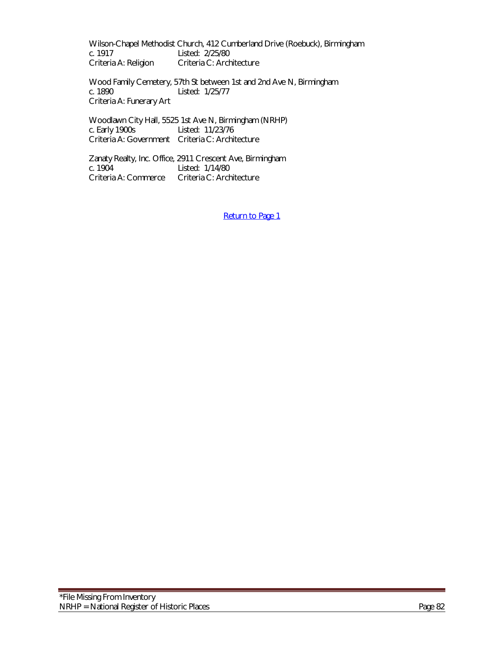Wilson-Chapel Methodist Church, 412 Cumberland Drive (Roebuck), Birmingham c. 1917 Listed: 2/25/80<br>Criteria A: Religion Criteria C: Arch Criteria C: Architecture

Wood Family Cemetery, 57th St between 1st and 2nd Ave N, Birmingham c. 1890 Listed: 1/25/77 Criteria A: Funerary Art

Woodlawn City Hall, 5525 1st Ave N, Birmingham (NRHP) c. Early 1900s Listed: 11/23/76 Criteria A: Government Criteria C: Architecture

Zanaty Realty, Inc. Office, 2911 Crescent Ave, Birmingham c. 1904 Listed: 1/14/80 c. 1904 Listed: 1/14/80<br>Criteria A: Commerce Criteria C: Arch Criteria C: Architecture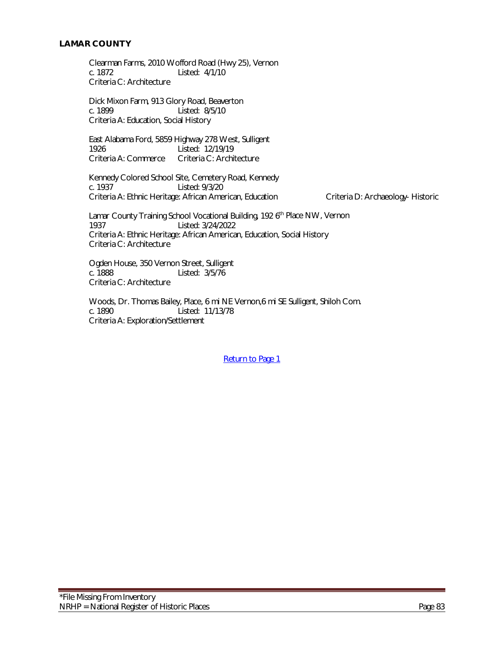Clearman Farms, 2010 Wofford Road (Hwy 25), Vernon c. 1872 Listed: 4/1/10 Criteria C: Architecture

Dick Mixon Farm, 913 Glory Road, Beaverton c. 1899 Listed: 8/5/10 Criteria A: Education, Social History

East Alabama Ford, 5859 Highway 278 West, Sulligent Listed: 12/19/19 Criteria A: Commerce Criteria C: Architecture

Kennedy Colored School Site, Cemetery Road, Kennedy<br>c. 1937 Listed: 9/3/20 Listed: 9/3/20 Criteria A: Ethnic Heritage: African American, Education Criteria D: Archaeology- Historic

Lamar County Training School Vocational Building, 192 6<sup>th</sup> Place NW, Vernon 1937 Listed: 3/24/2022 Criteria A: Ethnic Heritage: African American, Education, Social History Criteria C: Architecture

 Ogden House, 350 Vernon Street, Sulligent c. 1888 Listed: 3/5/76 Criteria C: Architecture

Woods, Dr. Thomas Bailey, Place, 6 mi NE Vernon,6 mi SE Sulligent, Shiloh Com. c. 1890 Listed: 11/13/78 Criteria A: Exploration/Settlement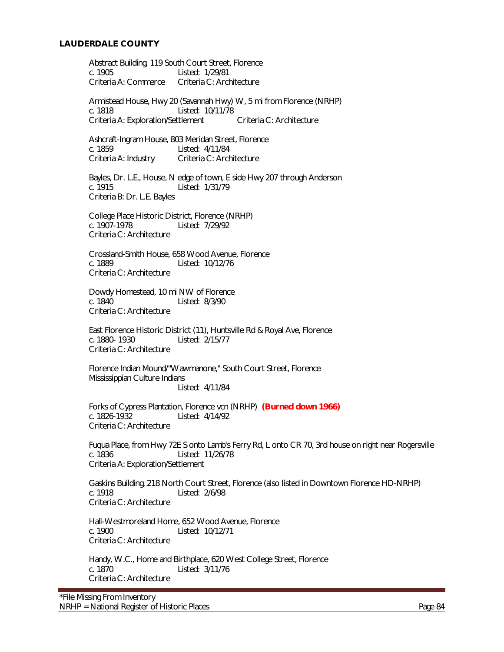# **LAUDERDALE COUNTY**

Abstract Building, 119 South Court Street, Florence c. 1905 Listed: 1/29/81<br>Criteria A: Commerce Criteria C: Arch Criteria C: Architecture

Armistead House, Hwy 20 (Savannah Hwy) W, 5 mi from Florence (NRHP) c. 1818 Listed: 10/11/78 Criteria A: Exploration/Settlement Criteria C: Architecture

Ashcraft-Ingram House, 803 Meridan Street, Florence c. 1859 Listed: 4/11/84 Criteria A: Industry Criteria C: Architecture

Bayles, Dr. L.E., House, N edge of town, E side Hwy 207 through Anderson c. 1915 Listed: 1/31/79 Criteria B: Dr. L.E. Bayles

College Place Historic District, Florence (NRHP) c. 1907-1978 Listed: 7/29/92 Criteria C: Architecture

Crossland-Smith House, 658 Wood Avenue, Florence Listed: 10/12/76 Criteria C: Architecture

Dowdy Homestead, 10 mi NW of Florence c. 1840 Listed: 8/3/90 Criteria C: Architecture

East Florence Historic District (11), Huntsville Rd & Royal Ave, Florence c. 1880- 1930 Listed: 2/15/77 Criteria C: Architecture

Florence Indian Mound/"Wawmanone," South Court Street, Florence Mississippian Culture Indians Listed: 4/11/84

Forks of Cypress Plantation, Florence vcn (NRHP) **(Burned down 1966)** Listed: 4/14/92 Criteria C: Architecture

Fuqua Place, from Hwy 72E S onto Lamb's Ferry Rd, L onto CR 70, 3rd house on right near Rogersville c. 1836 Listed: 11/26/78 Criteria A: Exploration/Settlement

Gaskins Building, 218 North Court Street, Florence (also listed in Downtown Florence HD-NRHP) c. 1918 Listed: 2/6/98 Criteria C: Architecture

Hall-Westmoreland Home, 652 Wood Avenue, Florence c. 1900 Listed: 10/12/71 Criteria C: Architecture

 Handy, W.C., Home and Birthplace, 620 West College Street, Florence c. 1870 Listed: 3/11/76 Criteria C: Architecture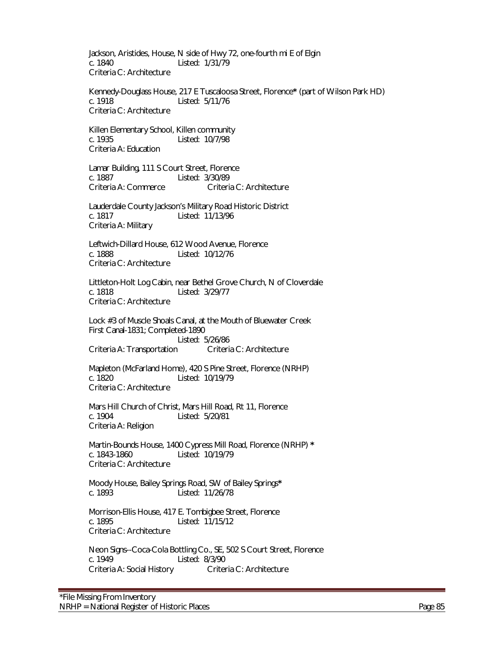Jackson, Aristides, House, N side of Hwy 72, one-fourth mi E of Elgin c. 1840 Listed: 1/31/79 Criteria C: Architecture

Kennedy-Douglass House, 217 E Tuscaloosa Street, Florence**\*** (part of Wilson Park HD) c. 1918 Listed: 5/11/76 Criteria C: Architecture

Killen Elementary School, Killen community c. 1935 Listed: 10/7/98 Criteria A: Education

Lamar Building, 111 S Court Street, Florence c. 1887 Listed: 3/30/89 Criteria A: Commerce Criteria C: Architecture

Lauderdale County Jackson's Military Road Historic District c. 1817 Listed: 11/13/96 Criteria A: Military

Leftwich-Dillard House, 612 Wood Avenue, Florence c. 1888 Listed: 10/12/76 Criteria C: Architecture

Littleton-Holt Log Cabin, near Bethel Grove Church, N of Cloverdale c. 1818 Listed: 3/29/77 Criteria C: Architecture

Lock #3 of Muscle Shoals Canal, at the Mouth of Bluewater Creek First Canal-1831; Completed-1890 Listed: 5/26/86 Criteria A: Transportation Criteria C: Architecture

Mapleton (McFarland Home), 420 S Pine Street, Florence (NRHP) c. 1820 Listed: 10/19/79 Criteria C: Architecture

Mars Hill Church of Christ, Mars Hill Road, Rt 11, Florence c. 1904 Listed: 5/20/81 Criteria A: Religion

Martin-Bounds House, 1400 Cypress Mill Road, Florence (NRHP) **\*** c. 1843-1860 Listed: 10/19/79 Criteria C: Architecture

Moody House, Bailey Springs Road, SW of Bailey Springs**\*** c. 1893 Listed: 11/26/78

Morrison-Ellis House, 417 E. Tombigbee Street, Florence c. 1895 Listed: 11/15/12 Criteria C: Architecture

Neon Signs--Coca-Cola Bottling Co., SE, 502 S Court Street, Florence c. 1949 Listed: 8/3/90<br>Criteria A: Social History Criteria C: Architecture Criteria A: Social History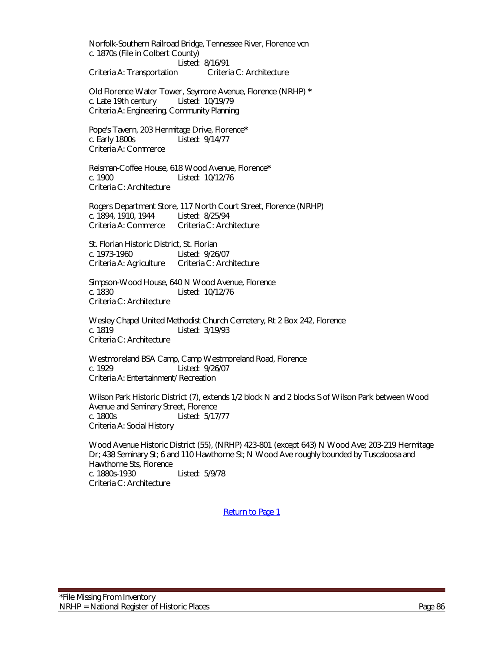Norfolk-Southern Railroad Bridge, Tennessee River, Florence vcn c. 1870s (File in Colbert County)

Listed: 8/16/91<br>Criteria C: Architecture Criteria A: Transportation

Old Florence Water Tower, Seymore Avenue, Florence (NRHP) **\*** c. Late 19th century Listed: 10/19/79 Criteria A: Engineering, Community Planning

Pope's Tavern, 203 Hermitage Drive, Florence**\*** c. Early 1800s Listed: 9/14/77 Criteria A: Commerce

Reisman-Coffee House, 618 Wood Avenue, Florence**\*** Listed: 10/12/76 Criteria C: Architecture

Rogers Department Store, 117 North Court Street, Florence (NRHP) c. 1894, 1910, 1944 Listed: 8/25/94 Criteria A: Commerce Criteria C: Architecture

St. Florian Historic District, St. Florian c. 1973-1960 Listed: 9/26/07 Criteria A: Agriculture Criteria C: Architecture

Simpson-Wood House, 640 N Wood Avenue, Florence c. 1830 Listed: 10/12/76 Criteria C: Architecture

Wesley Chapel United Methodist Church Cemetery, Rt 2 Box 242, Florence c. 1819 Listed: 3/19/93 Criteria C: Architecture

Westmoreland BSA Camp, Camp Westmoreland Road, Florence c. 1929 Listed: 9/26/07 Criteria A: Entertainment/ Recreation

Wilson Park Historic District (7), extends 1/2 block N and 2 blocks S of Wilson Park between Wood Avenue and Seminary Street, Florence<br>c. 1800s Listed: 5/17 Listed: 5/17/77 Criteria A: Social History

Wood Avenue Historic District (55), (NRHP) 423-801 (except 643) N Wood Ave; 203-219 Hermitage Dr; 438 Seminary St; 6 and 110 Hawthorne St; N Wood Ave roughly bounded by Tuscaloosa and Hawthorne Sts, Florence c. 1880s-1930 Listed: 5/9/78 Criteria C: Architecture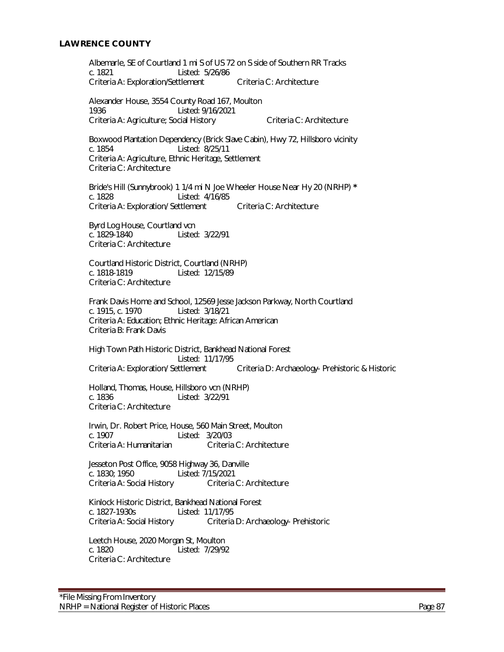## **LAWRENCE COUNTY**

Albemarle, SE of Courtland 1 mi S of US 72 on S side of Southern RR Tracks c. 1821 Listed: 5/26/86 Criteria A: Exploration/Settlement Criteria C: Architecture

Alexander House, 3554 County Road 167, Moulton 1936 Listed: 9/16/2021 Criteria A: Agriculture; Social History Criteria C: Architecture

Boxwood Plantation Dependency (Brick Slave Cabin), Hwy 72, Hillsboro vicinity c. 1854 Listed: 8/25/11 Criteria A: Agriculture, Ethnic Heritage, Settlement Criteria C: Architecture

Bride's Hill (Sunnybrook) 1 1/4 mi N Joe Wheeler House Near Hy 20 (NRHP) **\*** Listed: 4/16/85 Criteria A: Exploration/ Settlement Criteria C: Architecture

Byrd Log House, Courtland vcn c. 1829-1840 Listed: 3/22/91 Criteria C: Architecture

Courtland Historic District, Courtland (NRHP) c. 1818-1819 Listed: 12/15/89 Criteria C: Architecture

Frank Davis Home and School, 12569 Jesse Jackson Parkway, North Courtland c. 1915, c. 1970 Listed: 3/18/21 Criteria A: Education; Ethnic Heritage: African American Criteria B: Frank Davis

High Town Path Historic District, Bankhead National Forest Listed: 11/17/95 Criteria A: Exploration/ Settlement Criteria D: Archaeology- Prehistoric & Historic

Holland, Thomas, House, Hillsboro vcn (NRHP) c. 1836 Listed: 3/22/91 Criteria C: Architecture

Irwin, Dr. Robert Price, House, 560 Main Street, Moulton c. 1907 Listed: 3/20/03 Criteria A: Humanitarian

Jesseton Post Office, 9058 Highway 36, Danville c. 1830; 1950 Listed: 7/15/2021 Criteria A: Social History Criteria C: Architecture

Kinlock Historic District, Bankhead National Forest c. 1827-1930s Listed: 11/17/95 Criteria A: Social History Criteria D: Archaeology- Prehistoric

Leetch House, 2020 Morgan St, Moulton c. 1820 Listed: 7/29/92 Criteria C: Architecture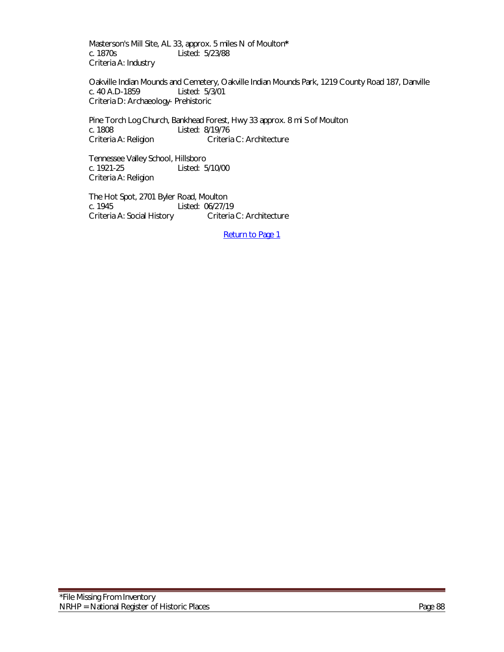Masterson's Mill Site, AL 33, approx. 5 miles N of Moulton**\*** Listed: 5/23/88 Criteria A: Industry

Oakville Indian Mounds and Cemetery, Oakville Indian Mounds Park, 1219 County Road 187, Danville c. 40 A.D-1859 Listed: 5/3/01 Criteria D: Archaeology- Prehistoric

Pine Torch Log Church, Bankhead Forest, Hwy 33 approx. 8 mi S of Moulton c. 1808 Listed: 8/19/76<br>Criteria A: Religion Criteria Criteria C: Architecture

Tennessee Valley School, Hillsboro c. 1921-25 Listed: 5/10/00 Criteria A: Religion

The Hot Spot, 2701 Byler Road, Moulton c. 1945 Listed: 06/27/19 Criteria A: Social History Criteria C: Architecture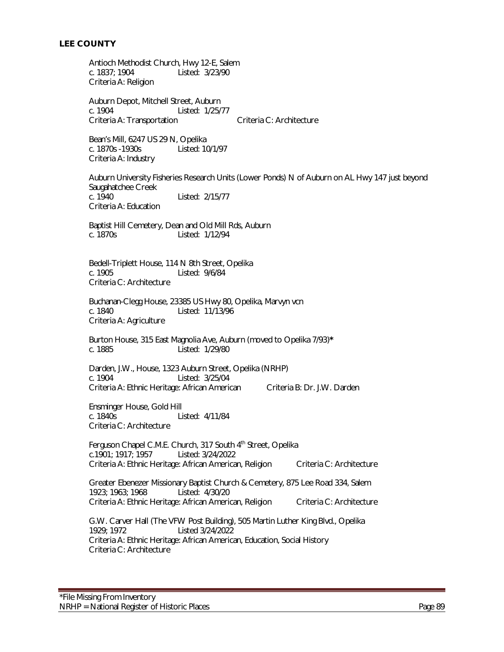Antioch Methodist Church, Hwy 12-E, Salem c. 1837; 1904 Listed: 3/23/90 Criteria A: Religion

Auburn Depot, Mitchell Street, Auburn c. 1904 Listed: 1/25/77 Criteria A: Transportation Criteria C: Architecture

Bean's Mill, 6247 US 29 N, Opelika<br>c. 1870s -1930s Listed: 10/1/97 c. 1870s - 1930s Criteria A: Industry

 Auburn University Fisheries Research Units (Lower Ponds) N of Auburn on AL Hwy 147 just beyond Saugahatchee Creek<br>c. 1940 Listed: 2/15/77 Criteria A: Education

Baptist Hill Cemetery, Dean and Old Mill Rds, Auburn c. 1870s Listed: 1/12/94

Bedell-Triplett House, 114 N 8th Street, Opelika c. 1905 Listed: 9/6/84 Criteria C: Architecture

Buchanan-Clegg House, 23385 US Hwy 80, Opelika, Marvyn vcn c. 1840 Listed: 11/13/96 Criteria A: Agriculture

Burton House, 315 East Magnolia Ave, Auburn (moved to Opelika 7/93)**\*** c. 1885 Listed: 1/29/80

Darden, J.W., House, 1323 Auburn Street, Opelika (NRHP) c. 1904 Listed: 3/25/04 Criteria A: Ethnic Heritage: African American Criteria B: Dr. J.W. Darden

Ensminger House, Gold Hill c. 1840s Listed: 4/11/84 Criteria C: Architecture

Ferguson Chapel C.M.E. Church, 317 South 4<sup>th</sup> Street, Opelika c.1901; 1917; 1957 Listed: 3/24/2022 Criteria A: Ethnic Heritage: African American, Religion Criteria C: Architecture

Greater Ebenezer Missionary Baptist Church & Cemetery, 875 Lee Road 334, Salem 1923; 1963; 1968 Listed: 4/30/20 1923; 1963; 1968 Criteria A: Ethnic Heritage: African American, Religion Criteria C: Architecture

G.W. Carver Hall (The VFW Post Building), 505 Martin Luther King Blvd., Opelika 1929; 1972 Listed 3/24/2022 Criteria A: Ethnic Heritage: African American, Education, Social History Criteria C: Architecture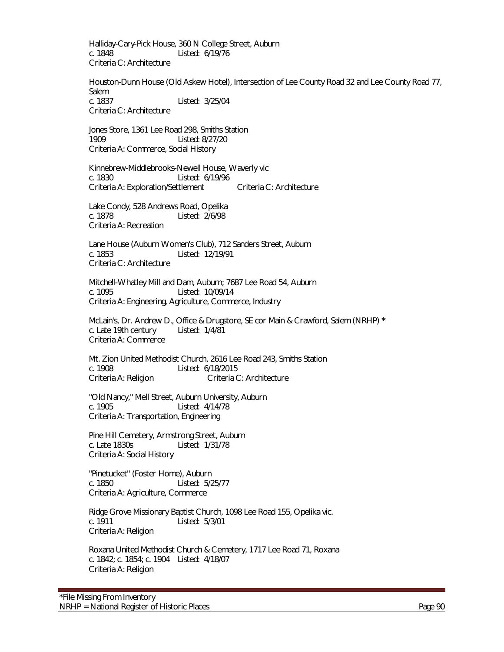Halliday-Cary-Pick House, 360 N College Street, Auburn c. 1848 Listed: 6/19/76 Criteria C: Architecture

Houston-Dunn House (Old Askew Hotel), Intersection of Lee County Road 32 and Lee County Road 77, Salem c. 1837 Listed: 3/25/04

Criteria C: Architecture

Jones Store, 1361 Lee Road 298, Smiths Station 1909 Listed: 8/27/20 Criteria A: Commerce, Social History

Kinnebrew-Middlebrooks-Newell House, Waverly vic c. 1830 Listed: 6/19/96 Criteria A: Exploration/Settlement Criteria C: Architecture

Lake Condy, 528 Andrews Road, Opelika c. 1878 Listed: 2/6/98 Criteria A: Recreation

Lane House (Auburn Women's Club), 712 Sanders Street, Auburn c. 1853 Listed: 12/19/91 Criteria C: Architecture

 Mitchell-Whatley Mill and Dam, Auburn; 7687 Lee Road 54, Auburn c. 1095 Listed: 10/09/14 Criteria A: Engineering, Agriculture, Commerce, Industry

McLain's, Dr. Andrew D., Office & Drugstore, SE cor Main & Crawford, Salem (NRHP) **\*** c. Late 19th century Listed: 1/4/81 Criteria A: Commerce

Mt. Zion United Methodist Church, 2616 Lee Road 243, Smiths Station c. 1908 Listed: 6/18/2015 Criteria A: Religion Criteria C: Architecture

"Old Nancy," Mell Street, Auburn University, Auburn c. 1905 Listed: 4/14/78 Criteria A: Transportation, Engineering

Pine Hill Cemetery, Armstrong Street, Auburn c. Late 1830s Listed: 1/31/78 Criteria A: Social History

"Pinetucket" (Foster Home), Auburn c. 1850 Listed: 5/25/77 Criteria A: Agriculture, Commerce

Ridge Grove Missionary Baptist Church, 1098 Lee Road 155, Opelika vic. c. 1911 Listed: 5/3/01 Criteria A: Religion

Roxana United Methodist Church & Cemetery, 1717 Lee Road 71, Roxana c. 1842; c. 1854; c. 1904 Listed: 4/18/07 Criteria A: Religion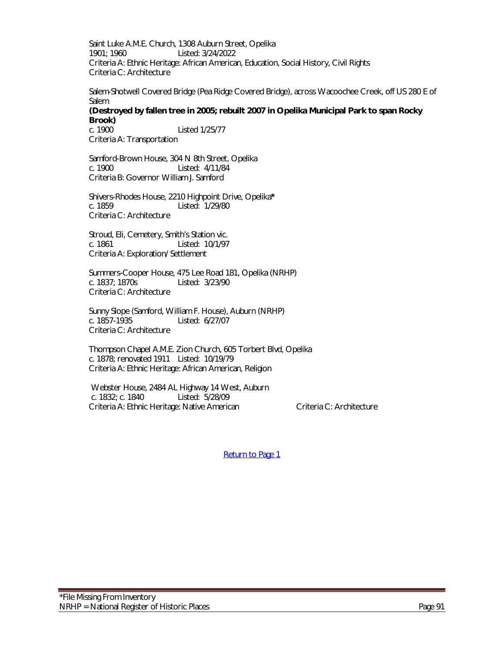Saint Luke A.M.E. Church, 1308 Auburn Street, Opelika 1901; 1960 Listed: 3/24/2022 Criteria A: Ethnic Heritage: African American, Education, Social History, Civil Rights Criteria C: Architecture

Salem-Shotwell Covered Bridge (Pea Ridge Covered Bridge), across Wacoochee Creek, off US 280 E of Salem

**(Destroyed by fallen tree in 2005; rebuilt 2007 in Opelika Municipal Park to span Rocky Brook)** c. 1900 Listed 1/25/77

Criteria A: Transportation

Samford-Brown House, 304 N 8th Street, Opelika c. 1900 Listed: 4/11/84 Criteria B: Governor William J. Samford

Shivers-Rhodes House, 2210 Highpoint Drive, Opelika**\*** c. 1859 Listed: 1/29/80 Criteria C: Architecture

Stroud, Eli, Cemetery, Smith's Station vic. c. 1861 Listed: 10/1/97 Criteria A: Exploration/ Settlement

Summers-Cooper House, 475 Lee Road 181, Opelika (NRHP)<br>c. 1837: 1870s<br>Listed: 3/23/90 Listed: 3/23/90 Criteria C: Architecture

Sunny Slope (Samford, William F. House), Auburn (NRHP) c. 1857-1935 Listed: 6/27/07 Criteria C: Architecture

Thompson Chapel A.M.E. Zion Church, 605 Torbert Blvd, Opelika c. 1878; renovated 1911 Listed: 10/19/79 Criteria A: Ethnic Heritage: African American, Religion

 Webster House, 2484 AL Highway 14 West, Auburn c. 1832; c. 1840 Listed: 5/28/09 Criteria A: Ethnic Heritage: Native American Criteria C: Architecture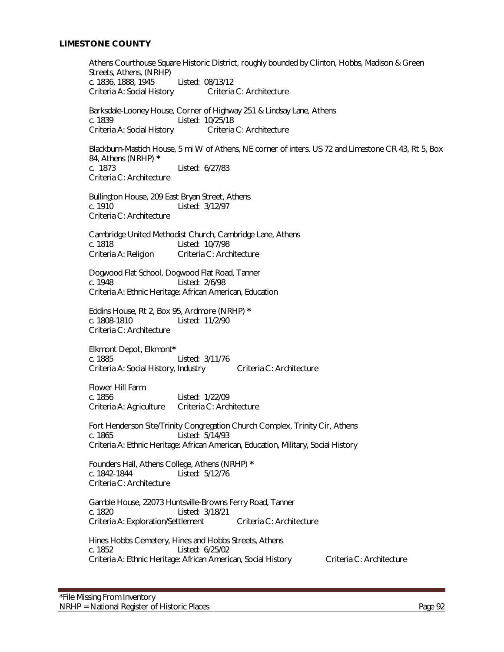## **LIMESTONE COUNTY**

Athens Courthouse Square Historic District, roughly bounded by Clinton, Hobbs, Madison & Green Streets, Athens, (NRHP) c. 1836, 1888, 1945 Listed: 08/13/12 Criteria A: Social History Criteria C: Architecture Barksdale-Looney House, Corner of Highway 251 & Lindsay Lane, Athens c. 1839 Listed: 10/25/18 Criteria A: Social History Criteria C: Architecture Blackburn-Mastich House, 5 mi W of Athens, NE corner of inters. US 72 and Limestone CR 43, Rt 5, Box 84, Athens (NRHP) **\*** Listed: 6/27/83 Criteria C: Architecture Bullington House, 209 East Bryan Street, Athens c. 1910 Listed: 3/12/97 Criteria C: Architecture Cambridge United Methodist Church, Cambridge Lane, Athens c. 1818 Listed: 10/7/98 Criteria A: Religion Criteria C: Architecture Dogwood Flat School, Dogwood Flat Road, Tanner c. 1948 Listed: 2/6/98 Criteria A: Ethnic Heritage: African American, Education Eddins House, Rt 2, Box 95, Ardmore (NRHP) **\*** Listed: 11/2/90 Criteria C: Architecture Elkmont Depot, Elkmont**\*** c. 1885 Listed: 3/11/76 Criteria A: Social History, Industry Criteria C: Architecture Flower Hill Farm c. 1856 Listed: 1/22/09 Criteria A: Agriculture Criteria C: Architecture Fort Henderson Site/Trinity Congregation Church Complex, Trinity Cir, Athens c. 1865 Listed: 5/14/93 Criteria A: Ethnic Heritage: African American, Education, Military, Social History Founders Hall, Athens College, Athens (NRHP) **\*** c. 1842-1844 Listed: 5/12/76 Criteria C: Architecture Gamble House, 22073 Huntsville-Browns Ferry Road, Tanner c. 1820 Listed: 3/18/21 Criteria A: Exploration/Settlement Criteria C: Architecture Hines Hobbs Cemetery, Hines and Hobbs Streets, Athens c. 1852 Listed: 6/25/02 Criteria A: Ethnic Heritage: African American, Social History Criteria C: Architecture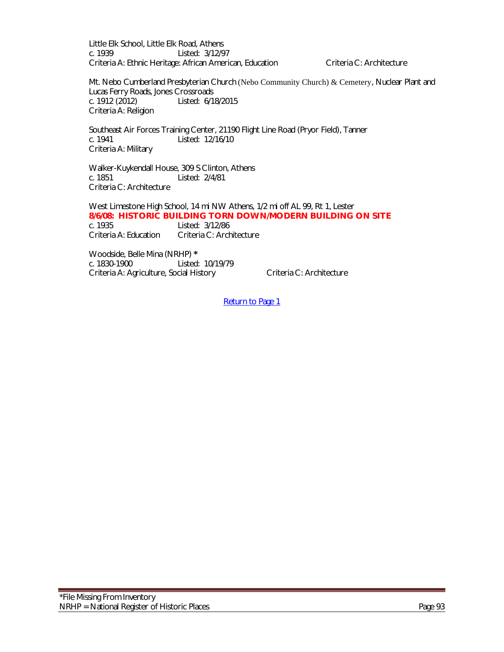Little Elk School, Little Elk Road, Athens c. 1939 Listed: 3/12/97 Criteria A: Ethnic Heritage: African American, Education Criteria C: Architecture

Mt. Nebo Cumberland Presbyterian Church (Nebo Community Church) & Cemetery, Nuclear Plant and Lucas Ferry Roads, Jones Crossroads<br>c. 1912 (2012) Listed: 6/1 Listed: 6/18/2015 Criteria A: Religion

Southeast Air Forces Training Center, 21190 Flight Line Road (Pryor Field), Tanner c. 1941 Listed: 12/16/10 Criteria A: Military

Walker-Kuykendall House, 309 S Clinton, Athens c. 1851 Listed: 2/4/81 Criteria C: Architecture

West Limestone High School, 14 mi NW Athens, 1/2 mi off AL 99, Rt 1, Lester **8/6/08: HISTORIC BUILDING TORN DOWN/MODERN BUILDING ON SITE** c. 1935 Listed: 3/12/86 Criteria A: Education Criteria C: Architecture

Woodside, Belle Mina (NRHP) **\*** c. 1830-1900 Listed: 10/19/79 Criteria A: Agriculture, Social History Criteria C: Architecture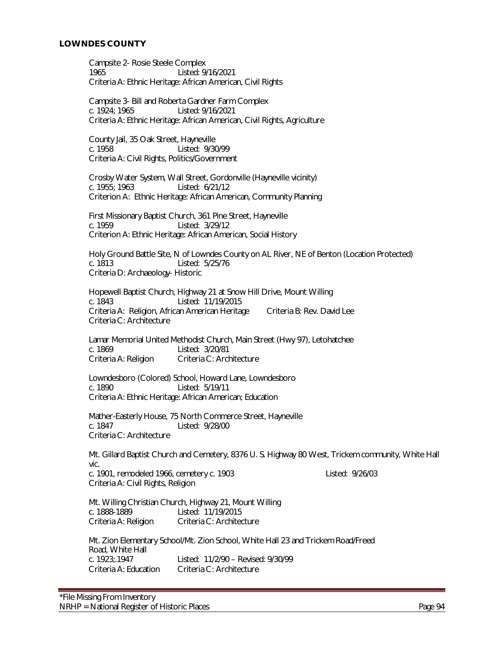#### **LOWNDES COUNTY**

Campsite 2- Rosie Steele Complex 1965 Listed: 9/16/2021 Criteria A: Ethnic Heritage: African American, Civil Rights

Campsite 3- Bill and Roberta Gardner Farm Complex c. 1924; 1965 Listed: 9/16/2021 Criteria A: Ethnic Heritage: African American, Civil Rights, Agriculture

County Jail, 35 Oak Street, Hayneville c. 1958 Listed: 9/30/99 Criteria A: Civil Rights, Politics/Government

Crosby Water System, Wall Street, Gordonville (Hayneville vicinity) c. 1955; 1963 Listed: 6/21/12 Criterion A: Ethnic Heritage: African American, Community Planning

First Missionary Baptist Church, 361 Pine Street, Hayneville c. 1959 Listed: 3/29/12 Criterion A: Ethnic Heritage: African American, Social History

Holy Ground Battle Site, N of Lowndes County on AL River, NE of Benton (Location Protected)<br>c. 1813<br>c. 1813 Listed: 5/25/76 Criteria D: Archaeology- Historic

Hopewell Baptist Church, Highway 21 at Snow Hill Drive, Mount Willing c. 1843 Listed: 11/19/2015 Criteria A: Religion, African American Heritage Criteria B: Rev. David Lee Criteria C: Architecture

Lamar Memorial United Methodist Church, Main Street (Hwy 97), Letohatchee c. 1869 Listed: 3/20/81 Criteria A: Religion Criteria C: Architecture

Lowndesboro (Colored) School, Howard Lane, Lowndesboro c. 1890 Listed: 5/19/11 Criteria A: Ethnic Heritage: African American; Education

Mather-Easterly House, 75 North Commerce Street, Hayneville<br>c. 1847 Listed: 9/28/00 Listed: 9/28/00 Criteria C: Architecture

Mt. Gillard Baptist Church and Cemetery, 8376 U. S. Highway 80 West, Trickem community, White Hall vic. c. 1901, remodeled 1966, cemetery c. 1903 Listed: 9/26/03 Criteria A: Civil Rights, Religion

Mt. Willing Christian Church, Highway 21, Mount Willing c. 1888-1889 Listed: 11/19/2015 Criteria A: Religion Criteria C: Architecture

Mt. Zion Elementary School/Mt. Zion School, White Hall 23 and Trickem Road/Freed Road, White Hall c. 1923;.1947 Listed: 11/2/90 – Revised: 9/30/99 Criteria A: Education Criteria C: Architecture

\*File Missing From Inventory NRHP = National Register of Historic Places **Page 94** Page 94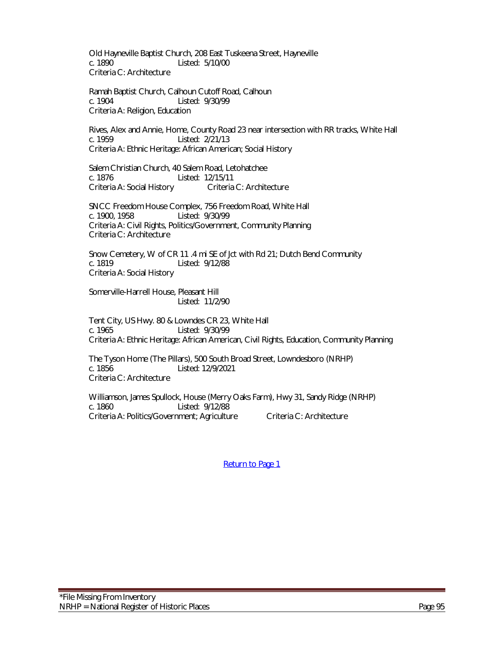Old Hayneville Baptist Church, 208 East Tuskeena Street, Hayneville c. 1890 Listed: 5/10/00 Criteria C: Architecture

Ramah Baptist Church, Calhoun Cutoff Road, Calhoun c. 1904 Listed: 9/30/99 Criteria A: Religion, Education

Rives, Alex and Annie, Home, County Road 23 near intersection with RR tracks, White Hall c. 1959 Listed: 2/21/13 Criteria A: Ethnic Heritage: African American; Social History

Salem Christian Church, 40 Salem Road, Letohatchee c. 1876 Listed: 12/15/11 Criteria A: Social History Criteria C: Architecture

SNCC Freedom House Complex, 756 Freedom Road, White Hall c. 1900, 1958 Listed: 9/30/99 Criteria A: Civil Rights, Politics/Government, Community Planning Criteria C: Architecture

Snow Cemetery, W of CR 11 .4 mi SE of Jct with Rd 21; Dutch Bend Community c. 1819 Listed: 9/12/88 Criteria A: Social History

Somerville-Harrell House, Pleasant Hill Listed: 11/2/90

Tent City, US Hwy. 80 & Lowndes CR 23, White Hall c. 1965 Listed: 9/30/99 Criteria A: Ethnic Heritage: African American, Civil Rights, Education, Community Planning

The Tyson Home (The Pillars), 500 South Broad Street, Lowndesboro (NRHP) Listed: 12/9/2021 Criteria C: Architecture

Williamson, James Spullock, House (Merry Oaks Farm), Hwy 31, Sandy Ridge (NRHP) c. 1860 Listed: 9/12/88 Criteria A: Politics/Government; Agriculture Criteria C: Architecture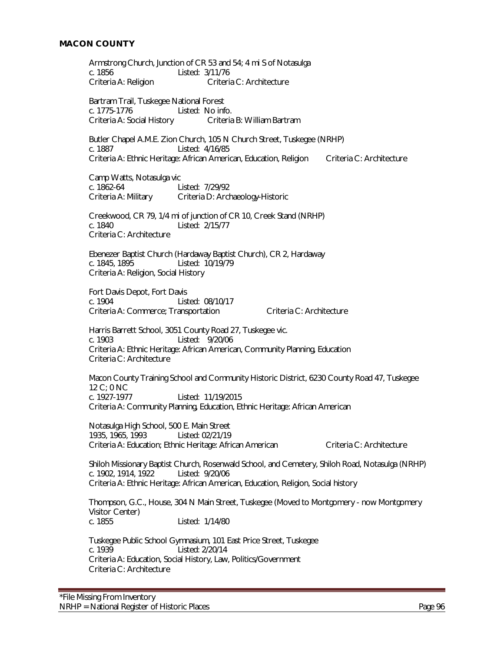Armstrong Church, Junction of CR 53 and 54; 4 mi S of Notasulga c. 1856 Listed: 3/11/76 Criteria A: Religion Criteria C: Architecture Bartram Trail, Tuskegee National Forest c. 1775-1776 Listed: No info. Criteria A: Social History Criteria B: William Bartram Butler Chapel A.M.E. Zion Church, 105 N Church Street, Tuskegee (NRHP) c. 1887 Listed: 4/16/85 Criteria A: Ethnic Heritage: African American, Education, Religion Criteria C: Architecture Camp Watts, Notasulga vic c. 1862-64 Listed: 7/29/92 Criteria A: Military Criteria D: Archaeology-Historic Creekwood, CR 79, 1/4 mi of junction of CR 10, Creek Stand (NRHP) c. 1840 Listed: 2/15/77 Criteria C: Architecture Ebenezer Baptist Church (Hardaway Baptist Church), CR 2, Hardaway Listed: 10/19/79 Criteria A: Religion, Social History Fort Davis Depot, Fort Davis c. 1904 Listed: 08/10/17 Criteria A: Commerce; Transportation Criteria C: Architecture Harris Barrett School, 3051 County Road 27, Tuskegee vic. c. 1903 Listed: 9/20/06 Criteria A: Ethnic Heritage: African American, Community Planning, Education Criteria C: Architecture Macon County Training School and Community Historic District, 6230 County Road 47, Tuskegee 12 C; 0 NC c. 1927-1977 Listed: 11/19/2015 Criteria A: Community Planning, Education, Ethnic Heritage: African American Notasulga High School, 500 E. Main Street 1935, 1965, 1993 Listed: 02/21/19 Criteria A: Education; Ethnic Heritage: African American Criteria C: Architecture Shiloh Missionary Baptist Church, Rosenwald School, and Cemetery, Shiloh Road, Notasulga (NRHP) c. 1902, 1914, 1922 Listed: 9/20/06 Criteria A: Ethnic Heritage: African American, Education, Religion, Social history Thompson, G.C., House, 304 N Main Street, Tuskegee (Moved to Montgomery - now Montgomery Visitor Center) c. 1855 Listed: 1/14/80 Tuskegee Public School Gymnasium, 101 East Price Street, Tuskegee c. 1939 Listed: 2/20/14 Criteria A: Education, Social History, Law, Politics/Government Criteria C: Architecture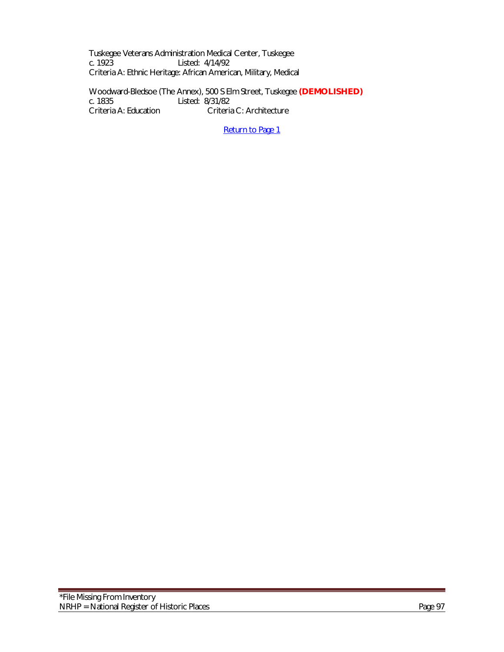Tuskegee Veterans Administration Medical Center, Tuskegee Listed: 4/14/92 Criteria A: Ethnic Heritage: African American, Military, Medical

Woodward-Bledsoe (The Annex), 500 S Elm Street, Tuskegee **(DEMOLISHED)** c. 1835 Listed: 8/31/82<br>Criteria A: Education Criteria Criteria C: Architecture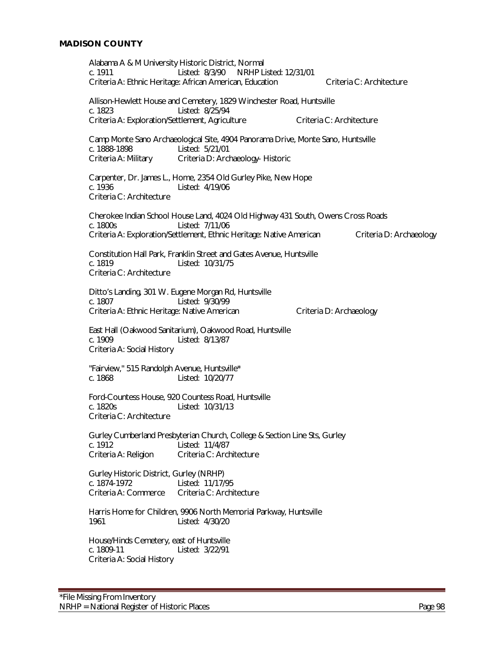Alabama A & M University Historic District, Normal c. 1911 Listed: 8/3/90 NRHP Listed: 12/31/01 Criteria A: Ethnic Heritage: African American, Education Criteria C: Architecture Allison-Hewlett House and Cemetery, 1829 Winchester Road, Huntsville c. 1823 Listed: 8/25/94 Criteria A: Exploration/Settlement, Agriculture Criteria C: Architecture Camp Monte Sano Archaeological Site, 4904 Panorama Drive, Monte Sano, Huntsville c. 1888-1898 Listed: 5/21/01 Criteria A: Military Criteria D: Archaeology- Historic Carpenter, Dr. James L., Home, 2354 Old Gurley Pike, New Hope Listed: 4/19/06 Criteria C: Architecture Cherokee Indian School House Land, 4024 Old Highway 431 South, Owens Cross Roads c. 1800s Listed: 7/11/06 Criteria A: Exploration/Settlement, Ethnic Heritage: Native American Criteria D: Archaeology Constitution Hall Park, Franklin Street and Gates Avenue, Huntsville<br>c. 1819 – Listed: 10/31/75 Listed: 10/31/75 Criteria C: Architecture Ditto's Landing, 301 W. Eugene Morgan Rd, Huntsville c. 1807 Listed: 9/30/99 Criteria A: Ethnic Heritage: Native American Criteria D: Archaeology East Hall (Oakwood Sanitarium), Oakwood Road, Huntsville c. 1909 Listed: 8/13/87 Criteria A: Social History "Fairview," 515 Randolph Avenue, Huntsville\* c. 1868 Listed: 10/20/77 Ford-Countess House, 920 Countess Road, Huntsville c. 1820s Listed: 10/31/13 Criteria C: Architecture Gurley Cumberland Presbyterian Church, College & Section Line Sts, Gurley c. 1912 Listed: 11/4/87 Criteria A: Religion Criteria C: Architecture Gurley Historic District, Gurley (NRHP) c. 1874-1972 Listed: 11/17/95 Criteria A: Commerce Criteria C: Architecture Harris Home for Children, 9906 North Memorial Parkway, Huntsville 1961 Listed: 4/30/20 House/Hinds Cemetery, east of Huntsville c. 1809-11 Listed: 3/22/91 Criteria A: Social History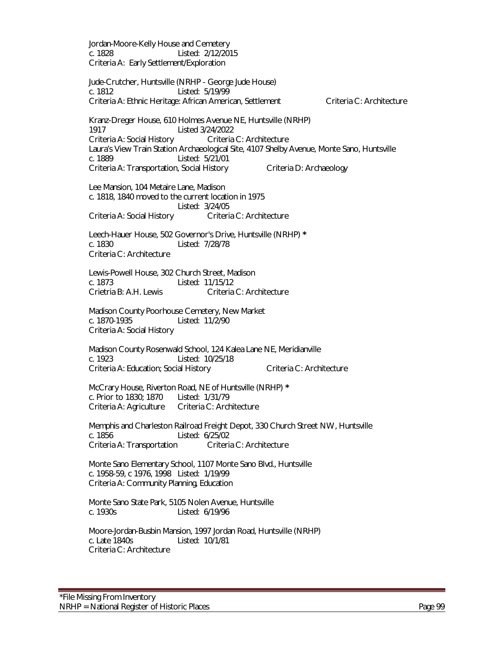Jordan-Moore-Kelly House and Cemetery c. 1828 Listed: 2/12/2015 Criteria A: Early Settlement/Exploration Jude-Crutcher, Huntsville (NRHP - George Jude House) c. 1812 Listed: 5/19/99 Criteria A: Ethnic Heritage: African American, Settlement Criteria C: Architecture Kranz-Dreger House, 610 Holmes Avenue NE, Huntsville (NRHP) 1917 Listed 3/24/2022 Criteria A: Social History Criteria C: Architecture Laura's View Train Station Archaeological Site, 4107 Shelby Avenue, Monte Sano, Huntsville c. 1889 Listed: 5/21/01 Criteria A: Transportation, Social History Criteria D: Archaeology Lee Mansion, 104 Metaire Lane, Madison c. 1818, 1840 moved to the current location in 1975 Listed: 3/24/05 Criteria A: Social History Criteria C: Architecture Leech-Hauer House, 502 Governor's Drive, Huntsville (NRHP) **\*** c. 1830 Listed: 7/28/78 Criteria C: Architecture Lewis-Powell House, 302 Church Street, Madison c. 1873 Listed: 11/15/12 Crietria B: A.H. Lewis Criteria C: Architecture Madison County Poorhouse Cemetery, New Market c. 1870-1935 Listed: 11/2/90 Criteria A: Social History Madison County Rosenwald School, 124 Kalea Lane NE, Meridianville c. 1923 Listed: 10/25/18 Criteria A: Education; Social History Criteria C: Architecture McCrary House, Riverton Road, NE of Huntsville (NRHP) **\*** c. Prior to 1830; 1870 Listed: 1/31/79 Criteria A: Agriculture Criteria C: Architecture Memphis and Charleston Railroad Freight Depot, 330 Church Street NW, Huntsville c. 1856<br>Criteria A: Transportation Criteria C: Architecture Criteria A: Transportation Monte Sano Elementary School, 1107 Monte Sano Blvd., Huntsville c. 1958-59, c 1976, 1998 Listed: 1/19/99 Criteria A: Community Planning, Education Monte Sano State Park, 5105 Nolen Avenue, Huntsville c. 1930s Listed: 6/19/96 Moore-Jordan-Busbin Mansion, 1997 Jordan Road, Huntsville (NRHP) c. Late 1840s Listed: 10/1/81 Criteria C: Architecture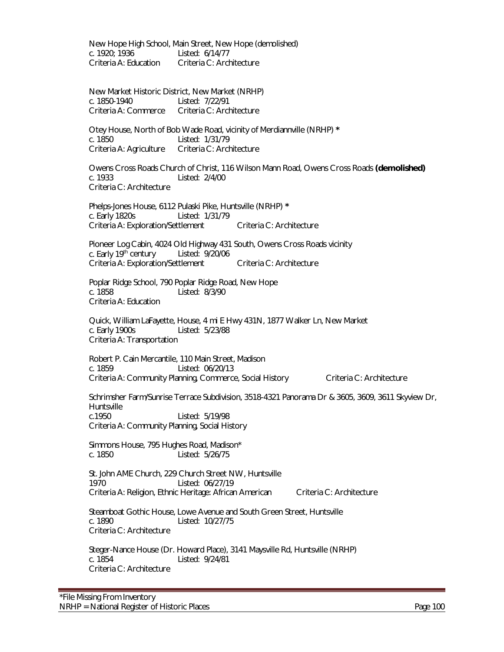New Hope High School, Main Street, New Hope (demolished) c. 1920; 1936 Listed: 6/14/77 Criteria A: Education Criteria C: Architecture

New Market Historic District, New Market (NRHP)<br>c. 1850-1940 Listed: 7/22/91 Listed: 7/22/91 Criteria A: Commerce Criteria C: Architecture

Otey House, North of Bob Wade Road, vicinity of Merdiannville (NRHP) **\*** c. 1850 Listed: 1/31/79<br>Criteria A: Agriculture Criteria C: Architecture Criteria A: Agriculture

Owens Cross Roads Church of Christ, 116 Wilson Mann Road, Owens Cross Roads **(demolished)** Listed: 2/4/00 Criteria C: Architecture

Phelps-Jones House, 6112 Pulaski Pike, Huntsville (NRHP) **\*** c. Early 1820s Listed: 1/31/79 Criteria A: Exploration/Settlement Criteria C: Architecture

Pioneer Log Cabin, 4024 Old Highway 431 South, Owens Cross Roads vicinity c. Early 19th century Listed: 9/20/06 Criteria A: Exploration/Settlement Criteria C: Architecture

Poplar Ridge School, 790 Poplar Ridge Road, New Hope c. 1858 Listed: 8/3/90 Criteria A: Education

 Quick, William LaFayette, House, 4 mi E Hwy 431N, 1877 Walker Ln, New Market c. Early 1900s Listed: 5/23/88 Criteria A: Transportation

Robert P. Cain Mercantile, 110 Main Street, Madison Listed: 06/20/13 Criteria A: Community Planning, Commerce, Social History Criteria C: Architecture

Schrimsher Farm/Sunrise Terrace Subdivision, 3518-4321 Panorama Dr & 3605, 3609, 3611 Skyview Dr, Huntsville<br>c.1950 Listed: 5/19/98 Criteria A: Community Planning, Social History

Simmons House, 795 Hughes Road, Madison\* c. 1850 Listed: 5/26/75

St. John AME Church, 229 Church Street NW, Huntsville 1970 Listed: 06/27/19 Criteria A: Religion, Ethnic Heritage: African American Criteria C: Architecture

Steamboat Gothic House, Lowe Avenue and South Green Street, Huntsville c. 1890 Listed: 10/27/75 Criteria C: Architecture

Steger-Nance House (Dr. Howard Place), 3141 Maysville Rd, Huntsville (NRHP) c. 1854 Listed: 9/24/81 Criteria C: Architecture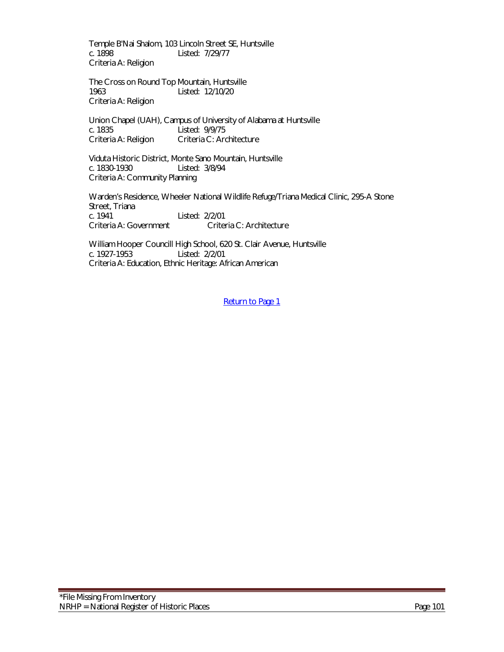Temple B'Nai Shalom, 103 Lincoln Street SE, Huntsville c. 1898 Listed: 7/29/77 Criteria A: Religion

The Cross on Round Top Mountain, Huntsville 1963 Listed: 12/10/20 Criteria A: Religion

Union Chapel (UAH), Campus of University of Alabama at Huntsville c. 1835 Listed: 9/9/75 Criteria A: Religion Criteria C: Architecture

Viduta Historic District, Monte Sano Mountain, Huntsville c. 1830-1930 Listed: 3/8/94 Criteria A: Community Planning

Warden's Residence, Wheeler National Wildlife Refuge/Triana Medical Clinic, 295-A Stone Street, Triana c. 1941 Listed: 2/2/01 Criteria A: Government Criteria C: Architecture

William Hooper Councill High School, 620 St. Clair Avenue, Huntsville c. 1927-1953 Listed: 2/2/01 Criteria A: Education, Ethnic Heritage: African American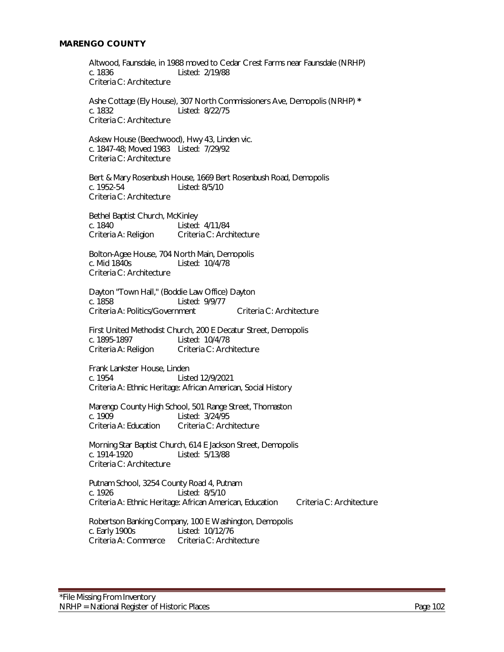#### **MARENGO COUNTY**

Altwood, Faunsdale, in 1988 moved to Cedar Crest Farms near Faunsdale (NRHP) c. 1836 Listed: 2/19/88 Criteria C: Architecture

Ashe Cottage (Ely House), 307 North Commissioners Ave, Demopolis (NRHP) **\*** c. 1832 Listed: 8/22/75 Criteria C: Architecture

Askew House (Beechwood), Hwy 43, Linden vic. c. 1847-48; Moved 1983 Listed: 7/29/92 Criteria C: Architecture

Bert & Mary Rosenbush House, 1669 Bert Rosenbush Road, Demopolis c. 1952-54 Listed: 8/5/10 Criteria C: Architecture

Bethel Baptist Church, McKinley c. 1840 Listed: 4/11/84 Criteria A: Religion Criteria C: Architecture

Bolton-Agee House, 704 North Main, Demopolis<br>c. Mid 1840s Listed: 10/4/78 Listed: 10/4/78 Criteria C: Architecture

Dayton "Town Hall," (Boddie Law Office) Dayton c. 1858 Listed: 9/9/77 Criteria A: Politics/Government Criteria C: Architecture

First United Methodist Church, 200 E Decatur Street, Demopolis c. 1895-1897 Listed: 10/4/78 Criteria A: Religion Criteria C: Architecture

Frank Lankster House, Linden c. 1954 Listed 12/9/2021 Criteria A: Ethnic Heritage: African American, Social History

Marengo County High School, 501 Range Street, Thomaston<br>C. 1909 - Listed: 3/24/95 c. 1909<br>Criteria A: Education Criteria C: Arch Criteria C: Architecture

Morning Star Baptist Church, 614 E Jackson Street, Demopolis c. 1914-1920 Listed: 5/13/88 Criteria C: Architecture

Putnam School, 3254 County Road 4, Putnam c. 1926 Listed: 8/5/10 Criteria A: Ethnic Heritage: African American, Education Criteria C: Architecture

Robertson Banking Company, 100 E Washington, Demopolis c. Early 1900s Listed: 10/12/76 Criteria A: Commerce Criteria C: Architecture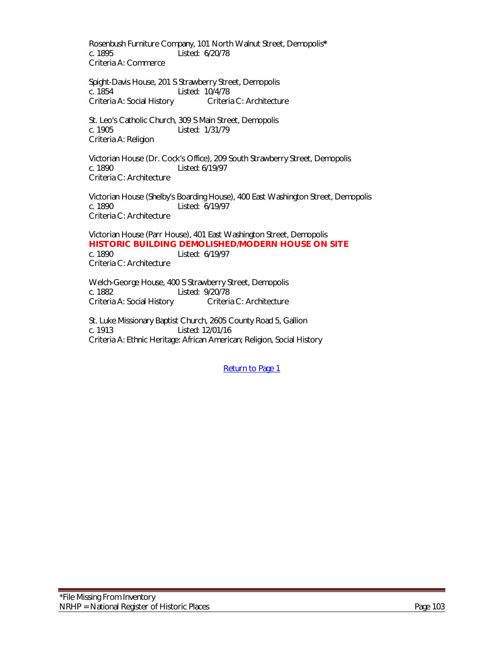Rosenbush Furniture Company, 101 North Walnut Street, Demopolis**\*** Listed: 6/20/78 Criteria A: Commerce

 Spight-Davis House, 201 S Strawberry Street, Demopolis c. 1854 Listed: 10/4/78 Criteria A: Social History Criteria C: Architecture

 St. Leo's Catholic Church, 309 S Main Street, Demopolis c. 1905 Listed: 1/31/79 Criteria A: Religion

Victorian House (Dr. Cock's Office), 209 South Strawberry Street, Demopolis c. 1890 Listed: 6/19/97 Criteria C: Architecture

Victorian House (Shelby's Boarding House), 400 East Washington Street, Demopolis c. 1890 Listed: 6/19/97 Criteria C: Architecture

Victorian House (Parr House), 401 East Washington Street, Demopolis **HISTORIC BUILDING DEMOLISHED/MODERN HOUSE ON SITE** c. 1890 Listed: 6/19/97 Criteria C: Architecture

Welch-George House, 400 S Strawberry Street, Demopolis c. 1882 Listed: 9/20/78 Criteria A: Social History Criteria C: Architecture

St. Luke Missionary Baptist Church, 2605 County Road 5, Gallion c. 1913 Listed: 12/01/16 Criteria A: Ethnic Heritage: African American; Religion, Social History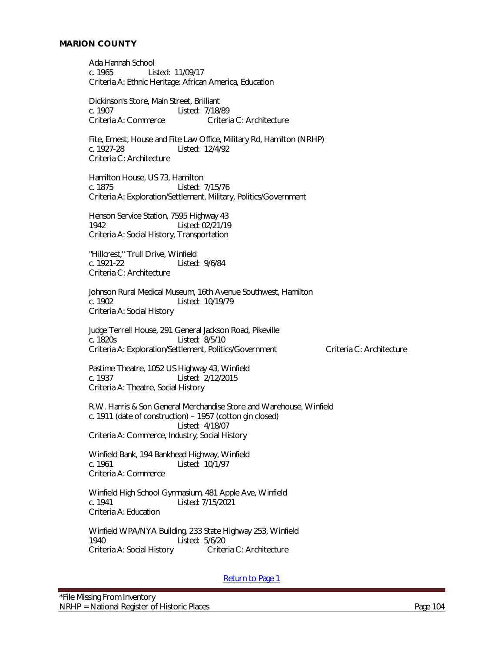Ada Hannah School c. 1965 Listed: 11/09/17 Criteria A: Ethnic Heritage: African America, Education

Dickinson's Store, Main Street, Brilliant c. 1907 Listed: 7/18/89 Criteria A: Commerce Criteria C: Architecture

Fite, Ernest, House and Fite Law Office, Military Rd, Hamilton (NRHP)<br>c. 1927-28 Listed: 12/4/92 Listed: 12/4/92 Criteria C: Architecture

Hamilton House, US 73, Hamilton c. 1875 Listed: 7/15/76 Criteria A: Exploration/Settlement, Military, Politics/Government

Henson Service Station, 7595 Highway 43 1942 Listed: 02/21/19 Criteria A: Social History, Transportation

"Hillcrest," Trull Drive, Winfield<br>c. 1921-22 Listed Listed: 9/6/84 Criteria C: Architecture

Johnson Rural Medical Museum, 16th Avenue Southwest, Hamilton c. 1902 Listed: 10/19/79 Criteria A: Social History

Judge Terrell House, 291 General Jackson Road, Pikeville c. 1820s Listed: 8/5/10 Criteria A: Exploration/Settlement, Politics/Government Criteria C: Architecture

Pastime Theatre, 1052 US Highway 43, Winfield c. 1937 Listed: 2/12/2015 Criteria A: Theatre, Social History

R.W. Harris & Son General Merchandise Store and Warehouse, Winfield c. 1911 (date of construction) – 1957 (cotton gin closed) Listed: 4/18/07 Criteria A: Commerce, Industry, Social History

Winfield Bank, 194 Bankhead Highway, Winfield c. 1961 Listed: 10/1/97 Criteria A: Commerce

Winfield High School Gymnasium, 481 Apple Ave, Winfield c. 1941 Listed: 7/15/2021 Criteria A: Education

Winfield WPA/NYA Building, 233 State Highway 253, Winfield 1940 Listed: 5/6/20<br>Criteria A: Social History Criteria C: Architecture Criteria A: Social History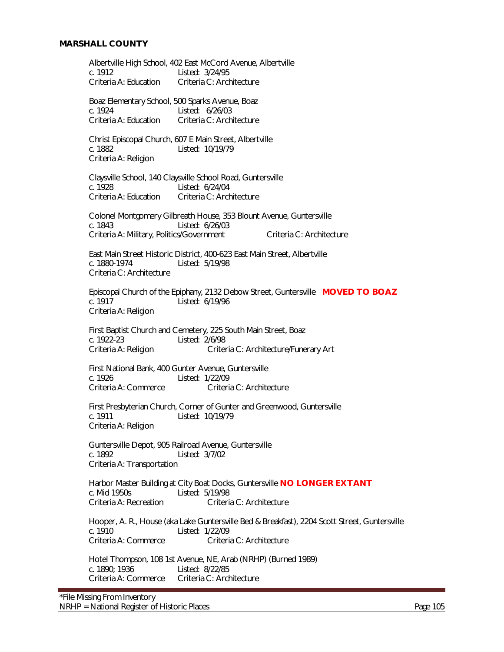Albertville High School, 402 East McCord Avenue, Albertville c. 1912 Listed: 3/24/95<br>Criteria A: Education Criteria C: Arch Criteria C: Architecture Boaz Elementary School, 500 Sparks Avenue, Boaz c. 1924 Listed: 6/26/03 Criteria A: Education Criteria C: Architecture Christ Episcopal Church, 607 E Main Street, Albertville c. 1882 Listed: 10/19/79 Criteria A: Religion Claysville School, 140 Claysville School Road, Guntersville c. 1928 Listed: 6/24/04<br>Criteria A: Education Criteria C: Arch Criteria C: Architecture Colonel Montgomery Gilbreath House, 353 Blount Avenue, Guntersville c. 1843 Listed: 6/26/03 Criteria A: Military, Politics/Government Criteria C: Architecture East Main Street Historic District, 400-623 East Main Street, Albertville<br>c. 1880-1974 Listed: 5/19/98 Listed: 5/19/98 Criteria C: Architecture Episcopal Church of the Epiphany, 2132 Debow Street, Guntersville **MOVED TO BOAZ** c. 1917 Listed: 6/19/96 Criteria A: Religion First Baptist Church and Cemetery, 225 South Main Street, Boaz c. 1922-23 Listed: 2/6/98 Criteria A: Religion Criteria C: Architecture/Funerary Art First National Bank, 400 Gunter Avenue, Guntersville c. 1926 Listed: 1/22/09<br>Criteria A: Commerce Criteri Criteria C: Architecture First Presbyterian Church, Corner of Gunter and Greenwood, Guntersville c. 1911 Listed: 10/19/79 Criteria A: Religion Guntersville Depot, 905 Railroad Avenue, Guntersville c. 1892 Listed: 3/7/02 Criteria A: Transportation Harbor Master Building at City Boat Docks, Guntersville **NO LONGER EXTANT** c. Mid 1950s Listed: 5/19/98 Criteria A: Recreation Criteria C: Architecture Hooper, A. R., House (aka Lake Guntersville Bed & Breakfast), 2204 Scott Street, Guntersville c. 1910 Listed: 1/22/09 Criteria A: Commerce Criteria C: Architecture Hotel Thompson, 108 1st Avenue, NE, Arab (NRHP) (Burned 1989) c. 1890; 1936 Listed: 8/22/85 Criteria A: Commerce Criteria C: Architecture

\*File Missing From Inventory NRHP = National Register of Historic Places Page 105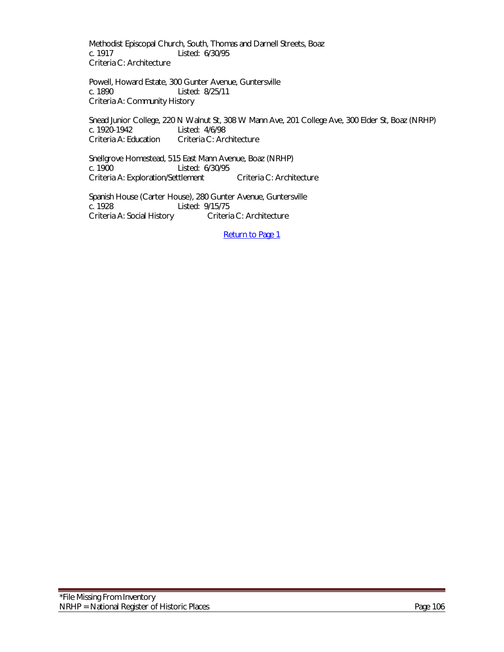Methodist Episcopal Church, South, Thomas and Darnell Streets, Boaz c. 1917 Listed: 6/30/95 Criteria C: Architecture

Powell, Howard Estate, 300 Gunter Avenue, Guntersville c. 1890 Listed: 8/25/11 Criteria A: Community History

Snead Junior College, 220 N Walnut St, 308 W Mann Ave, 201 College Ave, 300 Elder St, Boaz (NRHP) c. 1920-1942 Listed: 4/6/98<br>Criteria A: Education Criteria C: Arc Criteria C: Architecture

Snellgrove Homestead, 515 East Mann Avenue, Boaz (NRHP) Listed: 6/30/95 Criteria A: Exploration/Settlement Criteria C: Architecture

Spanish House (Carter House), 280 Gunter Avenue, Guntersville c. 1928 Listed: 9/15/75 Criteria A: Social History Criteria C: Architecture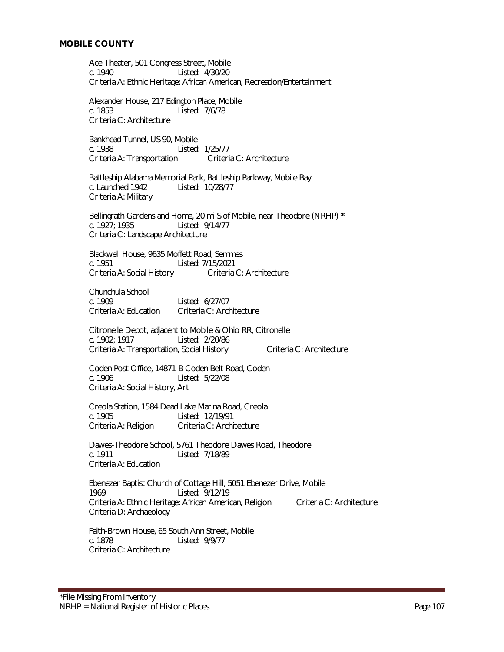Ace Theater, 501 Congress Street, Mobile c. 1940 Listed: 4/30/20 Criteria A: Ethnic Heritage: African American, Recreation/Entertainment

Alexander House, 217 Edington Place, Mobile c. 1853 Listed: 7/6/78 Criteria C: Architecture

Bankhead Tunnel, US 90, Mobile c. 1938 Listed: 1/25/77 Criteria A: Transportation Criteria C: Architecture

 Battleship Alabama Memorial Park, Battleship Parkway, Mobile Bay c. Launched 1942 Listed: 10/28/77 Criteria A: Military

Bellingrath Gardens and Home, 20 mi S of Mobile, near Theodore (NRHP) **\*** c. 1927; 1935 Listed: 9/14/77 Criteria C: Landscape Architecture

Blackwell House, 9635 Moffett Road, Semmes<br>c. 1951 Listed: 7/15/2021 Listed: 7/15/2021<br>Criteria C: Architecture Criteria A: Social History

Chunchula School c. 1909 Listed: 6/27/07 Criteria A: Education Criteria C: Architecture

Citronelle Depot, adjacent to Mobile & Ohio RR, Citronelle c. 1902; 1917 Listed: 2/20/86 Criteria A: Transportation, Social History Criteria C: Architecture

Coden Post Office, 14871-B Coden Belt Road, Coden c. 1906 Listed: 5/22/08 Criteria A: Social History, Art

Creola Station, 1584 Dead Lake Marina Road, Creola c. 1905<br>Criteria A: Religion Criteria C: Archi Criteria C: Architecture

Dawes-Theodore School, 5761 Theodore Dawes Road, Theodore c. 1911 Listed: 7/18/89 Criteria A: Education

Ebenezer Baptist Church of Cottage Hill, 5051 Ebenezer Drive, Mobile 1969 Listed: 9/12/19 Criteria A: Ethnic Heritage: African American, Religion Criteria C: Architecture Criteria D: Archaeology

Faith-Brown House, 65 South Ann Street, Mobile c. 1878 Listed: 9/9/77 Criteria C: Architecture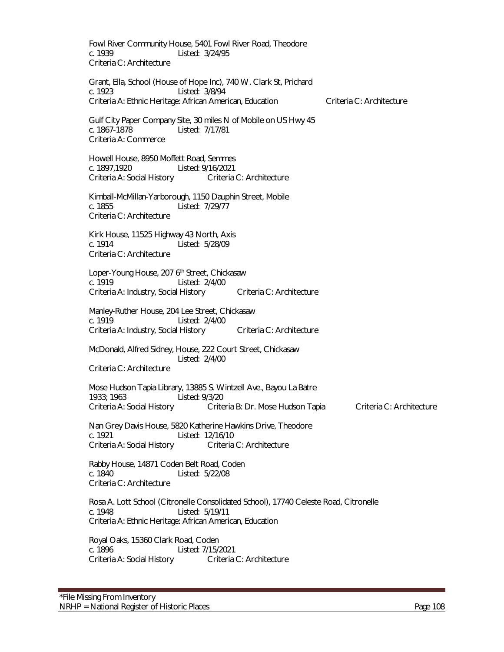Fowl River Community House, 5401 Fowl River Road, Theodore c. 1939 Listed: 3/24/95 Criteria C: Architecture Grant, Ella, School (House of Hope Inc), 740 W. Clark St, Prichard c. 1923 Listed: 3/8/94 Criteria A: Ethnic Heritage: African American, Education Criteria C: Architecture Gulf City Paper Company Site, 30 miles N of Mobile on US Hwy 45 c. 1867-1878 Listed: 7/17/81 Criteria A: Commerce Howell House, 8950 Moffett Road, Semmes c. 1897,1920 Listed: 9/16/2021<br>Criteria A: Social History Criteria C: Architecture Criteria A: Social History Kimball-McMillan-Yarborough, 1150 Dauphin Street, Mobile c. 1855 Listed: 7/29/77 Criteria C: Architecture Kirk House, 11525 Highway 43 North, Axis c. 1914 Listed: 5/28/09 Criteria C: Architecture Loper-Young House, 207 6<sup>th</sup> Street, Chickasaw c. 1919 Listed: 2/4/00 Criteria A: Industry, Social History Criteria C: Architecture Manley-Ruther House, 204 Lee Street, Chickasaw c. 1919 Listed: 2/4/00 Criteria A: Industry, Social History Criteria C: Architecture McDonald, Alfred Sidney, House, 222 Court Street, Chickasaw Listed: 2/4/00 Criteria C: Architecture Mose Hudson Tapia Library, 13885 S. Wintzell Ave., Bayou La Batre 1933; 1963<br>Criteria A: Social History Crite Criteria B: Dr. Mose Hudson Tapia Criteria C: Architecture Nan Grey Davis House, 5820 Katherine Hawkins Drive, Theodore c. 1921 Listed: 12/16/10 Criteria A: Social History Criteria C: Architecture Rabby House, 14871 Coden Belt Road, Coden c. 1840 Listed: 5/22/08 Criteria C: Architecture Rosa A. Lott School (Citronelle Consolidated School), 17740 Celeste Road, Citronelle c. 1948 Listed: 5/19/11 Criteria A: Ethnic Heritage: African American, Education Royal Oaks, 15360 Clark Road, Coden c. 1896 Listed: 7/15/2021 Criteria A: Social History Criteria C: Architecture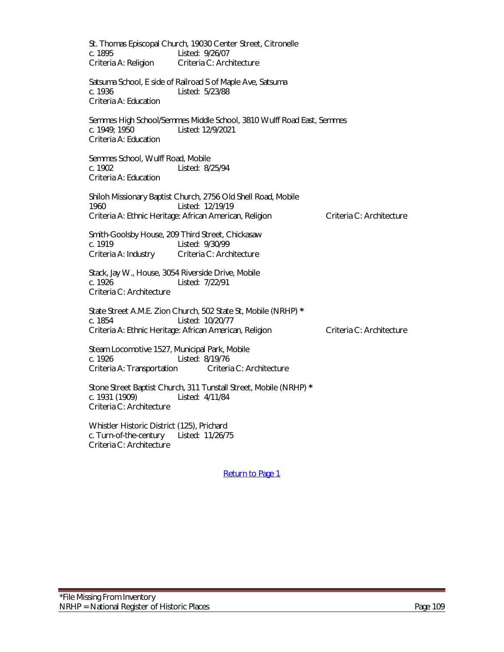St. Thomas Episcopal Church, 19030 Center Street, Citronelle c. 1895 Listed: 9/26/07 Criteria A: Religion Criteria C: Architecture Satsuma School, E side of Railroad S of Maple Ave, Satsuma c. 1936 Listed: 5/23/88 Criteria A: Education Semmes High School/Semmes Middle School, 3810 Wulff Road East, Semmes c. 1949; 1950 Listed: 12/9/2021 Criteria A: Education Semmes School, Wulff Road, Mobile c. 1902 Listed: 8/25/94 Criteria A: Education Shiloh Missionary Baptist Church, 2756 Old Shell Road, Mobile 1960 Listed: 12/19/19 Criteria A: Ethnic Heritage: African American, Religion Criteria C: Architecture Smith-Goolsby House, 209 Third Street, Chickasaw c. 1919 Listed: 9/30/99 Criteria A: Industry Criteria C: Architecture Stack, Jay W., House, 3054 Riverside Drive, Mobile Listed: 7/22/91 Criteria C: Architecture State Street A.M.E. Zion Church, 502 State St, Mobile (NRHP) **\*** Listed: 10/20/77 Criteria A: Ethnic Heritage: African American, Religion Criteria C: Architecture Steam Locomotive 1527, Municipal Park, Mobile c. 1926<br>Criteria A: Transportation Criteria C: Architecture Criteria A: Transportation Stone Street Baptist Church, 311 Tunstall Street, Mobile (NRHP) **\*** c. 1931 (1909) Listed: 4/11/84 Criteria C: Architecture Whistler Historic District (125), Prichard c. Turn-of-the-century Listed: 11/26/75

[Return to Page 1](#page-0-0)

Criteria C: Architecture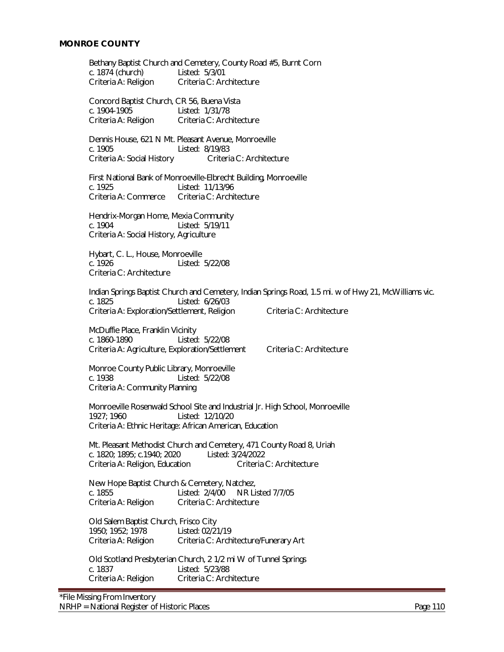Bethany Baptist Church and Cemetery, County Road #5, Burnt Corn c. 1874 (church) Listed: 5/3/01 c. 1874 (church)<br>Criteria A: Religion Criteria C: Architecture Concord Baptist Church, CR 56, Buena Vista c. 1904-1905 Listed: 1/31/78 Criteria A: Religion Criteria C: Architecture Dennis House, 621 N Mt. Pleasant Avenue, Monroeville c. 1905 Listed: 8/19/83 Criteria A: Social History Criteria C: Architecture First National Bank of Monroeville-Elbrecht Building, Monroeville c. 1925 Listed: 11/13/96 Criteria A: Commerce Criteria C: Architecture Hendrix-Morgan Home, Mexia Community c. 1904 Listed: 5/19/11 Criteria A: Social History, Agriculture Hybart, C. L., House, Monroeville<br>c. 1926 Listed: Listed: 5/22/08 Criteria C: Architecture Indian Springs Baptist Church and Cemetery, Indian Springs Road, 1.5 mi. w of Hwy 21, McWilliams vic. c. 1825 Listed: 6/26/03 Criteria A: Exploration/Settlement, Religion Criteria C: Architecture McDuffie Place, Franklin Vicinity c. 1860-1890 Listed: 5/22/08 Criteria A: Agriculture, Exploration/Settlement Criteria C: Architecture Monroe County Public Library, Monroeville c. 1938 Listed: 5/22/08 Criteria A: Community Planning Monroeville Rosenwald School Site and Industrial Jr. High School, Monroeville 1927; 1960 Listed: 12/10/20 Criteria A: Ethnic Heritage: African American, Education Mt. Pleasant Methodist Church and Cemetery, 471 County Road 8, Uriah c. 1820; 1895; c.1940; 2020 Listed: 3/24/2022 Criteria A: Religion, Education Criteria C: Architecture New Hope Baptist Church & Cemetery, Natchez, c. 1855 Listed: 2/4/00 NR Listed 7/7/05 Criteria A: Religion Criteria C: Architecture Old Salem Baptist Church, Frisco City 1950; 1952; 1978 Listed: 02/21/19 Criteria A: Religion Criteria C: Architecture/Funerary Art Old Scotland Presbyterian Church, 2 1/2 mi W of Tunnel Springs c. 1837 Listed: 5/23/88 Criteria A: Religion Criteria C: Architecture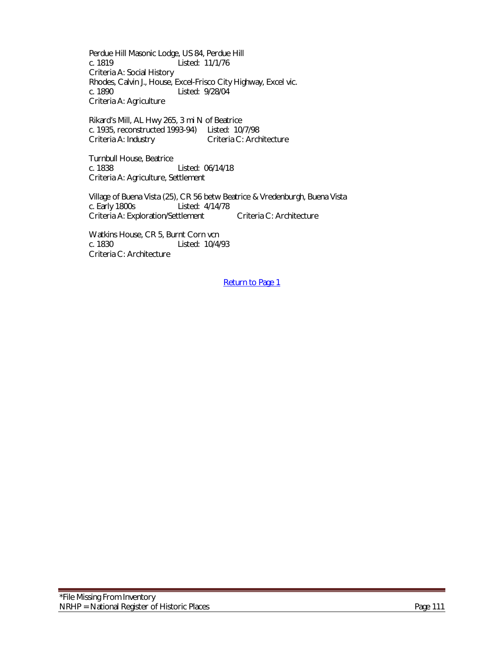Perdue Hill Masonic Lodge, US 84, Perdue Hill c. 1819 Listed: 11/1/76 Criteria A: Social History Rhodes, Calvin J., House, Excel-Frisco City Highway, Excel vic. c. 1890 Listed: 9/28/04 Criteria A: Agriculture

Rikard's Mill, AL Hwy 265, 3 mi N of Beatrice c. 1935, reconstructed 1993-94) Listed: 10/7/98 Criteria A: Industry Criteria C: Architecture

Turnbull House, Beatrice Listed: 06/14/18 Criteria A: Agriculture, Settlement

Village of Buena Vista (25), CR 56 betw Beatrice & Vredenburgh, Buena Vista c. Early 1800s Listed: 4/14/78 Criteria A: Exploration/Settlement Criteria C: Architecture

Watkins House, CR 5, Burnt Corn vcn<br>c. 1830 Listed: 10/4/ Listed: 10/4/93 Criteria C: Architecture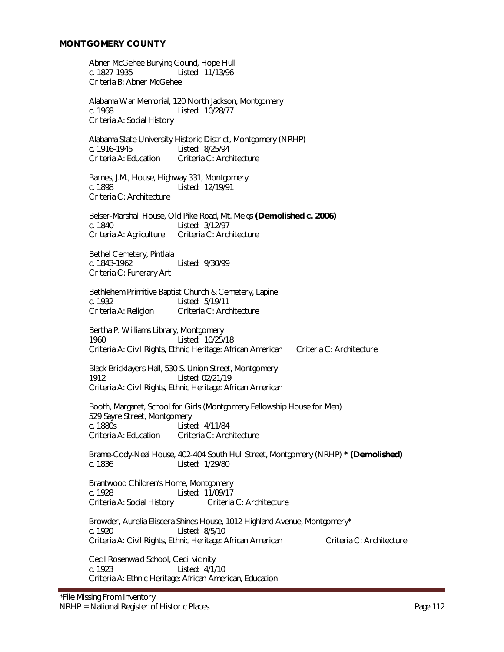#### **MONTGOMERY COUNTY**

Abner McGehee Burying Gound, Hope Hull c. 1827-1935 Listed: 11/13/96 Criteria B: Abner McGehee

Alabama War Memorial, 120 North Jackson, Montgomery c. 1968 Listed: 10/28/77 Criteria A: Social History

Alabama State University Historic District, Montgomery (NRHP) c. 1916-1945 Listed: 8/25/94 Criteria A: Education Criteria C: Architecture

Barnes, J.M., House, Highway 331, Montgomery c. 1898 Listed: 12/19/91 Criteria C: Architecture

Belser-Marshall House, Old Pike Road, Mt. Meigs **(Demolished c. 2006)** c. 1840 Listed: 3/12/97 Criteria A: Agriculture Criteria C: Architecture

Bethel Cemetery, Pintlala<br>c. 1843-1962 Listed: 9/30/99 Criteria C: Funerary Art

Bethlehem Primitive Baptist Church & Cemetery, Lapine c. 1932 Listed: 5/19/11 Criteria A: Religion Criteria C: Architecture

Bertha P. Williams Library, Montgomery 1960 Listed: 10/25/18 Criteria A: Civil Rights, Ethnic Heritage: African American Criteria C: Architecture

Black Bricklayers Hall, 530 S. Union Street, Montgomery 1912 Listed: 02/21/19 Criteria A: Civil Rights, Ethnic Heritage: African American

 Booth, Margaret, School for Girls (Montgomery Fellowship House for Men) 529 Sayre Street, Montgomery Listed: 4/11/84 Criteria A: Education Criteria C: Architecture

Brame-Cody-Neal House, 402-404 South Hull Street, Montgomery (NRHP) **\* (Demolished)**  Listed: 1/29/80

Brantwood Children's Home, Montgomery c. 1928 Listed: 11/09/17 Criteria A: Social History Criteria C: Architecture

Browder, Aurelia Eliscera Shines House, 1012 Highland Avenue, Montgomery\* c. 1920 Listed: 8/5/10 Criteria A: Civil Rights, Ethnic Heritage: African American Criteria C: Architecture

Cecil Rosenwald School, Cecil vicinity c. 1923 Listed: 4/1/10 Criteria A: Ethnic Heritage: African American, Education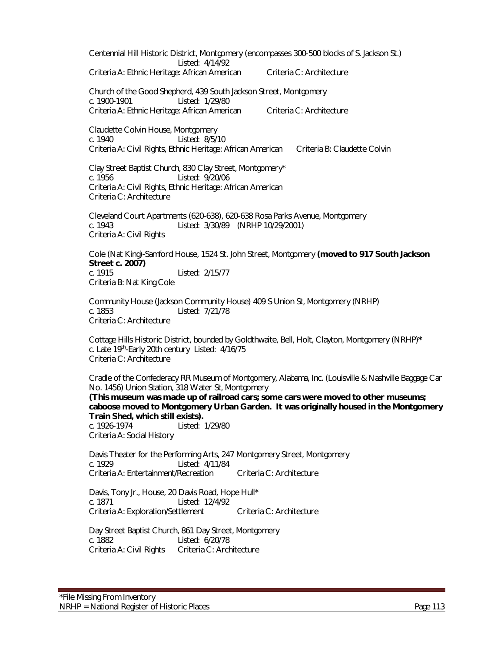Centennial Hill Historic District, Montgomery (encompasses 300-500 blocks of S. Jackson St.) Listed: 4/14/92 Criteria A: Ethnic Heritage: African American Criteria C: Architecture Church of the Good Shepherd, 439 South Jackson Street, Montgomery c. 1900-1901 Listed: 1/29/80 Criteria A: Ethnic Heritage: African American Criteria C: Architecture Claudette Colvin House, Montgomery c. 1940 Listed: 8/5/10 Criteria A: Civil Rights, Ethnic Heritage: African American Criteria B: Claudette Colvin Clay Street Baptist Church, 830 Clay Street, Montgomery\* c. 1956 Listed: 9/20/06 Criteria A: Civil Rights, Ethnic Heritage: African American Criteria C: Architecture Cleveland Court Apartments (620-638), 620-638 Rosa Parks Avenue, Montgomery c. 1943 Listed: 3/30/89 (NRHP 10/29/2001) Criteria A: Civil Rights Cole (Nat King)-Samford House, 1524 St. John Street, Montgomery **(moved to 917 South Jackson Street c. 2007)** c. 1915 Listed: 2/15/77 Criteria B: Nat King Cole Community House (Jackson Community House) 409 S Union St, Montgomery (NRHP) c. 1853 Listed: 7/21/78 Criteria C: Architecture Cottage Hills Historic District, bounded by Goldthwaite, Bell, Holt, Clayton, Montgomery (NRHP)**\*** c. Late 19th-Early 20th century Listed: 4/16/75 Criteria C: Architecture Cradle of the Confederacy RR Museum of Montgomery, Alabama, Inc. (Louisville & Nashville Baggage Car No. 1456) Union Station, 318 Water St, Montgomery **(This museum was made up of railroad cars; some cars were moved to other museums; caboose moved to Montgomery Urban Garden. It was originally housed in the Montgomery Train Shed, which still exists).** c. 1926-1974 Listed: 1/29/80 Criteria A: Social History Davis Theater for the Performing Arts, 247 Montgomery Street, Montgomery c. 1929 Listed: 4/11/84 Criteria A: Entertainment/Recreation Criteria C: Architecture Davis, Tony Jr., House, 20 Davis Road, Hope Hull\* c. 1871 Listed: 12/4/92 Criteria A: Exploration/Settlement Criteria C: Architecture

Day Street Baptist Church, 861 Day Street, Montgomery c. 1882 Listed: 6/20/78<br>Criteria A: Civil Rights Criteria C: Architecture Criteria A: Civil Rights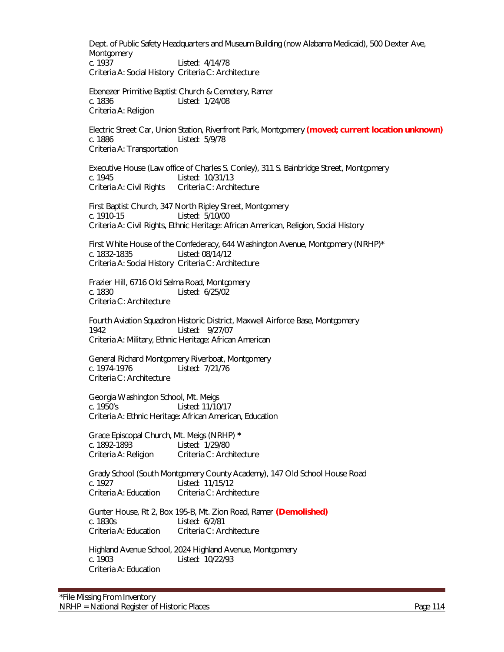Dept. of Public Safety Headquarters and Museum Building (now Alabama Medicaid), 500 Dexter Ave, Montgomery c. 1937 Listed: 4/14/78 Criteria A: Social History Criteria C: Architecture

Ebenezer Primitive Baptist Church & Cemetery, Ramer c. 1836 Listed: 1/24/08 Criteria A: Religion

Electric Street Car, Union Station, Riverfront Park, Montgomery **(moved; current location unknown)** c. 1886 Listed: 5/9/78 Criteria A: Transportation

Executive House (Law office of Charles S. Conley), 311 S. Bainbridge Street, Montgomery c. 1945 Listed: 10/31/13 Criteria A: Civil Rights Criteria C: Architecture

First Baptist Church, 347 North Ripley Street, Montgomery c. 1910-15 Listed: 5/10/00 Criteria A: Civil Rights, Ethnic Heritage: African American, Religion, Social History

First White House of the Confederacy, 644 Washington Avenue, Montgomery (NRHP)\* c. 1832-1835 Listed: 08/14/12 Criteria A: Social History Criteria C: Architecture

Frazier Hill, 6716 Old Selma Road, Montgomery c. 1830 Listed: 6/25/02 Criteria C: Architecture

Fourth Aviation Squadron Historic District, Maxwell Airforce Base, Montgomery<br>1942 – Listed: 9/27/07 Listed: 9/27/07 Criteria A: Military, Ethnic Heritage: African American

General Richard Montgomery Riverboat, Montgomery c. 1974-1976 Listed: 7/21/76 Criteria C: Architecture

Georgia Washington School, Mt. Meigs c. 1950's Listed: 11/10/17 Criteria A: Ethnic Heritage: African American, Education

Grace Episcopal Church, Mt. Meigs (NRHP) **\*** c. 1892-1893 Listed: 1/29/80 Criteria A: Religion Criteria C: Architecture

Grady School (South Montgomery County Academy), 147 Old School House Road c. 1927 Listed: 11/15/12 Criteria A: Education Criteria C: Architecture

Gunter House, Rt 2, Box 195-B, Mt. Zion Road, Ramer **(Demolished)** c. 1830s Listed: 6/2/81 Criteria A: Education Criteria C: Architecture

Highland Avenue School, 2024 Highland Avenue, Montgomery c. 1903 Listed: 10/22/93 Criteria A: Education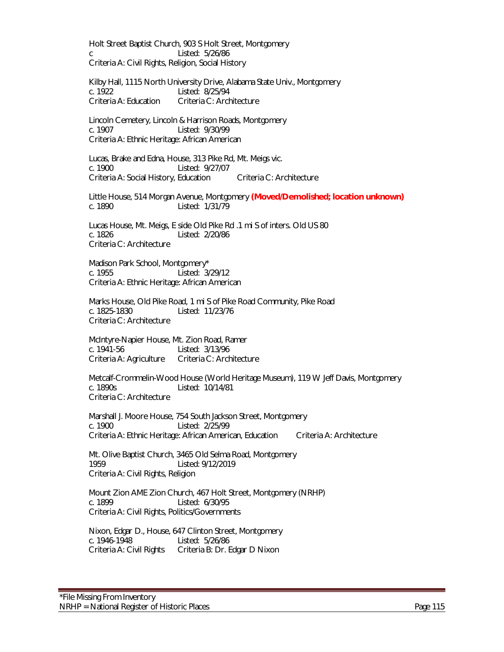Holt Street Baptist Church, 903 S Holt Street, Montgomery c Listed: 5/26/86 Criteria A: Civil Rights, Religion, Social History

Kilby Hall, 1115 North University Drive, Alabama State Univ., Montgomery c. 1922 Listed: 8/25/94 Criteria A: Education Criteria C: Architecture

Lincoln Cemetery, Lincoln & Harrison Roads, Montgomery c. 1907 Listed: 9/30/99 Criteria A: Ethnic Heritage: African American

Lucas, Brake and Edna, House, 313 Pike Rd, Mt. Meigs vic. c. 1900 Listed: 9/27/07 Criteria A: Social History, Education Criteria C: Architecture

Little House, 514 Morgan Avenue, Montgomery **(Moved/Demolished; location unknown)** c. 1890 Listed: 1/31/79

Lucas House, Mt. Meigs, E side Old Pike Rd .1 mi S of inters. Old US 80 c. 1826 Listed: 2/20/86 Criteria C: Architecture

Madison Park School, Montgomery\* c. 1955 Listed: 3/29/12 Criteria A: Ethnic Heritage: African American

Marks House, Old Pike Road, 1 mi S of Pike Road Community, Pike Road c. 1825-1830 Listed: 11/23/76 Criteria C: Architecture

McIntyre-Napier House, Mt. Zion Road, Ramer c. 1941-56 Listed: 3/13/96 Criteria A: Agriculture Criteria C: Architecture

Metcalf-Crommelin-Wood House (World Heritage Museum), 119 W Jeff Davis, Montgomery<br>c 1890s Listed: 10/14/81 Criteria C: Architecture

Marshall J. Moore House, 754 South Jackson Street, Montgomery c. 1900 Listed: 2/25/99 Criteria A: Ethnic Heritage: African American, Education Criteria A: Architecture

Mt. Olive Baptist Church, 3465 Old Selma Road, Montgomery 1959 Listed: 9/12/2019 Criteria A: Civil Rights, Religion

Mount Zion AME Zion Church, 467 Holt Street, Montgomery (NRHP) c. 1899 Listed: 6/30/95 Criteria A: Civil Rights, Politics/Governments

Nixon, Edgar D., House, 647 Clinton Street, Montgomery c. 1946-1948 Listed: 5/26/86 Criteria A: Civil Rights Criteria B: Dr. Edgar D Nixon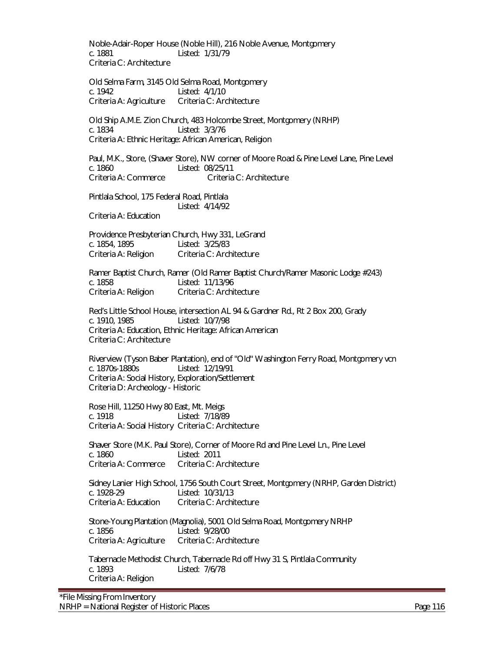Noble-Adair-Roper House (Noble Hill), 216 Noble Avenue, Montgomery c. 1881 Listed: 1/31/79 Criteria C: Architecture

Old Selma Farm, 3145 Old Selma Road, Montgomery c. 1942 Listed: 4/1/10 Criteria A: Agriculture Criteria C: Architecture

Old Ship A.M.E. Zion Church, 483 Holcombe Street, Montgomery (NRHP) c. 1834 Listed: 3/3/76 Criteria A: Ethnic Heritage: African American, Religion

Paul, M.K., Store, (Shaver Store), NW corner of Moore Road & Pine Level Lane, Pine Level c. 1860 Listed: 08/25/11 Criteria A: Commerce Criteria C: Architecture

Pintlala School, 175 Federal Road, Pintlala Listed: 4/14/92 Criteria A: Education

Providence Presbyterian Church, Hwy 331, LeGrand c. 1854, 1895 Listed: 3/25/83 Criteria A: Religion Criteria C: Architecture

Ramer Baptist Church, Ramer (Old Ramer Baptist Church/Ramer Masonic Lodge #243) c. 1858 Listed: 11/13/96 Criteria A: Religion Criteria C: Architecture

Red's Little School House, intersection AL 94 & Gardner Rd., Rt 2 Box 200, Grady c. 1910, 1985 Listed: 10/7/98 Criteria A: Education, Ethnic Heritage: African American Criteria C: Architecture

Riverview (Tyson Baber Plantation), end of "Old" Washington Ferry Road, Montgomery vcn c. 1870s-1880s Listed: 12/19/91 Criteria A: Social History, Exploration/Settlement Criteria D: Archeology - Historic

Rose Hill, 11250 Hwy 80 East, Mt. Meigs c. 1918 Listed: 7/18/89 Criteria A: Social History Criteria C: Architecture

Shaver Store (M.K. Paul Store), Corner of Moore Rd and Pine Level Ln., Pine Level c. 1860 Listed: 2011 Criteria A: Commerce Criteria C: Architecture

Sidney Lanier High School, 1756 South Court Street, Montgomery (NRHP, Garden District) c. 1928-29 Listed: 10/31/13 Criteria A: Education Criteria C: Architecture

Stone-Young Plantation (Magnolia), 5001 Old Selma Road, Montgomery NRHP c. 1856 Listed: 9/28/00 Criteria A: Agriculture Criteria C: Architecture

Tabernacle Methodist Church, Tabernacle Rd off Hwy 31 S, Pintlala Community c. 1893 Listed: 7/6/78 Criteria A: Religion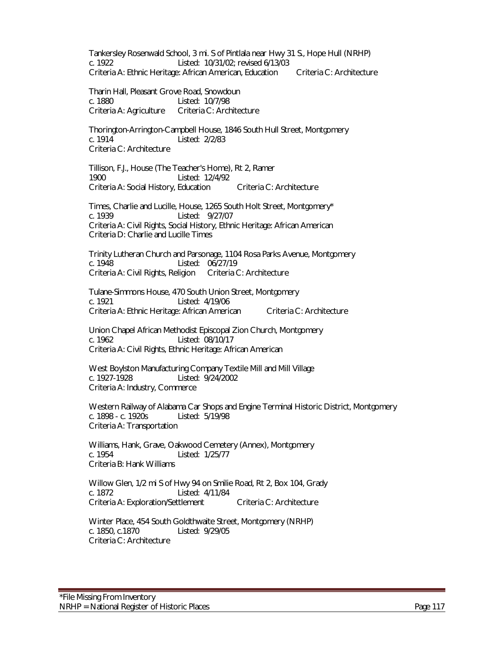Tankersley Rosenwald School, 3 mi. S of Pintlala near Hwy 31 S., Hope Hull (NRHP) c. 1922 Listed: 10/31/02; revised 6/13/03 Criteria A: Ethnic Heritage: African American, Education Criteria C: Architecture

Tharin Hall, Pleasant Grove Road, Snowdoun c. 1880 Listed: 10/7/98 Criteria A: Agriculture Criteria C: Architecture

Thorington-Arrington-Campbell House, 1846 South Hull Street, Montgomery c. 1914 Listed: 2/2/83 Criteria C: Architecture

Tillison, F.J., House (The Teacher's Home), Rt 2, Ramer 1900 Listed: 12/4/92 Criteria A: Social History, Education Criteria C: Architecture

Times, Charlie and Lucille, House, 1265 South Holt Street, Montgomery\* c. 1939 Listed: 9/27/07 Criteria A: Civil Rights, Social History, Ethnic Heritage: African American Criteria D: Charlie and Lucille Times

Trinity Lutheran Church and Parsonage, 1104 Rosa Parks Avenue, Montgomery<br>c. 1948 <br>etisted: 06/27/19 Listed: 06/27/19 Criteria A: Civil Rights, Religion Criteria C: Architecture

Tulane-Simmons House, 470 South Union Street, Montgomery c. 1921 Listed: 4/19/06 Criteria A: Ethnic Heritage: African American Criteria C: Architecture

Union Chapel African Methodist Episcopal Zion Church, Montgomery c. 1962 Listed: 08/10/17 Criteria A: Civil Rights, Ethnic Heritage: African American

West Boylston Manufacturing Company Textile Mill and Mill Village c. 1927-1928 Listed: 9/24/2002 Criteria A: Industry, Commerce

Western Railway of Alabama Car Shops and Engine Terminal Historic District, Montgomery<br>c. 1898 - c. 1920s Listed: 5/19/98 c. 1898 - c. 1920s Criteria A: Transportation

 Williams, Hank, Grave, Oakwood Cemetery (Annex), Montgomery c. 1954 Listed: 1/25/77 Criteria B: Hank Williams

Willow Glen, 1/2 mi S of Hwy 94 on Smilie Road, Rt 2, Box 104, Grady c. 1872 Listed: 4/11/84 Criteria A: Exploration/Settlement Criteria C: Architecture

Winter Place, 454 South Goldthwaite Street, Montgomery (NRHP) c. 1850, c.1870 Listed: 9/29/05 Criteria C: Architecture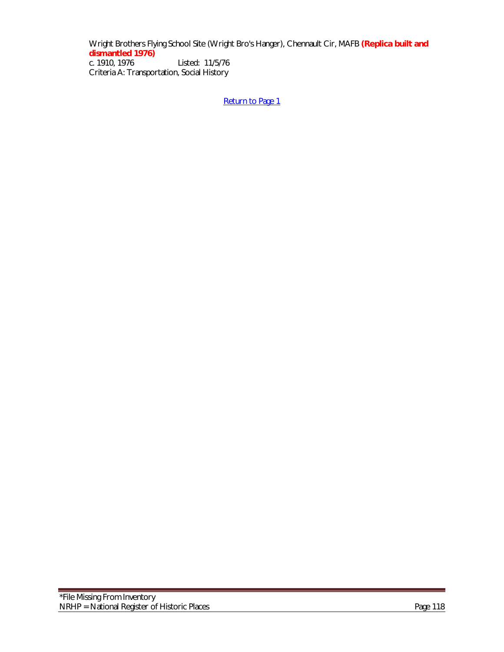Wright Brothers Flying School Site (Wright Bro's Hanger), Chennault Cir, MAFB **(Replica built and dismantled 1976)** Listed: 11/5/76 Criteria A: Transportation, Social History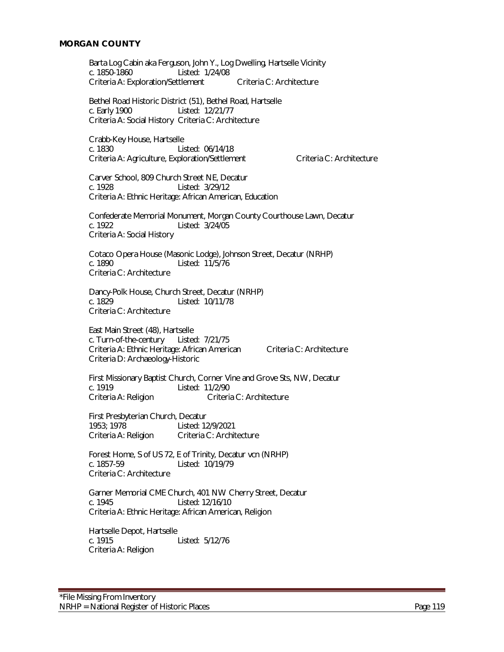#### **MORGAN COUNTY**

Barta Log Cabin aka Ferguson, John Y., Log Dwelling, Hartselle Vicinity c. 1850-1860 Listed: 1/24/08 Criteria A: Exploration/Settlement Criteria C: Architecture

Bethel Road Historic District (51), Bethel Road, Hartselle c. Early 1900 Listed: 12/21/77 Criteria A: Social History Criteria C: Architecture

Crabb-Key House, Hartselle c. 1830 Listed: 06/14/18 Criteria A: Agriculture, Exploration/Settlement Criteria C: Architecture

Carver School, 809 Church Street NE, Decatur c. 1928 Listed: 3/29/12 Criteria A: Ethnic Heritage: African American, Education

Confederate Memorial Monument, Morgan County Courthouse Lawn, Decatur c. 1922 Listed: 3/24/05 Criteria A: Social History

Cotaco Opera House (Masonic Lodge), Johnson Street, Decatur (NRHP)<br>c. 1890 – Listed: 11/5/76 Listed: 11/5/76 Criteria C: Architecture

Dancy-Polk House, Church Street, Decatur (NRHP) c. 1829 Listed: 10/11/78 Criteria C: Architecture

East Main Street (48), Hartselle c. Turn-of-the-century Listed: 7/21/75 Criteria A: Ethnic Heritage: African American Criteria C: Architecture Criteria D: Archaeology-Historic

First Missionary Baptist Church, Corner Vine and Grove Sts, NW, Decatur<br>c. 1919 Listed: 11/2/90 Listed: 11/2/90 Criteria A: Religion Criteria C: Architecture

First Presbyterian Church, Decatur<br>1953; 1978 Listed: 12 Listed: 12/9/2021 Criteria A: Religion Criteria C: Architecture

Forest Home, S of US 72, E of Trinity, Decatur vcn (NRHP) c. 1857-59 Listed: 10/19/79 Criteria C: Architecture

Garner Memorial CME Church, 401 NW Cherry Street, Decatur c. 1945 Listed: 12/16/10 Criteria A: Ethnic Heritage: African American, Religion

Hartselle Depot, Hartselle c. 1915 Listed: 5/12/76 Criteria A: Religion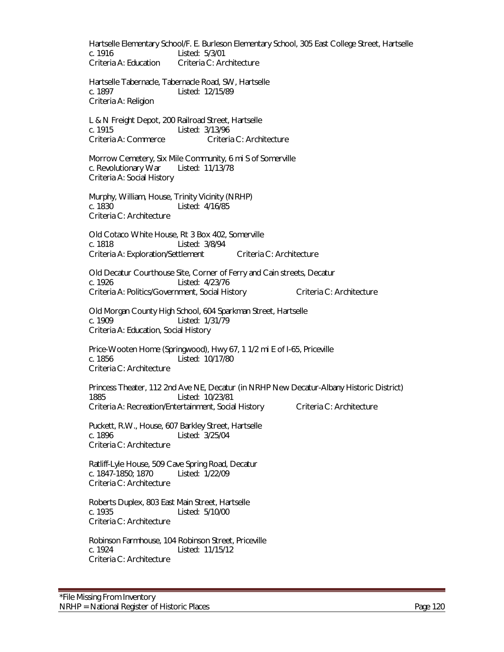Hartselle Elementary School/F. E. Burleson Elementary School, 305 East College Street, Hartselle c. 1916 Listed: 5/3/01<br>Criteria A: Education Criteria C: Ard Criteria C: Architecture

Hartselle Tabernacle, Tabernacle Road, SW, Hartselle c. 1897 Listed: 12/15/89 Criteria A: Religion

L & N Freight Depot, 200 Railroad Street, Hartselle c. 1915 Listed: 3/13/96 Criteria A: Commerce Criteria C: Architecture

Morrow Cemetery, Six Mile Community, 6 mi S of Somerville c. Revolutionary War Listed: 11/13/78 Criteria A: Social History

 Murphy, William, House, Trinity Vicinity (NRHP) c. 1830 Listed: 4/16/85 Criteria C: Architecture

Old Cotaco White House, Rt 3 Box 402, Somerville c. 1818 Listed: 3/8/94 Criteria A: Exploration/Settlement Criteria C: Architecture

Old Decatur Courthouse Site, Corner of Ferry and Cain streets, Decatur c. 1926 Listed: 4/23/76 Criteria A: Politics/Government, Social History Criteria C: Architecture

Old Morgan County High School, 604 Sparkman Street, Hartselle c. 1909 Listed: 1/31/79 Criteria A: Education, Social History

Price-Wooten Home (Springwood), Hwy 67, 1 1/2 mi E of I-65, Priceville c. 1856 Listed: 10/17/80 Criteria C: Architecture

Princess Theater, 112 2nd Ave NE, Decatur (in NRHP New Decatur-Albany Historic District) 1885 Listed: 10/23/81 Criteria A: Recreation/Entertainment, Social History Criteria C: Architecture

Puckett, R.W., House, 607 Barkley Street, Hartselle c. 1896 Listed: 3/25/04 Criteria C: Architecture

Ratliff-Lyle House, 509 Cave Spring Road, Decatur c. 1847-1850; 1870 Listed: 1/22/09 Criteria C: Architecture

Roberts Duplex, 803 East Main Street, Hartselle c. 1935 Listed: 5/10/00 Criteria C: Architecture

Robinson Farmhouse, 104 Robinson Street, Priceville c. 1924 Listed: 11/15/12 Criteria C: Architecture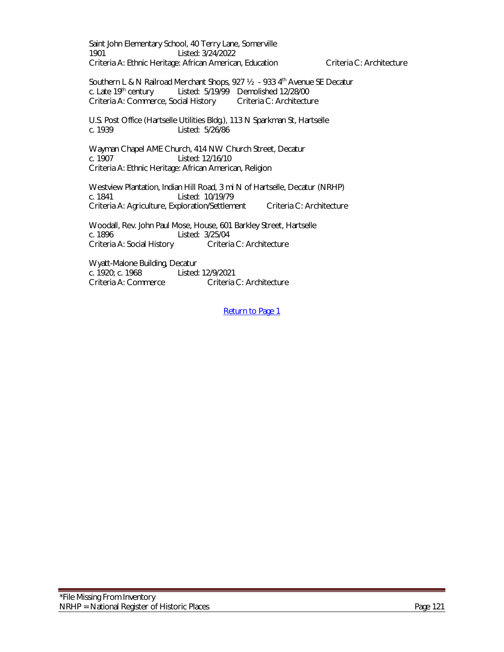Saint John Elementary School, 40 Terry Lane, Somerville 1901 Listed: 3/24/2022 Criteria A: Ethnic Heritage: African American, Education Criteria C: Architecture

Southern L & N Railroad Merchant Shops, 927 1/2 - 933 4<sup>th</sup> Avenue SE Decatur c. Late 19th century Listed: 5/19/99 Demolished 12/28/00 Criteria A: Commerce, Social History Criteria C: Architecture

U.S. Post Office (Hartselle Utilities Bldg.), 113 N Sparkman St, Hartselle c. 1939 Listed: 5/26/86

Wayman Chapel AME Church, 414 NW Church Street, Decatur c. 1907 Listed: 12/16/10 Criteria A: Ethnic Heritage: African American, Religion

Westview Plantation, Indian Hill Road, 3 mi N of Hartselle, Decatur (NRHP) c. 1841 Listed: 10/19/79 Criteria A: Agriculture, Exploration/Settlement Criteria C: Architecture

Woodall, Rev. John Paul Mose, House, 601 Barkley Street, Hartselle c. 1896<br>Criteria A: Social History Criteria C: Architecture Criteria A: Social History

Wyatt-Malone Building, Decatur<br>c. 1920: c. 1968 Listed: c. 1920; c. 1968 Listed: 12/9/2021 Criteria C: Architecture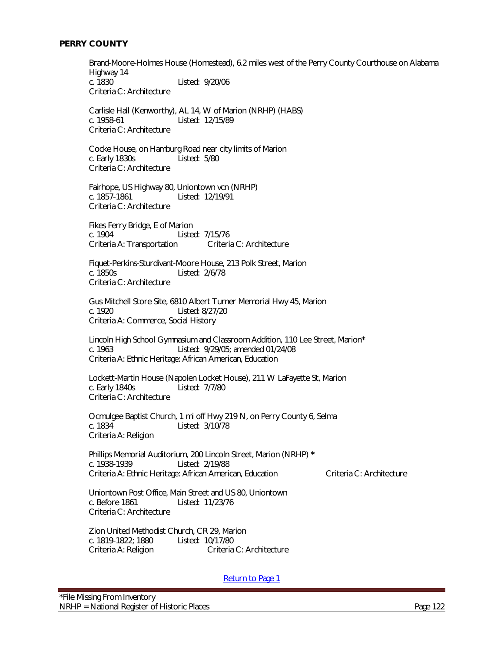# **PERRY COUNTY**

Brand-Moore-Holmes House (Homestead), 6.2 miles west of the Perry County Courthouse on Alabama Highway 14<br>c. 1830 Listed: 9/20/06 Criteria C: Architecture

Carlisle Hall (Kenworthy), AL 14, W of Marion (NRHP) (HABS) c. 1958-61 Listed: 12/15/89 Criteria C: Architecture

Cocke House, on Hamburg Road near city limits of Marion c. Early 1830s Listed: 5/80 Criteria C: Architecture

Fairhope, US Highway 80, Uniontown vcn (NRHP) c. 1857-1861 Listed: 12/19/91 Criteria C: Architecture

Fikes Ferry Bridge, E of Marion c. 1904 Listed: 7/15/76<br>Criteria A: Transportation Criteria C: Architecture Criteria A: Transportation

Fiquet-Perkins-Sturdivant-Moore House, 213 Polk Street, Marion<br>c. 1850s<br>
Listed: 2/6/78 Listed: 2/6/78 Criteria C: Architecture

Gus Mitchell Store Site, 6810 Albert Turner Memorial Hwy 45, Marion c. 1920 Listed: 8/27/20 Criteria A: Commerce, Social History

Lincoln High School Gymnasium and Classroom Addition, 110 Lee Street, Marion\* c. 1963 Listed: 9/29/05; amended 01/24/08 Criteria A: Ethnic Heritage: African American, Education

Lockett-Martin House (Napolen Locket House), 211 W LaFayette St, Marion<br>c. Early 1840s<br> Listed: 7/7/80 Criteria C: Architecture

Ocmulgee Baptist Church, 1 mi off Hwy 219 N, on Perry County 6, Selma c. 1834 Listed: 3/10/78 Criteria A: Religion

Phillips Memorial Auditorium, 200 Lincoln Street, Marion (NRHP) **\*** c. 1938-1939 Listed: 2/19/88 Criteria A: Ethnic Heritage: African American, Education Criteria C: Architecture

Uniontown Post Office, Main Street and US 80, Uniontown c. Before 1861 Listed: 11/23/76 Criteria C: Architecture

Zion United Methodist Church, CR 29, Marion c. 1819-1822; 1880 Listed: 10/17/80 Criteria A: Religion Criteria C: Architecture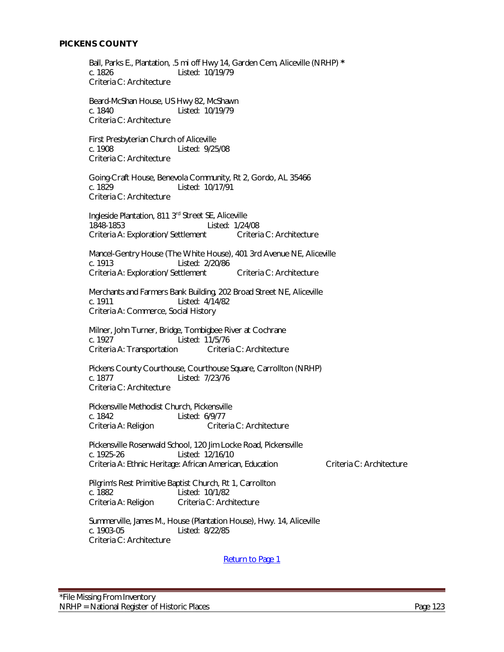Ball, Parks E., Plantation, .5 mi off Hwy 14, Garden Cem, Aliceville (NRHP) **\*** Listed: 10/19/79 Criteria C: Architecture

Beard-McShan House, US Hwy 82, McShawn c. 1840 Listed: 10/19/79 Criteria C: Architecture

First Presbyterian Church of Aliceville<br>C. 1908 Listed: 9/25 Listed: 9/25/08 Criteria C: Architecture

Going-Craft House, Benevola Community, Rt 2, Gordo, AL 35466 c. 1829 Listed: 10/17/91 Criteria C: Architecture

Ingleside Plantation, 811 3rd Street SE, Aliceville 1848-1853 Listed: 1/24/08 Criteria A: Exploration/ Settlement Criteria C: Architecture

Mancel-Gentry House (The White House), 401 3rd Avenue NE, Aliceville<br>c. 1913 [15ted: 2/20/86] Listed: 2/20/86 Criteria A: Exploration/ Settlement Criteria C: Architecture

Merchants and Farmers Bank Building, 202 Broad Street NE, Aliceville c. 1911 Listed: 4/14/82 Criteria A: Commerce, Social History

 Milner, John Turner, Bridge, Tombigbee River at Cochrane c. 1927 Listed: 11/5/76 Criteria A: Transportation Criteria C: Architecture

Pickens County Courthouse, Courthouse Square, Carrollton (NRHP) c. 1877 Listed: 7/23/76 Criteria C: Architecture

Pickensville Methodist Church, Pickensville c. 1842 Listed: 6/9/77 Criteria A: Religion Criteria C: Architecture

Pickensville Rosenwald School, 120 Jim Locke Road, Pickensville c. 1925-26 Listed: 12/16/10 Criteria A: Ethnic Heritage: African American, Education Criteria C: Architecture

Pilgrim's Rest Primitive Baptist Church, Rt 1, Carrollton c. 1882 Listed: 10/1/82 Criteria A: Religion Criteria C: Architecture

Summerville, James M., House (Plantation House), Hwy. 14, Aliceville<br>c. 1903-05<br>Listed: 8/22/85 Listed: 8/22/85 Criteria C: Architecture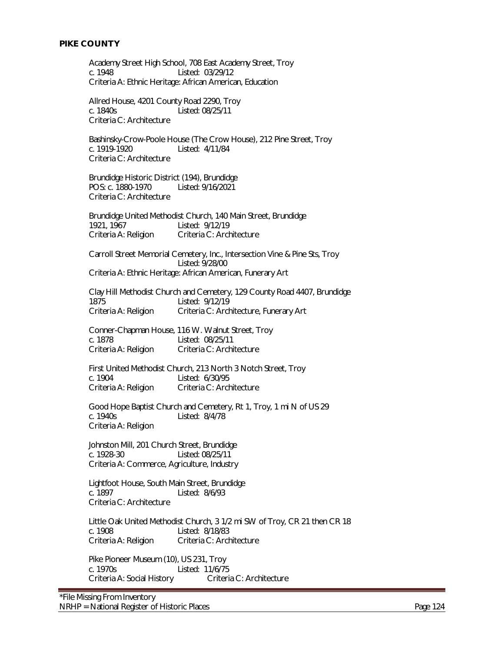Academy Street High School, 708 East Academy Street, Troy c. 1948 Listed: 03/29/12 Criteria A: Ethnic Heritage: African American, Education

Allred House, 4201 County Road 2290, Troy c. 1840s Listed: 08/25/11 Criteria C: Architecture

Bashinsky-Crow-Poole House (The Crow House), 212 Pine Street, Troy c. 1919-1920 Listed: 4/11/84 Criteria C: Architecture

Brundidge Historic District (194), Brundidge POS: c. 1880-1970 Listed: 9/16/2021 Criteria C: Architecture

Brundidge United Methodist Church, 140 Main Street, Brundidge 1921, 1967 Listed: 9/12/19 Criteria A: Religion Criteria C: Architecture

Carroll Street Memorial Cemetery, Inc., Intersection Vine & Pine Sts, Troy Listed: 9/28/00

Criteria A: Ethnic Heritage: African American, Funerary Art

Clay Hill Methodist Church and Cemetery, 129 County Road 4407, Brundidge 1875 Listed: 9/12/19 Criteria A: Religion Criteria C: Architecture, Funerary Art

Conner-Chapman House, 116 W. Walnut Street, Troy c. 1878 Listed: 08/25/11 Criteria A: Religion Criteria C: Architecture

First United Methodist Church, 213 North 3 Notch Street, Troy c. 1904<br>Criteria A: Religion Criteria C: Arch Criteria C: Architecture

Good Hope Baptist Church and Cemetery, Rt 1, Troy, 1 mi N of US 29 c. 1940s Listed: 8/4/78 Criteria A: Religion

Johnston Mill, 201 Church Street, Brundidge c. 1928-30 Listed: 08/25/11 Criteria A: Commerce, Agriculture, Industry

Lightfoot House, South Main Street, Brundidge c. 1897 Listed: 8/6/93 Criteria C: Architecture

Little Oak United Methodist Church, 3 1/2 mi SW of Troy, CR 21 then CR 18 c. 1908 Listed: 8/18/83 Criteria A: Religion Criteria C: Architecture

Pike Pioneer Museum (10), US 231, Troy c. 1970s Listed: 11/6/75 Criteria A: Social History Criteria C: Architecture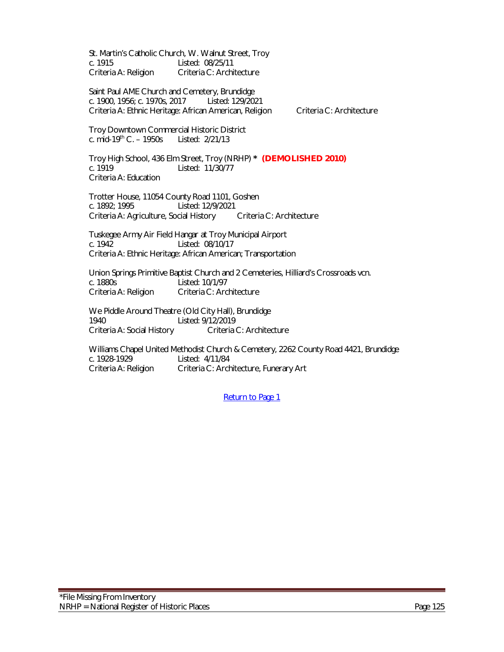St. Martin's Catholic Church, W. Walnut Street, Troy c. 1915 Listed: 08/25/11 Criteria A: Religion Criteria C: Architecture

Saint Paul AME Church and Cemetery, Brundidge c. 1900, 1956; c. 1970s, 2017 Listed: 129/2021 Criteria A: Ethnic Heritage: African American, Religion Criteria C: Architecture

Troy Downtown Commercial Historic District c. mid-19th C. – 1950s Listed: 2/21/13

Troy High School, 436 Elm Street, Troy (NRHP) **\* (DEMOLISHED 2010)** c. 1919 Listed: 11/30/77 Criteria A: Education

Trotter House, 11054 County Road 1101, Goshen c. 1892; 1995 Listed: 12/9/2021 Criteria A: Agriculture, Social History Criteria C: Architecture

Tuskegee Army Air Field Hangar at Troy Municipal Airport c. 1942 Listed: 08/10/17 Criteria A: Ethnic Heritage: African American; Transportation

Union Springs Primitive Baptist Church and 2 Cemeteries, Hilliard's Crossroads vcn. c. 1880s Listed: 10/1/97 Criteria A: Religion Criteria C: Architecture

We Piddle Around Theatre (Old City Hall), Brundidge 1940 Listed: 9/12/2019 Criteria A: Social History Criteria C: Architecture

Williams Chapel United Methodist Church & Cemetery, 2262 County Road 4421, Brundidge c. 1928-1929 Listed: 4/11/84 Criteria A: Religion Criteria C: Architecture, Funerary Art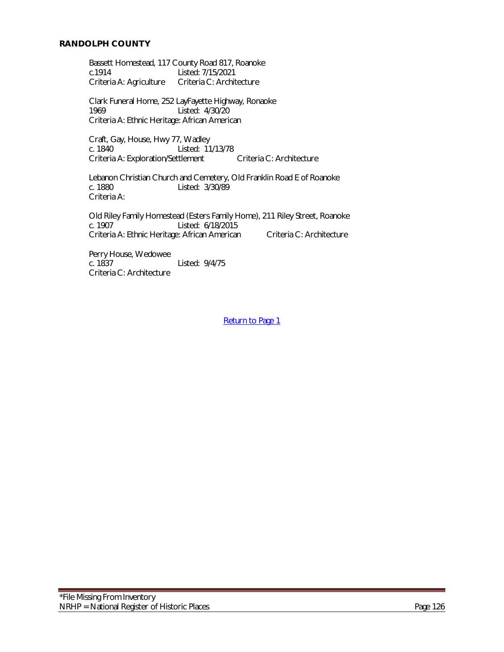#### **RANDOLPH COUNTY**

Bassett Homestead, 117 County Road 817, Roanoke<br>c.1914 Listed: 7/15/2021 c.1914 Listed: 7/15/2021<br>Criteria A: Agriculture Criteria C: Archit Criteria C: Architecture

Clark Funeral Home, 252 LayFayette Highway, Ronaoke 1969 Listed: 4/30/20 Criteria A: Ethnic Heritage: African American

Craft, Gay, House, Hwy 77, Wadley<br>c. 1840 c. 1840 Listed: 11 Listed: 11/13/78 Criteria A: Exploration/Settlement Criteria C: Architecture

Lebanon Christian Church and Cemetery, Old Franklin Road E of Roanoke c. 1880 Listed: 3/30/89 Criteria A:

Old Riley Family Homestead (Esters Family Home), 211 Riley Street, Roanoke c. 1907 Listed: 6/18/2015 Criteria A: Ethnic Heritage: African American Criteria C: Architecture

Perry House, Wedowee<br>c. 1837 Listed: 9/4/75 Criteria C: Architecture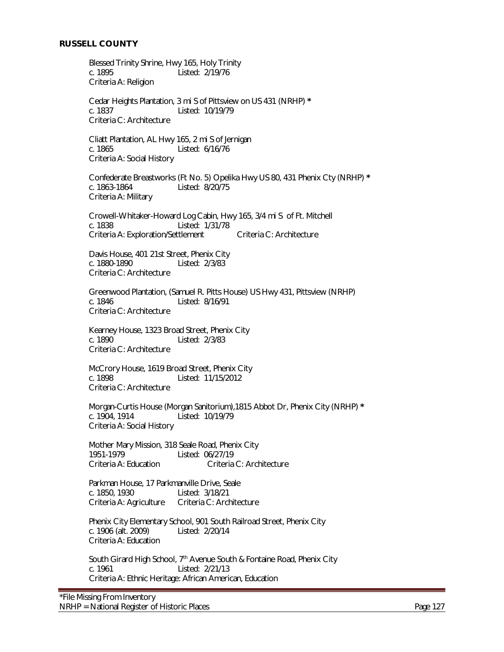Blessed Trinity Shrine, Hwy 165, Holy Trinity c. 1895 Listed: 2/19/76 Criteria A: Religion

Cedar Heights Plantation, 3 mi S of Pittsview on US 431 (NRHP) **\*** c. 1837 Listed: 10/19/79 Criteria C: Architecture

Cliatt Plantation, AL Hwy 165, 2 mi S of Jernigan c. 1865 Listed: 6/16/76 Criteria A: Social History

Confederate Breastworks (Ft No. 5) Opelika Hwy US 80, 431 Phenix Cty (NRHP) **\*** c. 1863-1864 Listed: 8/20/75 Criteria A: Military

Crowell-Whitaker-Howard Log Cabin, Hwy 165, 3/4 mi S of Ft. Mitchell c. 1838 Listed: 1/31/78 Criteria A: Exploration/Settlement Criteria C: Architecture

Davis House, 401 21st Street, Phenix City<br>c. 1880-1890 Listed: 2/3/83 Listed: 2/3/83 Criteria C: Architecture

Greenwood Plantation, (Samuel R. Pitts House) US Hwy 431, Pittsview (NRHP) c. 1846 Listed: 8/16/91 Criteria C: Architecture

Kearney House, 1323 Broad Street, Phenix City c. 1890 Listed: 2/3/83 Criteria C: Architecture

McCrory House, 1619 Broad Street, Phenix City c. 1898 Listed: 11/15/2012 Criteria C: Architecture

Morgan-Curtis House (Morgan Sanitorium),1815 Abbot Dr, Phenix City (NRHP) **\*** c. 1904, 1914 Listed: 10/19/79 Criteria A: Social History

Mother Mary Mission, 318 Seale Road, Phenix City 1951-1979 Listed: 06/27/19 Criteria A: Education Criteria C: Architecture

Parkman House, 17 Parkmanville Drive, Seale c. 1850, 1930 Listed: 3/18/21 Criteria A: Agriculture Criteria C: Architecture

Phenix City Elementary School, 901 South Railroad Street, Phenix City c. 1906 (alt. 2009) Listed: 2/20/14 Criteria A: Education

South Girard High School, 7<sup>th</sup> Avenue South & Fontaine Road, Phenix City c. 1961 Listed: 2/21/13 Criteria A: Ethnic Heritage: African American, Education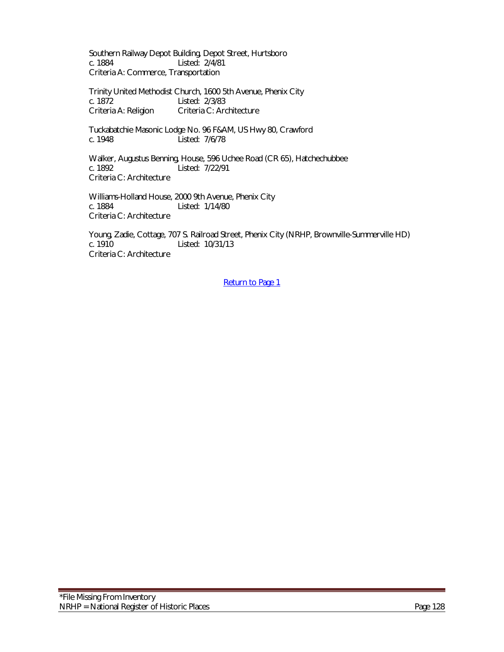Southern Railway Depot Building, Depot Street, Hurtsboro c. 1884 Listed: 2/4/81 Criteria A: Commerce, Transportation

Trinity United Methodist Church, 1600 5th Avenue, Phenix City c. 1872 Listed: 2/3/83 Criteria A: Religion Criteria C: Architecture

Tuckabatchie Masonic Lodge No. 96 F&AM, US Hwy 80, Crawford c. 1948 Listed: 7/6/78

Walker, Augustus Benning, House, 596 Uchee Road (CR 65), Hatchechubbee c. 1892 Listed: 7/22/91 Criteria C: Architecture

Williams-Holland House, 2000 9th Avenue, Phenix City c. 1884 Listed: 1/14/80 Criteria C: Architecture

Young, Zadie, Cottage, 707 S. Railroad Street, Phenix City (NRHP, Brownville-Summerville HD) Listed: 10/31/13 Criteria C: Architecture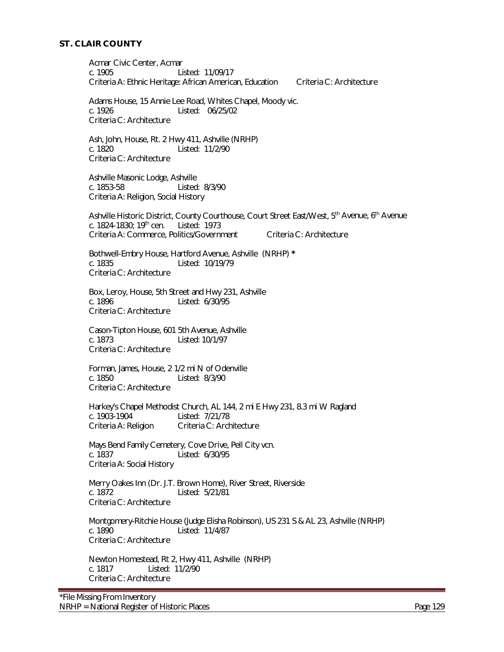# **ST. CLAIR COUNTY**

Acmar Civic Center, Acmar c. 1905 Listed: 11/09/17 Criteria A: Ethnic Heritage: African American, Education Criteria C: Architecture Adams House, 15 Annie Lee Road, Whites Chapel, Moody vic. c. 1926 Listed: 06/25/02 Criteria C: Architecture Ash, John, House, Rt. 2 Hwy 411, Ashville (NRHP) Listed: 11/2/90 Criteria C: Architecture Ashville Masonic Lodge, Ashville c. 1853-58 Listed: 8/3/90 Criteria A: Religion, Social History Ashville Historic District, County Courthouse, Court Street East/West, 5<sup>th</sup> Avenue, 6<sup>th</sup> Avenue c. 1824-1830; 19th cen. Listed: 1973 Criteria A: Commerce, Politics/Government Criteria C: Architecture Bothwell-Embry House, Hartford Avenue, Ashville (NRHP) **\*** Listed: 10/19/79 Criteria C: Architecture Box, Leroy, House, 5th Street and Hwy 231, Ashville c. 1896 Listed: 6/30/95 Criteria C: Architecture Cason-Tipton House, 601 5th Avenue, Ashville c. 1873 Listed: 10/1/97 Criteria C: Architecture Forman, James, House, 2 1/2 mi N of Odenville c. 1850 Listed: 8/3/90 Criteria C: Architecture Harkey's Chapel Methodist Church, AL 144, 2 mi E Hwy 231, 8.3 mi W Ragland c. 1903-1904<br>c. 1903-1904 Listed: 7/21/78 Listed: 7/21/78 Criteria A: Religion Criteria C: Architecture Mays Bend Family Cemetery, Cove Drive, Pell City vcn. c. 1837 Listed: 6/30/95 Criteria A: Social History Merry Oakes Inn (Dr. J.T. Brown Home), River Street, Riverside c. 1872 Listed: 5/21/81 Criteria C: Architecture Montgomery-Ritchie House (Judge Elisha Robinson), US 231 S & AL 23, Ashville (NRHP) Listed: 11/4/87 Criteria C: Architecture Newton Homestead, Rt 2, Hwy 411, Ashville (NRHP) c. 1817 Listed: 11/2/90 Criteria C: Architecture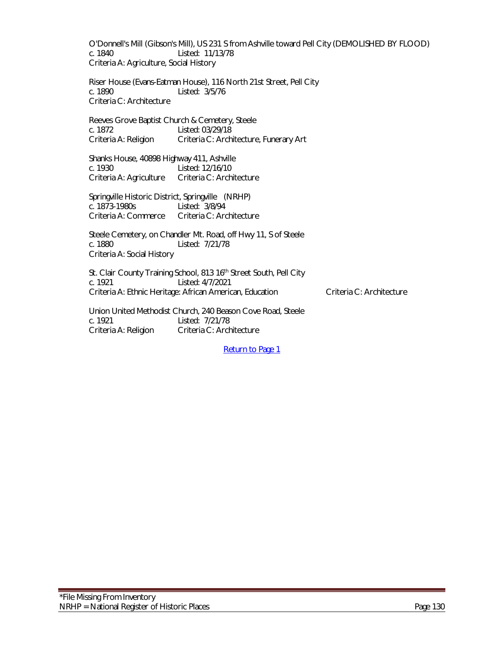O'Donnell's Mill (Gibson's Mill), US 231 S from Ashville toward Pell City (DEMOLISHED BY FLOOD) c. 1840 Listed: 11/13/78 Criteria A: Agriculture, Social History

Riser House (Evans-Eatman House), 116 North 21st Street, Pell City c. 1890 Listed: 3/5/76 Criteria C: Architecture

Reeves Grove Baptist Church & Cemetery, Steele c. 1872 Listed: 03/29/18 Criteria A: Religion Criteria C: Architecture, Funerary Art

Shanks House, 40898 Highway 411, Ashville c. 1930 Listed: 12/16/10 Criteria A: Agriculture Criteria C: Architecture

Springville Historic District, Springville (NRHP) c. 1873-1980s Listed: 3/8/94 Criteria A: Commerce Criteria C: Architecture

Steele Cemetery, on Chandler Mt. Road, off Hwy 11, S of Steele c. 1880 Listed: 7/21/78 Criteria A: Social History

St. Clair County Training School, 813 16<sup>th</sup> Street South, Pell City c. 1921 Listed: 4/7/2021 Criteria A: Ethnic Heritage: African American, Education Criteria C: Architecture

Union United Methodist Church, 240 Beason Cove Road, Steele c. 1921 Listed: 7/21/78 Criteria A: Religion Criteria C: Architecture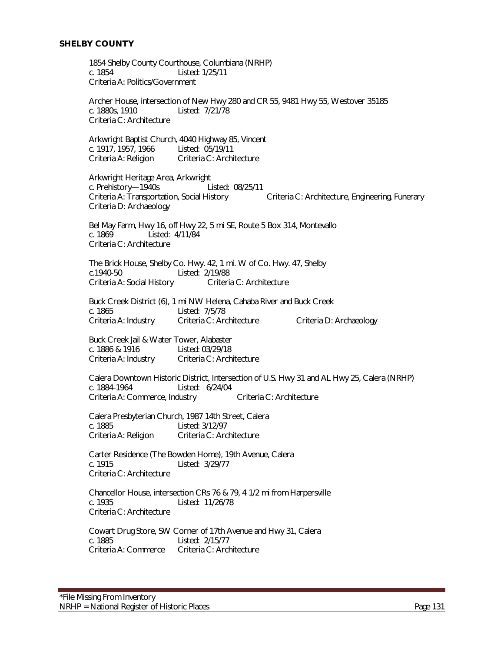1854 Shelby County Courthouse, Columbiana (NRHP) c. 1854 Listed: 1/25/11 Criteria A: Politics/Government

Archer House, intersection of New Hwy 280 and CR 55, 9481 Hwy 55, Westover 35185 c. 1880s, 1910 Listed: 7/21/78 Criteria C: Architecture

Arkwright Baptist Church, 4040 Highway 85, Vincent c. 1917, 1957, 1966 Criteria A: Religion Criteria C: Architecture

Arkwright Heritage Area, Arkwright c. Prehistory—1940s Listed: 08/25/11 Criteria A: Transportation, Social History Criteria C: Architecture, Engineering, Funerary Criteria D: Archaeology

Bel May Farm, Hwy 16, off Hwy 22, 5 mi SE, Route 5 Box 314, Montevallo c. 1869 Listed: 4/11/84 Criteria C: Architecture

 The Brick House, Shelby Co. Hwy. 42, 1 mi. W of Co. Hwy. 47, Shelby c.1940-50 Listed: 2/19/88 Criteria A: Social History

Buck Creek District (6), 1 mi NW Helena, Cahaba River and Buck Creek c. 1865 Listed: 7/5/78 Criteria A: Industry Criteria C: Architecture Criteria D: Archaeology

Buck Creek Jail & Water Tower, Alabaster c. 1886 & 1916 Listed: 03/29/18 Criteria A: Industry Criteria C: Architecture

Calera Downtown Historic District, Intersection of U.S. Hwy 31 and AL Hwy 25, Calera (NRHP)<br>c 1884-1964 (1884-1964) listed: 6/24/04 Listed: 6/24/04 Criteria A: Commerce, Industry Criteria C: Architecture

Calera Presbyterian Church, 1987 14th Street, Calera c. 1885 Listed: 3/12/97 Criteria A: Religion Criteria C: Architecture

Carter Residence (The Bowden Home), 19th Avenue, Calera c. 1915 Listed: 3/29/77 Criteria C: Architecture

Chancellor House, intersection CRs 76 & 79, 4 1/2 mi from Harpersville c. 1935 Listed: 11/26/78 Criteria C: Architecture

Cowart Drug Store, SW Corner of 17th Avenue and Hwy 31, Calera c. 1885 Listed: 2/15/77<br>Criteria A: Commerce Criteria C: Arch Criteria C: Architecture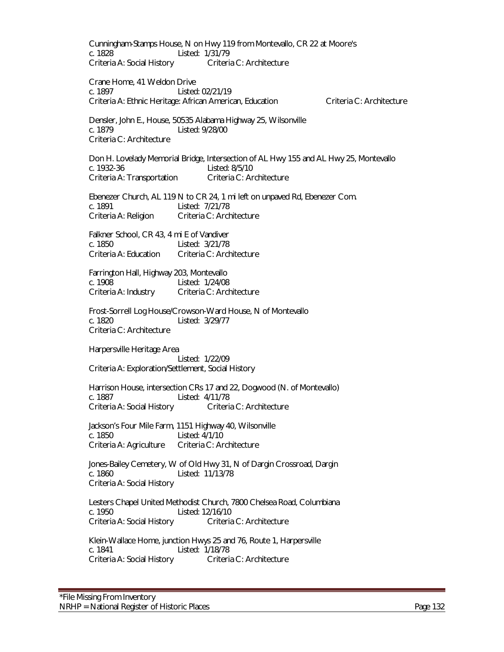Cunningham-Stamps House, N on Hwy 119 from Montevallo, CR 22 at Moore's c. 1828 Listed: 1/31/79 Criteria A: Social History Criteria C: Architecture Crane Home, 41 Weldon Drive c. 1897 Listed: 02/21/19 Criteria A: Ethnic Heritage: African American, Education Criteria C: Architecture Densler, John E., House, 50535 Alabama Highway 25, Wilsonville c. 1879 Listed: 9/28/00 Criteria C: Architecture Don H. Lovelady Memorial Bridge, Intersection of AL Hwy 155 and AL Hwy 25, Montevallo c. 1932-36 Listed: 8/5/10 Criteria A: Transportation Criteria C: Architecture Ebenezer Church, AL 119 N to CR 24, 1 mi left on unpaved Rd, Ebenezer Com. c. 1891 Listed: 7/21/78 Criteria A: Religion Criteria C: Architecture Falkner School, CR 43, 4 mi E of Vandiver c. 1850 Listed: 3/21/78 Criteria A: Education Criteria C: Architecture Farrington Hall, Highway 203, Montevallo c. 1908 Listed: 1/24/08 Criteria A: Industry Criteria C: Architecture Frost-Sorrell Log House/Crowson-Ward House, N of Montevallo c. 1820 Listed: 3/29/77 Criteria C: Architecture Harpersville Heritage Area Listed: 1/22/09 Criteria A: Exploration/Settlement, Social History Harrison House, intersection CRs 17 and 22, Dogwood (N. of Montevallo) c. 1887<br>Criteria A: Social History Criteria C: Architecture Criteria A: Social History Jackson's Four Mile Farm, 1151 Highway 40, Wilsonville c. 1850 Listed: 4/1/10<br>Criteria A: Agriculture Criteria C: Architecture Criteria A: Agriculture Jones-Bailey Cemetery, W of Old Hwy 31, N of Dargin Crossroad, Dargin c. 1860 Listed: 11/13/78 Criteria A: Social History Lesters Chapel United Methodist Church, 7800 Chelsea Road, Columbiana c. 1950 Listed: 12/16/10 Criteria A: Social History Criteria C: Architecture Klein-Wallace Home, junction Hwys 25 and 76, Route 1, Harpersville c. 1841 Listed: 1/18/78 Criteria A: Social History Criteria C: Architecture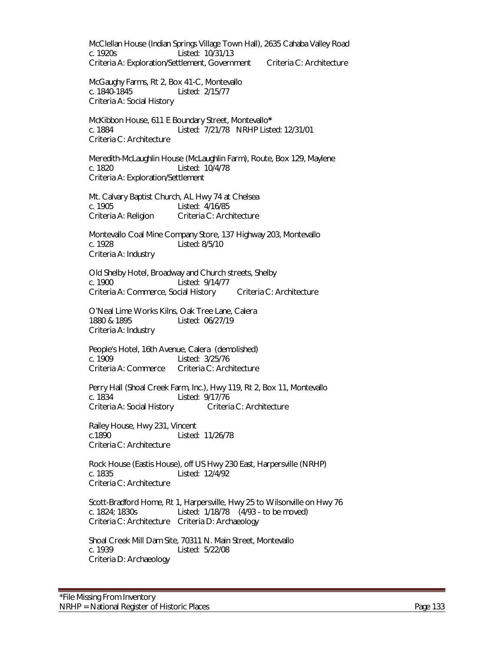McClellan House (Indian Springs Village Town Hall), 2635 Cahaba Valley Road c. 1920s Listed: 10/31/13 Criteria A: Exploration/Settlement, Government Criteria C: Architecture

McGaughy Farms, Rt 2, Box 41-C, Montevallo c. 1840-1845 Listed: 2/15/77 Criteria A: Social History

McKibbon House, 611 E Boundary Street, Montevallo**\*** c. 1884 Listed: 7/21/78 NRHP Listed: 12/31/01 Criteria C: Architecture

 Meredith-McLaughlin House (McLaughlin Farm), Route, Box 129, Maylene c. 1820 Listed: 10/4/78 Criteria A: Exploration/Settlement

Mt. Calvary Baptist Church, AL Hwy 74 at Chelsea c. 1905 Listed: 4/16/85 Criteria A: Religion Criteria C: Architecture

Montevallo Coal Mine Company Store, 137 Highway 203, Montevallo c. 1928 Listed: 8/5/10 Criteria A: Industry

Old Shelby Hotel, Broadway and Church streets, Shelby c. 1900 Listed: 9/14/77 Criteria A: Commerce, Social History Criteria C: Architecture

O'Neal Lime Works Kilns, Oak Tree Lane, Calera 1880 & 1895 Listed: 06/27/19 Criteria A: Industry

People's Hotel, 16th Avenue, Calera (demolished) c. 1909 Listed: 3/25/76 Criteria A: Commerce Criteria C: Architecture

Perry Hall (Shoal Creek Farm, Inc.), Hwy 119, Rt 2, Box 11, Montevallo c. 1834<br>Criteria A: Social History Criteria C: Architecture Criteria A: Social History

Railey House, Hwy 231, Vincent c.1890 Listed: 11/26/78 Criteria C: Architecture

Rock House (Eastis House), off US Hwy 230 East, Harpersville (NRHP) c. 1835 Listed: 12/4/92 Criteria C: Architecture

Scott-Bradford Home, Rt 1, Harpersville, Hwy 25 to Wilsonville on Hwy 76 c. 1824; 1830s Listed: 1/18/78 (4/93 - to be moved) Criteria C: Architecture Criteria D: Archaeology

Shoal Creek Mill Dam Site, 70311 N. Main Street, Montevallo c. 1939 Listed: 5/22/08 Criteria D: Archaeology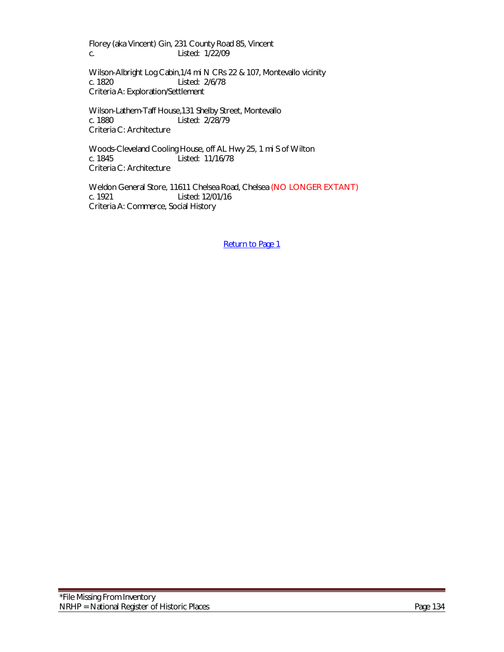Florey (aka Vincent) Gin, 231 County Road 85, Vincent c. Listed: 1/22/09

Wilson-Albright Log Cabin,1/4 mi N CRs 22 & 107, Montevallo vicinity c. 1820 Listed: 2/6/78 Criteria A: Exploration/Settlement

Wilson-Lathem-Taff House,131 Shelby Street, Montevallo c. 1880 Listed: 2/28/79 Criteria C: Architecture

Woods-Cleveland Cooling House, off AL Hwy 25, 1 mi S of Wilton c. 1845 Listed: 11/16/78 Criteria C: Architecture

Weldon General Store, 11611 Chelsea Road, Chelsea (NO LONGER EXTANT)<br>c. 1921 Listed: 12/01/16 Listed: 12/01/16 Criteria A: Commerce, Social History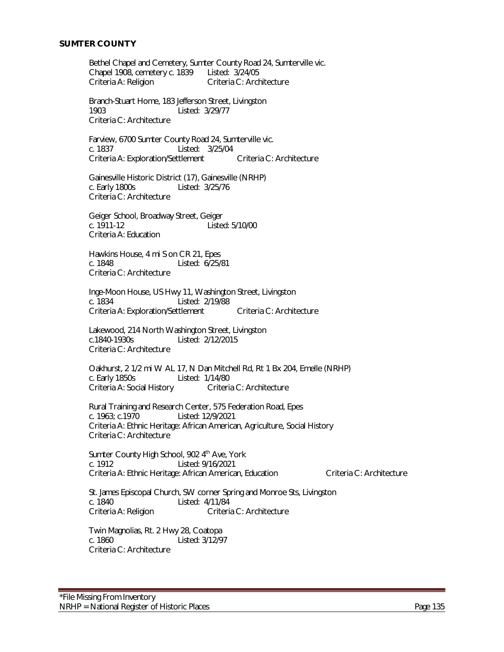#### **SUMTER COUNTY**

Bethel Chapel and Cemetery, Sumter County Road 24, Sumterville vic. Chapel 1908, cemetery c. 1839 Listed: 3/24/05 Criteria C: Architecture

Branch-Stuart Home, 183 Jefferson Street, Livingston 1903 Listed: 3/29/77 Criteria C: Architecture

Farview, 6700 Sumter County Road 24, Sumterville vic. c. 1837 Listed: 3/25/04 Criteria A: Exploration/Settlement Criteria C: Architecture

Gainesville Historic District (17), Gainesville (NRHP) c. Early 1800s Listed: 3/25/76 Criteria C: Architecture

Geiger School, Broadway Street, Geiger c. 1911-12 Listed: 5/10/00 Criteria A: Education

Hawkins House, 4 mi S on CR 21, Epes<br>c. 1848 Listed: 6/25/8 Listed: 6/25/81 Criteria C: Architecture

Inge-Moon House, US Hwy 11, Washington Street, Livingston c. 1834 Listed: 2/19/88 Criteria A: Exploration/Settlement Criteria C: Architecture

Lakewood, 214 North Washington Street, Livingston c.1840-1930s Listed: 2/12/2015 Criteria C: Architecture

Oakhurst, 2 1/2 mi W AL 17, N Dan Mitchell Rd, Rt 1 Bx 204, Emelle (NRHP) c. Early 1850s Listed: 1/14/80 Criteria A: Social History

Rural Training and Research Center, 575 Federation Road, Epes c. 1963; c.1970 Listed: 12/9/2021 Criteria A: Ethnic Heritage: African American, Agriculture, Social History Criteria C: Architecture

Sumter County High School, 902 4<sup>th</sup> Ave, York c. 1912 Listed: 9/16/2021 Criteria A: Ethnic Heritage: African American, Education Criteria C: Architecture

St. James Episcopal Church, SW corner Spring and Monroe Sts, Livingston c. 1840 Listed: 4/11/84<br>Criteria A: Religion Criteria Criteria C: Architecture

Twin Magnolias, Rt. 2 Hwy 28, Coatopa c. 1860 Listed: 3/12/97 Criteria C: Architecture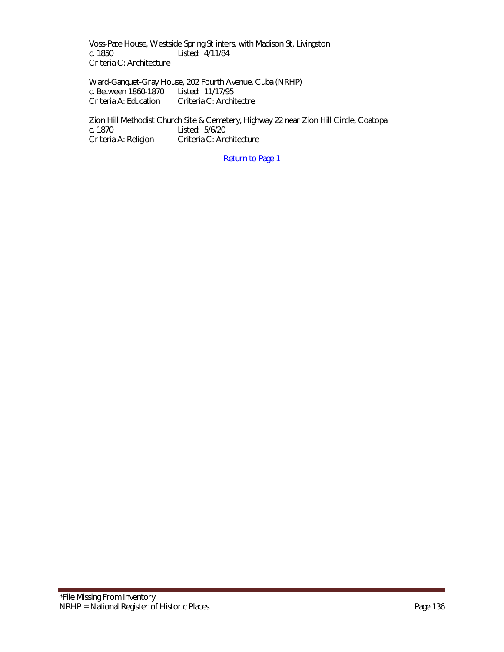Voss-Pate House, Westside Spring St inters. with Madison St, Livingston c. 1850 Listed: 4/11/84 Criteria C: Architecture

Ward-Ganguet-Gray House, 202 Fourth Avenue, Cuba (NRHP) c. Between 1860-1870 Listed: 11/17/95 Criteria A: Education Criteria C: Architectre

Zion Hill Methodist Church Site & Cemetery, Highway 22 near Zion Hill Circle, Coatopa<br>c. 1870 <br>C. 1870 c. 1870 Listed: 5/6/20<br>Criteria A: Religion Criteria C: Ard Criteria C: Architecture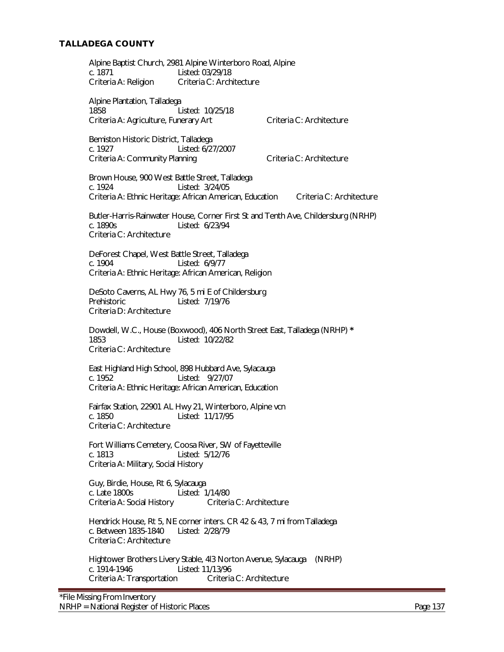# **TALLADEGA COUNTY**

Alpine Baptist Church, 2981 Alpine Winterboro Road, Alpine c. 1871 Listed: 03/29/18 Criteria A: Religion Criteria C: Architecture

Alpine Plantation, Talladega 1858 Listed: 10/25/18 Criteria A: Agriculture, Funerary Art Criteria C: Architecture

Bemiston Historic District, Talladega c. 1927 Listed: 6/27/2007 Criteria A: Community Planning Criteria C: Architecture

Brown House, 900 West Battle Street, Talladega c. 1924 Listed: 3/24/05 Criteria A: Ethnic Heritage: African American, Education Criteria C: Architecture

Butler-Harris-Rainwater House, Corner First St and Tenth Ave, Childersburg (NRHP) c. 1890s Listed: 6/23/94 Criteria C: Architecture

DeForest Chapel, West Battle Street, Talladega Listed: 6/9/77 Criteria A: Ethnic Heritage: African American, Religion

DeSoto Caverns, AL Hwy 76, 5 mi E of Childersburg Prehistoric Listed: 7/19/76 Criteria D: Architecture

Dowdell, W.C., House (Boxwood), 406 North Street East, Talladega (NRHP) **\*** Listed: 10/22/82 Criteria C: Architecture

East Highland High School, 898 Hubbard Ave, Sylacauga c. 1952 Listed: 9/27/07 Criteria A: Ethnic Heritage: African American, Education

Fairfax Station, 22901 AL Hwy 21, Winterboro, Alpine vcn c. 1850 Listed: 11/17/95 Criteria C: Architecture

Fort Williams Cemetery, Coosa River, SW of Fayetteville c. 1813 Listed: 5/12/76 Criteria A: Military, Social History

Guy, Birdie, House, Rt 6, Sylacauga c. Late 1800s Listed: 1/14/80 Criteria A: Social History Criteria C: Architecture

Hendrick House, Rt 5, NE corner inters. CR 42 & 43, 7 mi from Talladega c. Between 1835-1840 Listed: 2/28/79 Criteria C: Architecture

Hightower Brothers Livery Stable, 4l3 Norton Avenue, Sylacauga (NRHP) c. 1914-1946 Listed: 11/13/96 Criteria A: Transportation Criteria C: Architecture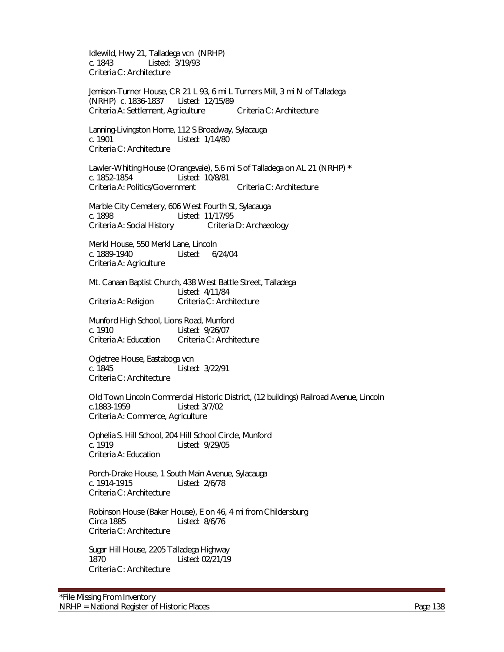Idlewild, Hwy 21, Talladega vcn (NRHP) c. 1843 Listed: 3/19/93 Criteria C: Architecture

Jemison-Turner House, CR 21 L 93, 6 mi L Turners Mill, 3 mi N of Talladega (NRHP) c. 1836-1837 Listed: 12/15/89 Criteria A: Settlement, Agriculture Criteria C: Architecture

Lanning-Livingston Home, 112 S Broadway, Sylacauga c. 1901 Listed: 1/14/80 Criteria C: Architecture

Lawler-Whiting House (Orangevale), 5.6 mi S of Talladega on AL 21 (NRHP) **\*** Listed: 10/8/81 Criteria A: Politics/Government Criteria C: Architecture

Marble City Cemetery, 606 West Fourth St, Sylacauga c. 1898 Listed: 11/17/95 Criteria A: Social History Criteria D: Archaeology

Merkl House, 550 Merkl Lane, Lincoln c. 1889-1940 Listed: 6/24/04 Criteria A: Agriculture

Mt. Canaan Baptist Church, 438 West Battle Street, Talladega Listed: 4/11/84 Criteria A: Religion Criteria C: Architecture

Munford High School, Lions Road, Munford c. 1910 Listed: 9/26/07<br>Criteria A: Education Criteria C: Arch Criteria C: Architecture

Ogletree House, Eastaboga vcn<br>c. 1845 Listed Listed: 3/22/91 Criteria C: Architecture

Old Town Lincoln Commercial Historic District, (12 buildings) Railroad Avenue, Lincoln c.1883-1959 Listed: 3/7/02 Criteria A: Commerce, Agriculture

Ophelia S. Hill School, 204 Hill School Circle, Munford Listed: 9/29/05 Criteria A: Education

Porch-Drake House, 1 South Main Avenue, Sylacauga c. 1914-1915 Listed: 2/6/78 Criteria C: Architecture

Robinson House (Baker House), E on 46, 4 mi from Childersburg Circa 1885 Listed: 8/6/76 Criteria C: Architecture

Sugar Hill House, 2205 Talladega Highway 1870 Listed: 02/21/19 Criteria C: Architecture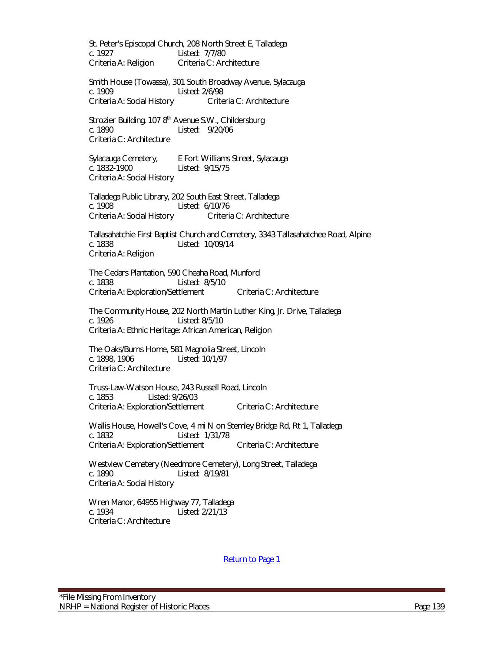St. Peter's Episcopal Church, 208 North Street E, Talladega c. 1927 Listed: 7/7/80 Criteria A: Religion Criteria C: Architecture

Smith House (Towassa), 301 South Broadway Avenue, Sylacauga c. 1909 Listed: 2/6/98 Criteria A: Social History Criteria C: Architecture

Strozier Building, 107 8<sup>th</sup> Avenue S.W., Childersburg c. 1890 Listed: 9/20/06 Criteria C: Architecture

Sylacauga Cemetery, E Fort Williams Street, Sylacauga c. 1832-1900 Listed: 9/15/75 Criteria A: Social History

Talladega Public Library, 202 South East Street, Talladega c. 1908 Listed: 6/10/76 Criteria A: Social History Criteria C: Architecture

Tallasahatchie First Baptist Church and Cemetery, 3343 Tallasahatchee Road, Alpine c. 1838 Listed: 10/09/14 Criteria A: Religion

The Cedars Plantation, 590 Cheaha Road, Munford c. 1838 Listed: 8/5/10 Criteria A: Exploration/Settlement Criteria C: Architecture

The Community House, 202 North Martin Luther King, Jr. Drive, Talladega c. 1926 Listed: 8/5/10 Criteria A: Ethnic Heritage: African American, Religion

The Oaks/Burns Home, 581 Magnolia Street, Lincoln c. 1898, 1906 Listed: 10/1/97 Criteria C: Architecture

Truss-Law-Watson House, 243 Russell Road, Lincoln c. 1853 Listed: 9/26/03 Criteria A: Exploration/Settlement Criteria C: Architecture

Wallis House, Howell's Cove, 4 mi N on Stemley Bridge Rd, Rt 1, Talladega c. 1832 Listed: 1/31/78 Criteria A: Exploration/Settlement Criteria C: Architecture

Westview Cemetery (Needmore Cemetery), Long Street, Talladega c. 1890 Listed: 8/19/81 Criteria A: Social History

Wren Manor, 64955 Highway 77, Talladega c. 1934 Listed: 2/21/13 Criteria C: Architecture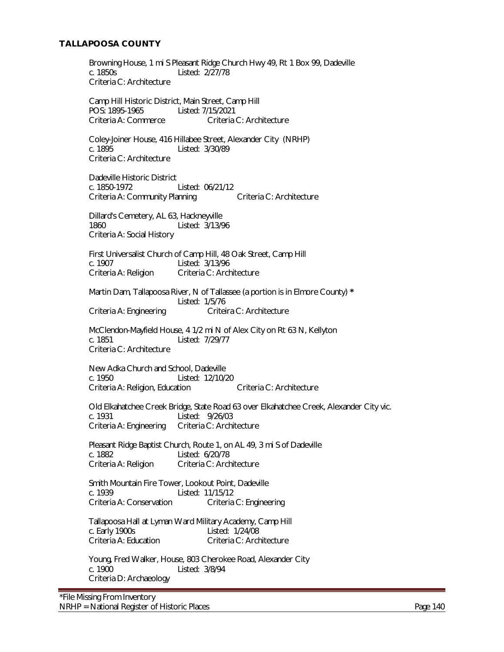# **TALLAPOOSA COUNTY**

Browning House, 1 mi S Pleasant Ridge Church Hwy 49, Rt 1 Box 99, Dadeville c. 1850s Listed: 2/27/78 Criteria C: Architecture

Camp Hill Historic District, Main Street, Camp Hill POS: 1895-1965 Listed: 7/15/2021 Criteria A: Commerce Criteria C: Architecture

Coley-Joiner House, 416 Hillabee Street, Alexander City (NRHP) Listed: 3/30/89 Criteria C: Architecture

Dadeville Historic District c. 1850-1972 Listed: 06/21/12 Criteria A: Community Planning Criteria C: Architecture

Dillard's Cemetery, AL 63, Hackneyville 1860 Listed: 3/13/96 Criteria A: Social History

First Universalist Church of Camp Hill, 48 Oak Street, Camp Hill<br>c. 1907 Listed: 3/13/96 Listed: 3/13/96 Criteria A: Religion Criteria C: Architecture

Martin Dam, Tallapoosa River, N of Tallassee (a portion is in Elmore County) **\*** Listed: 1/5/76 Criteria A: Engineering Criteira C: Architecture

McClendon-Mayfield House, 4 1/2 mi N of Alex City on Rt 63 N, Kellyton c. 1851 Listed: 7/29/77 Criteria C: Architecture

New Adka Church and School, Dadeville c. 1950 Listed: 12/10/20 Criteria A: Religion, Education Criteria C: Architecture

Old Elkahatchee Creek Bridge, State Road 63 over Elkahatchee Creek, Alexander City vic. c. 1931 Listed: 9/26/03<br>Criteria A: Engineering Criteria C: Architecture Criteria A: Engineering

Pleasant Ridge Baptist Church, Route 1, on AL 49, 3 mi S of Dadeville c. 1882 Listed: 6/20/78 Criteria A: Religion Criteria C: Architecture

Smith Mountain Fire Tower, Lookout Point, Dadeville Listed: 11/15/12 Criteria A: Conservation Criteria C: Engineering

Tallapoosa Hall at Lyman Ward Military Academy, Camp Hill c. Early 1900s<br>Criteria A: Education Criteria C: Arch Criteria C: Architecture

Young, Fred Walker, House, 803 Cherokee Road, Alexander City c. 1900 Listed: 3/8/94 Criteria D: Archaeology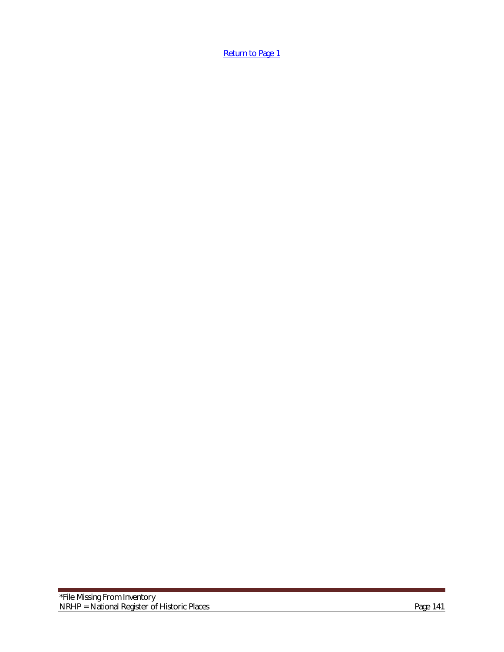[Return to Page 1](#page-0-0)

an an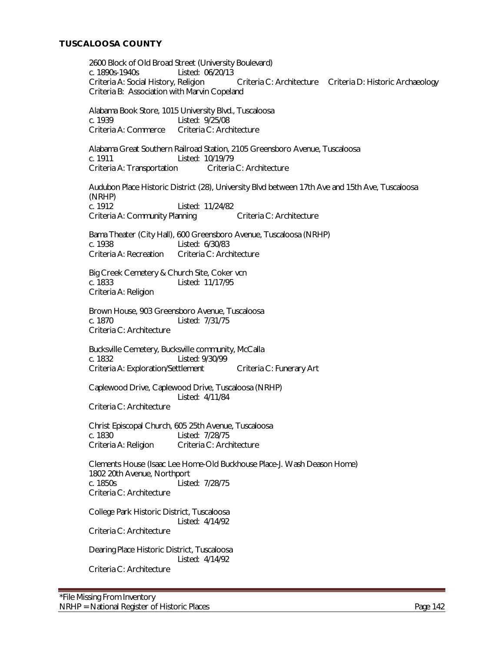# **TUSCALOOSA COUNTY**

2600 Block of Old Broad Street (University Boulevard) c. 1890s-1940s Listed: 06/20/13 Criteria A: Social History, Religion Criteria C: Architecture Criteria D: Historic Archaeology Criteria B: Association with Marvin Copeland

Alabama Book Store, 1015 University Blvd., Tuscaloosa c. 1939 Listed: 9/25/08 Criteria A: Commerce Criteria C: Architecture

Alabama Great Southern Railroad Station, 2105 Greensboro Avenue, Tuscaloosa c. 1911 Listed: 10/19/79 Criteria A: Transportation Criteria C: Architecture

Audubon Place Historic District (28), University Blvd between 17th Ave and 15th Ave, Tuscaloosa (NRHP) c. 1912 Listed: 11/24/82 Criteria A: Community Planning Criteria C: Architecture

Bama Theater (City Hall), 600 Greensboro Avenue, Tuscaloosa (NRHP) c. 1938 Listed: 6/30/83 Criteria A: Recreation Criteria C: Architecture

Big Creek Cemetery & Church Site, Coker vcn c. 1833 Listed: 11/17/95 Criteria A: Religion

Brown House, 903 Greensboro Avenue, Tuscaloosa c. 1870 Listed: 7/31/75 Criteria C: Architecture

Bucksville Cemetery, Bucksville community, McCalla c. 1832 Listed: 9/30/99 Criteria A: Exploration/Settlement Criteria C: Funerary Art

Caplewood Drive, Caplewood Drive, Tuscaloosa (NRHP) Listed: 4/11/84

Criteria C: Architecture

Christ Episcopal Church, 605 25th Avenue, Tuscaloosa c. 1830 Listed: 7/28/75<br>Criteria A: Religion Criteria C: Arch Criteria C: Architecture

Clements House (Isaac Lee Home-Old Buckhouse Place-J. Wash Deason Home) 1802 20th Avenue, Northport c. 1850s Listed: 7/28/75 Criteria C: Architecture

College Park Historic District, Tuscaloosa Listed: 4/14/92

Criteria C: Architecture

Dearing Place Historic District, Tuscaloosa Listed: 4/14/92 Criteria C: Architecture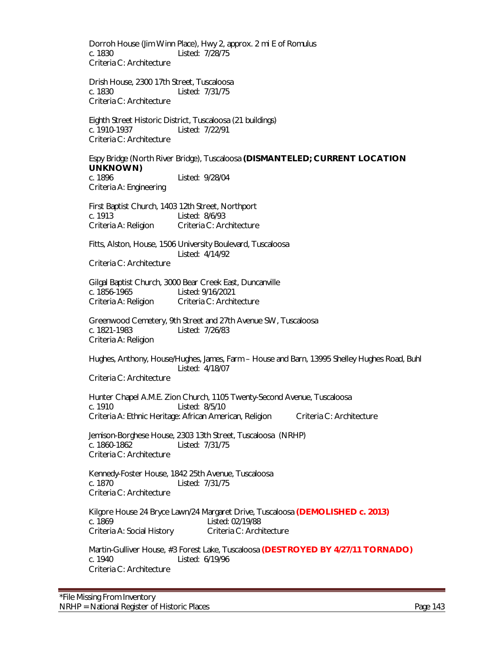Dorroh House (Jim Winn Place), Hwy 2, approx. 2 mi E of Romulus c. 1830 Listed: 7/28/75 Criteria C: Architecture

Drish House, 2300 17th Street, Tuscaloosa c. 1830 Listed: 7/31/75 Criteria C: Architecture

Eighth Street Historic District, Tuscaloosa (21 buildings) c. 1910-1937 Listed: 7/22/91 Criteria C: Architecture

Espy Bridge (North River Bridge), Tuscaloosa **(DISMANTELED; CURRENT LOCATION UNKNOWN)**<br>C. 1896 Listed: 9/28/04

Criteria A: Engineering

First Baptist Church, 1403 12th Street, Northport c. 1913 Listed: 8/6/93 Criteria A: Religion Criteria C: Architecture

Fitts, Alston, House, 1506 University Boulevard, Tuscaloosa Listed: 4/14/92

Criteria C: Architecture

Gilgal Baptist Church, 3000 Bear Creek East, Duncanville c. 1856-1965 Listed: 9/16/2021 Criteria A: Religion Criteria C: Architecture

Greenwood Cemetery, 9th Street and 27th Avenue SW, Tuscaloosa c. 1821-1983 Listed: 7/26/83 Criteria A: Religion

Hughes, Anthony, House/Hughes, James, Farm – House and Barn, 13995 Shelley Hughes Road, Buhl Listed: 4/18/07

Criteria C: Architecture

Hunter Chapel A.M.E. Zion Church, 1105 Twenty-Second Avenue, Tuscaloosa c. 1910 Listed: 8/5/10 Criteria A: Ethnic Heritage: African American, Religion Criteria C: Architecture

Jemison-Borghese House, 2303 13th Street, Tuscaloosa (NRHP)<br>c. 1860-1862 – Listed: 7/31/75 Listed: 7/31/75 Criteria C: Architecture

Kennedy-Foster House, 1842 25th Avenue, Tuscaloosa c. 1870 Listed: 7/31/75 Criteria C: Architecture

Kilgore House 24 Bryce Lawn/24 Margaret Drive, Tuscaloosa **(DEMOLISHED c. 2013)** Listed: 02/19/88 Criteria A: Social History Criteria C: Architecture

Martin-Gulliver House, #3 Forest Lake, Tuscaloosa **(DESTROYED BY 4/27/11 TORNADO)** c. 1940 Listed: 6/19/96 Criteria C: Architecture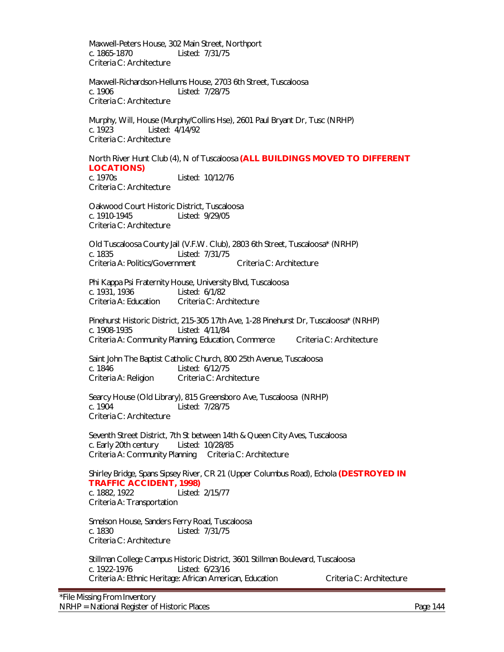Maxwell-Peters House, 302 Main Street, Northport c. 1865-1870 Listed: 7/31/75 Criteria C: Architecture

Maxwell-Richardson-Hellums House, 2703 6th Street, Tuscaloosa c. 1906 Listed: 7/28/75 Criteria C: Architecture

Murphy, Will, House (Murphy/Collins Hse), 2601 Paul Bryant Dr, Tusc (NRHP) c. 1923 Listed: 4/14/92 Criteria C: Architecture

North River Hunt Club (4), N of Tuscaloosa **(ALL BUILDINGS MOVED TO DIFFERENT LOCATIONS)**<br>**c.** 1970s Listed: 10/12/76

Criteria C: Architecture

Oakwood Court Historic District, Tuscaloosa c. 1910-1945 Listed: 9/29/05 Criteria C: Architecture

Old Tuscaloosa County Jail (V.F.W. Club), 2803 6th Street, Tuscaloosa\* (NRHP) c. 1835 Listed: 7/31/75 Criteria A: Politics/Government Criteria C: Architecture

Phi Kappa Psi Fraternity House, University Blvd, Tuscaloosa c. 1931, 1936 Listed: 6/1/82 Criteria A: Education Criteria C: Architecture

Pinehurst Historic District, 215-305 17th Ave, 1-28 Pinehurst Dr, Tuscaloosa\* (NRHP) c. 1908-1935 Listed: 4/11/84 Criteria A: Community Planning, Education, Commerce Criteria C: Architecture

Saint John The Baptist Catholic Church, 800 25th Avenue, Tuscaloosa c. 1846 Listed: 6/12/75 Criteria A: Religion Criteria C: Architecture

Searcy House (Old Library), 815 Greensboro Ave, Tuscaloosa (NRHP)<br>c. 1904 – Listed: 7/28/75 Listed: 7/28/75 Criteria C: Architecture

Seventh Street District, 7th St between 14th & Queen City Aves, Tuscaloosa c. Early 20th century Listed: 10/28/85 Criteria A: Community Planning Criteria C: Architecture

Shirley Bridge, Spans Sipsey River, CR 21 (Upper Columbus Road), Echola **(DESTROYED IN TRAFFIC ACCIDENT, 1998)** c. 1882, 1922 Listed: 2/15/77 Criteria A: Transportation

Smelson House, Sanders Ferry Road, Tuscaloosa c. 1830 Listed: 7/31/75 Criteria C: Architecture

Stillman College Campus Historic District, 3601 Stillman Boulevard, Tuscaloosa c. 1922-1976 Listed: 6/23/16 Criteria A: Ethnic Heritage: African American, Education Criteria C: Architecture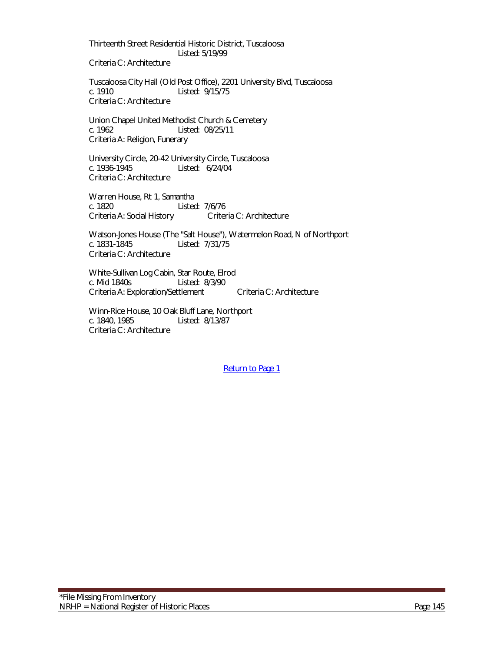Thirteenth Street Residential Historic District, Tuscaloosa Listed: 5/19/99

Criteria C: Architecture

Tuscaloosa City Hall (Old Post Office), 2201 University Blvd, Tuscaloosa c. 1910 Listed: 9/15/75 Criteria C: Architecture

Union Chapel United Methodist Church & Cemetery c. 1962 Listed: 08/25/11 Criteria A: Religion, Funerary

University Circle, 20-42 University Circle, Tuscaloosa Listed: 6/24/04 Criteria C: Architecture

Warren House, Rt 1, Samantha c. 1820 Listed: 7/6/76 Criteria A: Social History Criteria C: Architecture

Watson-Jones House (The "Salt House"), Watermelon Road, N of Northport c. 1831-1845 Listed: 7/31/75 Listed: 7/31/75 Criteria C: Architecture

White-Sullivan Log Cabin, Star Route, Elrod<br>c. Mid 1840s Listed: 8/3/90 Listed: 8/3/90 Criteria A: Exploration/Settlement Criteria C: Architecture

Winn-Rice House, 10 Oak Bluff Lane, Northport c. 1840, 1985 Listed: 8/13/87 Criteria C: Architecture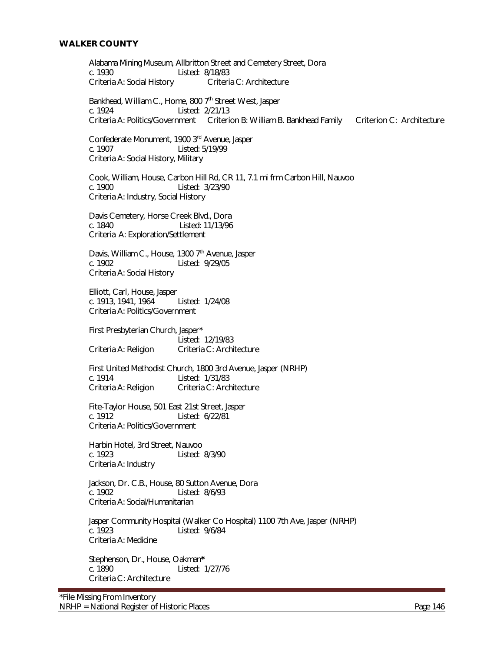## **WALKER COUNTY**

Alabama Mining Museum, Allbritton Street and Cemetery Street, Dora c. 1930 Listed: 8/18/83<br>Criteria A: Social History Criteria C: Architecture Criteria A: Social History Bankhead, William C., Home, 800 7<sup>th</sup> Street West, Jasper c. 1924 Listed: 2/21/13 Criteria A: Politics/Government Criterion B: William B. Bankhead Family Criterion C: Architecture Confederate Monument, 1900 3rd Avenue, Jasper Listed: 5/19/99 Criteria A: Social History, Military Cook, William, House, Carbon Hill Rd, CR 11, 7.1 mi frm Carbon Hill, Nauvoo c. 1900 Listed: 3/23/90 Criteria A: Industry, Social History Davis Cemetery, Horse Creek Blvd., Dora c. 1840 Listed: 11/13/96 Criteria A: Exploration/Settlement Davis, William C., House, 1300  $7<sup>th</sup>$  Avenue, Jasper c. 1902 Listed: 9/29/05 Criteria A: Social History Elliott, Carl, House, Jasper c. 1913, 1941, 1964 Listed: 1/24/08 Criteria A: Politics/Government First Presbyterian Church, Jasper\* Listed: 12/19/83 Criteria A: Religion Criteria C: Architecture First United Methodist Church, 1800 3rd Avenue, Jasper (NRHP) c. 1914<br>Criteria A: Religion Criteria C: Arch Criteria C: Architecture Fite-Taylor House, 501 East 21st Street, Jasper<br>C. 1912 - Listed: 6/22/81 Listed: 6/22/81 Criteria A: Politics/Government Harbin Hotel, 3rd Street, Nauvoo c. 1923 Listed: 8/3/90 Criteria A: Industry Jackson, Dr. C.B., House, 80 Sutton Avenue, Dora c. 1902 Listed: 8/6/93 Criteria A: Social/Humanitarian Jasper Community Hospital (Walker Co Hospital) 1100 7th Ave, Jasper (NRHP)<br>c. 1923 [15ted: 9/6/84] Listed: 9/6/84 Criteria A: Medicine Stephenson, Dr., House, Oakman**\*** c. 1890 Listed: 1/27/76 Criteria C: Architecture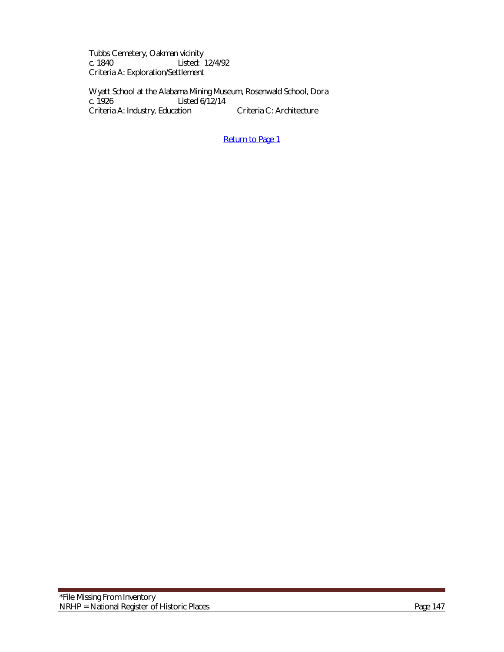Tubbs Cemetery, Oakman vicinity<br>c. 1840 Listed: Listed: 12/4/92 Criteria A: Exploration/Settlement

Wyatt School at the Alabama Mining Museum, Rosenwald School, Dora<br>c. 1926 Listed 6/12/14 Listed  $6/12/14$ Criteria A: Industry, Education Criteria C: Architecture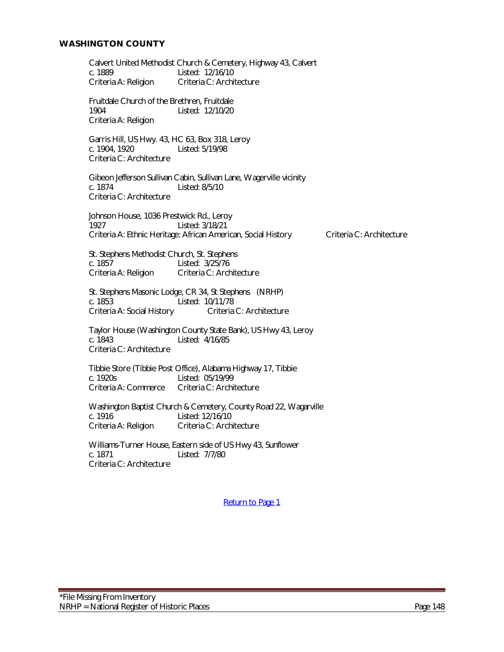## **WASHINGTON COUNTY**

Calvert United Methodist Church & Cemetery, Highway 43, Calvert c. 1889<br>Criteria A: Religion Criteria C: Archi Criteria C: Architecture Fruitdale Church of the Brethren, Fruitdale 1904 Listed: 12/10/20 Criteria A: Religion Garris Hill, US Hwy. 43, HC 63, Box 318, Leroy Listed: 5/19/98 Criteria C: Architecture Gibeon Jefferson Sullivan Cabin, Sullivan Lane, Wagerville vicinity c. 1874 Listed: 8/5/10 Criteria C: Architecture Johnson House, 1036 Prestwick Rd., Leroy 1927 Listed: 3/18/21 Criteria A: Ethnic Heritage: African American, Social History Criteria C: Architecture St. Stephens Methodist Church, St. Stephens<br>c. 1857 Listed: 3/25/76 c. 1857 Listed: 3/25/76<br>Criteria A: Religion Criteria C: Arch Criteria C: Architecture St. Stephens Masonic Lodge, CR 34, St Stephens (NRHP) c. 1853 Listed: 10/11/78 Criteria A: Social History Criteria C: Architecture Taylor House (Washington County State Bank), US Hwy 43, Leroy c. 1843 Listed: 4/16/85 Criteria C: Architecture Tibbie Store (Tibbie Post Office), Alabama Highway 17, Tibbie c. 1920s Listed: 05/19/99<br>Criteria A: Commerce Criteria C: Archi Criteria C: Architecture Washington Baptist Church & Cemetery, County Road 22, Wagarville c. 1916<br>Criteria A: Religion Criteria C: Arch Criteria C: Architecture Williams-Turner House, Eastern side of US Hwy 43, Sunflower c. 1871 Listed: 7/7/80 Criteria C: Architecture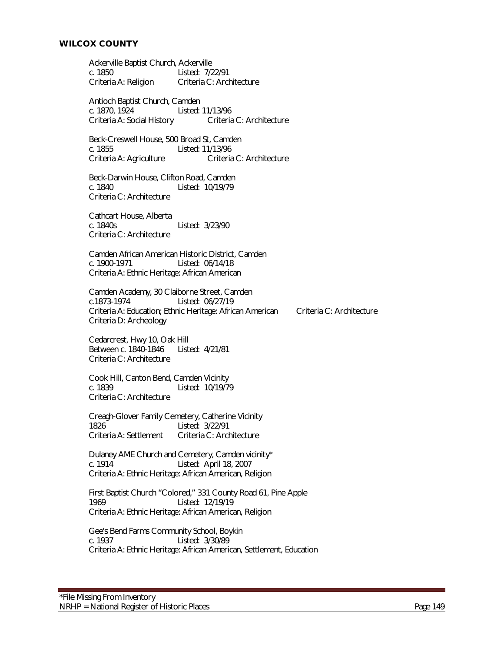Ackerville Baptist Church, Ackerville c. 1850 Listed: 7/22/91 Criteria A: Religion Criteria C: Architecture

Antioch Baptist Church, Camden c. 1870, 1924 Listed: 11/13/96 Criteria A: Social History Criteria C: Architecture

Beck-Creswell House, 500 Broad St, Camden c. 1855 Listed: 11/13/96 Criteria A: Agriculture Criteria C: Architecture

Beck-Darwin House, Clifton Road, Camden c. 1840 Listed: 10/19/79 Criteria C: Architecture

Cathcart House, Alberta c. 1840s Listed: 3/23/90 Criteria C: Architecture

Camden African American Historic District, Camden<br>c. 1900-1971 Listed: 06/14/18 Listed: 06/14/18 Criteria A: Ethnic Heritage: African American

Camden Academy, 30 Claiborne Street, Camden c.1873-1974 Listed: 06/27/19 Criteria A: Education; Ethnic Heritage: African American Criteria C: Architecture Criteria D: Archeology

Cedarcrest, Hwy 10, Oak Hill Between c. 1840-1846 Listed: 4/21/81 Criteria C: Architecture

Cook Hill, Canton Bend, Camden Vicinity Listed: 10/19/79 Criteria C: Architecture

Creagh-Glover Family Cemetery, Catherine Vicinity<br>1826 - Listed: 3/22/91 1826 Listed: 3/22/91<br>Criteria A: Settlement Criteria C: Arch Criteria C: Architecture

Dulaney AME Church and Cemetery, Camden vicinity\* c. 1914 Listed: April 18, 2007 Criteria A: Ethnic Heritage: African American, Religion

First Baptist Church "Colored," 331 County Road 61, Pine Apple 1969 Listed: 12/19/19 Criteria A: Ethnic Heritage: African American, Religion

Gee's Bend Farms Community School, Boykin c. 1937 Listed: 3/30/89 Criteria A: Ethnic Heritage: African American, Settlement, Education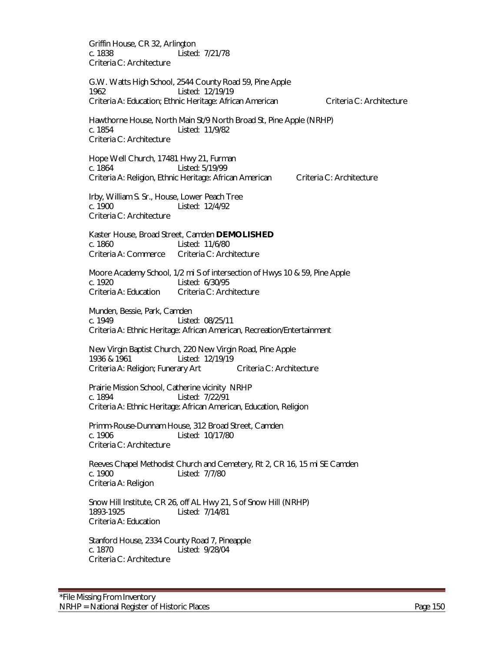Griffin House, CR 32, Arlington c. 1838 Listed: 7/21/78 Criteria C: Architecture

G.W. Watts High School, 2544 County Road 59, Pine Apple 1962 Listed: 12/19/19 Criteria A: Education; Ethnic Heritage: African American Criteria C: Architecture

Hawthorne House, North Main St/9 North Broad St, Pine Apple (NRHP) c. 1854 Listed: 11/9/82 Criteria C: Architecture

Hope Well Church, 17481 Hwy 21, Furman c. 1864 Listed: 5/19/99 Criteria A: Religion, Ethnic Heritage: African American Criteria C: Architecture

Irby, William S. Sr., House, Lower Peach Tree c. 1900 Listed: 12/4/92 Criteria C: Architecture

Kaster House, Broad Street, Camden **DEMOLISHED** c. 1860 Listed: 11/6/80 Criteria A: Commerce Criteria C: Architecture

Moore Academy School, 1/2 mi S of intersection of Hwys 10 & 59, Pine Apple c. 1920 Listed: 6/30/95 Criteria A: Education Criteria C: Architecture

Munden, Bessie, Park, Camden c. 1949 Listed: 08/25/11 Criteria A: Ethnic Heritage: African American, Recreation/Entertainment

New Virgin Baptist Church, 220 New Virgin Road, Pine Apple 1936 & 1961 Listed: 12/19/19 Criteria A: Religion; Funerary Art Criteria C: Architecture

Prairie Mission School, Catherine vicinityNRHP c. 1894 Listed: 7/22/91 Criteria A: Ethnic Heritage: African American, Education, Religion

Primm-Rouse-Dunnam House, 312 Broad Street, Camden c. 1906 Listed: 10/17/80 Criteria C: Architecture

Reeves Chapel Methodist Church and Cemetery, Rt 2, CR 16, 15 mi SE Camden c. 1900 Listed: 7/7/80 Criteria A: Religion

Snow Hill Institute, CR 26, off AL Hwy 21, S of Snow Hill (NRHP) 1893-1925 Listed: 7/14/81 Criteria A: Education

Stanford House, 2334 County Road 7, Pineapple c. 1870 Listed: 9/28/04 Criteria C: Architecture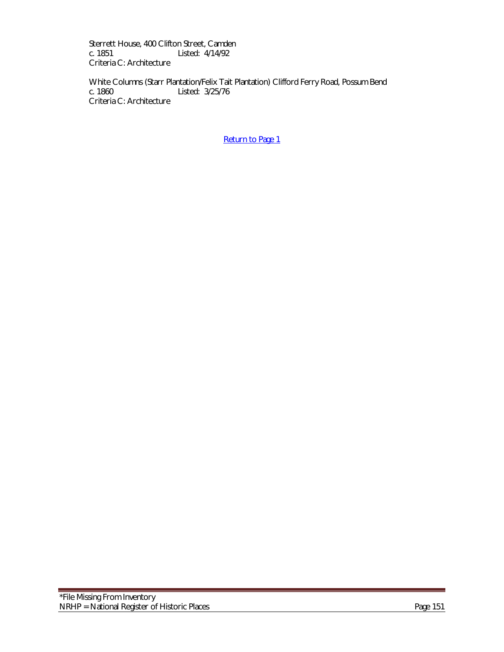Sterrett House, 400 Clifton Street, Camden<br>c. 1851 Listed: 4/14/92 Listed: 4/14/92 Criteria C: Architecture

White Columns (Starr Plantation/Felix Tait Plantation) Clifford Ferry Road, Possum Bend c. 1860 Listed: 3/25/76 Criteria C: Architecture

[Return to Page 1](#page-0-0)